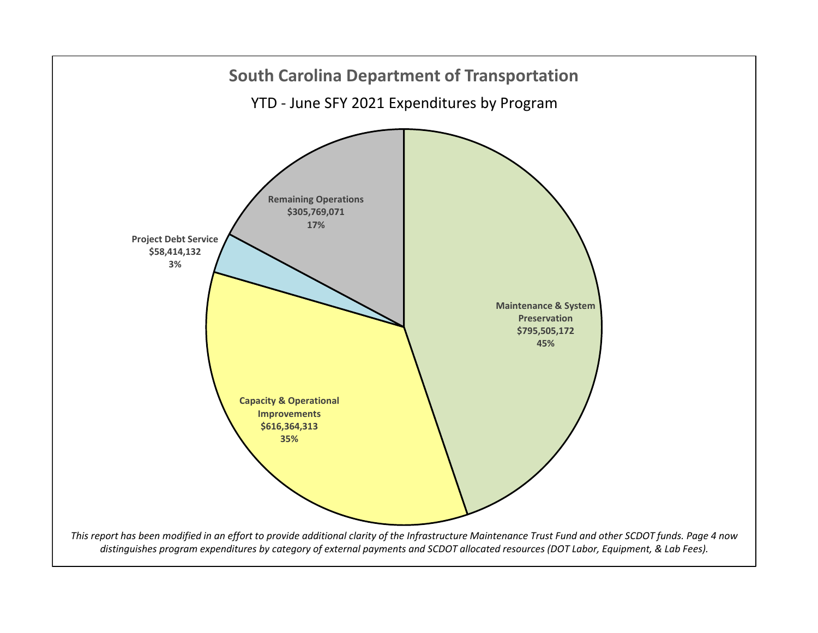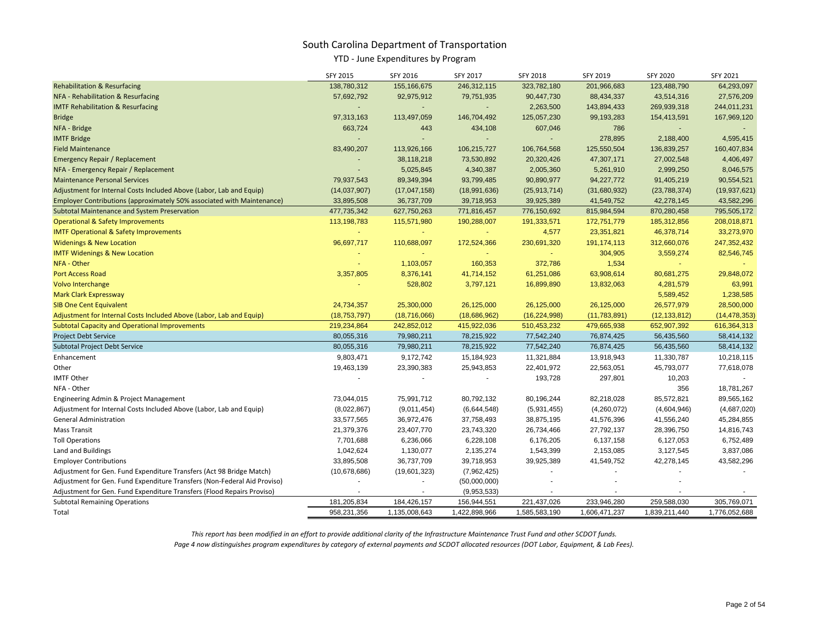### YTD - June Expenditures by Program

|                                                                               | SFY 2015       | SFY 2016       | SFY 2017                 | <b>SFY 2018</b> | SFY 2019      | SFY 2020       | SFY 2021       |
|-------------------------------------------------------------------------------|----------------|----------------|--------------------------|-----------------|---------------|----------------|----------------|
| <b>Rehabilitation &amp; Resurfacing</b>                                       | 138,780,312    | 155,166,675    | 246,312,115              | 323,782,180     | 201,966,683   | 123,488,790    | 64,293,097     |
| NFA - Rehabilitation & Resurfacing                                            | 57,692,792     | 92,975,912     | 79,751,935               | 90,447,730      | 88,434,337    | 43,514,316     | 27,576,209     |
| <b>IMTF Rehabilitation &amp; Resurfacing</b>                                  |                |                |                          | 2,263,500       | 143,894,433   | 269,939,318    | 244,011,231    |
| <b>Bridge</b>                                                                 | 97,313,163     | 113,497,059    | 146,704,492              | 125,057,230     | 99,193,283    | 154,413,591    | 167,969,120    |
| NFA - Bridge                                                                  | 663,724        | 443            | 434,108                  | 607,046         | 786           |                |                |
| <b>IMTF Bridge</b>                                                            |                |                |                          |                 | 278,895       | 2,188,400      | 4,595,415      |
| <b>Field Maintenance</b>                                                      | 83,490,207     | 113,926,166    | 106,215,727              | 106,764,568     | 125,550,504   | 136,839,257    | 160,407,834    |
| <b>Emergency Repair / Replacement</b>                                         |                | 38,118,218     | 73,530,892               | 20,320,426      | 47,307,171    | 27,002,548     | 4,406,497      |
| NFA - Emergency Repair / Replacement                                          |                | 5,025,845      | 4,340,387                | 2,005,360       | 5,261,910     | 2,999,250      | 8,046,575      |
| <b>Maintenance Personal Services</b>                                          | 79,937,543     | 89,349,394     | 93,799,485               | 90,890,977      | 94,227,772    | 91,405,219     | 90,554,521     |
| Adjustment for Internal Costs Included Above (Labor, Lab and Equip)           | (14,037,907)   | (17, 047, 158) | (18,991,636)             | (25, 913, 714)  | (31,680,932)  | (23,788,374)   | (19, 937, 621) |
| <b>Employer Contributions (approximately 50% associated with Maintenance)</b> | 33,895,508     | 36,737,709     | 39,718,953               | 39,925,389      | 41,549,752    | 42,278,145     | 43,582,296     |
| <b>Subtotal Maintenance and System Preservation</b>                           | 477,735,342    | 627,750,263    | 771,816,457              | 776,150,692     | 815,984,594   | 870,280,458    | 795,505,172    |
| <b>Operational &amp; Safety Improvements</b>                                  | 113,198,783    | 115,571,980    | 190,288,007              | 191,333,571     | 172,751,779   | 185,312,856    | 208,018,871    |
| <b>IMTF Operational &amp; Safety Improvements</b>                             |                |                |                          | 4,577           | 23,351,821    | 46,378,714     | 33,273,970     |
| <b>Widenings &amp; New Location</b>                                           | 96,697,717     | 110,688,097    | 172,524,366              | 230,691,320     | 191, 174, 113 | 312,660,076    | 247, 352, 432  |
| <b>IMTF Widenings &amp; New Location</b>                                      |                |                |                          | $\sim$ .        | 304,905       | 3,559,274      | 82,546,745     |
| NFA - Other                                                                   |                | 1,103,057      | 160,353                  | 372,786         | 1,534         |                |                |
| <b>Port Access Road</b>                                                       | 3,357,805      | 8,376,141      | 41,714,152               | 61,251,086      | 63,908,614    | 80,681,275     | 29,848,072     |
| Volvo Interchange                                                             |                | 528,802        | 3,797,121                | 16,899,890      | 13,832,063    | 4,281,579      | 63,991         |
| <b>Mark Clark Expressway</b>                                                  |                |                |                          |                 |               | 5,589,452      | 1,238,585      |
| <b>SIB One Cent Equivalent</b>                                                | 24,734,357     | 25,300,000     | 26,125,000               | 26,125,000      | 26,125,000    | 26,577,979     | 28,500,000     |
| Adjustment for Internal Costs Included Above (Labor, Lab and Equip)           | (18, 753, 797) | (18, 716, 066) | (18,686,962)             | (16, 224, 998)  | (11,783,891)  | (12, 133, 812) | (14, 478, 353) |
| <b>Subtotal Capacity and Operational Improvements</b>                         | 219,234,864    | 242,852,012    | 415,922,036              | 510,453,232     | 479,665,938   | 652,907,392    | 616,364,313    |
| <b>Project Debt Service</b>                                                   | 80,055,316     | 79,980,211     | 78,215,922               | 77,542,240      | 76,874,425    | 56,435,560     | 58,414,132     |
| <b>Subtotal Project Debt Service</b>                                          | 80,055,316     | 79,980,211     | 78,215,922               | 77,542,240      | 76,874,425    | 56,435,560     | 58,414,132     |
| Enhancement                                                                   | 9,803,471      | 9,172,742      | 15,184,923               | 11,321,884      | 13,918,943    | 11,330,787     | 10,218,115     |
| Other                                                                         | 19,463,139     | 23,390,383     | 25,943,853               | 22,401,972      | 22,563,051    | 45,793,077     | 77,618,078     |
| <b>IMTF Other</b>                                                             | $\sim$         | $\sim$         | $\overline{\phantom{a}}$ | 193,728         | 297,801       | 10,203         |                |
| NFA - Other                                                                   |                |                |                          |                 |               | 356            | 18,781,267     |
| Engineering Admin & Project Management                                        | 73,044,015     | 75,991,712     | 80,792,132               | 80,196,244      | 82,218,028    | 85,572,821     | 89,565,162     |
| Adjustment for Internal Costs Included Above (Labor, Lab and Equip)           | (8,022,867)    | (9,011,454)    | (6,644,548)              | (5,931,455)     | (4,260,072)   | (4,604,946)    | (4,687,020)    |
| <b>General Administration</b>                                                 | 33,577,565     | 36,972,476     | 37,758,493               | 38,875,195      | 41,576,396    | 41,556,240     | 45,284,855     |
| <b>Mass Transit</b>                                                           | 21,379,376     | 23,407,770     | 23,743,320               | 26,734,466      | 27,792,137    | 28,396,750     | 14,816,743     |
| <b>Toll Operations</b>                                                        | 7,701,688      | 6,236,066      | 6,228,108                | 6,176,205       | 6,137,158     | 6,127,053      | 6,752,489      |
| Land and Buildings                                                            | 1,042,624      | 1,130,077      | 2,135,274                | 1,543,399       | 2,153,085     | 3,127,545      | 3,837,086      |
| <b>Employer Contributions</b>                                                 | 33,895,508     | 36,737,709     | 39,718,953               | 39,925,389      | 41,549,752    | 42,278,145     | 43,582,296     |
| Adjustment for Gen. Fund Expenditure Transfers (Act 98 Bridge Match)          | (10,678,686)   | (19,601,323)   | (7,962,425)              |                 |               |                |                |
| Adjustment for Gen. Fund Expenditure Transfers (Non-Federal Aid Proviso)      |                |                | (50,000,000)             |                 |               |                |                |
| Adjustment for Gen. Fund Expenditure Transfers (Flood Repairs Proviso)        |                |                | (9,953,533)              |                 |               |                |                |
| <b>Subtotal Remaining Operations</b>                                          | 181,205,834    | 184,426,157    | 156,944,551              | 221,437,026     | 233,946,280   | 259,588,030    | 305,769,071    |
| Total                                                                         | 958,231,356    | 1,135,008,643  | 1,422,898,966            | 1,585,583,190   | 1,606,471,237 | 1,839,211,440  | 1,776,052,688  |

*This report has been modified in an effort to provide additional clarity of the Infrastructure Maintenance Trust Fund and other SCDOT funds. Page 4 now distinguishes program expenditures by category of external payments and SCDOT allocated resources (DOT Labor, Equipment, & Lab Fees).*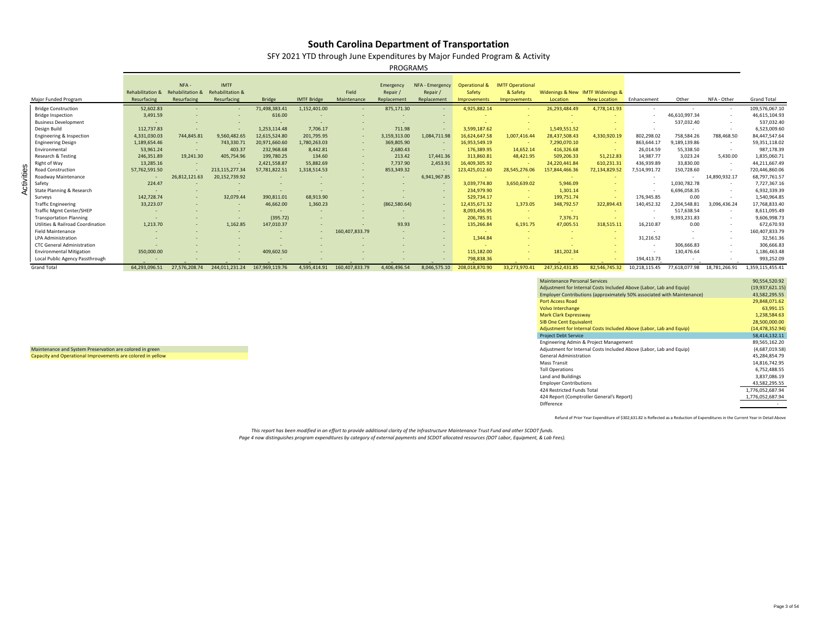SFY 2021 YTD through June Expenditures by Major Funded Program & Activity

PROGRAMS

|            |                                              |                             | NFA-                    | <b>IMTF</b>                 |                |                    |                | Emergency     | NFA - Emergency | Operational &  | <b>IMTF Operational</b> |                                  |                     |               |               |                          |                    |
|------------|----------------------------------------------|-----------------------------|-------------------------|-----------------------------|----------------|--------------------|----------------|---------------|-----------------|----------------|-------------------------|----------------------------------|---------------------|---------------|---------------|--------------------------|--------------------|
|            |                                              | <b>Rehabilitation &amp;</b> | <b>Rehabilitation 8</b> | <b>Rehabilitation &amp;</b> |                |                    | Field          | Repair /      | Repair          | Safety         | & Safety                | Widenings & New IMTF Widenings & |                     |               |               |                          |                    |
|            | <b>Major Funded Program</b>                  | Resurfacing                 | Resurfacing             | Resurfacing                 | <b>Bridge</b>  | <b>IMTF Bridge</b> | Maintenance    | Replacemen    | Replacement     | Improvements   | Improvements            | Location                         | <b>New Location</b> | Enhancement   | Other         | NFA - Other              | <b>Grand Total</b> |
|            | <b>Bridge Construction</b>                   | 52,602.83                   |                         |                             | 71,498,383.41  | 1,152,401.00       |                | 875,171.30    |                 | 4,925,882.14   |                         | 26,293,484.49                    | 4,778,141.93        |               |               | $\sim$                   | 109,576,067.10     |
|            | <b>Bridge Inspection</b>                     | 3,491.59                    |                         |                             | 616.00         |                    |                |               |                 |                |                         |                                  |                     |               | 46,610,997.34 | $\overline{\phantom{a}}$ | 46,615,104.93      |
|            | <b>Business Development</b>                  |                             |                         |                             |                |                    |                |               |                 |                |                         |                                  |                     |               | 537,032.40    |                          | 537,032.40         |
|            | Design Build                                 | 112,737.83                  |                         | $\sim$                      | 1,253,114.48   | 7,706.17           |                | 711.98        |                 | 3,599,187.62   |                         | 1,549,551.52                     | $\sim$              |               |               | $\sim$<br>$\sim$         | 6,523,009.60       |
|            | Engineering & Inspection                     | 4,331,030.03                | 744,845.81              | 9,560,482.65                | 12,615,524.80  | 201,795.95         |                | 3,159,313.00  | 1,084,711.98    | 16,624,647.58  | 1,007,416.44            | 28,437,508.43                    | 4,330,920.19        | 802,298.02    | 758,584.26    | 788,468.50               | 84,447,547.64      |
|            | <b>Engineering Design</b>                    | 1,189,654.46                | $\sim$ $-$              | 743,330.71                  | 20,971,660.60  | 1,780,263.03       |                | 369,805.90    | $\sim$          | 16,953,549.19  |                         | 7,290,070.10                     | $\sim$ $-$          | 863,644.17    | ,189,139.86   | $\sim$                   | 59,351,118.02      |
|            | Environmental                                | 53,961.24                   |                         | 403.37                      | 232,968.68     | 8,442.81           | $\sim$ $ \sim$ | 2,680.43      | $\sim$          | 176,389.95     | 14,652.14               | 416,326.68                       | $\sim$ $-$          | 26,014.59     | 55,338.50     | $\overline{\phantom{a}}$ | 987,178.39         |
|            |                                              |                             |                         |                             |                | 134.60             |                |               |                 |                |                         |                                  |                     |               |               |                          |                    |
|            | Research & Testing                           | 246,351.89                  | 19,241.30               | 405,754.96                  | 199,780.25     |                    |                | 213.42        | 17,441.36       | 313,860.81     | 48,421.95               | 509,206.33                       | 51,212.83           | 14,987.77     | 3,023.24      | 5,430.00                 | 1,835,060.71       |
|            | Right of Way                                 | 13,285.16                   |                         |                             | 2,421,558.87   | 55,882.69          |                | 7,737.90      | 2,453.91        | 16,409,305.92  |                         | 24,220,441.84                    | 610,231.31          | 436,939.89    | 33,830.00     | $\sim$                   | 44,211,667.49      |
|            | <b>Road Construction</b>                     | 57,762,591.50               |                         | 213,115,277.34              | 57,781,822.51  | 1,318,514.53       |                | 853,349.32    |                 | 123,425,012.60 | 28,545,276.06           | 157,844,466.36                   | 72,134,829.52       | 7,514,991.72  | 150,728.60    | $\overline{\phantom{a}}$ | 720,446,860.06     |
| Activities | Roadway Maintenance                          |                             | 26,812,121.63           | 20,152,739.92               |                |                    |                |               | 6,941,967.85    |                |                         |                                  |                     |               |               | 14,890,932.17            | 68,797,761.57      |
|            | Safety                                       | 224.47                      |                         |                             |                |                    |                |               |                 | 3,039,774.80   | 3,650,639.02            | 5,946.09                         | $\sim$              |               | 1,030,782.78  | $\sim$                   | 7,727,367.16       |
|            | State Planning & Research                    |                             |                         |                             |                |                    |                |               |                 | 234,979.90     |                         | 1,301.14                         | $\sim$              |               | 6,696,058.35  |                          | 6,932,339.39       |
|            | Surveys                                      | 142,728.74                  |                         | 32,079.44                   | 390,811.01     | 68,913.90          |                |               | $\sim$          | 529,734.17     | $\sim$                  | 199,751.74                       | $\sim$              | 176,945.85    | 0.00          |                          | 1,540,964.85       |
|            | <b>Traffic Engineering</b>                   | 33,223.07                   |                         | $\sim$                      | 46,662.00      | 1,360.23           |                | (862, 580.64) | $\sim$          | 12,435,671.32  | 1,373.05                | 348,792.57                       | 322,894.43          | 140,452.32    | 2,204,548.81  | 3,096,436.24             | 17,768,833.40      |
|            | <b>Traffic Mgmt Center/SHEP</b>              |                             |                         |                             |                |                    |                |               | $\sim$          | 8,093,456.95   |                         |                                  |                     |               | 517,638.54    | $\overline{\phantom{a}}$ | 8,611,095.49       |
|            | <b>Transportation Planning</b>               |                             |                         |                             | (395.72)       |                    |                |               | $\sim$          | 206,785.91     | $\sim$                  | 7,376.71                         |                     |               | 9,393,231.83  | $\sim$                   | 9,606,998.73       |
|            | <b>Utilities &amp; Railroad Coordination</b> | 1,213.70                    |                         | 1,162.85                    | 147,010.37     |                    |                | 93.93         | $\sim$          | 135,266.84     | 6,191.75                | 47,005.51                        | 318,515.11          | 16,210.87     | 0.00          | $\sim$                   | 672,670.93         |
|            | <b>Field Maintenance</b>                     |                             |                         |                             |                |                    | 160,407,833.79 | $\sim$        |                 |                |                         |                                  | $\sim$              |               |               | $\sim$                   | 160,407,833.79     |
|            | <b>LPA Administration</b>                    |                             |                         |                             |                |                    |                |               |                 | 1,344.84       |                         |                                  | $\sim$              | 31,216.52     |               | $\sim$                   | 32,561.36          |
|            | <b>CTC General Administration</b>            |                             |                         |                             |                |                    |                |               | $\sim$          |                |                         |                                  | $\sim$              | $\sim$        | 306,666.83    | $\sim$                   | 306,666.83         |
|            | <b>Environmental Mitigation</b>              | 350,000.00                  |                         |                             | 409,602.50     |                    |                |               |                 | 115,182.00     |                         | 181,202.34                       |                     |               | 130,476.64    |                          | 1,186,463.48       |
|            | Local Public Agency Passthrough              |                             |                         |                             |                |                    |                |               |                 | 798,838.36     |                         |                                  |                     | 194,413.73    |               |                          | 993,252.09         |
|            | <b>Grand Total</b>                           | 64,293,096.51               | 27,576,208.74           | 244,011,231.24              | 167,969,119.76 | 4,595,414.91       | 160,407,833.79 | 4,406,496.54  | 8,046,575.10    | 208,018,870.90 | 33,273,970.41           | 247,352,431.85                   | 82,546,745.32       | 10,218,115.45 | 77,618,077.98 | 18,781,266.91            | 1,359,115,455.41   |

Maintenance and System Preservation are colored in green Capacity and Operational Improvements are colored in yellow

| <b>Maintenance Personal Services</b>                                   | 90,554,520.92     |
|------------------------------------------------------------------------|-------------------|
| Adjustment for Internal Costs Included Above (Labor, Lab and Equip)    | (19, 937, 621.15) |
| Employer Contributions (approximately 50% associated with Maintenance) | 43,582,295.55     |
| <b>Port Access Road</b>                                                | 29,848,071.62     |
| Volvo Interchange                                                      | 63,991.15         |
| <b>Mark Clark Expressway</b>                                           | 1,238,584.63      |
| <b>SIB One Cent Equivalent</b>                                         | 28,500,000.00     |
| Adjustment for Internal Costs Included Above (Labor, Lab and Equip)    | (14, 478, 352.94) |
| <b>Project Debt Service</b>                                            | 58,414,132.11     |
| Engineering Admin & Project Management                                 | 89,565,162.20     |
| Adjustment for Internal Costs Included Above (Labor, Lab and Equip)    | (4,687,019.58)    |
| <b>General Administration</b>                                          | 45,284,854.79     |
| <b>Mass Transit</b>                                                    | 14,816,742.95     |
| <b>Toll Operations</b>                                                 | 6,752,488.55      |
| Land and Buildings                                                     | 3,837,086.19      |
| <b>Employer Contributions</b>                                          | 43,582,295.55     |
| 424 Restricted Funds Total                                             | 1,776,052,687.94  |
| 424 Report (Comptroller General's Report)                              | 1,776,052,687.94  |
| Difference                                                             |                   |

Refund of Prior Year Expenditure of \$302,631.82 is Reflected as a Reduction of Expenditures in the Current Year in Detail Above

*This report has been modified in an effort to provide additional clarity of the Infrastructure Maintenance Trust Fund and other SCDOT funds. Page 4 now distinguishes program expenditures by category of external payments and SCDOT allocated resources (DOT Labor, Equipment, & Lab Fees).*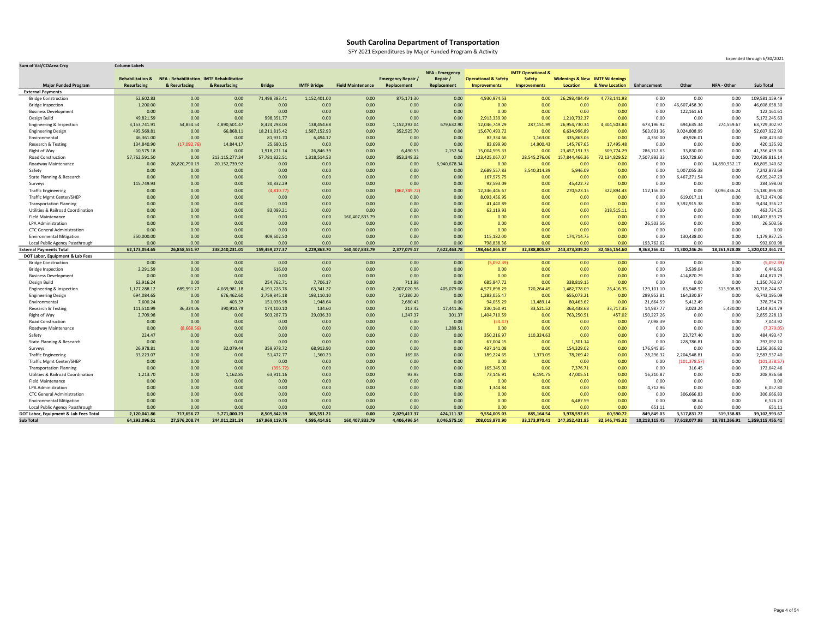SFY 2021 Expenditures by Major Funded Program & Activity

| <b>Sum of Val/COArea Crcy</b>                                            | <b>Column Labels</b> |                    |                                      |                      |                    |                          |                         |                        |                                 |                               |                                           |                   |                      |                      |                    |                         |
|--------------------------------------------------------------------------|----------------------|--------------------|--------------------------------------|----------------------|--------------------|--------------------------|-------------------------|------------------------|---------------------------------|-------------------------------|-------------------------------------------|-------------------|----------------------|----------------------|--------------------|-------------------------|
|                                                                          |                      |                    |                                      |                      |                    |                          |                         | <b>NFA - Emergency</b> |                                 | <b>IMTF Operational &amp;</b> |                                           |                   |                      |                      |                    |                         |
|                                                                          | Rehabilitation       | <b>NFA</b>         | - Rehabilitation IMTF Rehabilitation |                      |                    |                          | <b>Emergency Repair</b> | Repair                 | <b>Operational &amp; Safety</b> | <b>Safety</b>                 | <b>Widenings &amp; New IMTF Widenings</b> |                   |                      |                      |                    |                         |
| <b>Major Funded Program</b>                                              | <b>Resurfacing</b>   | & Resurfacing      | & Resurfacing                        | <b>Bridge</b>        | <b>IMTF Bridge</b> | <b>Field Maintenance</b> | Replacement             | Replacement            | Improvements                    | <b>Improvements</b>           | Location                                  | & New Location    | Enhancement          | <b>Other</b>         | <b>NFA - Other</b> | <b>Sub Total</b>        |
| <b>External Payments</b>                                                 |                      |                    |                                      |                      |                    |                          |                         |                        |                                 |                               |                                           |                   |                      |                      |                    |                         |
| <b>Bridge Construction</b>                                               | 52,602.83            | 0.00 <sub>1</sub>  | 0.00                                 | 71,498,383.41        | 1,152,401.00       | 0.00                     | 875,171.30              | 0.00                   | 4,930,974.53                    | 0.00                          | 26,293,484.49                             | 4,778,141.93      | 0.00                 | 0.00                 | 0.00               | 109,581,159.49          |
| <b>Bridge Inspection</b>                                                 | 1,200.00             | 0.00 <sub>1</sub>  | 0.00                                 | 0.00                 | 0.00               | 0.00                     | 0.00                    | 0.00                   | 0.00                            | 0.00                          | 0.00                                      | 0.00              | 0.00                 | 46,607,458.30        | 0.00               | 46,608,658.30           |
| <b>Business Development</b>                                              | 0.00                 | 0.00               | 0.00                                 | 0.00                 | 0.00               | 0.00                     | 0.00                    | 0.00                   | 0.00                            | 0.00                          | 0.00                                      | 0.00              | 0.00                 | 122,161.61           | 0.00               | 122,161.61              |
| Design Build                                                             | 49,821.59            | 0.00               | 0.00                                 | 998,351.77           | 0.00               | 0.00                     | 0.00                    | 0.00                   | 2,913,339.90                    | 0.00                          | 1,210,732.37                              | 0.00              | 0.00                 | 0.00                 | 0.00               | 5,172,245.63            |
| Engineering & Inspection                                                 | 3,153,741.91         | 54,854.54          | 4,890,501.47                         | 8,424,298.04         | 138,454.68         | 0.00                     | 1,152,292.04            | 679,632.90             | 12,046,749.29                   | 287,151.99                    | 26,954,730.34                             | 4,304,503.84      | 673,196.92           | 694,635.34           | 274,559.67         | 63,729,302.97           |
| <b>Engineering Design</b>                                                | 495,569.81           | 0.00               | 66,868.11                            | 18,211,815.42        | 1,587,152.93       | 0.00                     | 352,525.70              | 0.00                   | 15,670,493.72                   | 0.00                          | 6,634,996.89                              | 0.00              | 563,691.36           | 9,024,808.99         | 0.00               | 52,607,922.93           |
| Environmental                                                            | 46,361.00            | 0.00               | 0.00                                 | 81,931.70            | 6,494.17           | 0.00                     | 0.00                    | 0.00                   | 82,334.66                       | 1,163.00                      | 335,863.06                                | 0.00              | 4,350.00             | 49,926.01            | 0.00               | 608,423.60              |
| Research & Testing                                                       | 134,840.90           | (17,092.76)        | 14,844.17                            | 25,680.15            | 0.00               | 0.00                     | 0.00                    | 0.00                   | 83,699.90                       | 14,900.43                     | 145,767.65                                | 17,495.48         | 0.00                 | 0.00                 | 0.00               | 420,135.92              |
| Right of Way                                                             | 10,575.18            | 0.00               | 0.00                                 | 1,918,271.14         | 26,846.39          | 0.00                     | 6,490.53                | 2,152.54               | 15,004,595.33                   | 0.00                          | 23,457,191.33                             | 609,774.29        | 286,712.63           | 33,830.00            | 0.00               | 41,356,439.36           |
| Road Construction                                                        | 57,762,591.50        | 0.00               | 213,115,277.34                       | 57,781,822.51        | 1,318,514.53       | 0.00                     | 853,349.32              | 0.00                   | 123,425,067.07                  | 28,545,276.06                 | 157,844,466.36                            | 72,134,829.5      | 7,507,893.33         | 150,728.60           | 0.00               | 720,439,816.14          |
| Roadway Maintenance                                                      | 0.00                 | 26,820,790.19      | 20,152,739.92                        | 0.00                 | 0.00               | 0.00                     | 0.00                    | 6,940,678.34           | 0.00                            | 0.00                          | 0.00                                      | 0.00              | 0.00                 | 0.00                 | 14,890,932.17      | 68,805,140.62           |
| Safety                                                                   | 0.00                 | 0.00               | 0.00                                 | 0.00                 | 0.00               | 0.00                     | 0.00                    | 0.00                   | 2,689,557.83                    | 3,540,314.39                  | 5,946.09                                  | 0.00              | 0.00                 | 1,007,055.38         | 0.00               | 7,242,873.69            |
| State Planning & Research                                                | 0.00                 | 0.00               | 0.00                                 | 0.00                 | 0.00               | 0.00                     | 0.00                    | 0.00                   | 167,975.75                      | 0.00                          | 0.00                                      | 0.00              | 0.00                 | 6,467,271.54         | 0.00               | 6,635,247.29            |
| Surveys                                                                  | 115,749.93           | 0.00               | 0.00                                 | 30,832.29            | 0.00               | 0.00                     | 0.00                    | 0.00                   | 92,593.09                       | 0.00                          | 45,422.72                                 | 0.00              | 0.00                 | 0.00                 | 0.00               | 284,598.03              |
| <b>Traffic Engineering</b>                                               | 0.00                 | 0.00               | 0.00                                 | (4,810.77)           | 0.00               | 0.00                     | (862, 749.72)           | 0.00                   | 12,246,446.67                   | 0.00                          | 270,523.15                                | 322,894.43        | 112,156.00           | 0.00                 | 3,096,436.24       | 15,180,896.00           |
| <b>Traffic Mgmt Center/SHEP</b>                                          | 0.00                 | 0.00               | 0.00                                 | 0.00                 | 0.00               | 0.00                     | 0.00                    | 0.00                   | 8,093,456.95                    | 0.00                          | 0.00                                      | 0.00              | 0.00                 | 619,017.11           | 0.00               | 8,712,474.06            |
| <b>Transportation Planning</b>                                           | 0.00                 | 0.00               | 0.00                                 | 0.00                 | 0.00               | 0.00                     | 0.00                    | 0.00                   | 41,440.89                       | 0.00                          | 0.00                                      | 0.00              | 0.00                 | 9,392,915.38         | 0.00               | 9,434,356.27            |
| <b>Utilities &amp; Railroad Coordination</b>                             | 0.00                 | 0.00               | 0.00                                 | 83,099.21            | 0.00               | 0.00                     | 0.00                    | 0.00                   | 62,119.93                       | 0.00                          | 0.00                                      | 318,515.11        | 0.00                 | 0.00                 | 0.00               | 463,734.25              |
| <b>Field Maintenance</b>                                                 | 0.00                 | 0.00               | 0.00                                 | 0.00                 | 0.00               | 160,407,833.79           | 0.00                    | 0.00                   | 0.00                            | 0.00                          | 0.00                                      | 0.00              | 0.00                 | 0.00                 | 0.00               | 60,407,833.79           |
| LPA Administration                                                       | 0.00                 | 0.00               | 0.00                                 | 0.00                 | 0.00               | 0.00                     | 0.00                    | 0.00                   | 0.00                            | 0.00                          | 0.00                                      | 0.00              | 26,503.56            | 0.00                 | 0.00               | 26,503.56               |
| <b>CTC General Administration</b>                                        | 0.00                 | 0.00               | 0.00                                 | 0.00                 | 0.00               | 0.00                     | 0.00                    | 0.00                   | 0.00                            | 0.00                          | 0.00                                      | 0.00              | 0.00                 | 0.00                 | 0.00               | 0.00                    |
| <b>Environmental Mitigation</b>                                          | 350,000.00           | 0.00               | 0.00                                 | 409,602.50           | 0.00               | 0.00                     | 0.00                    | 0.00                   | 115,182.00                      | 0.00                          | 174,714.75                                | 0.00              | 0.00                 | 130,438.00           | 0.00               | 1,179,937.25            |
| Local Public Agency Passthrough                                          | 0.00                 | 0.00               | 0.00                                 | 0.00                 | 0.00               | 0.00                     | 0.00                    | 0.00                   | 798,838.36                      | 0.00                          | 0.00                                      | 0.00              | 193,762.62           | 0.00                 | 0.00               | 992,600.98              |
| <b>External Payments Total</b>                                           | 62,173,054.65        | 26,858,551.97      | 238,240,231.01                       | 159,459,277.37       | 4,229,863.70       | 160,407,833.79           | 2,377,079.17            | 7,622,463.78           | 198,464,865.87                  | 32,388,805.87                 | 243,373,839.20                            | 82,486,154.60     | 9,368,266.42         | 74,300,246.26        | 18,261,928.08      | ,320,012,461.74         |
| DOT Labor, Equipment & Lab Fees                                          |                      |                    |                                      |                      |                    |                          |                         |                        |                                 |                               |                                           |                   |                      |                      |                    |                         |
| <b>Bridge Construction</b>                                               | 0.00                 | 0.00               | 0.00                                 | 0.00                 | 0.00               | 0.00                     | 0.00                    | 0.00                   | (5,092.39)                      | 0.00                          | 0.00                                      | 0.00              | 0.00                 | 0.00                 | 0.00               | (5,092.39)              |
| <b>Bridge Inspection</b>                                                 | 2,291.59             | 0.00               | 0.00                                 | 616.00               | 0.00               | 0.00                     | 0.00                    | 0.00                   | 0.00                            | 0.00                          | 0.00                                      | 0.00              | 0.00                 | 3,539.04             | 0.00               | 6,446.63                |
| <b>Business Development</b>                                              | 0.00                 | 0.00               | 0.00                                 | 0.00                 | 0.00               | 0.00                     | 0.00                    | 0.00                   | 0.00                            | 0.00                          | 0.00                                      | 0.00              | 0.00                 | 414,870.79           | 0.00               | 414,870.79              |
| Design Build                                                             | 62,916.24            | 0.00               | 0.00                                 | 254,762.71           | 7,706.17           | 0.00                     | 711.98                  | 0.00                   | 685,847.72                      | 0.00                          | 338,819.15                                | 0.00              | 0.00                 | 0.00                 | 0.00               | 1,350,763.97            |
| Engineering & Inspection                                                 | 1,177,288.12         | 689,991.27         | 4,669,981.18                         | 4,191,226.76         | 63,341.27          | 0.00                     |                         |                        |                                 |                               |                                           |                   |                      |                      | 513,908.83         | 20,718,244.67           |
| <b>Engineering Design</b>                                                | 694,084.65           | 0.00               | 676,462.60                           | 2,759,845.18         |                    |                          | 2,007,020.96            | 405,079.08             | 4,577,898.29                    | 720,264.45                    | ,482,778.09                               | 26,416.35         | 129,101.10           | 63,948.92            |                    |                         |
| Environmental                                                            | 7,600.24             |                    |                                      |                      | 193,110.10         | 0.00                     | 17,280.20               | 0.00                   | 1,283,055.47                    | 0.00                          | 655,073.21                                | 0.00              | 299,952.81           | 164,330.87           | 0.00               | 6,743,195.09            |
| Research & Testing                                                       |                      | 0.00               | 403.37                               | 151,036.98           | 1,948.64           | 0.00                     | 2,680.43                | 0.00                   | 94,055.29                       | 13,489.14                     | 80,463.62                                 | 0.00              | 21,664.59            | 5,412.49             | 0.00               | 378,754.79              |
| Right of Way                                                             | 111,510.99           | 36,334.06          | 390,910.79                           | 174,100.10           | 134.60             | 0.00                     | 213.42                  | 17,441.36              | 230,160.91                      | 33,521.52                     | 363,438.68                                | 33,717.35         | 14,987.77            | 3,023.24             | 5,430.00           | 1,414,924.79            |
| Road Construction                                                        | 2,709.98             | 0.00 <sub>1</sub>  | 0.00                                 | 503,287.73           | 29,036.30          | 0.00                     | 1,247.37                | 301.37                 | 1,404,710.59                    | 0.00                          | 763,250.51                                | 457.02            | 150,227.26           | 0.00                 | 0.00               | 2,855,228.13            |
| Roadway Maintenance                                                      | 0.00                 | 0.00               | 0.00                                 | 0.00                 | 0.00               | 0.00                     | 0.00                    | 0.00                   | (54.47)                         | 0.00                          | 0.00                                      | 0.00              | 7,098.39             | 0.00                 | 0.00               | 7,043.92                |
|                                                                          | 0.00                 | (8,668.56)         | 0.00                                 | 0.00                 | 0.00               | 0.00                     | 0.00                    | 1,289.51               | 0.00                            | 0.00                          | 0.00                                      | 0.00              | 0.00                 | 0.00                 | 0.00               | (7, 379.05)             |
| Safety                                                                   | 224.47               | 0.00               | 0.00                                 | 0.00                 | 0.00               | 0.00                     | 0.00                    | 0.00                   | 350,216.97                      | 110,324.63                    | 0.00 <sub>1</sub>                         | 0.00              | 0.00                 | 23,727.40            | 0.00               | 484,493.47              |
| <b>State Planning &amp; Research</b>                                     | 0.00                 | 0.00               | 0.00                                 | 0.00                 | 0.00               | 0.00                     | 0.00                    | 0.00                   | 67,004.15                       | 0.00                          | 1,301.14                                  | 0.00              | 0.00                 | 228,786.81           | 0.00               | 297,092.10              |
| Surveys                                                                  | 26,978.81            | 0.00 <sub>1</sub>  | 32,079.44                            | 359,978.72           | 68,913.90          | 0.00                     | 0.00                    | 0.00                   | 437,141.08                      | 0.00                          | 154,329.02                                | 0.00              | 176,945.85           | 0.00                 | 0.00               | 1,256,366.82            |
| <b>Traffic Engineering</b>                                               | 33,223.07            | 0.00 <sub>1</sub>  | 0.00                                 | 51,472.77            | 1,360.23           | 0.00                     | 169.08                  | 0.00                   | 189,224.65                      | 1,373.05                      | 78,269.42                                 | 0.00              | 28,296.32            | 2,204,548.81         | 0.00               | 2,587,937.40            |
| <b>Traffic Mgmt Center/SHEP</b>                                          | 0.00                 | 0.00               | 0.00                                 | 0.00                 | 0.00               | 0.00                     | 0.00                    | 0.00                   | 0.00                            | 0.00                          | 0.00                                      | 0.00              | 0.00                 | (101, 378.57)        | 0.00               | (101, 378.57)           |
| <b>Transportation Planning</b>                                           | 0.00                 | 0.00               | 0.00                                 | (395.72)             | 0.00               | 0.00                     | 0.00                    | 0.00                   | 165,345.02                      | 0.00                          | 7,376.71                                  | 0.00              | 0.00                 | 316.45               | 0.00               | 172,642.46              |
| <b>Utilities &amp; Railroad Coordination</b>                             | 1,213.70             | 0.00               | 1,162.85                             | 63,911.16            | 0.00               | 0.00                     | 93.93                   | 0.00                   | 73,146.91                       | 6,191.75                      | 47,005.51                                 | 0.00              | 16,210.87            | 0.00                 | 0.00               | 208,936.68              |
| <b>Field Maintenance</b>                                                 | 0.00                 | 0.00 <sub>1</sub>  | 0.00                                 | 0.00                 | 0.00               | 0.00                     | 0.00                    | 0.00                   | 0.00                            | 0.00                          | 0.00 <sub>1</sub>                         | 0.00              | 0.00                 | 0.00                 | 0.00               | 0.00                    |
| LPA Administration                                                       | 0.00                 | 0.00 <sub>1</sub>  | 0.00                                 | 0.00                 | 0.00               | 0.00                     | 0.00                    | 0.00                   | 1,344.84                        | 0.00                          | 0.00                                      | 0.00              | 4,712.96             | 0.00                 | 0.00               | 6,057.80                |
| <b>CTC General Administration</b>                                        | 0.00                 | 0.00               | 0.00                                 | 0.00                 | 0.00               | 0.00                     | 0.00                    | 0.00                   | 0.00                            | 0.00                          | 0.00                                      | 0.00              | 0.00                 | 306,666.83           | 0.00               | 306,666.83              |
| <b>Environmental Mitigation</b>                                          | 0.00                 | 0.00               | 0.00                                 | 0.00                 | 0.00               | 0.00                     | 0.00                    | 0.00                   | 0.00                            | 0.00                          | 6,487.59                                  | 0.00              | 0.00                 | 38.64                | 0.00               | 6,526.23                |
| Local Public Agency Passthrough<br>DOT Labor, Equipment & Lab Fees Total | 0.00<br>2,120,041.86 | 0.00<br>717,656.77 | 0.00<br>5,771,000.23                 | 0.00<br>8,509,842.39 | 0.00<br>365,551.21 | 0.00<br>0.00             | 0.00<br>2,029,417.37    | 0.00<br>424,111.32     | 0.00<br>9,554,005.03            | 0.00<br>885,164.54            | 0.00<br>3,978,592.65                      | 0.00<br>60,590.72 | 651.11<br>849,849.03 | 0.00<br>3,317,831.72 | 0.00<br>519,338.83 | 651.11<br>39,102,993.67 |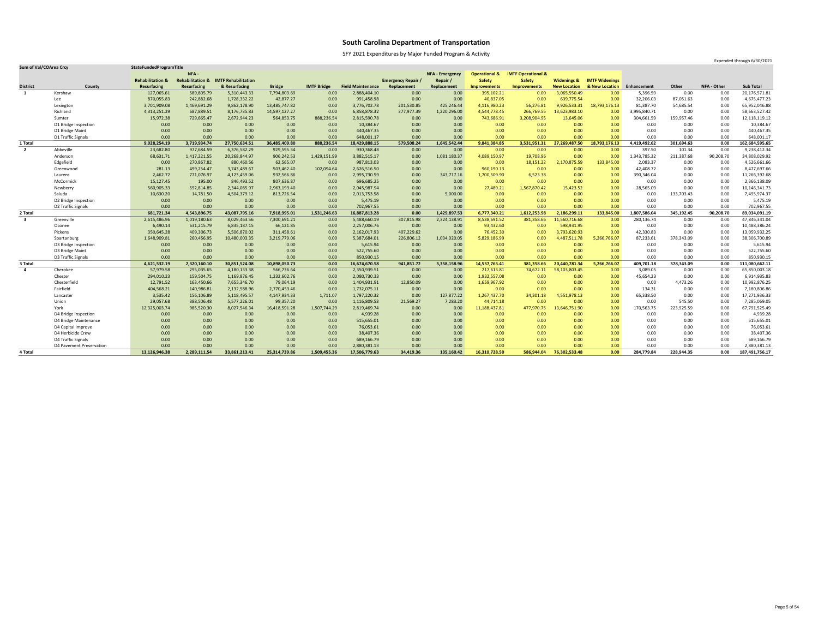SFY 2021 Expenditures by Major Funded Program & Activity

| <b>Sum of Val/COArea Crcy</b> |                          | StateFundedProgramTitle     |                             |                            |               |                    |                          |                           |                        |                          |                               |                        |                       |              |            |                    | Experiment through 0/30/2021 |
|-------------------------------|--------------------------|-----------------------------|-----------------------------|----------------------------|---------------|--------------------|--------------------------|---------------------------|------------------------|--------------------------|-------------------------------|------------------------|-----------------------|--------------|------------|--------------------|------------------------------|
|                               |                          |                             | NFA -                       |                            |               |                    |                          |                           | <b>NFA - Emergency</b> | <b>Operational &amp;</b> | <b>IMTF Operational &amp;</b> |                        |                       |              |            |                    |                              |
|                               |                          | <b>Rehabilitation &amp;</b> | <b>Rehabilitation &amp;</b> | <b>IMTF Rehabilitation</b> |               |                    |                          | <b>Emergency Repair /</b> | Repair                 | <b>Safety</b>            | <b>Safety</b>                 | <b>Widenings &amp;</b> | <b>IMTF Widenings</b> |              |            |                    |                              |
| <b>District</b>               | County                   | <b>Resurfacing</b>          | Resurfacing                 | & Resurfacing              | <b>Bridge</b> | <b>IMTF Bridge</b> | <b>Field Maintenance</b> | Replacement               | Replacement            | <b>Improvements</b>      | Improvements                  | <b>New Location</b>    | & New Location        | Enhancement  | Other      | <b>NFA - Other</b> | <b>Sub Total</b>             |
|                               | Kershaw                  | 127,065.61                  | 589,805.79                  | 5,310,443.33               | 7,794,803.69  | 0.00               | 2,888,404.10             | 0.00                      | 0.00                   | 395,102.21               | 0.00                          | 3,065,550.49           | 0.00                  | 5,396.59     | 0.00       | 0.00               | 20,176,571.81                |
|                               | Lee                      | 870,055.83                  | 242,882.68                  | 1,728,332.22               | 42,877.27     | 0.00               | 991,458.98               | 0.00                      | 0.00                   | 40,837.05                | 0.00                          | 639,775.54             | 0.00                  | 32,206.03    | 87,051.63  | 0.00               | 4,675,477.23                 |
|                               | Lexington                | 3,701,909.08                | 1,469,691.29                | 9,862,178.90               | 13,485,747.82 | 0.00               | 3,776,702.78             | 201,530.85                | 425,246.44             | 4,116,980.23             | 56,276.81                     | 9,926,533.31           | 18,793,176.13         | 81,387.70    | 54,685.54  | 0.00               | 65,952,046.88                |
|                               | Richland                 | 4,313,251.29                | 687,889.51                  | 8,176,735.83               | 14,597,127.27 | 0.00               | 6,858,878.32             | 377,977.39                | 1,220,296.00           | 4,544,778.45             | 266,769.55                    | 3,623,983.10           | 0.00                  | 3,995,840.71 | 0.00       | 0.00               | 58,663,527.42                |
|                               | Sumter                   | 15,972.38                   | 729,665.47                  | 2,672,944.23               | 564,853.75    | 888,236.54         | 2,815,590.78             | 0.00                      | 0.00                   | 743,686.91               | 3,208,904.95                  | 13,645.06              | 0.00                  | 304,661.59   | 159,957.46 | 0.00               | 12,118,119.12                |
|                               | D1 Bridge Inspection     | 0.00                        | 0.00                        | 0.00                       | 0.00          | 0.00               | 10,384.67                | 0.00                      | 0.00                   | 0.00                     | 0.00                          | 0.00                   | 0.00                  | 0.00         | 0.00       | 0.00               | 10,384.67                    |
|                               | D1 Bridge Maint          | 0.00                        | 0.00                        | 0.00                       | 0.00          | 0.00               | 440,467.35               | 0.00                      | 0.00                   | 0.00                     | 0.00                          | 0.00                   | 0.00                  | 0.00         | 0.00       | 0.00               | 440,467.35                   |
|                               | D1 Traffic Signals       | 0.00                        | 0.00                        | 0.00                       | 0.00          | 0.00               | 648,001.17               | 0.00                      | 0.00                   | 0.00                     | 0.00                          | 0.00                   | 0.00                  | 0.00         | 0.00       | 0.00               | 648,001.17                   |
| 1 Total                       |                          | 9,028,254.19                | 3,719,934.74                | 27,750,634.51              | 36,485,409.80 | 888,236.54         | 18,429,888.15            | 579,508.24                | 1,645,542.44           | 9,841,384.85             | 3,531,951.31                  | 27,269,487.50          | 18,793,176.13         | 4,419,492.62 | 301,694.63 | 0.00               | 162,684,595.65               |
| $\overline{2}$                | Abbeville                | 23,682.80                   | 977,684.59                  | 6,376,582.29               | 929,595.34    | 0.00               | 930,368.48               | 0.00                      | 0.00                   | 0.00                     | 0.00                          | 0.00                   | 0.00                  | 397.50       | 101.34     | 0.00               | 9,238,412.34                 |
|                               | Anderson                 | 68,631.71                   | 1,417,221.55                | 20,268,844.97              | 906,242.53    | 1,429,151.99       | 3,882,515.17             | 0.00                      | 1,081,180.37           | 4,089,150.97             | 19,708.96                     | 0.00                   | 0.00                  | 1,343,785.32 | 211,387.68 | 90,208.70          | 34,808,029.92                |
|                               | Edgefield                | 0.00                        | 270,867.82                  | 880,460.56                 | 62,565.07     | 0.00               | 987,813.03               | 0.00                      | 0.00                   | 0.00 <sub>1</sub>        | 18,151.22                     | 2,170,875.59           | 133,845.00            | 2,083.37     | 0.00       | 0.00               | 4,526,661.66                 |
|                               | Greenwood                | 281.13                      | 499,254.47                  | 3,743,489.67               | 503,462.40    | 102,094.64         | 2,626,516.50             | 0.00                      | 0.00                   | 960,190.13               | 0.00                          | 0.00                   | 0.00                  | 42,408.72    | 0.00       | 0.00               | 8,477,697.66                 |
|                               | Laurens                  | 2,462.72                    | 771,076.97                  | 4,123,459.06               | 932,566.86    | 0.00               | 2,995,730.59             | 0.00                      | 343,717.16             | 1,700,509.90             | 6,523.38                      | 0.00                   | 0.00                  | 390,346.04   | 0.00       | 0.00               | 11,266,392.68                |
|                               | McCormick                | 15,127.45                   | 195.00                      | 846,493.52                 | 807,636.87    | 0.00               | 696,685.25               | 0.00                      | 0.00                   | 0.00                     | 0.00                          | 0.00                   | 0.00                  | 0.00         | 0.00       | 0.00               | 2,366,138.09                 |
|                               | Newberry                 | 560,905.33                  | 592,814.85                  | 2,344,085.97               | 2,963,199.40  | 0.00               | 2,045,987.94             | 0.00                      | 0.00                   | 27,489.21                | 1,567,870.42                  | 15,423.52              | 0.00                  | 28,565.09    | 0.00       | 0.00               | 10,146,341.73                |
|                               | Saluda                   | 10,630.20                   | 14,781.50                   | 4,504,379.12               | 813,726.54    | 0.00               | 2,013,753.58             | 0.00                      | 5,000.00               | 0.00                     | 0.00                          | 0.00                   | 0.00                  | 0.00         | 133,703.43 | 0.00               | 7,495,974.37                 |
|                               | D2 Bridge Inspection     | 0.00                        | 0.00                        | 0.00                       | 0.00          | 0.00               | 5,475.19                 | 0.00                      | 0.00                   | 0.00                     | 0.00                          | 0.00                   | 0.00                  | 0.00         | 0.00       | 0.00               | 5,475.19                     |
|                               | D2 Traffic Signals       | 0.00                        | 0.00                        | 0.00                       | 0.00          | 0.00               | 702,967.55               | 0.00                      | 0.00                   | 0.00                     | 0.00                          | 0.00                   | 0.00                  | 0.00         | 0.00       | 0.00               | 702,967.55                   |
| 2 Total                       |                          | 681,721.34                  | 4,543,896.75                | 43,087,795.16              | 7,918,995.01  | 1,531,246.63       | 16,887,813.28            | 0.00                      | 1,429,897.53           | 6,777,340.21             | 1,612,253.98                  | 2,186,299.1            | 133,845.00            | 1,807,586.04 | 345,192.45 | 90,208.70          | 89,034,091.19                |
| $\overline{\mathbf{3}}$       | Greenville               | 2,615,486.96                | 1,019,180.63                | 8,029,463.56               | 7,300,691.21  | 0.00               | 5,488,660.19             | 307,815.98                | 2,324,138.91           | 8,538,691.52             | 381,358.66                    | 1,560,716.68           | 0.00                  | 280,136.74   | 0.00       | 0.00               | 47,846,341.04                |
|                               | Oconee                   | 6,490.14                    | 631,215.79                  | 6,835,187.15               | 66,121.85     | 0.00               | 2,257,006.76             | 0.00                      | 0.00                   | 93,432.60                | 0.00                          | 598,931.95             | 0.00                  | 0.00         | 0.00       | 0.00               | 10,488,386.24                |
|                               | Pickens                  | 350,645.28                  | 409,306.73                  | 5,506,870.02               | 311,458.61    | 0.00               | 2,162,017.93             | 407,229.62                | 0.00                   | 76,452.30                | 0.00                          | 3,793,620.93           | 0.00                  | 42,330.83    | 0.00       | 0.00               | 13,059,932.25                |
|                               | Spartanburg              | 1,648,909.81                | 260,456.95                  | 10,480,003.35              | 3,219,779.06  | 0.00               | 5,387,684.01             | 226,806.12                | 1,034,020.05           | 5,829,186.99             | 0.00                          | 4,487,511.78           | 5,266,766.07          | 87,233.61    | 378,343.09 | 0.00               | 38,306,700.89                |
|                               | D3 Bridge Inspection     | 0.00                        | 0.00                        | 0.00                       | 0.00          | 0.00               | 5,615.94                 | 0.00                      | 0.00                   | 0.00 <sub>1</sub>        | 0.00                          | 0.00                   | 0.00                  | 0.00         | 0.00       | 0.00               | 5,615.94                     |
|                               | D3 Bridge Maint          | 0.00                        | 0.00                        | 0.00                       | 0.00          | 0.00               | 522,755.60               | 0.00                      | 0.00                   | 0.00                     | 0.00                          | 0.00                   | 0.00                  | 0.00         | 0.00       | 0.00               | 522,755.60                   |
|                               | D3 Traffic Signals       | 0.00                        | 0.00                        | 0.00                       | 0.00          | 0.00               | 850,930.15               | 0.00                      | 0.00                   | 0.00                     |                               | 0.00                   | 0.00                  | 0.00         | 0.00       | 0.00               | 850,930.15                   |
| 3 Total                       |                          | 4,621,532.19                | 2,320,160.10                | 30,851,524.08              | 10,898,050.73 | 0.00               | 16,674,670.58            | 941,851.72                | 3,358,158.96           | 14,537,763.41            | 381,358.66                    | 20,440,781.34          | 5,266,766.07          | 409,701.18   | 378,343.09 | 0.00               | 111,080,662.11               |
| 4                             | Cherokee                 | 57,979.58                   | 295,035.65                  | 4,180,133.38               | 566,736.64    | 0.00               | 2,350,939.51             | 0.00                      | 0.00                   | 217,613.81               | 74,672.11                     | 58,103,803.45          | 0.00                  | 3,089.05     | 0.00       | 0.00               | 65,850,003.18                |
|                               | Chester                  | 294,010.23                  | 159,504.75                  | 1,169,876.45               | 1,232,602.76  | 0.00               | 2,080,730.33             | 0.00                      | 0.00                   | 1,932,557.08             | 0.00                          | 0.00                   | 0.00                  | 45,654.23    | 0.00       | 0.00               | 6,914,935.83                 |
|                               | Chesterfield             | 12,791.52                   | 163,450.66                  | 7,655,346.70               | 79,064.19     | 0.00               | 1,404,931.91             | 12,850.09                 | 0.00                   | 1,659,967.92             | 0.00                          | 0.00                   | 0.00                  | 0.00         | 4,473.26   | 0.00               | 10,992,876.25                |
|                               | Fairfield                | 404,568.21                  | 140,986.81                  | 2,132,588.96               | 2,770,453.46  | 0.00               | 1,732,075.11             | 0.00                      | 0.00                   | 0.00                     | 0.00                          | 0.00                   | 0.00                  | 134.31       | 0.00       | 0.00               | 7,180,806.86                 |
|                               | Lancaster                | 3,535.42                    | 156,106.89                  | 5,118,495.57               | 4,147,934.33  | 1,711.07           | 1,797,220.32             | 0.00                      | 127,877.22             | 1,267,437.70             | 34,301.18                     | 4,551,978.13           | 0.00                  | 65,338.50    | 0.00       | 0.00               | 17,271,936.33                |
|                               | Union                    | 29,057.68                   | 388,506.48                  | 5,577,226.01               | 99,357.20     | 0.00               | 1,116,809.53             | 21,569.27                 | 7,283.20               | 44,714.18                | 0.00                          | 0.00                   | 0.00                  | 0.00         | 545.50     | 0.00               | 7,285,069.05                 |
|                               | York                     | 12,325,003.74               | 985,520.30                  | 8,027,546.34               | 16,418,591.28 | 1,507,744.29       | 2,819,469.74             | 0.00                      | 0.00                   | 11,188,437.81            | 477,970.75                    | 13,646,751.90          | 0.00                  | 170,563.75   | 223,925.59 | 0.00               | 67,791,525.49                |
|                               | D4 Bridge Inspection     | 0.00                        | 0.00                        | 0.00                       | 0.00          | 0.00               | 4,939.28                 | 0.00                      | 0.00                   | 0.00                     | 0.00                          | 0.00                   | 0.00                  | 0.00         | 0.00       | 0.00               | 4,939.28                     |
|                               | D4 Bridge Maintenance    | 0.00                        | 0.00                        | 0.00                       | 0.00          | 0.00               | 515,655.01               | 0.00                      | 0.00                   | 0.00 <sub>1</sub>        | 0.00                          | 0.00                   | 0.00                  | 0.00         | 0.00       | 0.00               | 515,655.01                   |
|                               | D4 Capital Improve       | 0.00                        | 0.00                        | 0.00                       | 0.00          | 0.00               | 76,053.61                | 0.00                      | 0.00                   | 0.00                     | 0.00                          | 0.00                   | 0.00                  | 0.00         | 0.00       | 0.00               | 76,053.61                    |
|                               | D4 Herbicide Crew        | 0.00                        | 0.00                        | 0.00                       | 0.00          | 0.00               | 38,407.36                | 0.00                      | 0.00                   | 0.00                     | 0.00                          | 0.00                   | 0.00                  | 0.00         | 0.00       | 0.00               | 38,407.36                    |
|                               | D4 Traffic Signals       | 0.00                        | 0.00                        | 0.00                       | 0.00          | 0.00               | 689,166.79               | 0.00                      | 0.00                   | 0.00                     | 0.00                          | 0.00                   | 0.00                  | 0.00         | 0.00       | 0.00               | 689,166.79                   |
|                               | D4 Pavement Preservation | 0.00                        | 0.00                        | 0.00                       | 0.00          | 0.00               | 2,880,381.13             | 0.00                      | 0.00                   | 0.00                     | 0.00                          | 0.00                   | 0.00                  | 0.00         | 0.00       | 0.00               | 2,880,381.13                 |
| 4 Total                       |                          | 13,126,946.38               | 2,289,111.54                | 33,861,213.41              | 25,314,739.86 | 1,509,455.36       | 17,506,779.63            | 34,419.36                 | 135,160.42             | 16,310,728.50            | 586,944.04                    | 76,302,533.48          | 0.00                  | 284,779.84   | 228,944.35 | 0.00               | 187,491,756.17               |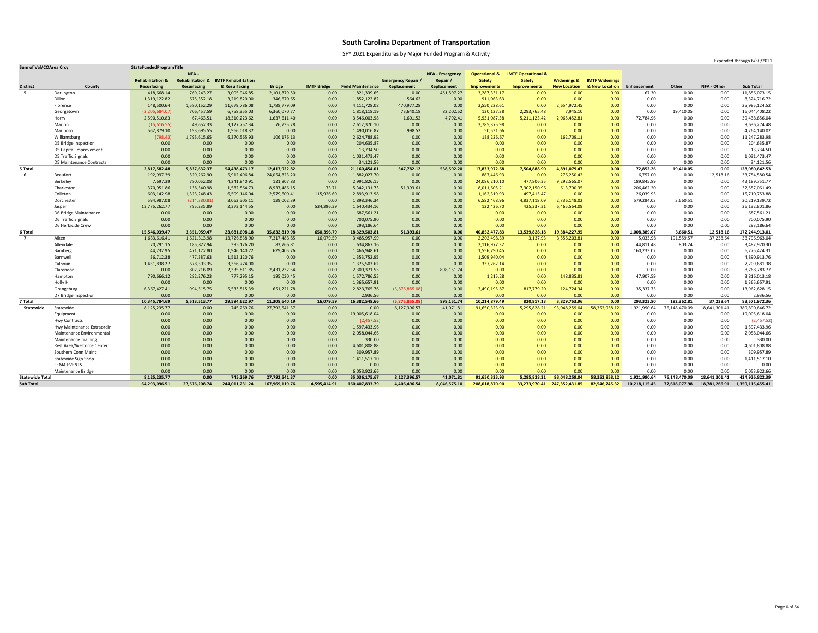SFY 2021 Expenditures by Major Funded Program & Activity

| <b>Sum of Val/COArea Crcy</b> |                                 | StateFundedProgramTitle     |                             |                            |               |                    |                          |                         |                        |                          |                               |                        |                       |              |               |                    | L                |
|-------------------------------|---------------------------------|-----------------------------|-----------------------------|----------------------------|---------------|--------------------|--------------------------|-------------------------|------------------------|--------------------------|-------------------------------|------------------------|-----------------------|--------------|---------------|--------------------|------------------|
|                               |                                 |                             | NFA-                        |                            |               |                    |                          |                         | <b>NFA - Emergency</b> | <b>Operational &amp;</b> | <b>IMTF Operational &amp;</b> |                        |                       |              |               |                    |                  |
|                               |                                 | <b>Rehabilitation &amp;</b> | <b>Rehabilitation &amp;</b> | <b>IMTF Rehabilitation</b> |               |                    |                          | <b>Emergency Repair</b> | Repair                 | <b>Safety</b>            | <b>Safety</b>                 | <b>Widenings &amp;</b> | <b>IMTF Widenings</b> |              |               |                    |                  |
| <b>District</b>               | County                          | <b>Resurfacing</b>          | <b>Resurfacing</b>          | & Resurfacing              | <b>Bridge</b> | <b>IMTF Bridge</b> | <b>Field Maintenance</b> | Replacement             | Replacement            | <b>Improvements</b>      | Improvements                  | <b>New Location</b>    | & New Location        | Enhancement  | <b>Other</b>  | <b>NFA - Other</b> | <b>Sub Total</b> |
| 5                             | Darlington                      | 418,668.14                  | 769,243.27                  | 3,005,946.85               | 2,101,879.50  | 0.00               | 1,821,339.65             | 0.00                    | 451,597.27             | 3,287,331.17             | 0.00                          | 0.00                   | 0.00                  | 67.30        | 0.00          | 0.00               | 11,856,073.15    |
|                               | Dillon                          | 1,319,122.82                | 675,352.18                  | 3,219,820.00               | 346,670.65    | 0.00               | 1,852,122.82             | 564.62                  | 0.00                   | 911,063.63               | 0.00                          | 0.00                   | 0.00                  | 0.00         | 0.00          | 0.00               | 8,324,716.72     |
|                               | Florence                        | 148,500.64                  | 1,580,152.29                | 11,679,786.08              | 1,788,779.09  | 0.00               | 4,111,728.08             | 470,977.28              | 0.00                   | 3,550,228.61             | 0.00                          | 2,654,972.45           | 0.00                  | 0.00         | 0.00          | 0.00               | 25,985,124.52    |
|                               | Georgetown                      | (2,205,684.07)              | 706,457.59                  | 6,758,355.03               | 6,360,070.77  | 0.00               | 1,818,118.19             | 73,640.18               | 82,202.52              | 130,127.38               | 2,293,765.48                  | 7,945.10               | 0.00                  | 0.00         | 19,410.05     | 0.00               | 16,044,408.22    |
|                               | Horry                           | 2,590,510.83                | 67,463.51                   | 18,310,223.62              | 1,637,611.40  | 0.00               | 3,546,003.98             | 1,601.52                | 4,792.41               | 5,931,087.58             | 5,211,123.42                  | 2,065,452.81           | 0.00                  | 72,784.96    | 0.00          | 0.00               | 39,438,656.04    |
|                               | Marion                          | (15,616.55)                 | 49,652.33                   | 3,127,757.34               | 76,735.28     | 0.00               | 2,612,370.10             | 0.00                    | 0.00                   | 3,785,375.98             | 0.00                          | 0.00                   | 0.00                  | 0.00         | 0.00          | 0.00               | 9,636,274.48     |
|                               | Marlboro                        | 562,879.10                  | 193,695.55                  | 1,966,018.32               | 0.00          | 0.00               | 1,490,016.87             | 998.52                  | 0.00                   | 50,531.66                | 0.00                          | 0.00                   | 0.00                  | 0.00         | 0.00          | 0.00               | 4,264,140.02     |
|                               | Williamsburg                    | (798.43)                    | 1,795,615.65                | 6,370,565.93               | 106,176.13    | 0.00               | 2,624,788.92             | 0.00                    | 0.00                   | 188,226.67               | 0.00                          | 162,709.11             | 0.00                  | 0.00         | 0.00          | 0.00               | 11,247,283.98    |
|                               | D5 Bridge Inspection            | 0.00                        | 0.00                        | 0.00                       | 0.00          | 0.00               | 204,635.87               | 0.00                    | 0.00                   | 0.00                     | 0.00                          | 0.00                   | 0.00                  | 0.00         | 0.00          | 0.00               | 204,635.87       |
|                               | D5 Capital Improvement          | 0.00                        | 0.00                        | 0.00                       | 0.00          | 0.00               | 13,734.50                | 0.00                    | 0.00                   | 0.00                     | 0.00                          | 0.00                   | 0.00                  | 0.00         | 0.00          | 0.00               | 13,734.50        |
|                               | D5 Traffic Signals              | 0.00                        | 0.00                        | 0.00                       | 0.00          | 0.00               | 1,031,473.47             | 0.00                    | 0.00                   | 0.00                     | 0.00                          | 0.00                   | 0.00                  | 0.00         | 0.00          | 0.00               | 1,031,473.47     |
|                               | <b>D5 Maintenance Contracts</b> | 0.00                        | 0.00                        | 0.00                       | 0.00          | 0.00               | 34,121.56                | 0.00                    | 0.00                   | 0.00                     | 0.00                          | 0.00                   | 0.00                  | 0.00         | 0.00          | 0.00               | 34,121.56        |
| 5 Total                       |                                 | 2,817,582.48                | 5,837,632.37                | 54,438,473.17              | 12,417,922.82 | 0.00               | 21,160,454.01            | 547,782.12              | 538,592.20             | 17,833,972.68            | 7,504,888.90                  | 4,891,079.47           | 0.00                  | 72,852.26    | 19,410.05     | 0.00               | 128,080,642.53   |
| 6                             | Beaufort                        | 192,997.39                  | 529,262.90                  | 5,912,496.84               | 24,054,823.20 | 0.00               | 1,882,027.70             | 0.00                    | 0.00                   | 887,446.93               | 0.00                          | 276,250.42             | 0.00                  | 6,757.00     | 0.00          | 12,518.16          | 33,754,580.54    |
|                               | Berkeley                        | 7,697.39                    | 780,052.08                  | 4,241,840.91               | 121,907.83    | 0.00               | 2,991,826.15             | 0.00                    | 0.00                   | 24,086,210.10            | 477,806.35                    | 9,292,565.07           | 0.00                  | 189,845.89   | 0.00          | 0.00               | 42,189,751.77    |
|                               | Charleston                      | 370,951.86                  | 138,540.98                  | 1,582,564.73               | 8,937,486.15  | 73.71              | 5,342,131.73             | 51,393.61               | 0.00                   | 8,011,605.21             | 7,302,150.96                  | 613,700.35             | 0.00                  | 206,462.20   | 0.00          | 0.00               | 32,557,061.49    |
|                               | Colleton                        | 603,142.98                  | 1,323,248.43                | 6,509,146.04               | 2,579,600.41  | 115,926.69         | 2,893,913.98             | 0.00                    | 0.00                   | 1,162,319.93             | 497,415.47                    | 0.00                   | 0.00                  | 26,039.95    | 0.00          | 0.00               | 15,710,753.88    |
|                               | Dorchester                      | 594,987.08                  | (214, 380.81)               | 3,062,505.11               | 139,002.39    | 0.00               | 1,898,346.34             | 0.00                    | 0.00                   | 6,582,468.96             | 4,837,118.09                  | 2,736,148.02           | 0.00                  | 579,284.03   | 3,660.51      | 0.00               | 20,219,139.72    |
|                               | Jasper                          | 13,776,262.77               | 795,235.89                  | 2,373,144.55               | 0.00          | 534,396.39         | 1,640,434.16             | 0.00                    | 0.00                   | 122,426.70               | 425,337.31                    | 6,465,564.09           | 0.00                  | 0.00         | 0.00          | 0.00               | 26,132,801.86    |
|                               | D6 Bridge Maintenance           | 0.00                        | 0.00                        | 0.00                       | 0.00          | 0.00               | 687,561.21               | 0.00                    | 0.00                   | 0.00                     | 0.00                          | 0.00                   | 0.00                  | 0.00         | 0.00          | 0.00               | 687,561.21       |
|                               | D6 Traffic Signals              | 0.00                        | 0.00                        | 0.00                       | 0.00          | 0.00               | 700,075.90               | 0.00                    | 0.00                   | 0.00                     | 0.00                          | 0.00                   | 0.00                  | 0.00         | 0.00          | 0.00               | 700,075.90       |
|                               | D6 Herbicide Crew               | 0.00                        | 0.00                        | 0.00                       | 0.00          | 0.00               | 293,186.64               | 0.00                    | 0.00                   | 0.00                     | 0.00                          | 0.00                   | 0.00                  | 0.00         | 0.00          | 0.00               | 293,186.64       |
| 6 Total                       |                                 | 15,546,039.47               | 3,351,959.4                 | 23,681,698.18              | 35,832,819.98 | 650,396.79         | 18,329,503.81            | 51,393.61               | 0.00                   | 40,852,477.83            | 13,539,828.18                 | 19,384,227.95          | 0.00                  | 1,008,389.07 | 3,660.51      | 12,518.16          | 172,244,913.01   |
| $\overline{7}$                | Aiken                           | 1,633,616.41                | 1,621,313.98                | 13,726,838.90              | 7,317,483.85  | 16,079.59          | 3,485,957.99             | 0.00                    | 0.00                   | 2,202,498.39             | 3,137.93                      | 3,556,203.81           | 0.00                  | 5,033.98     | 191,559.57    | 37,238.64          | 33,796,963.04    |
|                               | Allendale                       | 20,791.15                   | 185,827.94                  | 395,126.20                 | 83,765.81     | 0.00               | 634,867.16               | 0.00                    | 0.00                   | 2,116,977.32             | 0.00                          | 0.00                   | 0.00                  | 44,811.48    | 803.24        | 0.00               | 3,482,970.30     |
|                               | Bamberg                         | 44,732.95                   | 471,172.80                  | 1,946,140.72               | 629,405.76    | 0.00               | 1,466,948.61             | 0.00                    | 0.00                   | 1,556,790.45             | 0.00                          | 0.00                   | 0.00                  | 160,233.02   | 0.00          | 0.00               | 6,275,424.31     |
|                               | Barnwell                        | 36,712.38                   | 477,387.63                  | 1,513,120.76               | 0.00          | 0.00               | 1,353,752.95             | 0.00                    | 0.00                   | 1,509,940.04             | 0.00                          | 0.00                   | 0.00                  | 0.00         | 0.00          | 0.00               | 4,890,913.76     |
|                               | Calhoun                         | 1,451,838.27                | 678,303.35                  | 3,366,774.00               | 0.00          | 0.00               | 1,375,503.62             | 0.00                    | 0.00                   | 337,262.14               | 0.00                          | 0.00                   | 0.00                  | 0.00         | 0.00          | 0.00               | 7,209,681.38     |
|                               | Clarendon                       | 0.00                        | 802,716.09                  | 2,335,811.85               | 2,431,732.54  | 0.00               | 2,300,371.55             | 0.00                    | 898,151.74             | 0.00                     | 0.00                          | 0.00                   | 0.00                  | 0.00         | 0.00          | 0.00               | 8,768,783.77     |
|                               | Hampton                         | 790,666.12                  | 282,276.23                  | 777,295.15                 | 195,030.45    | 0.00               | 1,572,786.55             | 0.00                    | 0.00                   | 1,215.28                 | 0.00                          | 148,835.81             | 0.00                  | 47,907.59    | 0.00          | 0.00               | 3,816,013.18     |
|                               | Holly Hill                      | 0.00                        | 0.00                        | 0.00                       | 0.00          | 0.00               | 1,365,657.91             | 0.00                    | 0.00                   | 0.00                     | 0.00                          | 0.00                   | 0.00                  | 0.00         | 0.00          | 0.00               | 1,365,657.91     |
|                               | Orangeburg                      | 6,367,427.41                | 994,515.75                  | 5,533,515.39               | 651,221.78    | 0.00               | 2,823,765.76             | (5,875,855.08)          | 0.00                   | 2,490,195.87             | 817,779.20                    | 124,724.34             | 0.00                  | 35,337.73    | 0.00          | 0.00               | 13,962,628.15    |
|                               | D7 Bridge Inspection            | 0.00                        | 0.00                        | 0.00                       | 0.00          | 0.00               | 2,936.56                 | 0.00                    | 0.00                   | 0.00                     | 0.00                          | 0.00                   | 0.00                  | 0.00         | 0.00          | 0.00               | 2,936.56         |
| 7 Total                       |                                 | 10,345,784.69               | 5,513,513.77                | 29,594,622.97              | 11,308,640.19 | 16,079.59          | 16,382,548.66            | (5,875,855.08)          | 898,151.74             | 10,214,879.49            | 820,917.13                    | 3,829,763.96           | 0.00                  | 293,323.80   | 192,362.81    | 37,238.64          | 83,571,972.36    |
| Statewide                     | Statewide                       | 8,125,235.77                | 0.00                        | 745,269.76                 | 27,792,541.37 | 0.00               | 0.00                     | 8,127,396.57            | 41,071.81              | 91,650,323.93            | 5,295,828.21                  | 93,048,259.04          | 58,352,958.12         | 1,921,990.64 | 76,148,470.09 | 18,641,301.41      | 389,890,646.72   |
|                               | Equipment                       | 0.00                        | 0.00                        | 0.00                       | 0.00          | 0.00               | 19,005,618.04            | 0.00                    | 0.00                   | 0.00                     | 0.00                          | 0.00                   | 0.00                  | 0.00         | 0.00          | 0.00               | 19,005,618.04    |
|                               | <b>Hwy Contracts</b>            | 0.00                        | 0.00                        | 0.00                       | 0.00          | 0.00               | (2,457.52)               | 0.00                    | 0.00                   | 0.00                     | 0.00                          | 0.00                   | 0.00                  | 0.00         | 0.00          | 0.00               | (2,457.52)       |
|                               | Hwy Maintenance Extraordin      | 0.00                        | 0.00                        | 0.00                       | 0.00          | 0.00               | 1,597,433.96             | 0.00                    | 0.00                   | 0.00                     | 0.00                          | 0.00                   | 0.00                  | 0.00         | 0.00          | 0.00               | 1,597,433.96     |
|                               | Maintenance Environmental       | 0.00                        | 0.00                        | 0.00                       | 0.00          | 0.00               | 2,058,044.66             | 0.00                    | 0.00                   | 0.00                     | 0.00                          | 0.00 <sub>1</sub>      | 0.00                  | 0.00         | 0.00          | 0.00               | 2,058,044.66     |
|                               | <b>Maintenance Training</b>     | 0.00                        | 0.00                        | 0.00                       | 0.00          | 0.00               | 330.00                   | 0.00                    | 0.00                   | 0.00                     | 0.00                          | 0.00 <sub>1</sub>      | 0.00                  | 0.00         | 0.00          | 0.00               | 330.00           |
|                               | Rest Area/Welcome Center        | 0.00                        | 0.00                        | 0.00                       | 0.00          | 0.00               | 4,601,808.88             | 0.00                    | 0.00                   | 0.00                     | 0.00                          | 0.00                   | 0.00                  | 0.00         | 0.00          | 0.00               | 4,601,808.88     |
|                               | Southern Conn Maint             | 0.00                        | 0.00                        | 0.00                       | 0.00          | 0.00               | 309,957.89               | 0.00                    | 0.00                   | 0.00                     | 0.00                          | 0.00                   | 0.00                  | 0.00         | 0.00          | 0.00               | 309,957.89       |
|                               |                                 |                             |                             |                            |               | 0.00               | 1,411,517.10             | 0.00                    | 0.00                   | 0.00                     | 0.00                          | 0.00 <sub>1</sub>      | 0.00                  | 0.00         | 0.00          | 0.00               | 1,411,517.10     |
|                               | <b>Statewide Sign Shop</b>      | 0.00                        | 0.00                        | 0.00                       | 0.00          |                    |                          |                         |                        |                          |                               |                        |                       |              |               |                    |                  |
|                               | <b>FEMA EVENTS</b>              | 0.00                        | 0.00                        | 0.00                       | 0.00          | 0.00               | 0.00                     | 0.00                    | 0.00                   | 0.00                     | 0.00                          | 0.00                   | 0.00                  | 0.00         | 0.00          | 0.00               | 0.00             |
|                               | <b>Maintenance Bridge</b>       | 0.00                        | 0.00                        | 0.00                       | 0.00          | 0.00               | 6,053,922.66             | 0.00                    | 0.00                   | 0.00                     | 0.00                          | 0.00                   | 0.00                  | 0.00         | 0.00          | 0.00               | 6,053,922.66     |
| <b>Statewide Total</b>        |                                 | 8,125,235.77                | 0.00                        | 745,269.76                 | 27,792,541.37 | 0.00               | 35,036,175.67            | 8,127,396.57            | 41,071.81              | 91,650,323.93            | 5,295,828.21                  | 93,048,259.04          | 58,352,958.12         | 1,921,990.64 | 76,148,470.09 | 18,641,301.41      | 424,926,822.39   |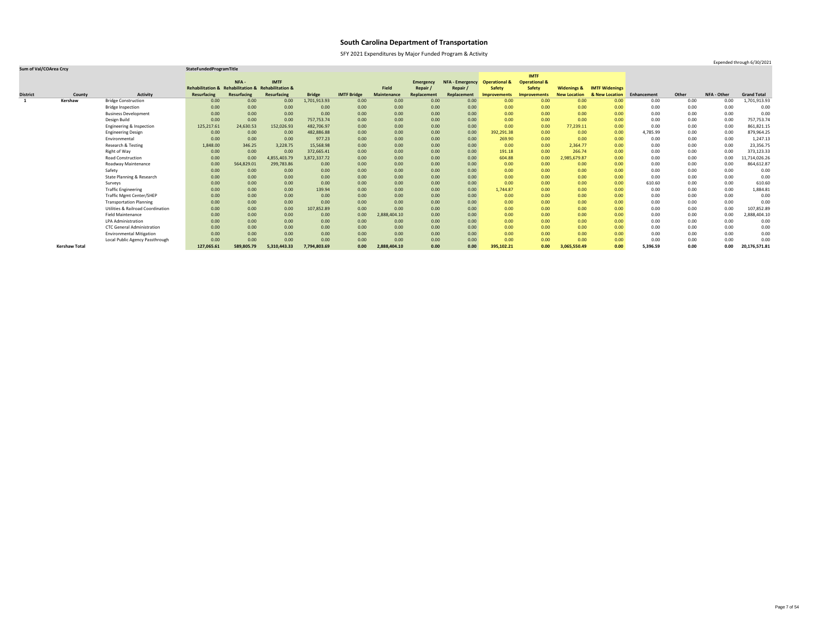SFY 2021 Expenditures by Major Funded Program & Activity

### **Sum of Val/COArea Crcy StateFundedProgramTitle**

|                 |                      |                                              |                                                    |             |              |               |                    |              |                  |                        |                          | <b>IMTF</b>              |                        |                           |             |       |             |                    |
|-----------------|----------------------|----------------------------------------------|----------------------------------------------------|-------------|--------------|---------------|--------------------|--------------|------------------|------------------------|--------------------------|--------------------------|------------------------|---------------------------|-------------|-------|-------------|--------------------|
|                 |                      |                                              |                                                    | NFA -       | <b>IMTF</b>  |               |                    |              | <b>Emergency</b> | <b>NFA - Emergency</b> | <b>Operational &amp;</b> | <b>Operational &amp;</b> |                        |                           |             |       |             |                    |
|                 |                      |                                              | Rehabilitation & Rehabilitation & Rehabilitation & |             |              |               |                    | <b>Field</b> | Repair,          | Repair /               | <b>Safety</b>            | <b>Safety</b>            | <b>Widenings &amp;</b> | <b>IMTF Widenings</b>     |             |       |             |                    |
| <b>District</b> | County               | <b>Activity</b>                              | <b>Resurfacing</b>                                 | Resurfacing | Resurfacing  | <b>Bridge</b> | <b>IMTF Bridge</b> | Maintenance  | Replacement      | Replacement            | <b>Improvements</b>      | <b>Improvements</b>      | <b>New Location</b>    | <b>&amp; New Location</b> | Enhancement | Other | NFA - Other | <b>Grand Total</b> |
|                 | Kershaw              | <b>Bridge Construction</b>                   | 0.00                                               | 0.00        | 0.00         | 1,701,913.93  | 0.00               | 0.00         | 0.00             | 0.00                   | 0.00                     | 0.00                     | 0.00                   | 0.00                      | 0.00        | 0.00  | 0.00        | 1,701,913.93       |
|                 |                      | <b>Bridge Inspection</b>                     | 0.00                                               | 0.00        | 0.00         | 0.00          | 0.00               | 0.00         | 0.00             | 0.00                   | 0.00                     | 0.00                     | 0.00                   | 0.00                      | 0.00        | 0.00  | 0.00        | 0.00               |
|                 |                      | <b>Business Development</b>                  | 0.00                                               | 0.00        | 0.00         | 0.00          | 0.00               | 0.00         | 0.00             | 0.00                   | 0.00                     | 0.00                     | 0.00                   | 0.00                      | 0.00        | 0.00  | 0.00        | 0.00               |
|                 |                      | Design Build                                 | 0.00                                               | 0.00        | 0.00         | 757,753.74    | 0.00               | 0.00         | 0.00             | 0.00 <sub>1</sub>      | 0.00                     | 0.00                     | 0.00                   | 0.00                      | 0.00        | 0.00  | 0.00        | 757,753.74         |
|                 |                      | Engineering & Inspection                     | 125,217.61                                         | 24,630.53   | 152,026.93   | 482,706.97    | 0.00               | 0.00         | 0.00             | 0.00                   | 0.00                     | 0.00                     | 77,239.11              | 0.00                      | 0.00        | 0.00  | 0.00        | 861,821.15         |
|                 |                      | <b>Engineering Design</b>                    | 0.00                                               | 0.00        | 0.00         | 482,886.88    | 0.00               | 0.00         | 0.00             | 0.00                   | 392,291.38               | 0.00                     | 0.00                   | 0.00                      | 4,785.99    | 0.00  | 0.00        | 879,964.25         |
|                 |                      | Environmental                                | 0.00                                               | 0.00        | 0.00         | 977.23        | 0.00               | 0.00         | 0.00             | 0.00                   | 269.90                   | 0.00                     | 0.00                   | 0.00                      | 0.00        | 0.00  | 0.00        | 1,247.13           |
|                 |                      | <b>Research &amp; Testing</b>                | 1,848.00                                           | 346.25      | 3,228.75     | 15,568.98     | 0.00               | 0.00         | 0.00             | 0.00                   | 0.00                     | 0.00                     | 2,364.77               | 0.00                      | 0.00        | 0.00  | 0.00        | 23,356.75          |
|                 |                      | Right of Way                                 | 0.00                                               | 0.00        | 0.00         | 372,665.41    | 0.00               | 0.00         | 0.00             | 0.00                   | 191.18                   | 0.00                     | 266.74                 | 0.00                      | 0.00        | 0.00  | 0.00        | 373,123.33         |
|                 |                      | <b>Road Construction</b>                     | 0.00                                               | 0.00        | 4,855,403.79 | 3,872,337.72  | 0.00               | 0.00         | 0.00             | 0.00                   | 604.88                   | 0.00                     | 2,985,679.87           | 0.00                      | 0.00        | 0.00  | 0.00        | 1,714,026.26       |
|                 |                      | Roadway Maintenance                          | 0.00                                               | 564,829.01  | 299,783.86   | 0.00          | 0.00               | 0.00         | 0.00             | 0.00 <sub>1</sub>      | 0.00                     | 0.00                     | 0.00                   | 0.00                      | 0.00        | 0.00  | 0.00        | 864,612.87         |
|                 |                      | Safety                                       | 0.00                                               | 0.00        | 0.00         | 0.00          | 0.00               | 0.00         | 0.00             | 0.00                   | 0.00                     | 0.00                     | 0.00                   | 0.00 <sub>1</sub>         | 0.00        | 0.00  | 0.00        | 0.00               |
|                 |                      | State Planning & Research                    | 0.00                                               | 0.00        | 0.00         | 0.00          | 0.00               | 0.00         | 0.00             | 0.00                   | 0.00                     | 0.00                     | 0.00                   | 0.00                      | 0.00        | 0.00  | 0.00        | 0.00               |
|                 |                      | Surveys                                      | 0.00                                               | 0.00        | 0.00         | 0.00          | 0.00               | 0.00         | 0.00             | 0.00 <sub>1</sub>      | 0.00                     | 0.00                     | 0.00                   | 0.00                      | 610.60      | 0.00  | 0.00        | 610.60             |
|                 |                      | <b>Traffic Engineering</b>                   | 0.00                                               | 0.00        | 0.00         | 139.94        | 0.00               | 0.00         | 0.00             | 0.00                   | 1,744.87                 | 0.00                     | 0.00                   | 0.00                      | 0.00        | 0.00  | 0.00        | 1,884.81           |
|                 |                      | <b>Traffic Mgmt Center/SHEP</b>              | 0.00                                               | 0.00        | 0.00         | 0.00          | 0.00               | 0.00         | 0.00             | 0.00                   | 0.00                     | 0.00                     | 0.00                   | 0.00                      | 0.00        | 0.00  | 0.00        | 0.00               |
|                 |                      | <b>Transportation Planning</b>               | 0.00                                               | 0.00        | 0.00         | 0.00          | 0.00               | 0.00         | 0.00             | 0.00                   | 0.00                     | 0.00                     | 0.00                   | 0.00                      | 0.00        | 0.00  | 0.00        | 0.00               |
|                 |                      | <b>Utilities &amp; Railroad Coordination</b> | 0.00                                               | 0.00        | 0.00         | 107,852.89    | 0.00               | 0.00         | 0.00             | 0.00                   | 0.00                     | 0.00                     | 0.00                   | 0.00                      | 0.00        | 0.00  | 0.00        | 107,852.89         |
|                 |                      | <b>Field Maintenance</b>                     | 0.00                                               | 0.00        | 0.00         | 0.00          | 0.00               | 2,888,404.10 | 0.00             | 0.00 <sub>1</sub>      | 0.00                     | 0.00                     | 0.00                   | 0.00                      | 0.00        | 0.00  | 0.00        | 2,888,404.10       |
|                 |                      | <b>LPA Administration</b>                    | 0.00                                               | 0.00        | 0.00         | 0.00          | 0.00               | 0.00         | 0.00             | 0.00                   | 0.00                     | 0.00                     | 0.00                   | 0.00                      | 0.00        | 0.00  | 0.00        | 0.00               |
|                 |                      | <b>CTC General Administration</b>            | 0.00                                               | 0.00        | 0.00         | 0.00          | 0.00               | 0.00         | 0.00             | 0.00                   | 0.00                     | 0.00                     | 0.00                   | 0.00                      | 0.00        | 0.00  | 0.00        | 0.00               |
|                 |                      | <b>Environmental Mitigation</b>              | 0.00                                               | 0.00        | 0.00         | 0.00          | 0.00               | 0.00         | 0.00             | 0.00                   | 0.00                     | 0.00                     | 0.00                   | 0.00                      | 0.00        | 0.00  | 0.00        | 0.00               |
|                 |                      | Local Public Agency Passthrough              | 0.00                                               | 0.00        | 0.00         | 0.00          | 0.00               | 0.00         | 0.00             | 0.00                   | 0.00                     | 0.00                     | 0.00                   | 0.00                      | 0.00        | 0.00  | 0.00        | 0.00               |
|                 | <b>Kershaw Total</b> |                                              | 127,065.61                                         | 589,805.79  | 5,310,443.33 | 7,794,803.69  | 0.00               | 2,888,404.10 | 0.00             | 0.00                   | 395,102.21               | 0.00                     | 3,065,550.49           | 0.00                      | 5,396.59    | 0.00  | 0.00        | 20,176,571.81      |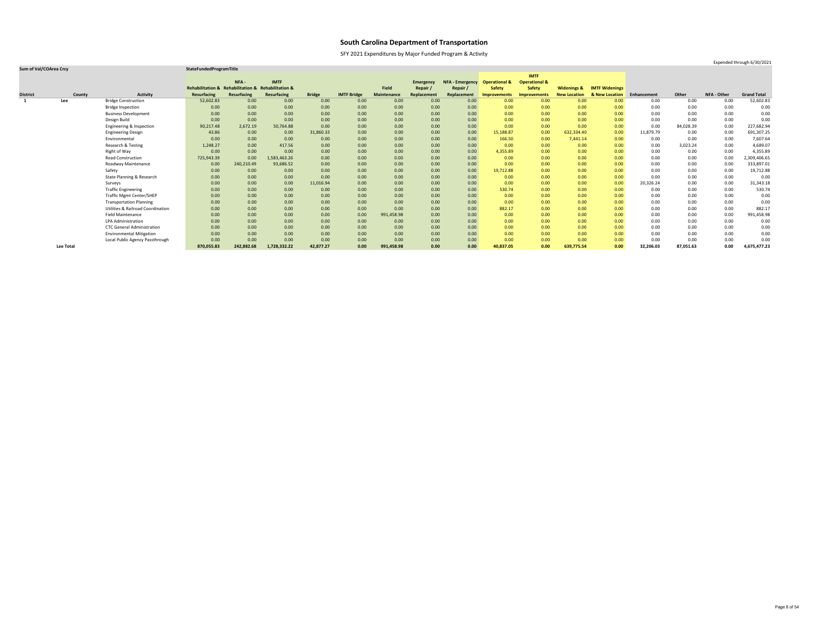SFY 2021 Expenditures by Major Funded Program & Activity

### **Sum of Val/COArea Crcy StateFundedProgramTitle**

|                 |                  |                                              |                                                    |             |              |               |                    |                    |                  |                        |                          | <b>IMTF</b>              |                        |                       |             |           |                    |                    |
|-----------------|------------------|----------------------------------------------|----------------------------------------------------|-------------|--------------|---------------|--------------------|--------------------|------------------|------------------------|--------------------------|--------------------------|------------------------|-----------------------|-------------|-----------|--------------------|--------------------|
|                 |                  |                                              |                                                    | NFA-        | <b>IMTF</b>  |               |                    |                    | <b>Emergency</b> | <b>NFA - Emergency</b> | <b>Operational &amp;</b> | <b>Operational &amp;</b> |                        |                       |             |           |                    |                    |
|                 |                  |                                              | Rehabilitation & Rehabilitation & Rehabilitation & |             |              |               |                    | <b>Field</b>       | Repair           | Repair /               | <b>Safety</b>            | <b>Safety</b>            | <b>Widenings &amp;</b> | <b>IMTF Widenings</b> |             |           |                    |                    |
| <b>District</b> | County           | <b>Activity</b>                              | <b>Resurfacing</b>                                 | Resurfacing | Resurfacing  | <b>Bridge</b> | <b>IMTF Bridge</b> | <b>Maintenance</b> | Replacement      | Replacement            | <b>Improvements</b>      | <b>Improvements</b>      | <b>New Location</b>    | & New Location        | Enhancement | Other     | <b>NFA - Other</b> | <b>Grand Total</b> |
|                 | Lee              | <b>Bridge Construction</b>                   | 52,602.83                                          | 0.00        | 0.00         | 0.00          | 0.00               | 0.00               | 0.00             | 0.00                   | 0.00                     | 0.00                     | 0.00                   | 0.00                  | 0.00        | 0.00      | 0.00               | 52,602.83          |
|                 |                  | <b>Bridge Inspection</b>                     | 0.00                                               | 0.00        | 0.00         | 0.00          | 0.00               | 0.00               | 0.00             | 0.00                   | 0.00                     | 0.00                     | 0.00                   | 0.00                  | 0.00        | 0.00      | 0.00               | 0.00               |
|                 |                  | <b>Business Development</b>                  | 0.00                                               | 0.00        | 0.00         | 0.00          | 0.00               | 0.00               | 0.00             | 0.00                   | 0.00                     | 0.00                     | 0.00                   | 0.00                  | 0.00        | 0.00      | 0.00               | 0.00               |
|                 |                  | Design Build                                 | 0.00                                               | 0.00        | 0.00         | 0.00          | 0.00               | 0.00               | 0.00             | 0.00                   | 0.00                     | 0.00                     | 0.00                   | 0.00                  | 0.00        | 0.00      | 0.00               | 0.00               |
|                 |                  | Engineering & Inspection                     | 90,217.48                                          | 2,672.19    | 50,764.88    | 0.00          | 0.00               | 0.00               | 0.00             | 0.00                   | 0.00                     | 0.00                     | 0.00                   | 0.00                  | 0.00        | 84,028.39 | 0.00               | 227,682.94         |
|                 |                  | <b>Engineering Design</b>                    | 43.86                                              | 0.00        | 0.00         | 31,860.33     | 0.00               | 0.00               | 0.00             | 0.00                   | 15,188.87                | 0.00                     | 632,334.40             | 0.00                  | 11,879.79   | $0.00\,$  | 0.00               | 691,307.25         |
|                 |                  | Environmental                                | 0.00                                               | 0.00        | 0.00         | 0.00          | 0.00               | 0.00               | 0.00             | 0.00                   | 166.50                   | 0.00                     | 7,441.14               | 0.00                  | 0.00        | 0.00      | 0.00               | 7,607.64           |
|                 |                  | Research & Testing                           | 1,248.27                                           | 0.00        | 417.56       | 0.00          | 0.00               | 0.00               | 0.00             | 0.00                   | 0.00                     | 0.00                     | 0.00                   | 0.00                  | 0.00        | 3,023.24  | 0.00               | 4,689.07           |
|                 |                  | Right of Way                                 | 0.00                                               | 0.00        | 0.00         | 0.00          | 0.00               | 0.00               | 0.00             | 0.00                   | 4,355.89                 | 0.00                     | 0.00                   | 0.00                  | 0.00        | $0.00\,$  | 0.00               | 4,355.89           |
|                 |                  | <b>Road Construction</b>                     | 725,943.39                                         | 0.00        | 1,583,463.26 | 0.00          | 0.00               | 0.00               | 0.00             | 0.00                   | 0.00                     | 0.00                     | 0.00                   | 0.00                  | 0.00        | 0.00      | 0.00               | 2,309,406.65       |
|                 |                  | Roadway Maintenance                          | 0.00                                               | 240,210.49  | 93,686.52    | 0.00          | 0.00               | 0.00               | 0.00             | 0.00                   | 0.00                     | 0.00                     | 0.00                   | 0.00                  | 0.00        | 0.00      | 0.00               | 333,897.01         |
|                 |                  | Safety                                       | 0.00                                               | 0.00        | 0.00         | 0.00          | 0.00               | 0.00               | 0.00             | 0.00                   | 19,712.88                | 0.00                     | 0.00                   | 0.00                  | 0.00        | 0.00      | 0.00               | 19,712.88          |
|                 |                  | State Planning & Research                    | 0.00                                               | 0.00        | 0.00         | 0.00          | 0.00               | 0.00               | 0.00             | 0.00                   | 0.00                     | 0.00                     | 0.00                   | 0.00                  | 0.00        | 0.00      | 0.00               | 0.00               |
|                 |                  | Surveys                                      | 0.00                                               | 0.00        | 0.00         | 11,016.94     | 0.00               | 0.00               | 0.00             | 0.00                   | 0.00                     | 0.00                     | 0.00                   | 0.00                  | 20,326.24   | 0.00      | 0.00               | 31,343.18          |
|                 |                  | <b>Traffic Engineering</b>                   | 0.00                                               | 0.00        | 0.00         | 0.00          | 0.00               | 0.00               | 0.00             | 0.00                   | 530.74                   | 0.00                     | 0.00                   | 0.00                  | 0.00        | 0.00      | 0.00               | 530.74             |
|                 |                  | <b>Traffic Mgmt Center/SHEP</b>              | 0.00                                               | 0.00        | 0.00         | 0.00          | 0.00               | 0.00               | 0.00             | 0.00                   | 0.00                     | 0.00                     | 0.00                   | 0.00                  | 0.00        | 0.00      | 0.00               | 0.00               |
|                 |                  | <b>Transportation Planning</b>               | 0.00                                               | 0.00        | 0.00         | 0.00          | 0.00               | 0.00               | 0.00             | 0.00                   | 0.00                     | 0.00                     | 0.00                   | 0.00                  | 0.00        | 0.00      | 0.00               | 0.00               |
|                 |                  | <b>Utilities &amp; Railroad Coordination</b> | 0.00                                               | 0.00        | 0.00         | 0.00          | 0.00               | 0.00               | 0.00             | 0.00                   | 882.17                   | 0.00                     | 0.00                   | 0.00                  | 0.00        | 0.00      | 0.00               | 882.17             |
|                 |                  | <b>Field Maintenance</b>                     | 0.00                                               | 0.00        | 0.00         | 0.00          | 0.00               | 991,458.98         | 0.00             | 0.00                   | 0.00                     | 0.00                     | 0.00                   | 0.00                  | 0.00        | 0.00      | 0.00               | 991,458.98         |
|                 |                  | <b>LPA Administration</b>                    | 0.00                                               | 0.00        | 0.00         | 0.00          | 0.00               | 0.00               | 0.00             | 0.00                   | 0.00                     | 0.00                     | 0.00                   | 0.00                  | 0.00        | 0.00      | 0.00               | 0.00               |
|                 |                  | <b>CTC General Administration</b>            | 0.00                                               | 0.00        | 0.00         | 0.00          | 0.00               | 0.00               | 0.00             | 0.00                   | 0.00                     | 0.00                     | 0.00                   | 0.00                  | 0.00        | 0.00      | 0.00               | 0.00               |
|                 |                  | <b>Environmental Mitigation</b>              | 0.00                                               | 0.00        | 0.00         | 0.00          | 0.00               | 0.00               | 0.00             | 0.00                   | 0.00                     | 0.00                     | 0.00                   | 0.00                  | 0.00        | 0.00      | 0.00               | 0.00               |
|                 |                  | Local Public Agency Passthrough              | 0.00                                               | 0.00        | 0.00         | 0.00          | 0.00               | 0.00               | 0.00             | 0.00                   | 0.00                     | 0.00                     | 0.00                   | 0.00                  | 0.00        | $0.00\,$  | 0.00               | 0.00               |
|                 | <b>Lee Total</b> |                                              | 870,055.83                                         | 242,882.68  | 1,728,332.22 | 42,877.27     | 0.00               | 991,458.98         | 0.00             | 0.00                   | 40,837.05                | 0.00                     | 639,775.54             | 0.00                  | 32,206.03   | 87,051.63 | 0.00               | 4,675,477.23       |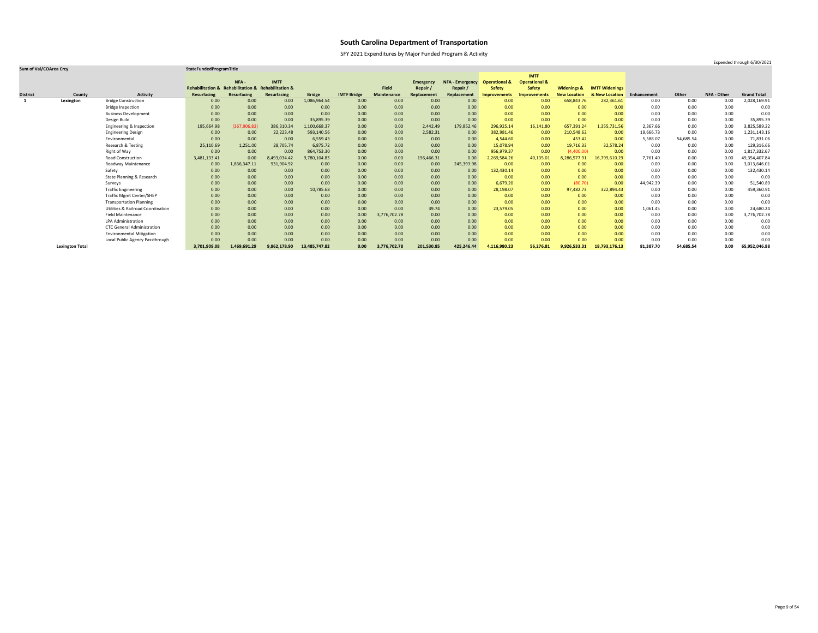SFY 2021 Expenditures by Major Funded Program & Activity

### **Sum of Val/COArea Crcy StateFundedProgramTitle**

|                 |                        |                                              |                                                    |               |                    |               |                    |                    |                  |                        |                          | <b>IMTF</b>              |                        |                       |             |           |             |                    |
|-----------------|------------------------|----------------------------------------------|----------------------------------------------------|---------------|--------------------|---------------|--------------------|--------------------|------------------|------------------------|--------------------------|--------------------------|------------------------|-----------------------|-------------|-----------|-------------|--------------------|
|                 |                        |                                              |                                                    | NFA-          | <b>IMTF</b>        |               |                    |                    | <b>Emergency</b> | <b>NFA - Emergency</b> | <b>Operational &amp;</b> | <b>Operational &amp;</b> |                        |                       |             |           |             |                    |
|                 |                        |                                              | Rehabilitation & Rehabilitation & Rehabilitation & |               |                    |               |                    | <b>Field</b>       | Repair           | Repair                 | <b>Safety</b>            | <b>Safety</b>            | <b>Widenings &amp;</b> | <b>IMTF Widenings</b> |             |           |             |                    |
| <b>District</b> | County                 | <b>Activity</b>                              | <b>Resurfacing</b>                                 | Resurfacing   | <b>Resurfacing</b> | <b>Bridge</b> | <b>IMTF Bridge</b> | <b>Maintenance</b> | Replacement      | Replacement            | <b>Improvements</b>      | <b>Improvements</b>      | <b>New Location</b>    | & New Location        | Enhancement | Other     | NFA - Other | <b>Grand Total</b> |
|                 | Lexington              | <b>Bridge Construction</b>                   | 0.00                                               | 0.00          | 0.00               | 1,086,964.54  | 0.00               | 0.00               | 0.00             | 0.00                   | 0.00                     | 0.00                     | 658,843.76             | 282,361.61            | 0.00        | 0.00      | 0.00        | 2,028,169.91       |
|                 |                        | <b>Bridge Inspection</b>                     | 0.00                                               | 0.00          | 0.00               | 0.00          | 0.00               | 0.00               | 0.00             | 0.00                   | 0.00                     | 0.00                     | 0.00                   | 0.00                  | 0.00        | 0.00      | 0.00        | 0.00               |
|                 |                        | <b>Business Development</b>                  | 0.00                                               | 0.00          | 0.00               | 0.00          | 0.00               | 0.00               | 0.00             | 0.00                   | 0.00                     | 0.00                     | 0.00                   | 0.00 <sub>1</sub>     | 0.00        | 0.00      | 0.00        | 0.00               |
|                 |                        | Design Build                                 | 0.00                                               | 0.00          | 0.00               | 35,895.39     | 0.00               | 0.00               | 0.00             | 0.00                   | 0.00                     | 0.00                     | 0.00                   | 0.00                  | 0.00        | 0.00      | 0.00        | 35,895.39          |
|                 |                        | Engineering & Inspection                     | 195,664.98                                         | (367, 906.82) | 386,310.34         | 1,100,668.37  | 0.00               | 0.00               | 2,442.49         | 179,852.46             | 296,925.14               | 16,141.80                | 657,391.24             | 1,355,731.56          | 2,367.66    | 0.00      | 0.00        | 3,825,589.22       |
|                 |                        | <b>Engineering Design</b>                    | 0.00                                               | 0.00          | 22,223.48          | 593,140.56    | 0.00               | 0.00               | 2,582.31         | 0.00                   | 382,981.46               | 0.00                     | 210,548.62             | 0.00                  | 19,666.73   | 0.00      | 0.00        | 1,231,143.16       |
|                 |                        | Environmental                                | 0.00                                               | 0.00          | 0.00               | 6,559.43      | 0.00               | 0.00               | 0.00             | 0.00                   | 4,544.60                 | 0.00                     | 453.42                 | 0.00                  | 5,588.07    | 54,685.54 | 0.00        | 71,831.06          |
|                 |                        | Research & Testing                           | 25,110.69                                          | 1,251.00      | 28,705.74          | 6,875.72      | 0.00               | 0.00               | 0.00             | 0.00                   | 15,078.94                | 0.00                     | 19,716.33              | 32,578.24             | 0.00        | 0.00      | 0.00        | 129,316.66         |
|                 |                        | Right of Way                                 | 0.00                                               | 0.00          | 0.00               | 864,753.30    | 0.00               | 0.00               | 0.00             | 0.00                   | 956,979.37               | 0.00                     | (4,400.00)             | 0.00                  | 0.00        | 0.00      | 0.00        | 1,817,332.67       |
|                 |                        | <b>Road Construction</b>                     | 3,481,133.41                                       | 0.00          | 8,493,034.42       | 9,780,104.83  | 0.00               | 0.00               | 196,466.31       | 0.00                   | 2,269,584.26             | 40,135.01                | 8,286,577.91           | 16,799,610.29         | 7,761.40    | 0.00      | 0.00        | 49,354,407.84      |
|                 |                        | Roadway Maintenance                          | 0.00                                               | 1,836,347.11  | 931,904.92         | 0.00          | 0.00               | 0.00               | 0.00             | 245,393.98             | 0.00                     | 0.00                     | 0.00                   | 0.00                  | 0.00        | 0.00      | 0.00        | 3,013,646.01       |
|                 |                        | Safety                                       | 0.00                                               | 0.00          | 0.00               | 0.00          | 0.00               | 0.00               | 0.00             | 0.00                   | 132,430.14               | 0.00                     | 0.00                   | 0.00 <sub>1</sub>     | 0.00        | 0.00      | 0.00        | 132,430.14         |
|                 |                        | State Planning & Research                    | 0.00                                               | 0.00          | 0.00               | 0.00          | 0.00               | 0.00               | 0.00             | 0.00                   | 0.00                     | 0.00                     | 0.00                   | 0.00                  | 0.00        | 0.00      | 0.00        | 0.00               |
|                 |                        | Surveys                                      | 0.00                                               | 0.00          | 0.00               | 0.00          | 0.00               | 0.00               | 0.00             | 0.00                   | 6,679.20                 | 0.00                     | (80.70)                | 0.00                  | 44,942.39   | 0.00      | 0.00        | 51,540.89          |
|                 |                        | <b>Traffic Engineering</b>                   | 0.00                                               | 0.00          | 0.00               | 10,785.68     | 0.00               | 0.00               | 0.00             | 0.00                   | 28,198.07                | 0.00                     | 97,482.73              | 322,894.43            | 0.00        | 0.00      | 0.00        | 459,360.91         |
|                 |                        | <b>Traffic Mgmt Center/SHEP</b>              | 0.00                                               | 0.00          | 0.00               | 0.00          | 0.00               | 0.00               | 0.00             | 0.00 <sub>1</sub>      | 0.00                     | 0.00                     | 0.00                   | 0.00                  | 0.00        | 0.00      | 0.00        | 0.00               |
|                 |                        | <b>Transportation Planning</b>               | 0.00                                               | 0.00          | 0.00               | 0.00          | 0.00               | 0.00               | 0.00             | 0.00                   | 0.00                     | 0.00                     | 0.00                   | 0.00                  | 0.00        | 0.00      | 0.00        | 0.00               |
|                 |                        | <b>Utilities &amp; Railroad Coordination</b> | 0.00                                               | 0.00          | 0.00               | 0.00          | 0.00               | 0.00               | 39.74            | 0.00                   | 23,579.05                | 0.00                     | 0.00                   | 0.00 <sub>1</sub>     | 1,061.45    | 0.00      | 0.00        | 24,680.24          |
|                 |                        | <b>Field Maintenance</b>                     | 0.00                                               | 0.00          | 0.00               | 0.00          | 0.00               | 3,776,702.78       | 0.00             | 0.00                   | 0.00                     | 0.00                     | 0.00                   | 0.00                  | 0.00        | 0.00      | 0.00        | 3,776,702.78       |
|                 |                        | <b>LPA Administration</b>                    | 0.00                                               | 0.00          | 0.00               | 0.00          | 0.00               | 0.00               | 0.00             | 0.00                   | 0.00                     | 0.00                     | 0.00                   | 0.00                  | 0.00        | 0.00      | 0.00        | 0.00               |
|                 |                        | <b>CTC General Administration</b>            | 0.00                                               | 0.00          | 0.00               | 0.00          | 0.00               | 0.00               | 0.00             | 0.00                   | 0.00                     | 0.00                     | 0.00                   | 0.00 <sub>1</sub>     | 0.00        | 0.00      | 0.00        | 0.00               |
|                 |                        | <b>Environmental Mitigation</b>              | 0.00                                               | 0.00          | 0.00               | 0.00          | 0.00               | 0.00               | 0.00             | 0.00                   | 0.00                     | 0.00                     | 0.00                   | 0.00                  | 0.00        | 0.00      | 0.00        | 0.00               |
|                 |                        | Local Public Agency Passthrough              | 0.00                                               | 0.00          | 0.00               | 0.00          | 0.00               | 0.00               | 0.00             | 0.00                   | 0.00                     | 0.00                     | 0.00                   | 0.00 <sub>1</sub>     | 0.00        | 0.00      | 0.00        | 0.00               |
|                 | <b>Lexington Total</b> |                                              | 3,701,909.08                                       | 1,469,691.29  | 9,862,178.90       | 13,485,747.82 | 0.00               | 3,776,702.78       | 201,530.85       | 425,246.44             | 4,116,980.23             | 56,276.81                | 9,926,533.31           | 18,793,176.13         | 81,387.70   | 54,685.54 | 0.00        | 65,952,046.88      |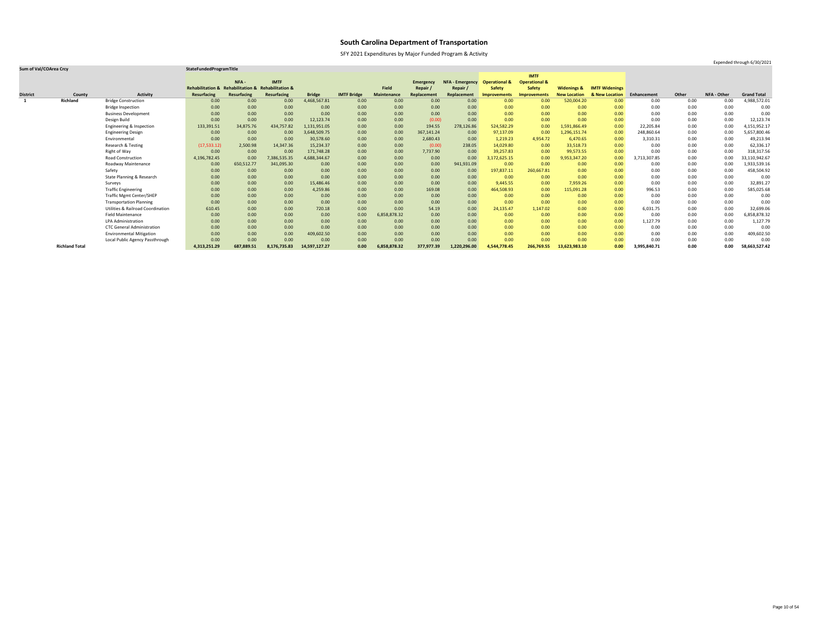SFY 2021 Expenditures by Major Funded Program & Activity

Expended through 6/30/2021

|                 |                       |                                      |                             |                                   |              |               |                    |                    |                  |                        |                          | <b>IMTF</b>              |                        |                           |              |       |                    |                    |
|-----------------|-----------------------|--------------------------------------|-----------------------------|-----------------------------------|--------------|---------------|--------------------|--------------------|------------------|------------------------|--------------------------|--------------------------|------------------------|---------------------------|--------------|-------|--------------------|--------------------|
|                 |                       |                                      |                             | NFA -                             | <b>IMTF</b>  |               |                    |                    | <b>Emergency</b> | <b>NFA - Emergency</b> | <b>Operational &amp;</b> | <b>Operational &amp;</b> |                        |                           |              |       |                    |                    |
|                 |                       |                                      | <b>Rehabilitation &amp;</b> | Rehabilitation & Rehabilitation & |              |               |                    | <b>Field</b>       | Repair           | Repair /               | <b>Safety</b>            | <b>Safety</b>            | <b>Widenings &amp;</b> | <b>IMTF Widenings</b>     |              |       |                    |                    |
| <b>District</b> | County                | <b>Activity</b>                      | <b>Resurfacing</b>          | Resurfacing                       | Resurfacing  | <b>Bridge</b> | <b>IMTF Bridge</b> | <b>Maintenance</b> | Replacement      | Replacement            | <b>Improvements</b>      | <b>Improvements</b>      | <b>New Location</b>    | <b>&amp; New Location</b> | Enhancement  | Other | <b>NFA - Other</b> | <b>Grand Total</b> |
|                 | <b>Richland</b>       | <b>Bridge Construction</b>           | 0.00                        | 0.00                              | 0.00         | 4,468,567.81  | 0.00               | 0.00               | 0.00             | 0.00                   | 0.00                     | 0.00                     | 520,004.20             | 0.00                      | 0.00         | 0.00  | 0.00               | 4,988,572.01       |
|                 |                       | <b>Bridge Inspection</b>             | 0.00                        | 0.00                              | 0.00         | 0.00          | 0.00               | 0.00               | 0.00             | 0.00 <sub>1</sub>      | 0.00                     | 0.00                     | 0.00                   | 0.00                      | 0.00         | 0.00  | 0.00               | 0.00               |
|                 |                       | <b>Business Development</b>          | 0.00                        | 0.00                              | 0.00         | 0.00          | 0.00               | 0.00               | 0.00             | 0.00                   | 0.00                     | 0.00                     | 0.00                   | 0.00                      | 0.00         | 0.00  | 0.00               | 0.00               |
|                 |                       | Design Build                         | 0.00                        | 0.00                              | 0.00         | 12,123.74     | 0.00               | 0.00               | (0.00)           | 0.00                   | 0.00                     | 0.00                     | 0.00                   | 0.00                      | 0.00         | 0.00  | 0.00               | 12,123.74          |
|                 |                       | Engineering & Inspection             | 133,391.51                  | 34,875.76                         | 434,757.82   | 1,131,951.05  | 0.00               | 0.00               | 194.55           | 278,126.86             | 524,582.29               | 0.00                     | 1,591,866.49           | 0.00                      | 22,205.84    | 0.00  | 0.00               | 4,151,952.17       |
|                 |                       | <b>Engineering Design</b>            | 0.00                        | 0.00                              | 0.00         | 3,648,509.75  | 0.00               | 0.00               | 367,141.24       | 0.00                   | 97,137.09                | 0.00                     | 1,296,151.74           | 0.00                      | 248,860.64   | 0.00  | 0.00               | 5,657,800.46       |
|                 |                       | Environmental                        | 0.00                        | 0.00                              | 0.00         | 30,578.60     | 0.00               | 0.00               | 2,680.43         | 0.00                   | 1,219.23                 | 4,954.72                 | 6,470.65               | 0.00                      | 3,310.31     | 0.00  | 0.00               | 49,213.94          |
|                 |                       | <b>Research &amp; Testing</b>        | (17, 533.12)                | 2,500.98                          | 14,347.36    | 15,234.37     | 0.00               | 0.00               | (0.00)           | 238.05                 | 14,029.80                | 0.00                     | 33,518.73              | 0.00                      | 0.00         | 0.00  | 0.00               | 62,336.17          |
|                 |                       | Right of Way                         | 0.00                        | 0.00                              | 0.00         | 171,748.28    | 0.00               | 0.00               | 7,737.90         | 0.00                   | 39,257.83                | 0.00                     | 99,573.55              | 0.00                      | 0.00         | 0.00  | 0.00               | 318,317.56         |
|                 |                       | <b>Road Construction</b>             | 4,196,782.45                | 0.00                              | 7,386,535.35 | 4,688,344.67  | 0.00               | 0.00               | 0.00             | 0.00                   | 3,172,625.15             | 0.00                     | 9,953,347.20           | 0.00                      | 3,713,307.85 | 0.00  | 0.00               | 33,110,942.67      |
|                 |                       | Roadway Maintenance                  | 0.00                        | 650,512.77                        | 341,095.30   | 0.00          | 0.00               | 0.00               | 0.00             | 941,931.09             | 0.00                     | 0.00                     | 0.00                   | 0.00                      | 0.00         | 0.00  | 0.00               | 1,933,539.16       |
|                 |                       | Safety                               | 0.00                        | 0.00                              | 0.00         | 0.00          | 0.00               | 0.00               | 0.00             | 0.00                   | 197,837.11               | 260,667.81               | 0.00                   | 0.00                      | 0.00         | 0.00  | 0.00               | 458,504.92         |
|                 |                       | <b>State Planning &amp; Research</b> | 0.00                        | 0.00                              | 0.00         | 0.00          | 0.00               | 0.00               | 0.00             | 0.00                   | 0.00                     | 0.00                     | 0.00                   | 0.00                      | 0.00         | 0.00  | 0.00               | 0.00               |
|                 |                       | Surveys                              | 0.00                        | 0.00                              | 0.00         | 15,486.46     | 0.00               | 0.00               | 0.00             | 0.00                   | 9,445.55                 | 0.00                     | 7,959.26               | 0.00                      | 0.00         | 0.00  | 0.00               | 32,891.27          |
|                 |                       | <b>Traffic Engineering</b>           | 0.00                        | 0.00                              | 0.00         | 4,259.86      | 0.00               | 0.00               | 169.08           | 0.00                   | 464,508.93               | 0.00                     | 115,091.28             | 0.00                      | 996.53       | 0.00  | 0.00               | 585,025.68         |
|                 |                       | <b>Traffic Mgmt Center/SHEP</b>      | 0.00                        | 0.00                              | 0.00         | 0.00          | 0.00               | 0.00               | 0.00             | 0.00                   | 0.00                     | 0.00                     | 0.00                   | 0.00                      | 0.00         | 0.00  | 0.00               | 0.00               |
|                 |                       | <b>Transportation Planning</b>       | 0.00                        | 0.00                              | 0.00         | 0.00          | 0.00               | 0.00               | 0.00             | 0.00                   | 0.00                     | 0.00                     | 0.00                   | 0.00                      | 0.00         | 0.00  | 0.00               | 0.00               |
|                 |                       | Utilities & Railroad Coordination    | 610.45                      | 0.00                              | 0.00         | 720.18        | 0.00               | 0.00               | 54.19            | 0.00                   | 24,135.47                | 1,147.02                 | 0.00                   | 0.00                      | 6,031.75     | 0.00  | 0.00               | 32,699.06          |
|                 |                       | <b>Field Maintenance</b>             | 0.00                        | 0.00                              | 0.00         | 0.00          | 0.00               | 6,858,878.32       | 0.00             | 0.00                   | 0.00                     | 0.00                     | 0.00                   | 0.00 <sub>1</sub>         | 0.00         | 0.00  | 0.00               | 6,858,878.32       |
|                 |                       | <b>LPA Administration</b>            | 0.00                        | 0.00                              | 0.00         | 0.00          | 0.00               | 0.00               | 0.00             | 0.00                   | 0.00                     | 0.00                     | 0.00                   | 0.00                      | 1,127.79     | 0.00  | 0.00               | 1,127.79           |
|                 |                       | <b>CTC General Administration</b>    | 0.00                        | 0.00                              | 0.00         | 0.00          | 0.00               | 0.00               | 0.00             | 0.00 <sub>1</sub>      | 0.00                     | 0.00                     | 0.00                   | 0.00                      | 0.00         | 0.00  | 0.00               | 0.00               |
|                 |                       | <b>Environmental Mitigation</b>      | 0.00                        | 0.00                              | 0.00         | 409,602.50    | 0.00               | 0.00               | 0.00             | 0.00                   | 0.00                     | 0.00                     | 0.00                   | 0.00                      | 0.00         | 0.00  | 0.00               | 409,602.50         |
|                 |                       | Local Public Agency Passthrough      | 0.00                        | 0.00                              | 0.00         | 0.00          | 0.00               | 0.00               | 0.00             | 0.00                   | 0.00                     | 0.00                     | 0.00                   | 0.00                      | 0.00         | 0.00  | 0.00               | 0.00               |
|                 | <b>Richland Total</b> |                                      | 4,313,251.29                | 687,889.51                        | 8,176,735.83 | 14,597,127.27 | 0.00               | 6,858,878.32       | 377,977.39       | 1,220,296.00           | 4,544,778.45             | 266,769.55               | 13,623,983.10          | 0.00                      | 3,995,840.71 | 0.00  | 0.00               | 58,663,527.42      |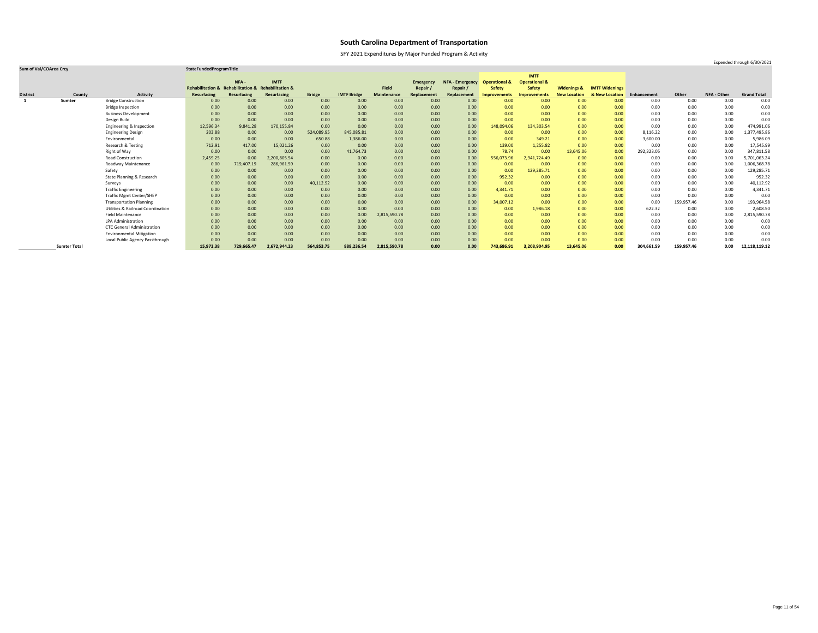SFY 2021 Expenditures by Major Funded Program & Activity

### **Sum of Val/COArea Crcy StateFundedProgramTitle**

|                 |                     |                                              |                                                    |             |                    |               |                    |                    |                  |                        |                          | <b>IMTF</b>              |                        |                       |             |            |             |                    |
|-----------------|---------------------|----------------------------------------------|----------------------------------------------------|-------------|--------------------|---------------|--------------------|--------------------|------------------|------------------------|--------------------------|--------------------------|------------------------|-----------------------|-------------|------------|-------------|--------------------|
|                 |                     |                                              |                                                    | NFA-        | <b>IMTF</b>        |               |                    |                    | <b>Emergency</b> | <b>NFA - Emergency</b> | <b>Operational &amp;</b> | <b>Operational &amp;</b> |                        |                       |             |            |             |                    |
|                 |                     |                                              | Rehabilitation & Rehabilitation & Rehabilitation & |             |                    |               |                    | <b>Field</b>       | Repair/          | Repair /               | <b>Safety</b>            | <b>Safety</b>            | <b>Widenings &amp;</b> | <b>IMTF Widenings</b> |             |            |             |                    |
| <b>District</b> | County              | <b>Activity</b>                              | <b>Resurfacing</b>                                 | Resurfacing | <b>Resurfacing</b> | <b>Bridge</b> | <b>IMTF Bridge</b> | <b>Maintenance</b> | Replacement      | Replacement            | Improvements             | <b>Improvements</b>      | <b>New Location</b>    | & New Location        | Enhancement | Other      | NFA - Other | <b>Grand Total</b> |
| -1              | Sumter              | <b>Bridge Construction</b>                   | 0.00                                               | 0.00        | 0.00               | 0.00          | 0.00               | 0.00               | 0.00             | 0.00                   | 0.00                     | 0.00                     | 0.00                   | 0.00                  | 0.00        | 0.00       | 0.00        | 0.00               |
|                 |                     | <b>Bridge Inspection</b>                     | 0.00                                               | 0.00        | 0.00               | 0.00          | 0.00               | 0.00               | 0.00             | 0.00                   | 0.00                     | 0.00                     | 0.00                   | 0.00                  | 0.00        | 0.00       | 0.00        | 0.00               |
|                 |                     | <b>Business Development</b>                  | 0.00                                               | 0.00        | 0.00               | 0.00          | 0.00               | 0.00               | 0.00             | 0.00                   | 0.00                     | 0.00                     | 0.00                   | 0.00                  | 0.00        | 0.00       | 0.00        | 0.00               |
|                 |                     | Design Build                                 | 0.00                                               | 0.00        | 0.00               | 0.00          | 0.00               | 0.00               | 0.00             | 0.00                   | 0.00                     | 0.00                     | 0.00                   | 0.00                  | 0.00        | 0.00       | 0.00        | 0.00               |
|                 |                     | Engineering & Inspection                     | 12,596.34                                          | 9,841.28    | 170,155.84         | 0.00          | 0.00               | 0.00               | 0.00             | 0.00                   | 148,094.06               | 134,303.54               | 0.00                   | 0.00                  | 0.00        | 0.00       | 0.00        | 474,991.06         |
|                 |                     | <b>Engineering Design</b>                    | 203.88                                             | 0.00        | 0.00               | 524,089.95    | 845,085.81         | 0.00               | 0.00             | 0.00                   | 0.00                     | 0.00                     | 0.00                   | 0.00                  | 8,116.22    | 0.00       | 0.00        | 1,377,495.86       |
|                 |                     | Environmental                                | 0.00                                               | 0.00        | 0.00               | 650.88        | 1,386.00           | 0.00               | 0.00             | 0.00                   | 0.00                     | 349.21                   | 0.00                   | 0.00                  | 3,600.00    | 0.00       | 0.00        | 5,986.09           |
|                 |                     | Research & Testing                           | 712.91                                             | 417.00      | 15,021.26          | 0.00          | 0.00               | 0.00               | 0.00             | 0.00                   | 139.00                   | 1,255.82                 | 0.00                   | 0.00                  | 0.00        | 0.00       | 0.00        | 17,545.99          |
|                 |                     | Right of Way                                 | 0.00                                               | 0.00        | 0.00               | 0.00          | 41,764.73          | 0.00               | 0.00             | 0.00                   | 78.74                    | 0.00                     | 13,645.06              | 0.00                  | 292,323.05  | 0.00       | 0.00        | 347,811.58         |
|                 |                     | <b>Road Construction</b>                     | 2,459.25                                           | 0.00        | 2,200,805.54       | 0.00          | 0.00               | 0.00               | 0.00             | 0.00                   | 556,073.96               | 2,941,724.49             | 0.00                   | 0.00                  | 0.00        | 0.00       | 0.00        | 5,701,063.24       |
|                 |                     | Roadway Maintenance                          | 0.00                                               | 719,407.19  | 286,961.59         | 0.00          | 0.00               | 0.00               | 0.00             | 0.00                   | 0.00                     | 0.00                     | 0.00                   | 0.00                  | 0.00        | 0.00       | 0.00        | 1,006,368.78       |
|                 |                     | Safety                                       | 0.00                                               | 0.00        | 0.00               | 0.00          | 0.00               | 0.00               | 0.00             | 0.00                   | 0.00                     | 129,285.71               | 0.00                   | 0.00 <sub>1</sub>     | 0.00        | 0.00       | 0.00        | 129,285.71         |
|                 |                     | State Planning & Research                    | 0.00                                               | 0.00        | 0.00               | 0.00          | 0.00               | 0.00               | 0.00             | 0.00                   | 952.32                   | 0.00                     | 0.00                   | 0.00                  | 0.00        | 0.00       | 0.00        | 952.32             |
|                 |                     | Surveys                                      | 0.00                                               | 0.00        | 0.00               | 40,112.92     | 0.00               | 0.00               | 0.00             | 0.00                   | 0.00                     | 0.00                     | 0.00                   | 0.00                  | 0.00        | 0.00       | 0.00        | 40,112.92          |
|                 |                     | <b>Traffic Engineering</b>                   | 0.00                                               | 0.00        | 0.00               | 0.00          | 0.00               | 0.00               | 0.00             | 0.00                   | 4,341.71                 | 0.00                     | 0.00                   | 0.00                  | 0.00        | 0.00       | 0.00        | 4,341.71           |
|                 |                     | <b>Traffic Mgmt Center/SHEP</b>              | 0.00                                               | 0.00        | 0.00               | 0.00          | 0.00               | 0.00               | 0.00             | 0.00                   | 0.00                     | 0.00                     | 0.00                   | 0.00 <sub>1</sub>     | 0.00        | 0.00       | 0.00        | 0.00               |
|                 |                     | <b>Transportation Planning</b>               | 0.00                                               | 0.00        | 0.00               | 0.00          | 0.00               | 0.00               | 0.00             | 0.00                   | 34,007.12                | 0.00                     | 0.00                   | 0.00                  | 0.00        | 159,957.46 | 0.00        | 193,964.58         |
|                 |                     | <b>Utilities &amp; Railroad Coordination</b> | 0.00                                               | 0.00        | 0.00               | 0.00          | 0.00               | 0.00               | 0.00             | 0.00                   | 0.00                     | 1,986.18                 | 0.00                   | 0.00                  | 622.32      | 0.00       | 0.00        | 2,608.50           |
|                 |                     | <b>Field Maintenance</b>                     | 0.00                                               | 0.00        | 0.00               | 0.00          | 0.00               | 2,815,590.78       | 0.00             | 0.00                   | 0.00                     | 0.00                     | 0.00                   | 0.00                  | 0.00        | 0.00       | 0.00        | 2,815,590.78       |
|                 |                     | <b>LPA Administration</b>                    | 0.00                                               | 0.00        | 0.00               | 0.00          | 0.00               | 0.00               | 0.00             | 0.00                   | 0.00                     | 0.00                     | 0.00                   | 0.00                  | 0.00        | 0.00       | 0.00        | 0.00               |
|                 |                     | <b>CTC General Administration</b>            | 0.00                                               | 0.00        | 0.00               | 0.00          | 0.00               | 0.00               | 0.00             | 0.00                   | 0.00                     | 0.00                     | 0.00                   | 0.00                  | 0.00        | 0.00       | 0.00        | 0.00               |
|                 |                     | <b>Environmental Mitigation</b>              | 0.00                                               | 0.00        | 0.00               | 0.00          | 0.00               | 0.00               | 0.00             | 0.00                   | 0.00                     | 0.00                     | 0.00                   | 0.00 <sub>1</sub>     | 0.00        | 0.00       | 0.00        | 0.00               |
|                 |                     | Local Public Agency Passthrough              | 0.00                                               | 0.00        | 0.00               | 0.00          | 0.00               | 0.00               | 0.00             | 0.00                   | 0.00                     | 0.00                     | 0.00                   | 0.00                  | 0.00        | 0.00       | 0.00        | 0.00               |
|                 | <b>Sumter Total</b> |                                              | 15,972.38                                          | 729,665.47  | 2,672,944.23       | 564,853.75    | 888,236.54         | 2,815,590.78       | 0.00             | 0.00                   | 743,686.91               | 3,208,904.95             | 13,645.06              | 0.00                  | 304,661.59  | 159,957.46 | 0.00        | 12,118,119.12      |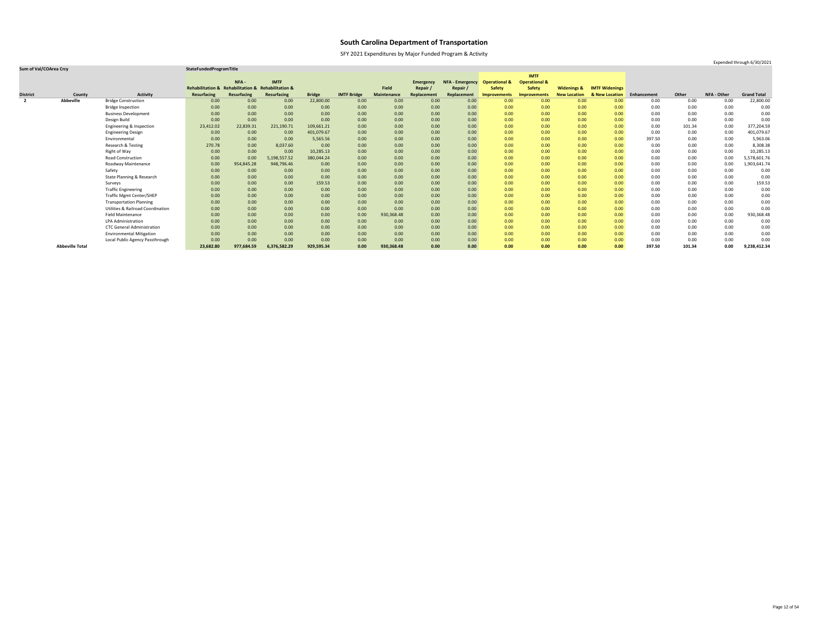SFY 2021 Expenditures by Major Funded Program & Activity

Expended through 6/30/2021

|                 |                        |                                              |                                                    |                    |                    |               |                    |                    |                  |                        |                          | <b>IMTF</b>              |                        |                       |             |          |             |                    |
|-----------------|------------------------|----------------------------------------------|----------------------------------------------------|--------------------|--------------------|---------------|--------------------|--------------------|------------------|------------------------|--------------------------|--------------------------|------------------------|-----------------------|-------------|----------|-------------|--------------------|
|                 |                        |                                              |                                                    | NFA-               | <b>IMTF</b>        |               |                    |                    | <b>Emergency</b> | <b>NFA - Emergency</b> | <b>Operational &amp;</b> | <b>Operational &amp;</b> |                        |                       |             |          |             |                    |
|                 |                        |                                              | Rehabilitation & Rehabilitation & Rehabilitation & |                    |                    |               |                    | <b>Field</b>       | Repair /         | Repair /               | <b>Safety</b>            | <b>Safety</b>            | <b>Widenings &amp;</b> | <b>IMTF Widenings</b> |             |          |             |                    |
| <b>District</b> | County                 | <b>Activity</b>                              | <b>Resurfacing</b>                                 | <b>Resurfacing</b> | <b>Resurfacing</b> | <b>Bridge</b> | <b>IMTF Bridge</b> | <b>Maintenance</b> | Replacement      | Replacement            | Improvements             | <b>Improvements</b>      | <b>New Location</b>    | & New Location        | Enhancement | Other    | NFA - Other | <b>Grand Total</b> |
| $\overline{2}$  | <b>Abbeville</b>       | <b>Bridge Construction</b>                   | 0.00                                               | 0.00               | 0.00               | 22,800.00     | 0.00               | 0.00               | 0.00             | 0.00                   | 0.00                     | 0.00                     | 0.00                   | 0.00                  | 0.00        | 0.00     | 0.00        | 22,800.00          |
|                 |                        | <b>Bridge Inspection</b>                     | 0.00                                               | 0.00               | 0.00               | 0.00          | 0.00               | 0.00               | 0.00             | 0.00                   | 0.00                     | 0.00                     | 0.00                   | 0.00                  | 0.00        | 0.00     | 0.00        | 0.00               |
|                 |                        | <b>Business Development</b>                  | 0.00                                               | 0.00               | 0.00               | 0.00          | 0.00               | 0.00               | 0.00             | 0.00                   | 0.00                     | 0.00                     | 0.00                   | 0.00                  | 0.00        | 0.00     | 0.00        | 0.00               |
|                 |                        | Design Build                                 | 0.00                                               | 0.00               | 0.00               | 0.00          | 0.00               | 0.00               | 0.00             | 0.00                   | 0.00                     | 0.00                     | 0.00                   | 0.00                  | 0.00        | 0.00     | 0.00        | 0.00               |
|                 |                        | Engineering & Inspection                     | 23,412.02                                          | 22,839.31          | 221,190.71         | 109,661.21    | 0.00               | 0.00               | 0.00             | 0.00                   | 0.00                     | 0.00                     | 0.00                   | 0.00                  | 0.00        | 101.34   | 0.00        | 377,204.59         |
|                 |                        | <b>Engineering Design</b>                    | 0.00                                               | 0.00               | 0.00               | 401,079.67    | 0.00               | 0.00               | 0.00             | 0.00                   | 0.00                     | 0.00                     | 0.00                   | 0.00                  | 0.00        | 0.00     | 0.00        | 401,079.67         |
|                 |                        | Environmental                                | 0.00                                               | 0.00               | 0.00               | 5,565.56      | 0.00               | 0.00               | 0.00             | 0.00                   | 0.00                     | 0.00                     | 0.00                   | 0.00                  | 397.50      | 0.00     | 0.00        | 5,963.06           |
|                 |                        | Research & Testing                           | 270.78                                             | 0.00               | 8,037.60           | 0.00          | 0.00               | 0.00               | 0.00             | 0.00                   | 0.00                     | 0.00                     | 0.00                   | 0.00                  | 0.00        | 0.00     | 0.00        | 8,308.38           |
|                 |                        | Right of Way                                 | 0.00                                               | 0.00               | 0.00               | 10,285.13     | 0.00               | 0.00               | 0.00             | 0.00                   | 0.00                     | 0.00                     | 0.00                   | 0.00                  | 0.00        | 0.00     | 0.00        | 10,285.13          |
|                 |                        | <b>Road Construction</b>                     | 0.00                                               | 0.00               | 5,198,557.52       | 380,044.24    | 0.00               | 0.00               | 0.00             | 0.00                   | 0.00                     | 0.00                     | 0.00                   | 0.00                  | 0.00        | $0.00\,$ | 0.00        | 5,578,601.76       |
|                 |                        | Roadway Maintenance                          | 0.00                                               | 954,845.28         | 948,796.46         | 0.00          | 0.00               | 0.00               | 0.00             | 0.00                   | 0.00                     | 0.00                     | 0.00                   | 0.00                  | 0.00        | 0.00     | 0.00        | 1,903,641.74       |
|                 |                        | Safety                                       | 0.00                                               | 0.00               | 0.00               | 0.00          | 0.00               | 0.00               | 0.00             | 0.00                   | 0.00                     | 0.00                     | 0.00                   | 0.00                  | 0.00        | 0.00     | 0.00        | 0.00               |
|                 |                        | <b>State Planning &amp; Research</b>         | 0.00                                               | 0.00               | 0.00               | 0.00          | 0.00               | 0.00               | 0.00             | 0.00                   | 0.00                     | 0.00                     | 0.00                   | 0.00                  | 0.00        | $0.00\,$ | 0.00        | 0.00               |
|                 |                        | Surveys                                      | 0.00                                               | 0.00               | 0.00               | 159.53        | 0.00               | 0.00               | 0.00             | 0.00                   | 0.00                     | 0.00                     | 0.00                   | 0.00                  | 0.00        | 0.00     | 0.00        | 159.53             |
|                 |                        | <b>Traffic Engineering</b>                   | 0.00                                               | 0.00               | 0.00               | 0.00          | 0.00               | 0.00               | 0.00             | 0.00                   | 0.00                     | 0.00                     | 0.00                   | 0.00                  | 0.00        | 0.00     | 0.00        | 0.00               |
|                 |                        | <b>Traffic Mgmt Center/SHEP</b>              | 0.00                                               | 0.00               | 0.00               | 0.00          | 0.00               | 0.00               | 0.00             | 0.00                   | 0.00                     | 0.00                     | 0.00                   | 0.00                  | 0.00        | 0.00     | 0.00        | 0.00               |
|                 |                        | <b>Transportation Planning</b>               | 0.00                                               | 0.00               | 0.00               | 0.00          | 0.00               | 0.00               | 0.00             | 0.00                   | 0.00                     | 0.00                     | 0.00                   | 0.00                  | 0.00        | 0.00     | 0.00        | 0.00               |
|                 |                        | <b>Utilities &amp; Railroad Coordination</b> | 0.00                                               | 0.00               | 0.00               | 0.00          | 0.00               | 0.00               | 0.00             | 0.00                   | 0.00                     | 0.00                     | 0.00                   | 0.00                  | 0.00        | 0.00     | 0.00        | 0.00               |
|                 |                        | <b>Field Maintenance</b>                     | 0.00                                               | 0.00               | 0.00               | 0.00          | 0.00               | 930,368.48         | 0.00             | 0.00                   | 0.00                     | 0.00                     | 0.00                   | 0.00                  | 0.00        | 0.00     | 0.00        | 930,368.48         |
|                 |                        | <b>LPA Administration</b>                    | 0.00                                               | 0.00               | 0.00               | 0.00          | 0.00               | 0.00               | 0.00             | 0.00                   | 0.00                     | 0.00                     | 0.00                   | 0.00                  | 0.00        | 0.00     | 0.00        | 0.00               |
|                 |                        | <b>CTC General Administration</b>            | 0.00                                               | 0.00               | 0.00               | 0.00          | 0.00               | 0.00               | 0.00             | 0.00                   | 0.00                     | 0.00                     | 0.00                   | 0.00                  | 0.00        | 0.00     | 0.00        | 0.00               |
|                 |                        | <b>Environmental Mitigation</b>              | 0.00                                               | 0.00               | 0.00               | 0.00          | 0.00               | 0.00               | 0.00             | 0.00                   | 0.00                     | 0.00                     | 0.00                   | 0.00                  | 0.00        | 0.00     | 0.00        | 0.00               |
|                 |                        | Local Public Agency Passthrough              | 0.00                                               | 0.00               | 0.00               | 0.00          | 0.00               | 0.00               | 0.00             | 0.00                   | 0.00                     | 0.00                     | 0.00                   | 0.00                  | 0.00        | 0.00     | 0.00        | 0.00               |
|                 | <b>Abbeville Total</b> |                                              | 23,682.80                                          | 977,684.59         | 6,376,582.29       | 929,595.34    | 0.00               | 930,368.48         | 0.00             | 0.00                   | 0.00                     | 0.00                     | 0.00                   | 0.00                  | 397.50      | 101.34   | 0.00        | 9,238,412.34       |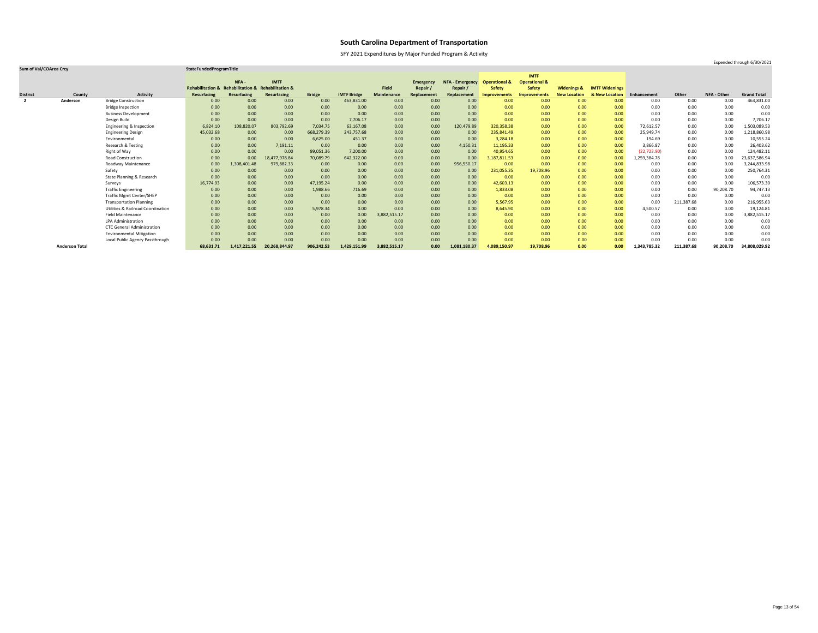SFY 2021 Expenditures by Major Funded Program & Activity

Expended through 6/30/2021

|                 |                       |                                              |                                                    |                   |               |               |                    |                    |                  |                        |                          | <b>IMTF</b>              |                        |                       |              |            |             |                    |
|-----------------|-----------------------|----------------------------------------------|----------------------------------------------------|-------------------|---------------|---------------|--------------------|--------------------|------------------|------------------------|--------------------------|--------------------------|------------------------|-----------------------|--------------|------------|-------------|--------------------|
|                 |                       |                                              |                                                    | NFA -             | <b>IMTF</b>   |               |                    |                    | <b>Emergency</b> | <b>NFA - Emergency</b> | <b>Operational &amp;</b> | <b>Operational &amp;</b> |                        |                       |              |            |             |                    |
|                 |                       |                                              | Rehabilitation & Rehabilitation & Rehabilitation & |                   |               |               |                    | <b>Field</b>       | Repair           | Repair /               | <b>Safety</b>            | <b>Safety</b>            | <b>Widenings &amp;</b> | <b>IMTF Widenings</b> |              |            |             |                    |
| <b>District</b> | County                | <b>Activity</b>                              | <b>Resurfacing</b>                                 | Resurfacing       | Resurfacing   | <b>Bridge</b> | <b>IMTF Bridge</b> | <b>Maintenance</b> | Replacement      | Replacement            | <b>Improvements</b>      | <b>Improvements</b>      | <b>New Location</b>    | & New Location        | Enhancement  | Other      | NFA - Other | <b>Grand Total</b> |
| $\overline{2}$  | Anderson              | <b>Bridge Construction</b>                   | 0.00                                               | 0.00              | 0.00          | 0.00          | 463,831.00         | 0.00               | 0.00             | 0.00                   | 0.00                     | 0.00                     | 0.00                   | 0.00                  | 0.00         | 0.00       | 0.00        | 463,831.00         |
|                 |                       | <b>Bridge Inspection</b>                     | 0.00                                               | 0.00              | 0.00          | 0.00          | 0.00               | 0.00               | 0.00             | 0.00 <sub>1</sub>      | 0.00                     | 0.00                     | 0.00                   | 0.00                  | 0.00         | 0.00       | 0.00        | 0.00               |
|                 |                       | <b>Business Development</b>                  | 0.00                                               | 0.00              | 0.00          | 0.00          | 0.00               | 0.00               | 0.00             | 0.00                   | 0.00                     | 0.00                     | 0.00                   | 0.00                  | 0.00         | 0.00       | 0.00        | 0.00               |
|                 |                       | Design Build                                 | 0.00                                               | 0.00              | 0.00          | 0.00          | 7,706.17           | 0.00               | 0.00             | 0.00                   | 0.00                     | 0.00                     | 0.00                   | 0.00                  | 0.00         | 0.00       | 0.00        | 7,706.17           |
|                 |                       | Engineering & Inspection                     | 6,824.10                                           | 108,820.07        | 803,792.69    | 7,034.75      | 63,167.08          | 0.00               | 0.00             | 120,479.89             | 320,358.38               | 0.00                     | 0.00                   | 0.00                  | 72,612.57    | 0.00       | 0.00        | 1,503,089.53       |
|                 |                       | <b>Engineering Design</b>                    | 45,032.68                                          | 0.00 <sub>1</sub> | 0.00          | 668,279.39    | 243,757.68         | 0.00               | 0.00             | 0.00                   | 235,841.49               | 0.00                     | 0.00                   | 0.00                  | 25,949.74    | 0.00       | 0.00        | 1,218,860.98       |
|                 |                       | Environmental                                | 0.00                                               | 0.00 <sub>1</sub> | 0.00          | 6,625.00      | 451.37             | 0.00               | 0.00             | 0.00                   | 3,284.18                 | 0.00                     | 0.00                   | 0.00                  | 194.69       | 0.00       | 0.00        | 10,555.24          |
|                 |                       | Research & Testing                           | 0.00                                               | 0.00              | 7,191.11      | 0.00          | 0.00               | 0.00               | 0.00             | 4,150.31               | 11,195.33                | 0.00                     | 0.00                   | 0.00                  | 3,866.87     | 0.00       | 0.00        | 26,403.62          |
|                 |                       | Right of Way                                 | 0.00                                               | 0.00              | 0.00          | 99,051.36     | 7,200.00           | 0.00               | 0.00             | 0.00                   | 40,954.65                | 0.00                     | 0.00                   | 0.00 <sub>1</sub>     | (22, 723.90) | 0.00       | 0.00        | 124,482.11         |
|                 |                       | <b>Road Construction</b>                     | 0.00                                               | 0.00              | 8,477,978.84  | 70,089.79     | 642,322.00         | 0.00               | 0.00             | 0.00                   | 3,187,811.53             | 0.00                     | 0.00                   | 0.00                  | 1,259,384.78 | 0.00       | 0.00        | 23,637,586.94      |
|                 |                       | Roadway Maintenance                          | 0.00                                               | 1,308,401.48      | 979,882.33    | 0.00          | 0.00               | 0.00               | 0.00             | 956,550.17             | 0.00                     | 0.00                     | 0.00                   | 0.00                  | 0.00         | 0.00       | 0.00        | 3,244,833.98       |
|                 |                       | Safety                                       | 0.00                                               | 0.00              | 0.00          | 0.00          | 0.00               | 0.00               | 0.00             | 0.00                   | 231,055.35               | 19,708.96                | 0.00                   | 0.00 <sub>1</sub>     | 0.00         | 0.00       | 0.00        | 250,764.31         |
|                 |                       | State Planning & Research                    | 0.00                                               | 0.00              | 0.00          | 0.00          | 0.00               | 0.00               | 0.00             | 0.00                   | 0.00                     | 0.00                     | 0.00                   | 0.00                  | 0.00         | 0.00       | 0.00        | 0.00               |
|                 |                       | Surveys                                      | 16,774.93                                          | 0.00              | 0.00          | 47,195.24     | 0.00               | 0.00               | 0.00             | 0.00                   | 42,603.13                | 0.00                     | 0.00                   | 0.00 <sub>1</sub>     | 0.00         | 0.00       | 0.00        | 106,573.30         |
|                 |                       | <b>Traffic Engineering</b>                   | 0.00                                               | 0.00              | 0.00          | 1,988.66      | 716.69             | 0.00               | 0.00             | 0.00                   | 1,833.08                 | 0.00                     | 0.00                   | 0.00                  | 0.00         | 0.00       | 90,208.70   | 94,747.13          |
|                 |                       | <b>Traffic Mgmt Center/SHEP</b>              | 0.00                                               | 0.00 <sub>1</sub> | 0.00          | 0.00          | 0.00               | 0.00               | 0.00             | 0.00                   | 0.00                     | 0.00                     | 0.00                   | 0.00                  | 0.00         | 0.00       | 0.00        | 0.00               |
|                 |                       | <b>Transportation Planning</b>               | 0.00                                               | 0.00 <sub>1</sub> | 0.00          | 0.00          | 0.00               | 0.00               | 0.00             | 0.00                   | 5,567.95                 | 0.00                     | 0.00                   | 0.00 <sub>1</sub>     | 0.00         | 211,387.68 | 0.00        | 216,955.63         |
|                 |                       | <b>Utilities &amp; Railroad Coordination</b> | 0.00                                               | 0.00              | 0.00          | 5,978.34      | 0.00               | 0.00               | 0.00             | 0.00                   | 8,645.90                 | 0.00                     | 0.00                   | 0.00                  | 4,500.57     | 0.00       | 0.00        | 19,124.81          |
|                 |                       | <b>Field Maintenance</b>                     | 0.00                                               | 0.00              | 0.00          | 0.00          | 0.00               | 3,882,515.17       | 0.00             | 0.00                   | 0.00                     | 0.00                     | 0.00                   | 0.00                  | 0.00         | 0.00       | 0.00        | 3,882,515.17       |
|                 |                       | LPA Administration                           | 0.00                                               | 0.00              | 0.00          | 0.00          | 0.00               | 0.00               | 0.00             | 0.00                   | 0.00                     | 0.00                     | 0.00                   | 0.00                  | 0.00         | 0.00       | 0.00        | 0.00               |
|                 |                       | <b>CTC General Administration</b>            | 0.00                                               | 0.00              | 0.00          | 0.00          | 0.00               | 0.00               | 0.00             | 0.00                   | 0.00                     | 0.00                     | 0.00                   | 0.00                  | 0.00         | 0.00       | 0.00        | 0.00               |
|                 |                       | <b>Environmental Mitigation</b>              | 0.00                                               | 0.00              | 0.00          | 0.00          | 0.00               | 0.00               | 0.00             | 0.00                   | 0.00                     | 0.00                     | 0.00                   | 0.00 <sub>1</sub>     | 0.00         | 0.00       | 0.00        | 0.00               |
|                 |                       | Local Public Agency Passthrough              | 0.00                                               | 0.00              | 0.00          | 0.00          | 0.00               | 0.00               | 0.00             | 0.00                   | 0.00                     | 0.00                     | 0.00                   | 0.00                  | 0.00         | 0.00       | 0.00        | 0.00               |
|                 | <b>Anderson Total</b> |                                              | 68,631.71                                          | 1,417,221.55      | 20,268,844.97 | 906,242.53    | 1,429,151.99       | 3,882,515.17       | 0.00             | 1,081,180.37           | 4,089,150.97             | 19,708.96                | 0.00                   | 0.00                  | 1,343,785.32 | 211,387.68 | 90,208.70   | 34,808,029.92      |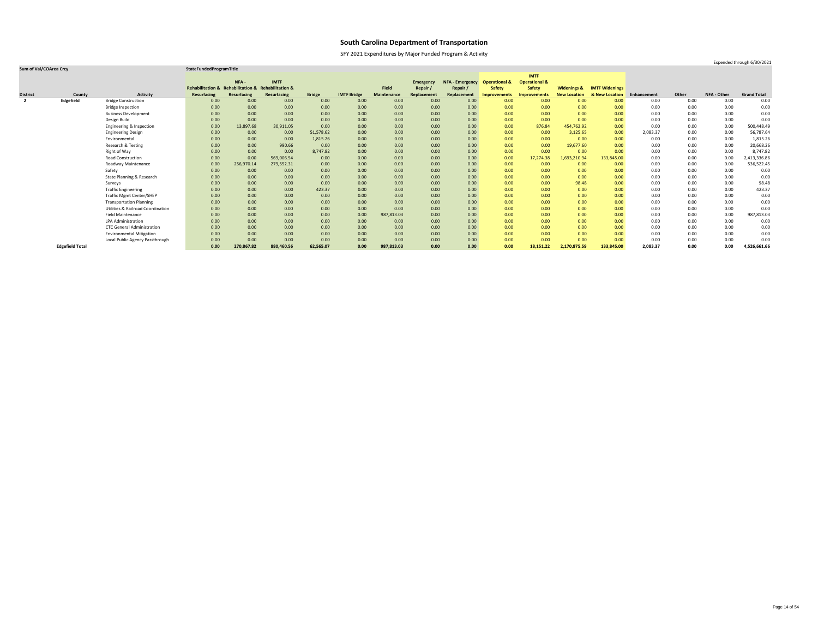SFY 2021 Expenditures by Major Funded Program & Activity

### **Sum of Val/COArea Crcy StateFundedProgramTitle**

|                 |                        |                                              |                                                    |             |                    |               |                    |                    |                  |                        |                          | <b>IMTF</b>              |                        |                       |             |       |             |                    |
|-----------------|------------------------|----------------------------------------------|----------------------------------------------------|-------------|--------------------|---------------|--------------------|--------------------|------------------|------------------------|--------------------------|--------------------------|------------------------|-----------------------|-------------|-------|-------------|--------------------|
|                 |                        |                                              |                                                    | NFA-        | <b>IMTF</b>        |               |                    |                    | <b>Emergency</b> | <b>NFA - Emergency</b> | <b>Operational &amp;</b> | <b>Operational &amp;</b> |                        |                       |             |       |             |                    |
|                 |                        |                                              | Rehabilitation & Rehabilitation & Rehabilitation & |             |                    |               |                    | <b>Field</b>       | Repair           | Repair /               | <b>Safety</b>            | <b>Safety</b>            | <b>Widenings &amp;</b> | <b>IMTF Widenings</b> |             |       |             |                    |
| <b>District</b> | County                 | <b>Activity</b>                              | <b>Resurfacing</b>                                 | Resurfacing | <b>Resurfacing</b> | <b>Bridge</b> | <b>IMTF Bridge</b> | <b>Maintenance</b> | Replacement      | Replacement            | <b>Improvements</b>      | <b>Improvements</b>      | <b>New Location</b>    | & New Location        | Enhancement | Other | NFA - Other | <b>Grand Total</b> |
| $\overline{2}$  | Edgefield              | <b>Bridge Construction</b>                   | 0.00                                               | 0.00        | 0.00               | 0.00          | 0.00               | 0.00               | 0.00             | 0.00                   | 0.00                     | 0.00                     | 0.00                   | 0.00 <sub>1</sub>     | 0.00        | 0.00  | 0.00        | 0.00               |
|                 |                        | <b>Bridge Inspection</b>                     | 0.00                                               | 0.00        | 0.00               | 0.00          | 0.00               | 0.00               | 0.00             | 0.00                   | 0.00                     | 0.00                     | 0.00                   | 0.00 <sub>1</sub>     | 0.00        | 0.00  | 0.00        | 0.00               |
|                 |                        | <b>Business Development</b>                  | 0.00                                               | 0.00        | 0.00               | 0.00          | 0.00               | 0.00               | 0.00             | 0.00                   | 0.00                     | 0.00                     | 0.00                   | 0.00                  | 0.00        | 0.00  | 0.00        | 0.00               |
|                 |                        | Design Build                                 | 0.00                                               | 0.00        | 0.00               | 0.00          | 0.00               | 0.00               | 0.00             | 0.00                   | 0.00                     | 0.00                     | 0.00                   | 0.00                  | 0.00        | 0.00  | 0.00        | 0.00               |
|                 |                        | Engineering & Inspection                     | 0.00                                               | 13,897.68   | 30,911.05          | 0.00          | 0.00               | 0.00               | 0.00             | 0.00                   | 0.00                     | 876.84                   | 454,762.92             | 0.00                  | 0.00        | 0.00  | 0.00        | 500,448.49         |
|                 |                        | <b>Engineering Design</b>                    | 0.00                                               | 0.00        | 0.00               | 51,578.62     | 0.00               | 0.00               | 0.00             | 0.00                   | 0.00                     | 0.00                     | 3,125.65               | 0.00                  | 2,083.37    | 0.00  | 0.00        | 56,787.64          |
|                 |                        | Environmental                                | 0.00                                               | 0.00        | 0.00               | 1,815.26      | 0.00               | 0.00               | 0.00             | 0.00                   | 0.00                     | 0.00                     | 0.00                   | 0.00                  | 0.00        | 0.00  | 0.00        | 1,815.26           |
|                 |                        | Research & Testing                           | 0.00                                               | 0.00        | 990.66             | 0.00          | 0.00               | 0.00               | 0.00             | 0.00                   | 0.00                     | 0.00                     | 19,677.60              | 0.00                  | 0.00        | 0.00  | 0.00        | 20,668.26          |
|                 |                        | Right of Way                                 | 0.00                                               | 0.00        | 0.00               | 8,747.82      | 0.00               | 0.00               | 0.00             | 0.00                   | 0.00                     | 0.00                     | 0.00                   | 0.00                  | 0.00        | 0.00  | 0.00        | 8,747.82           |
|                 |                        | <b>Road Construction</b>                     | 0.00                                               | 0.00        | 569,006.54         | 0.00          | 0.00               | 0.00               | 0.00             | 0.00                   | 0.00                     | 17,274.38                | 1,693,210.94           | 133,845.00            | 0.00        | 0.00  | 0.00        | 2,413,336.86       |
|                 |                        | Roadway Maintenance                          | 0.00                                               | 256,970.14  | 279,552.31         | 0.00          | 0.00               | 0.00               | 0.00             | 0.00                   | 0.00                     | 0.00                     | 0.00                   | 0.00                  | 0.00        | 0.00  | 0.00        | 536,522.45         |
|                 |                        | Safety                                       | 0.00                                               | 0.00        | 0.00               | 0.00          | 0.00               | 0.00               | 0.00             | 0.00                   | 0.00                     | 0.00                     | 0.00                   | 0.00 <sub>1</sub>     | 0.00        | 0.00  | 0.00        | 0.00               |
|                 |                        | <b>State Planning &amp; Research</b>         | 0.00                                               | 0.00        | 0.00               | 0.00          | 0.00               | 0.00               | 0.00             | 0.00                   | 0.00                     | 0.00                     | 0.00                   | 0.00                  | 0.00        | 0.00  | 0.00        | 0.00               |
|                 |                        | Surveys                                      | 0.00                                               | 0.00        | 0.00               | 0.00          | 0.00               | 0.00               | 0.00             | 0.00                   | 0.00                     | 0.00                     | 98.48                  | 0.00                  | 0.00        | 0.00  | 0.00        | 98.48              |
|                 |                        | <b>Traffic Engineering</b>                   | 0.00                                               | 0.00        | 0.00               | 423.37        | 0.00               | 0.00               | 0.00             | 0.00                   | 0.00                     | 0.00                     | 0.00                   | 0.00                  | 0.00        | 0.00  | 0.00        | 423.37             |
|                 |                        | <b>Traffic Mgmt Center/SHEP</b>              | 0.00                                               | 0.00        | 0.00               | 0.00          | 0.00               | 0.00               | 0.00             | 0.00                   | 0.00                     | 0.00                     | 0.00                   | 0.00                  | 0.00        | 0.00  | 0.00        | 0.00               |
|                 |                        | <b>Transportation Planning</b>               | 0.00                                               | 0.00        | 0.00               | 0.00          | 0.00               | 0.00               | 0.00             | 0.00                   | 0.00                     | 0.00                     | 0.00                   | 0.00                  | 0.00        | 0.00  | 0.00        | 0.00               |
|                 |                        | <b>Utilities &amp; Railroad Coordination</b> | 0.00                                               | 0.00        | 0.00               | 0.00          | 0.00               | 0.00               | 0.00             | 0.00                   | 0.00                     | 0.00                     | 0.00                   | 0.00                  | 0.00        | 0.00  | 0.00        | 0.00               |
|                 |                        | <b>Field Maintenance</b>                     | 0.00                                               | 0.00        | 0.00               | 0.00          | 0.00               | 987,813.03         | 0.00             | 0.00                   | 0.00                     | 0.00                     | 0.00                   | 0.00                  | 0.00        | 0.00  | 0.00        | 987,813.03         |
|                 |                        | <b>LPA Administration</b>                    | 0.00                                               | 0.00        | 0.00               | 0.00          | 0.00               | 0.00               | 0.00             | 0.00                   | 0.00                     | 0.00                     | 0.00                   | 0.00                  | 0.00        | 0.00  | 0.00        | 0.00               |
|                 |                        | <b>CTC General Administration</b>            | 0.00                                               | 0.00        | 0.00               | 0.00          | 0.00               | 0.00               | 0.00             | 0.00                   | 0.00                     | 0.00                     | 0.00                   | 0.00                  | 0.00        | 0.00  | 0.00        | 0.00               |
|                 |                        | <b>Environmental Mitigation</b>              | 0.00                                               | 0.00        | 0.00               | 0.00          | 0.00               | 0.00               | 0.00             | 0.00                   | 0.00                     | 0.00                     | 0.00                   | 0.00                  | 0.00        | 0.00  | 0.00        | 0.00               |
|                 |                        | Local Public Agency Passthrough              | 0.00                                               | 0.00        | 0.00               | 0.00          | 0.00               | 0.00               | 0.00             | 0.00                   | 0.00                     | 0.00                     | 0.00                   | 0.00                  | 0.00        | 0.00  | 0.00        | 0.00               |
|                 | <b>Edgefield Total</b> |                                              | 0.00                                               | 270,867.82  | 880,460.56         | 62,565.07     | 0.00               | 987,813.03         | 0.00             | 0.00                   | 0.00                     | 18,151.22                | 2,170,875.59           | 133,845.00            | 2,083.37    | 0.00  | 0.00        | 4,526,661.66       |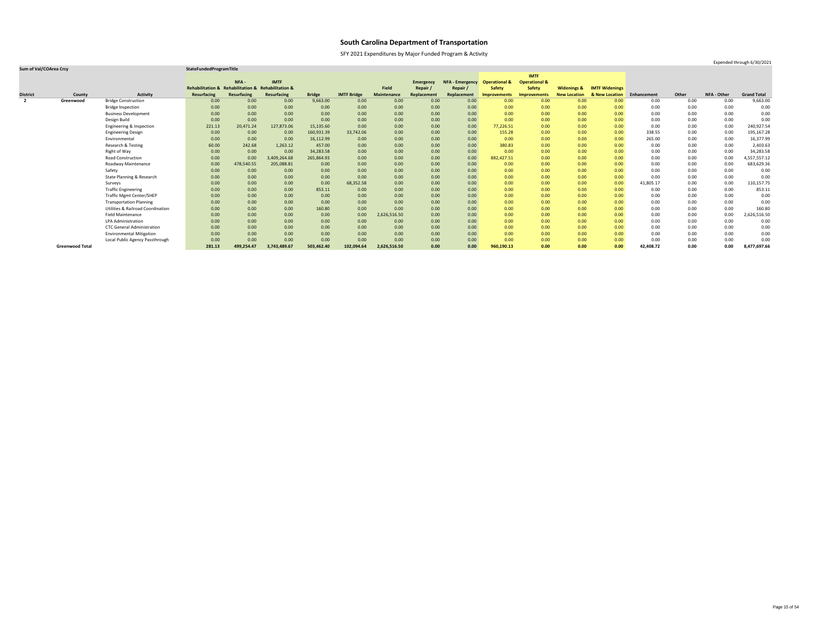SFY 2021 Expenditures by Major Funded Program & Activity

Expended through 6/30/2021

|                 |                        |                                              |                                                    |             |              |               |                    |                    |                  |                        |                          | <b>IMTF</b>              |                        |                       |             |       |                    |                    |
|-----------------|------------------------|----------------------------------------------|----------------------------------------------------|-------------|--------------|---------------|--------------------|--------------------|------------------|------------------------|--------------------------|--------------------------|------------------------|-----------------------|-------------|-------|--------------------|--------------------|
|                 |                        |                                              |                                                    | NFA-        | <b>IMTF</b>  |               |                    |                    | <b>Emergency</b> | <b>NFA - Emergency</b> | <b>Operational &amp;</b> | <b>Operational &amp;</b> |                        |                       |             |       |                    |                    |
|                 |                        |                                              | Rehabilitation & Rehabilitation & Rehabilitation & |             |              |               |                    | Field              | Repair /         | Repair /               | <b>Safety</b>            | <b>Safety</b>            | <b>Widenings &amp;</b> | <b>IMTF Widenings</b> |             |       |                    |                    |
| <b>District</b> | County                 | <b>Activity</b>                              | <b>Resurfacing</b>                                 | Resurfacing | Resurfacing  | <b>Bridge</b> | <b>IMTF Bridge</b> | <b>Maintenance</b> | Replacement      | Replacement            | <b>Improvements</b>      | <b>Improvements</b>      | <b>New Location</b>    | & New Location        | Enhancement | Other | <b>NFA - Other</b> | <b>Grand Total</b> |
| $\mathbf{2}$    | Greenwood              | <b>Bridge Construction</b>                   | 0.00                                               | 0.00        | 0.00         | 9,663.00      | 0.00               | 0.00               | 0.00             | 0.00                   | 0.00 <sub>1</sub>        | 0.00                     | 0.00                   | 0.00                  | 0.00        | 0.00  | 0.00               | 9,663.00           |
|                 |                        | <b>Bridge Inspection</b>                     | 0.00                                               | 0.00        | 0.00         | 0.00          | 0.00               | 0.00               | 0.00             | 0.00                   | 0.00                     | 0.00                     | 0.00                   | 0.00                  | 0.00        | 0.00  | 0.00               | 0.00               |
|                 |                        | <b>Business Development</b>                  | 0.00                                               | 0.00        | 0.00         | 0.00          | 0.00               | 0.00               | 0.00             | 0.00                   | 0.00                     | 0.00                     | 0.00                   | 0.00                  | 0.00        | 0.00  | 0.00               | 0.00               |
|                 |                        | Design Build                                 | 0.00                                               | 0.00        | 0.00         | 0.00          | 0.00               | 0.00               | 0.00             | 0.00                   | 0.00                     | 0.00                     | 0.00                   | 0.00                  | 0.00        | 0.00  | 0.00               | 0.00               |
|                 |                        | Engineering & Inspection                     | 221.13                                             | 20,471.24   | 127,873.06   | 15,135.60     | 0.00               | 0.00               | 0.00             | 0.00                   | 77,226.51                | 0.00                     | 0.00                   | 0.00                  | 0.00        | 0.00  | 0.00               | 240,927.54         |
|                 |                        | <b>Engineering Design</b>                    | 0.00                                               | 0.00        | 0.00         | 160,931.39    | 33,742.06          | 0.00               | 0.00             | 0.00                   | 155.28                   | 0.00                     | 0.00                   | 0.00                  | 338.55      | 0.00  | 0.00               | 195,167.28         |
|                 |                        | Environmental                                | 0.00                                               | 0.00        | 0.00         | 16,112.99     | 0.00               | 0.00               | 0.00             | 0.00                   | 0.00                     | 0.00                     | 0.00                   | 0.00                  | 265.00      | 0.00  | 0.00               | 16,377.99          |
|                 |                        | Research & Testing                           | 60.00                                              | 242.68      | 1,263.12     | 457.00        | 0.00               | 0.00               | 0.00             | 0.00                   | 380.83                   | 0.00                     | 0.00                   | 0.00                  | 0.00        | 0.00  | 0.00               | 2,403.63           |
|                 |                        | Right of Way                                 | 0.00                                               | 0.00        | 0.00         | 34,283.58     | 0.00               | 0.00               | 0.00             | 0.00                   | 0.00                     | 0.00                     | 0.00                   | 0.00                  | 0.00        | 0.00  | 0.00               | 34,283.58          |
|                 |                        | Road Construction                            | 0.00                                               | 0.00        | 3,409,264.68 | 265,864.93    | 0.00               | 0.00               | 0.00             | 0.00                   | 882,427.51               | 0.00                     | 0.00                   | 0.00                  | 0.00        | 0.00  | 0.00               | 4,557,557.12       |
|                 |                        | Roadway Maintenance                          | 0.00                                               | 478,540.55  | 205,088.81   | 0.00          | 0.00               | 0.00               | 0.00             | 0.00                   | 0.00 <sub>1</sub>        | 0.00                     | 0.00                   | 0.00                  | 0.00        | 0.00  | 0.00               | 683,629.36         |
|                 |                        | Safety                                       | 0.00                                               | 0.00        | 0.00         | 0.00          | 0.00               | 0.00               | 0.00             | 0.00                   | 0.00                     | 0.00                     | 0.00                   | 0.00                  | 0.00        | 0.00  | 0.00               | 0.00               |
|                 |                        | State Planning & Research                    | 0.00                                               | 0.00        | 0.00         | 0.00          | 0.00               | 0.00               | 0.00             | 0.00                   | 0.00                     | 0.00                     | 0.00                   | 0.00                  | 0.00        | 0.00  | 0.00               | 0.00               |
|                 |                        | Surveys                                      | 0.00                                               | 0.00        | 0.00         | 0.00          | 68,352.58          | 0.00               | 0.00             | 0.00                   | 0.00                     | 0.00                     | 0.00                   | 0.00                  | 41,805.17   | 0.00  | 0.00               | 110,157.75         |
|                 |                        | <b>Traffic Engineering</b>                   | 0.00                                               | 0.00        | 0.00         | 853.11        | 0.00               | 0.00               | 0.00             | 0.00                   | 0.00                     | 0.00                     | 0.00                   | 0.00                  | 0.00        | 0.00  | 0.00               | 853.11             |
|                 |                        | <b>Traffic Mgmt Center/SHEP</b>              | 0.00                                               | 0.00        | 0.00         | 0.00          | 0.00               | 0.00               | 0.00             | 0.00                   | 0.00                     | 0.00                     | 0.00                   | 0.00                  | 0.00        | 0.00  | 0.00               | 0.00               |
|                 |                        | <b>Transportation Planning</b>               | 0.00                                               | 0.00        | 0.00         | 0.00          | 0.00               | 0.00               | 0.00             | 0.00                   | 0.00                     | 0.00                     | 0.00                   | 0.00                  | 0.00        | 0.00  | 0.00               | 0.00               |
|                 |                        | <b>Utilities &amp; Railroad Coordination</b> | 0.00                                               | 0.00        | 0.00         | 160.80        | 0.00               | 0.00               | 0.00             | 0.00                   | 0.00                     | 0.00                     | 0.00                   | 0.00                  | 0.00        | 0.00  | 0.00               | 160.80             |
|                 |                        | <b>Field Maintenance</b>                     | 0.00                                               | 0.00        | 0.00         | 0.00          | 0.00               | 2,626,516.50       | 0.00             | 0.00                   | 0.00                     | 0.00                     | 0.00                   | 0.00                  | 0.00        | 0.00  | 0.00               | 2,626,516.50       |
|                 |                        | <b>LPA Administration</b>                    | 0.00                                               | 0.00        | 0.00         | 0.00          | 0.00               | 0.00               | 0.00             | 0.00                   | 0.00                     | 0.00                     | 0.00                   | 0.00                  | 0.00        | 0.00  | 0.00               | 0.00               |
|                 |                        | <b>CTC General Administration</b>            | 0.00                                               | 0.00        | 0.00         | 0.00          | 0.00               | 0.00               | 0.00             | 0.00                   | 0.00                     | 0.00                     | 0.00                   | 0.00                  | 0.00        | 0.00  | 0.00               | 0.00               |
|                 |                        | <b>Environmental Mitigation</b>              | 0.00                                               | 0.00        | 0.00         | 0.00          | 0.00               | 0.00               | 0.00             | 0.00                   | 0.00                     | 0.00                     | 0.00                   | 0.00                  | 0.00        | 0.00  | 0.00               | 0.00               |
|                 |                        | Local Public Agency Passthrough              | 0.00                                               | 0.00        | 0.00         | 0.00          | 0.00               | 0.00               | 0.00             | 0.00                   | 0.00                     | 0.00                     | 0.00                   | 0.00                  | 0.00        | 0.00  | 0.00               | 0.00               |
|                 | <b>Greenwood Total</b> |                                              | 281.13                                             | 499,254.47  | 3,743,489.67 | 503,462.40    | 102,094.64         | 2,626,516.50       | 0.00             | 0.00                   | 960,190.13               | 0.00                     | 0.00                   | 0.00                  | 42,408.72   | 0.00  | 0.00               | 8,477,697.66       |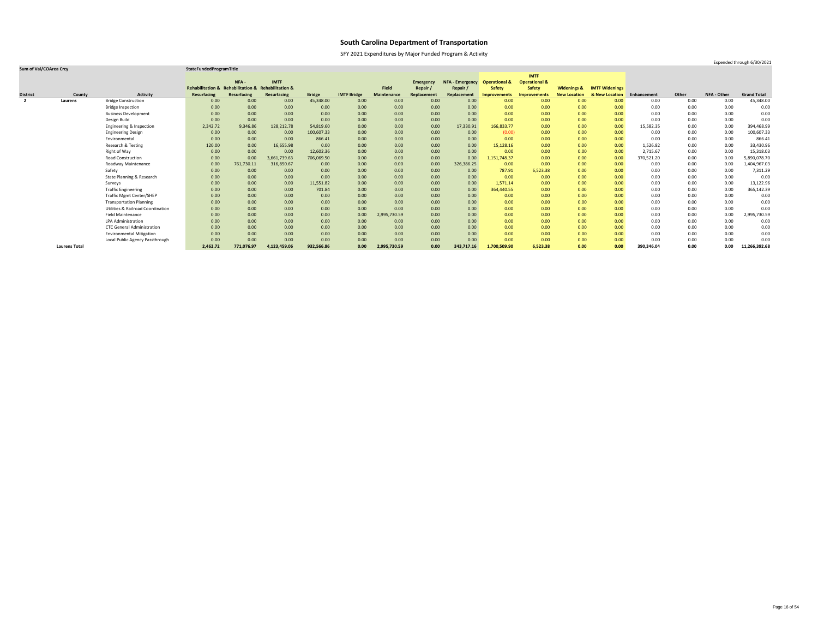SFY 2021 Expenditures by Major Funded Program & Activity

Expended through 6/30/2021

|                 |                      |                                              |                                                    |                    |                    |               |                    |                    |                  |                        |                          | <b>IMTF</b>              |                        |                       |             |       |             |                    |
|-----------------|----------------------|----------------------------------------------|----------------------------------------------------|--------------------|--------------------|---------------|--------------------|--------------------|------------------|------------------------|--------------------------|--------------------------|------------------------|-----------------------|-------------|-------|-------------|--------------------|
|                 |                      |                                              |                                                    | NFA-               | <b>IMTF</b>        |               |                    |                    | <b>Emergency</b> | <b>NFA - Emergency</b> | <b>Operational &amp;</b> | <b>Operational &amp;</b> |                        |                       |             |       |             |                    |
|                 |                      |                                              | Rehabilitation & Rehabilitation & Rehabilitation & |                    |                    |               |                    | Field              | Repair /         | Repair /               | <b>Safety</b>            | <b>Safety</b>            | <b>Widenings &amp;</b> | <b>IMTF Widenings</b> |             |       |             |                    |
| <b>District</b> | County               | <b>Activity</b>                              | <b>Resurfacing</b>                                 | <b>Resurfacing</b> | <b>Resurfacing</b> | <b>Bridge</b> | <b>IMTF Bridge</b> | <b>Maintenance</b> | Replacement      | Replacement            | Improvements             | <b>Improvements</b>      | <b>New Location</b>    | & New Location        | Enhancement | Other | NFA - Other | <b>Grand Total</b> |
| $\overline{2}$  | Laurens              | <b>Bridge Construction</b>                   | 0.00                                               | 0.00               | 0.00               | 45,348.00     | 0.00               | 0.00               | 0.00             | 0.00                   | 0.00 <sub>1</sub>        | 0.00                     | 0.00                   | 0.00                  | 0.00        | 0.00  | 0.00        | 45,348.00          |
|                 |                      | <b>Bridge Inspection</b>                     | 0.00                                               | 0.00               | 0.00               | 0.00          | 0.00               | 0.00               | 0.00             | 0.00                   | 0.00                     | 0.00                     | 0.00                   | 0.00                  | 0.00        | 0.00  | 0.00        | 0.00               |
|                 |                      | <b>Business Development</b>                  | 0.00                                               | 0.00               | 0.00               | 0.00          | 0.00               | 0.00               | 0.00             | 0.00                   | 0.00                     | 0.00                     | 0.00                   | 0.00                  | 0.00        | 0.00  | 0.00        | 0.00               |
|                 |                      | Design Build                                 | 0.00                                               | 0.00               | 0.00               | 0.00          | 0.00               | 0.00               | 0.00             | 0.00                   | 0.00                     | 0.00                     | 0.00                   | 0.00                  | 0.00        | 0.00  | 0.00        | 0.00               |
|                 |                      | Engineering & Inspection                     | 2,342.72                                           | 9,346.86           | 128,212.78         | 54,819.60     | 0.00               | 0.00               | 0.00             | 17,330.91              | 166,833.77               | 0.00                     | 0.00                   | 0.00                  | 15,582.35   | 0.00  | 0.00        | 394,468.99         |
|                 |                      | <b>Engineering Design</b>                    | 0.00                                               | 0.00               | 0.00               | 100,607.33    | 0.00               | 0.00               | 0.00             | 0.00                   | (0.00)                   | 0.00                     | 0.00                   | 0.00                  | 0.00        | 0.00  | 0.00        | 100,607.33         |
|                 |                      | Environmental                                | 0.00                                               | 0.00               | 0.00               | 866.41        | 0.00               | 0.00               | 0.00             | 0.00                   | 0.00                     | 0.00                     | 0.00                   | 0.00                  | 0.00        | 0.00  | 0.00        | 866.41             |
|                 |                      | Research & Testing                           | 120.00                                             | 0.00               | 16,655.98          | 0.00          | 0.00               | 0.00               | 0.00             | 0.00                   | 15,128.16                | 0.00                     | 0.00                   | 0.00                  | 1,526.82    | 0.00  | 0.00        | 33,430.96          |
|                 |                      | Right of Way                                 | 0.00                                               | 0.00               | 0.00               | 12,602.36     | 0.00               | 0.00               | 0.00             | 0.00                   | 0.00                     | 0.00                     | 0.00                   | 0.00                  | 2,715.67    | 0.00  | 0.00        | 15,318.03          |
|                 |                      | Road Construction                            | 0.00                                               | 0.00               | 3,661,739.63       | 706,069.50    | 0.00               | 0.00               | 0.00             | 0.00                   | 1,151,748.37             | 0.00                     | 0.00                   | 0.00                  | 370,521.20  | 0.00  | 0.00        | 5,890,078.70       |
|                 |                      | Roadway Maintenance                          | 0.00                                               | 761,730.11         | 316,850.67         | 0.00          | 0.00               | 0.00               | 0.00             | 326,386.25             | 0.00                     | 0.00                     | 0.00                   | 0.00                  | 0.00        | 0.00  | 0.00        | 1,404,967.03       |
|                 |                      | Safety                                       | 0.00                                               | 0.00               | 0.00               | 0.00          | 0.00               | 0.00               | 0.00             | 0.00                   | 787.91                   | 6,523.38                 | 0.00                   | 0.00                  | 0.00        | 0.00  | 0.00        | 7,311.29           |
|                 |                      | State Planning & Research                    | 0.00                                               | 0.00               | 0.00               | 0.00          | 0.00               | 0.00               | 0.00             | 0.00                   | 0.00                     | 0.00                     | 0.00                   | 0.00                  | 0.00        | 0.00  | 0.00        | 0.00               |
|                 |                      | Surveys                                      | 0.00                                               | 0.00               | 0.00               | 11,551.82     | 0.00               | 0.00               | 0.00             | 0.00                   | 1,571.14                 | 0.00                     | 0.00                   | 0.00                  | 0.00        | 0.00  | 0.00        | 13,122.96          |
|                 |                      | <b>Traffic Engineering</b>                   | 0.00                                               | 0.00               | 0.00               | 701.84        | 0.00               | 0.00               | 0.00             | 0.00                   | 364,440.55               | 0.00                     | 0.00                   | 0.00                  | 0.00        | 0.00  | 0.00        | 365,142.39         |
|                 |                      | <b>Traffic Mgmt Center/SHEP</b>              | 0.00                                               | 0.00               | 0.00               | 0.00          | 0.00               | 0.00               | 0.00             | 0.00                   | 0.00                     | 0.00                     | 0.00                   | 0.00                  | 0.00        | 0.00  | 0.00        | 0.00               |
|                 |                      | <b>Transportation Planning</b>               | 0.00                                               | 0.00               | 0.00               | 0.00          | 0.00               | 0.00               | 0.00             | 0.00                   | 0.00                     | 0.00                     | 0.00                   | 0.00                  | 0.00        | 0.00  | 0.00        | 0.00               |
|                 |                      | <b>Utilities &amp; Railroad Coordination</b> | 0.00                                               | 0.00               | 0.00               | 0.00          | 0.00               | 0.00               | 0.00             | 0.00                   | 0.00                     | 0.00                     | 0.00                   | 0.00                  | 0.00        | 0.00  | 0.00        | 0.00               |
|                 |                      | <b>Field Maintenance</b>                     | 0.00                                               | 0.00               | 0.00               | 0.00          | 0.00               | 2,995,730.59       | 0.00             | 0.00                   | 0.00                     | 0.00                     | 0.00                   | 0.00                  | 0.00        | 0.00  | 0.00        | 2,995,730.59       |
|                 |                      | <b>LPA Administration</b>                    | 0.00                                               | 0.00               | 0.00               | 0.00          | 0.00               | 0.00               | 0.00             | 0.00                   | 0.00                     | 0.00                     | 0.00                   | 0.00                  | 0.00        | 0.00  | 0.00        | 0.00               |
|                 |                      | <b>CTC General Administration</b>            | 0.00                                               | 0.00               | 0.00               | 0.00          | 0.00               | 0.00               | 0.00             | 0.00                   | 0.00                     | 0.00                     | 0.00                   | 0.00                  | 0.00        | 0.00  | 0.00        | 0.00               |
|                 |                      | <b>Environmental Mitigation</b>              | 0.00                                               | 0.00               | 0.00               | 0.00          | 0.00               | 0.00               | 0.00             | 0.00                   | 0.00                     | 0.00                     | 0.00                   | 0.00                  | 0.00        | 0.00  | 0.00        | 0.00               |
|                 |                      | Local Public Agency Passthrough              | 0.00                                               | 0.00               | 0.00               | 0.00          | 0.00               | 0.00               | 0.00             | 0.00                   | 0.00                     | 0.00                     | 0.00                   | 0.00                  | 0.00        | 0.00  | 0.00        | 0.00               |
|                 | <b>Laurens Total</b> |                                              | 2,462.72                                           | 771,076.97         | 4,123,459.06       | 932,566.86    | 0.00               | 2,995,730.59       | 0.00             | 343,717.16             | 1,700,509.90             | 6,523.38                 | 0.00                   | 0.00                  | 390,346.04  | 0.00  | 0.00        | 11,266,392.68      |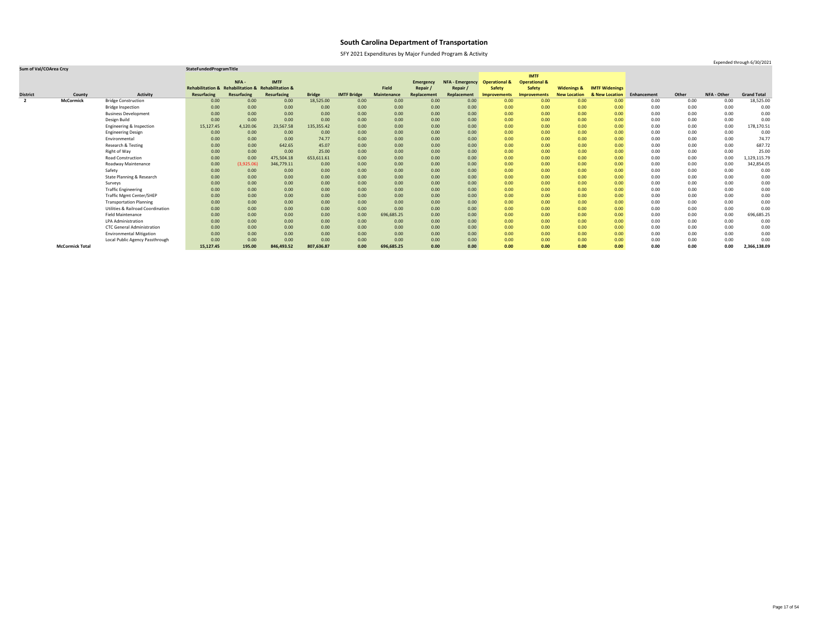SFY 2021 Expenditures by Major Funded Program & Activity

### **Sum of Val/COArea Crcy StateFundedProgramTitle**

|                 |                        |                                              |                                                    |             |             |               |                    |                    |                    |                        |                          | <b>IMTF</b>              |                        |                       |             |       |                    |                    |
|-----------------|------------------------|----------------------------------------------|----------------------------------------------------|-------------|-------------|---------------|--------------------|--------------------|--------------------|------------------------|--------------------------|--------------------------|------------------------|-----------------------|-------------|-------|--------------------|--------------------|
|                 |                        |                                              |                                                    | NFA-        | <b>IMTF</b> |               |                    |                    | <b>Emergency</b>   | <b>NFA - Emergency</b> | <b>Operational &amp;</b> | <b>Operational &amp;</b> |                        |                       |             |       |                    |                    |
|                 |                        |                                              | Rehabilitation & Rehabilitation & Rehabilitation & |             |             |               |                    | Field              | Repair /           | Repair /               | <b>Safety</b>            | <b>Safety</b>            | <b>Widenings &amp;</b> | <b>IMTF Widenings</b> |             |       |                    |                    |
| <b>District</b> | County                 | <b>Activity</b>                              | <b>Resurfacing</b>                                 | Resurfacing | Resurfacing | <b>Bridge</b> | <b>IMTF Bridge</b> | <b>Maintenance</b> | <b>Replacement</b> | Replacement            | <b>Improvements</b>      | <b>Improvements</b>      | <b>New Location</b>    | & New Location        | Enhancement | Other | <b>NFA - Other</b> | <b>Grand Total</b> |
| $\overline{2}$  | <b>McCormick</b>       | <b>Bridge Construction</b>                   | 0.00                                               | 0.00        | 0.00        | 18,525.00     | 0.00               | 0.00               | 0.00               | 0.00                   | 0.00 <sub>1</sub>        | 0.00                     | 0.00                   | 0.00                  | 0.00        | 0.00  | 0.00               | 18,525.00          |
|                 |                        | <b>Bridge Inspection</b>                     | 0.00                                               | 0.00        | 0.00        | 0.00          | 0.00               | 0.00               | 0.00               | 0.00                   | 0.00                     | 0.00                     | 0.00                   | 0.00                  | 0.00        | 0.00  | 0.00               | 0.00               |
|                 |                        | <b>Business Development</b>                  | 0.00                                               | 0.00        | 0.00        | 0.00          | 0.00               | 0.00               | 0.00               | 0.00                   | 0.00                     | 0.00                     | 0.00                   | 0.00                  | 0.00        | 0.00  | 0.00               | 0.00               |
|                 |                        | Design Build                                 | 0.00                                               | 0.00        | 0.00        | 0.00          | 0.00               | 0.00               | 0.00               | 0.00                   | 0.00                     | 0.00                     | 0.00                   | 0.00                  | 0.00        | 0.00  | 0.00               | 0.00               |
|                 |                        | Engineering & Inspection                     | 15,127.45                                          | 4,120.06    | 23,567.58   | 135,355.42    | 0.00               | 0.00               | 0.00               | 0.00                   | 0.00                     | 0.00                     | 0.00                   | 0.00                  | 0.00        | 0.00  | 0.00               | 178,170.51         |
|                 |                        | <b>Engineering Design</b>                    | 0.00                                               | 0.00        | 0.00        | 0.00          | 0.00               | 0.00               | 0.00               | 0.00                   | 0.00                     | 0.00                     | 0.00                   | 0.00                  | 0.00        | 0.00  | 0.00               | 0.00               |
|                 |                        | Environmental                                | 0.00                                               | 0.00        | 0.00        | 74.77         | 0.00               | 0.00               | 0.00               | 0.00                   | 0.00                     | 0.00                     | 0.00                   | 0.00                  | 0.00        | 0.00  | 0.00               | 74.77              |
|                 |                        | Research & Testing                           | 0.00                                               | 0.00        | 642.65      | 45.07         | 0.00               | 0.00               | 0.00               | 0.00                   | 0.00 <sub>1</sub>        | 0.00                     | 0.00                   | 0.00                  | 0.00        | 0.00  | 0.00               | 687.72             |
|                 |                        | Right of Way                                 | 0.00                                               | 0.00        | 0.00        | 25.00         | 0.00               | 0.00               | 0.00               | 0.00                   | 0.00                     | 0.00                     | 0.00                   | 0.00                  | 0.00        | 0.00  | 0.00               | 25.00              |
|                 |                        | <b>Road Construction</b>                     | 0.00                                               | 0.00        | 475,504.18  | 653,611.61    | 0.00               | 0.00               | 0.00               | 0.00                   | 0.00                     | 0.00                     | 0.00                   | 0.00                  | 0.00        | 0.00  | 0.00               | 1,129,115.79       |
|                 |                        | Roadway Maintenance                          | 0.00                                               | (3,925.06)  | 346,779.11  | 0.00          | 0.00               | 0.00               | 0.00               | 0.00                   | 0.00                     | 0.00                     | 0.00                   | 0.00                  | 0.00        | 0.00  | 0.00               | 342,854.05         |
|                 |                        | Safety                                       | 0.00                                               | 0.00        | 0.00        | 0.00          | 0.00               | 0.00               | 0.00               | 0.00                   | 0.00                     | 0.00                     | 0.00                   | 0.00                  | 0.00        | 0.00  | 0.00               | 0.00               |
|                 |                        | State Planning & Research                    | 0.00                                               | 0.00        | 0.00        | 0.00          | 0.00               | 0.00               | 0.00               | 0.00                   | 0.00                     | 0.00                     | 0.00                   | 0.00                  | 0.00        | 0.00  | 0.00               | 0.00               |
|                 |                        | Surveys                                      | 0.00                                               | 0.00        | 0.00        | 0.00          | 0.00               | 0.00               | 0.00               | 0.00                   | 0.00                     | 0.00                     | 0.00                   | 0.00                  | 0.00        | 0.00  | 0.00               | 0.00               |
|                 |                        | <b>Traffic Engineering</b>                   | 0.00                                               | 0.00        | 0.00        | 0.00          | 0.00               | 0.00               | 0.00               | 0.00                   | 0.00                     | 0.00                     | 0.00                   | 0.00                  | 0.00        | 0.00  | 0.00               | 0.00               |
|                 |                        | <b>Traffic Mgmt Center/SHEP</b>              | 0.00                                               | 0.00        | 0.00        | 0.00          | 0.00               | 0.00               | 0.00               | 0.00                   | 0.00                     | 0.00                     | 0.00                   | 0.00                  | 0.00        | 0.00  | 0.00               | 0.00               |
|                 |                        | <b>Transportation Planning</b>               | 0.00                                               | 0.00        | 0.00        | 0.00          | 0.00               | 0.00               | 0.00               | 0.00                   | 0.00 <sub>1</sub>        | 0.00                     | 0.00                   | 0.00                  | 0.00        | 0.00  | 0.00               | 0.00               |
|                 |                        | <b>Utilities &amp; Railroad Coordination</b> | 0.00                                               | 0.00        | 0.00        | 0.00          | 0.00               | 0.00               | 0.00               | 0.00                   | 0.00                     | 0.00                     | 0.00                   | 0.00                  | 0.00        | 0.00  | 0.00               | 0.00               |
|                 |                        | <b>Field Maintenance</b>                     | 0.00                                               | 0.00        | 0.00        | 0.00          | 0.00               | 696,685.25         | 0.00               | 0.00                   | 0.00                     | 0.00                     | 0.00                   | 0.00                  | 0.00        | 0.00  | 0.00               | 696,685.25         |
|                 |                        | <b>LPA Administration</b>                    | 0.00                                               | 0.00        | 0.00        | 0.00          | 0.00               | 0.00               | 0.00               | 0.00                   | 0.00                     | 0.00                     | 0.00                   | 0.00                  | 0.00        | 0.00  | 0.00               | 0.00               |
|                 |                        | <b>CTC General Administration</b>            | 0.00                                               | 0.00        | 0.00        | 0.00          | 0.00               | 0.00               | 0.00               | 0.00                   | 0.00                     | 0.00                     | 0.00                   | 0.00                  | 0.00        | 0.00  | 0.00               | 0.00               |
|                 |                        | <b>Environmental Mitigation</b>              | 0.00                                               | 0.00        | 0.00        | 0.00          | 0.00               | 0.00               | 0.00               | 0.00                   | 0.00                     | 0.00                     | 0.00                   | 0.00                  | 0.00        | 0.00  | 0.00               | 0.00               |
|                 |                        | Local Public Agency Passthrough              | 0.00                                               | 0.00        | 0.00        | 0.00          | 0.00               | 0.00               | 0.00               | 0.00                   | 0.00                     | 0.00                     | 0.00                   | 0.00                  | 0.00        | 0.00  | 0.00               | 0.00               |
|                 | <b>McCormick Total</b> |                                              | 15,127.45                                          | 195.00      | 846,493.52  | 807,636.87    | 0.00               | 696,685.25         | 0.00               | 0.00                   | 0.00                     | 0.00                     | 0.00                   | 0.00                  | 0.00        | 0.00  | 0.00               | 2,366,138.09       |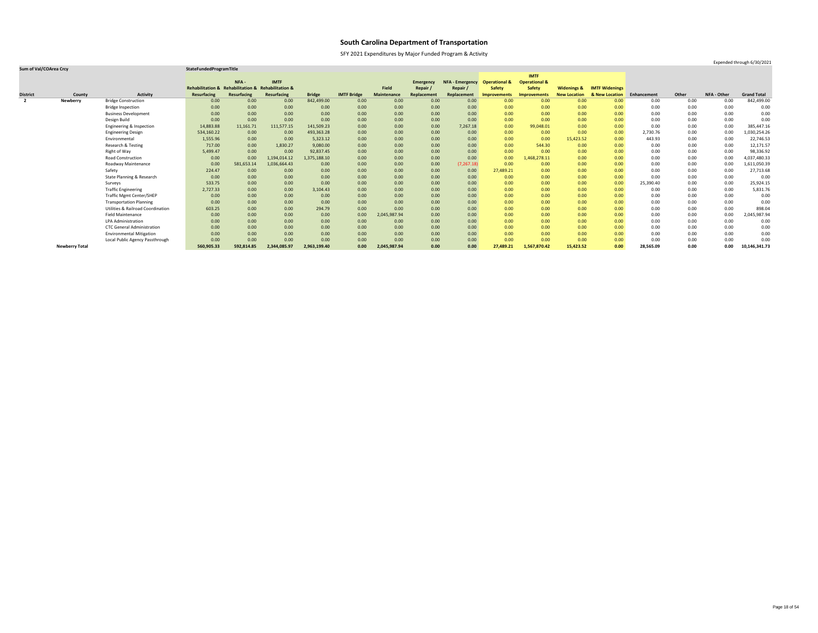SFY 2021 Expenditures by Major Funded Program & Activity

### **Sum of Val/COArea Crcy StateFundedProgramTitle**

|                         |                       |                                              |                                                    |             |              |               |                    |                    |                  |                        |                          | <b>IMTF</b>              |                        |                       |             |       |                    |                    |
|-------------------------|-----------------------|----------------------------------------------|----------------------------------------------------|-------------|--------------|---------------|--------------------|--------------------|------------------|------------------------|--------------------------|--------------------------|------------------------|-----------------------|-------------|-------|--------------------|--------------------|
|                         |                       |                                              |                                                    | NFA-        | <b>IMTF</b>  |               |                    |                    | <b>Emergency</b> | <b>NFA - Emergency</b> | <b>Operational &amp;</b> | <b>Operational &amp;</b> |                        |                       |             |       |                    |                    |
|                         |                       |                                              | Rehabilitation & Rehabilitation & Rehabilitation & |             |              |               |                    | <b>Field</b>       | Repair /         | Repair                 | <b>Safety</b>            | <b>Safety</b>            | <b>Widenings &amp;</b> | <b>IMTF Widenings</b> |             |       |                    |                    |
| <b>District</b>         | County                | <b>Activity</b>                              | <b>Resurfacing</b>                                 | Resurfacing | Resurfacing  | <b>Bridge</b> | <b>IMTF Bridge</b> | <b>Maintenance</b> | Replacement      | Replacement            | <b>Improvements</b>      | <b>Improvements</b>      | <b>New Location</b>    | & New Location        | Enhancement | Other | <b>NFA - Other</b> | <b>Grand Total</b> |
| $\overline{\mathbf{2}}$ | <b>Newberry</b>       | <b>Bridge Construction</b>                   | 0.00                                               | 0.00        | 0.00         | 842,499.00    | 0.00               | 0.00               | 0.00             | 0.00                   | 0.00                     | 0.00                     | 0.00                   | 0.00                  | 0.00        | 0.00  | 0.00               | 842,499.00         |
|                         |                       | <b>Bridge Inspection</b>                     | 0.00                                               | 0.00        | 0.00         | 0.00          | 0.00               | 0.00               | 0.00             | 0.00                   | 0.00                     | 0.00                     | 0.00                   | 0.00                  | 0.00        | 0.00  | 0.00               | 0.00               |
|                         |                       | <b>Business Development</b>                  | 0.00                                               | 0.00        | 0.00         | 0.00          | 0.00               | 0.00               | 0.00             | 0.00                   | 0.00                     | 0.00                     | 0.00                   | 0.00                  | 0.00        | 0.00  | 0.00               | 0.00               |
|                         |                       | Design Build                                 | 0.00                                               | 0.00        | 0.00         | 0.00          | 0.00               | 0.00               | 0.00             | 0.00                   | 0.00                     | 0.00                     | 0.00                   | 0.00                  | 0.00        | 0.00  | 0.00               | 0.00               |
|                         |                       | Engineering & Inspection                     | 14,883.88                                          | 11,161.71   | 111,577.15   | 141,509.23    | 0.00               | 0.00               | 0.00             | 7,267.18               | 0.00                     | 99,048.01                | 0.00                   | 0.00                  | 0.00        | 0.00  | 0.00               | 385,447.16         |
|                         |                       | <b>Engineering Design</b>                    | 534,160.22                                         | 0.00        | 0.00         | 493,363.28    | 0.00               | 0.00               | 0.00             | 0.00                   | 0.00                     | 0.00                     | 0.00                   | 0.00                  | 2,730.76    | 0.00  | 0.00               | 1,030,254.26       |
|                         |                       | Environmental                                | 1,555.96                                           | 0.00        | 0.00         | 5,323.12      | 0.00               | 0.00               | 0.00             | 0.00                   | 0.00                     | 0.00                     | 15,423.52              | 0.00                  | 443.93      | 0.00  | 0.00               | 22,746.53          |
|                         |                       | Research & Testing                           | 717.00                                             | 0.00        | 1,830.27     | 9,080.00      | 0.00               | 0.00               | 0.00             | 0.00                   | 0.00                     | 544.30                   | 0.00                   | 0.00                  | 0.00        | 0.00  | 0.00               | 12,171.57          |
|                         |                       | Right of Way                                 | 5,499.47                                           | 0.00        | 0.00         | 92,837.45     | 0.00               | 0.00               | 0.00             | 0.00                   | 0.00                     | 0.00                     | 0.00                   | 0.00 <sub>1</sub>     | 0.00        | 0.00  | 0.00               | 98,336.92          |
|                         |                       | <b>Road Construction</b>                     | 0.00                                               | 0.00        | 1,194,014.12 | 1,375,188.10  | 0.00               | 0.00               | 0.00             | 0.00                   | 0.00                     | 1,468,278.11             | 0.00                   | 0.00                  | 0.00        | 0.00  | 0.00               | 4,037,480.33       |
|                         |                       | Roadway Maintenance                          | 0.00                                               | 581,653.14  | 1,036,664.43 | 0.00          | 0.00               | 0.00               | 0.00             | (7, 267.18)            | 0.00                     | 0.00                     | 0.00                   | 0.00                  | 0.00        | 0.00  | 0.00               | 1,611,050.39       |
|                         |                       | Safety                                       | 224.47                                             | 0.00        | 0.00         | 0.00          | 0.00               | 0.00               | 0.00             | 0.00                   | 27,489.21                | 0.00                     | 0.00                   | 0.00                  | 0.00        | 0.00  | 0.00               | 27,713.68          |
|                         |                       | State Planning & Research                    | 0.00                                               | 0.00        | 0.00         | 0.00          | 0.00               | 0.00               | 0.00             | 0.00                   | 0.00                     | 0.00                     | 0.00                   | 0.00                  | 0.00        | 0.00  | 0.00               | 0.00               |
|                         |                       | Surveys                                      | 533.75                                             | 0.00        | 0.00         | 0.00          | 0.00               | 0.00               | 0.00             | 0.00                   | 0.00                     | 0.00                     | 0.00                   | 0.00                  | 25,390.40   | 0.00  | 0.00               | 25,924.15          |
|                         |                       | <b>Traffic Engineering</b>                   | 2,727.33                                           | 0.00        | 0.00         | 3,104.43      | 0.00               | 0.00               | 0.00             | 0.00                   | 0.00                     | 0.00                     | 0.00                   | 0.00                  | 0.00        | 0.00  | 0.00               | 5,831.76           |
|                         |                       | <b>Traffic Mgmt Center/SHEP</b>              | 0.00                                               | 0.00        | 0.00         | 0.00          | 0.00               | 0.00               | 0.00             | 0.00                   | 0.00                     | 0.00                     | 0.00                   | 0.00                  | 0.00        | 0.00  | 0.00               | 0.00               |
|                         |                       | <b>Transportation Planning</b>               | 0.00                                               | 0.00        | 0.00         | 0.00          | 0.00               | 0.00               | 0.00             | 0.00                   | 0.00                     | 0.00                     | 0.00                   | 0.00                  | 0.00        | 0.00  | 0.00               | 0.00               |
|                         |                       | <b>Utilities &amp; Railroad Coordination</b> | 603.25                                             | 0.00        | 0.00         | 294.79        | 0.00               | 0.00               | 0.00             | 0.00                   | 0.00                     | 0.00                     | 0.00                   | 0.00                  | 0.00        | 0.00  | 0.00               | 898.04             |
|                         |                       | <b>Field Maintenance</b>                     | 0.00                                               | 0.00        | 0.00         | 0.00          | 0.00               | 2,045,987.94       | 0.00             | 0.00                   | 0.00                     | 0.00                     | 0.00                   | 0.00                  | 0.00        | 0.00  | 0.00               | 2,045,987.94       |
|                         |                       | <b>LPA Administration</b>                    | 0.00                                               | 0.00        | 0.00         | 0.00          | 0.00               | 0.00               | 0.00             | 0.00                   | 0.00                     | 0.00                     | 0.00                   | 0.00                  | 0.00        | 0.00  | 0.00               | 0.00               |
|                         |                       | <b>CTC General Administration</b>            | 0.00                                               | 0.00        | 0.00         | 0.00          | 0.00               | 0.00               | 0.00             | 0.00                   | 0.00                     | 0.00                     | 0.00                   | 0.00                  | 0.00        | 0.00  | 0.00               | 0.00               |
|                         |                       | <b>Environmental Mitigation</b>              | 0.00                                               | 0.00        | 0.00         | 0.00          | 0.00               | 0.00               | 0.00             | 0.00                   | 0.00                     | 0.00                     | 0.00                   | 0.00                  | 0.00        | 0.00  | 0.00               | 0.00               |
|                         |                       | Local Public Agency Passthrough              | 0.00                                               | 0.00        | 0.00         | 0.00          | 0.00               | 0.00               | 0.00             | 0.00                   | 0.00                     | 0.00                     | 0.00                   | 0.00                  | 0.00        | 0.00  | 0.00               | 0.00               |
|                         | <b>Newberry Total</b> |                                              | 560,905.33                                         | 592,814.85  | 2,344,085.97 | 2,963,199.40  | 0.00               | 2,045,987.94       | 0.00             | 0.00                   | 27,489.21                | 1,567,870.42             | 15,423.52              | 0.00                  | 28,565.09   | 0.00  | 0.00               | 10,146,341.73      |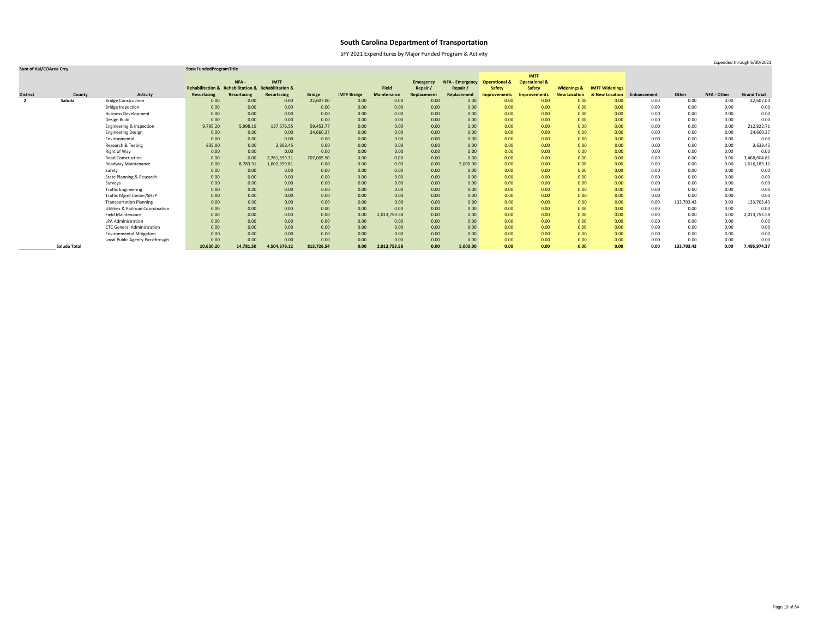SFY 2021 Expenditures by Major Funded Program & Activity

### **Sum of Val/COArea Crcy StateFundedProgramTitle**

|                         |              |                                              |                             |                                   |              |               |                    |                    |                  |                        |                          | <b>IMTF</b>              |                        |                       |             |            |                    |                    |
|-------------------------|--------------|----------------------------------------------|-----------------------------|-----------------------------------|--------------|---------------|--------------------|--------------------|------------------|------------------------|--------------------------|--------------------------|------------------------|-----------------------|-------------|------------|--------------------|--------------------|
|                         |              |                                              |                             | NFA -                             | <b>IMTF</b>  |               |                    |                    | <b>Emergency</b> | <b>NFA - Emergency</b> | <b>Operational &amp;</b> | <b>Operational &amp;</b> |                        |                       |             |            |                    |                    |
|                         |              |                                              | <b>Rehabilitation &amp;</b> | Rehabilitation & Rehabilitation & |              |               |                    | <b>Field</b>       | Repair /         | Repair                 | <b>Safety</b>            | <b>Safety</b>            | <b>Widenings &amp;</b> | <b>IMTF Widenings</b> |             |            |                    |                    |
| <b>District</b>         | County       | <b>Activity</b>                              | <b>Resurfacing</b>          | Resurfacing                       | Resurfacing  | <b>Bridge</b> | <b>IMTF Bridge</b> | <b>Maintenance</b> | Replacement      | Replacement            | <b>Improvements</b>      | <b>Improvements</b>      | <b>New Location</b>    | & New Location        | Enhancement | Other      | <b>NFA - Other</b> | <b>Grand Total</b> |
| $\overline{\mathbf{2}}$ | Saluda       | <b>Bridge Construction</b>                   | 0.00                        | 0.00                              | 0.00         | 22,607.00     | 0.00               | 0.00               | 0.00             | 0.00                   | 0.00                     | 0.00                     | 0.00                   | 0.00                  | 0.00        | 0.00       | 0.00               | 22,607.00          |
|                         |              | <b>Bridge Inspection</b>                     | 0.00                        | 0.00                              | 0.00         | 0.00          | 0.00               | 0.00               | 0.00             | 0.00                   | 0.00                     | 0.00                     | 0.00                   | 0.00                  | 0.00        | 0.00       | 0.00               | 0.00               |
|                         |              | <b>Business Development</b>                  | 0.00                        | 0.00                              | 0.00         | 0.00          | 0.00               | 0.00               | 0.00             | 0.00                   | 0.00                     | 0.00                     | 0.00                   | 0.00                  | 0.00        | 0.00       | 0.00               | 0.00               |
|                         |              | Design Build                                 | 0.00                        | 0.00                              | 0.00         | 0.00          | 0.00               | 0.00               | 0.00             | 0.00                   | 0.00                     | 0.00                     | 0.00                   | 0.00                  | 0.00        | 0.00       | 0.00               | 0.00               |
|                         |              | Engineering & Inspection                     | 9,795.20                    | 5,998.19                          | 137,576.55   | 59,453.77     | 0.00               | 0.00               | 0.00             | 0.00                   | 0.00                     | 0.00                     | 0.00                   | 0.00                  | 0.00        | 0.00       | 0.00               | 212,823.71         |
|                         |              | <b>Engineering Design</b>                    | 0.00                        | 0.00                              | 0.00         | 24,660.27     | 0.00               | 0.00               | 0.00             | 0.00                   | 0.00                     | 0.00                     | 0.00                   | 0.00 <sub>1</sub>     | 0.00        | 0.00       | 0.00               | 24,660.27          |
|                         |              | Environmental                                | 0.00                        | 0.00                              | 0.00         | 0.00          | 0.00               | 0.00               | 0.00             | 0.00                   | 0.00                     | 0.00                     | 0.00                   | 0.00                  | 0.00        | 0.00       | 0.00               | 0.00               |
|                         |              | Research & Testing                           | 835.00                      | 0.00                              | 2,803.45     | 0.00          | 0.00               | 0.00               | 0.00             | 0.00                   | 0.00                     | 0.00                     | 0.00                   | 0.00                  | 0.00        | 0.00       | 0.00               | 3,638.45           |
|                         |              | Right of Way                                 | 0.00                        | 0.00                              | 0.00         | 0.00          | 0.00               | 0.00               | 0.00             | 0.00                   | 0.00                     | 0.00                     | 0.00                   | 0.00 <sub>1</sub>     | 0.00        | 0.00       | 0.00               | 0.00               |
|                         |              | <b>Road Construction</b>                     | 0.00                        | 0.00                              | 2,761,599.31 | 707,005.50    | 0.00               | 0.00               | 0.00             | 0.00                   | 0.00                     | 0.00                     | 0.00                   | 0.00                  | 0.00        | 0.00       | 0.00               | 3,468,604.81       |
|                         |              | Roadway Maintenance                          | 0.00                        | 8,783.31                          | 1,602,399.81 | 0.00          | 0.00               | 0.00               | 0.00             | 5,000.00               | 0.00                     | 0.00                     | 0.00                   | 0.00                  | 0.00        | 0.00       | 0.00               | 1,616,183.12       |
|                         |              | Safety                                       | 0.00                        | 0.00                              | 0.00         | 0.00          | 0.00               | 0.00               | 0.00             | 0.00                   | 0.00                     | 0.00                     | 0.00                   | 0.00                  | 0.00        | 0.00       | 0.00               | 0.00               |
|                         |              | State Planning & Research                    | 0.00                        | 0.00                              | 0.00         | 0.00          | 0.00               | 0.00               | 0.00             | 0.00                   | 0.00                     | 0.00                     | 0.00                   | 0.00                  | 0.00        | 0.00       | 0.00               | 0.00               |
|                         |              | Surveys                                      | 0.00                        | 0.00                              | 0.00         | 0.00          | 0.00               | 0.00               | 0.00             | 0.00                   | 0.00                     | 0.00                     | 0.00                   | 0.00                  | 0.00        | 0.00       | 0.00               | 0.00               |
|                         |              | <b>Traffic Engineering</b>                   | 0.00                        | 0.00                              | 0.00         | 0.00          | 0.00               | 0.00               | 0.00             | 0.00                   | 0.00                     | 0.00                     | 0.00                   | 0.00 <sub>1</sub>     | 0.00        | 0.00       | 0.00               | 0.00               |
|                         |              | <b>Traffic Mgmt Center/SHEP</b>              | 0.00                        | 0.00                              | 0.00         | 0.00          | 0.00               | 0.00               | 0.00             | 0.00                   | 0.00                     | 0.00                     | 0.00                   | 0.00 <sub>1</sub>     | 0.00        | 0.00       | 0.00               | 0.00               |
|                         |              | <b>Transportation Planning</b>               | 0.00                        | 0.00                              | 0.00         | 0.00          | 0.00               | 0.00               | 0.00             | 0.00                   | 0.00                     | 0.00                     | 0.00                   | 0.00 <sub>1</sub>     | 0.00        | 133,703.43 | 0.00               | 133,703.43         |
|                         |              | <b>Utilities &amp; Railroad Coordination</b> | 0.00                        | 0.00                              | 0.00         | 0.00          | 0.00               | 0.00               | 0.00             | 0.00                   | 0.00                     | 0.00                     | 0.00                   | 0.00                  | 0.00        | $0.00\,$   | 0.00               | 0.00               |
|                         |              | <b>Field Maintenance</b>                     | 0.00                        | 0.00                              | 0.00         | 0.00          | 0.00               | 2,013,753.58       | 0.00             | 0.00                   | 0.00                     | 0.00                     | 0.00                   | 0.00                  | 0.00        | 0.00       | 0.00               | 2,013,753.58       |
|                         |              | <b>LPA Administration</b>                    | 0.00                        | 0.00                              | 0.00         | 0.00          | 0.00               | 0.00               | 0.00             | 0.00                   | 0.00                     | 0.00                     | 0.00                   | 0.00                  | 0.00        | $0.00\,$   | 0.00               | 0.00               |
|                         |              | <b>CTC General Administration</b>            | 0.00                        | 0.00                              | 0.00         | 0.00          | 0.00               | 0.00               | 0.00             | 0.00                   | 0.00                     | 0.00                     | 0.00                   | 0.00                  | 0.00        | 0.00       | 0.00               | 0.00               |
|                         |              | <b>Environmental Mitigation</b>              | 0.00                        | 0.00                              | 0.00         | 0.00          | 0.00               | 0.00               | 0.00             | 0.00                   | 0.00                     | 0.00                     | 0.00                   | 0.00                  | 0.00        | 0.00       | 0.00               | 0.00               |
|                         |              | Local Public Agency Passthrough              | 0.00                        | 0.00                              | 0.00         | 0.00          | 0.00               | 0.00               | 0.00             | 0.00                   | 0.00                     | 0.00                     | 0.00                   | 0.00                  | 0.00        | 0.00       | 0.00               | 0.00               |
|                         | Saluda Total |                                              | 10,630.20                   | 14,781.50                         | 4,504,379.12 | 813,726.54    | 0.00               | 2,013,753.58       | 0.00             | 5,000.00               | 0.00                     | 0.00                     | 0.00                   | 0.00                  | 0.00        | 133,703.43 | 0.00               | 7,495,974.37       |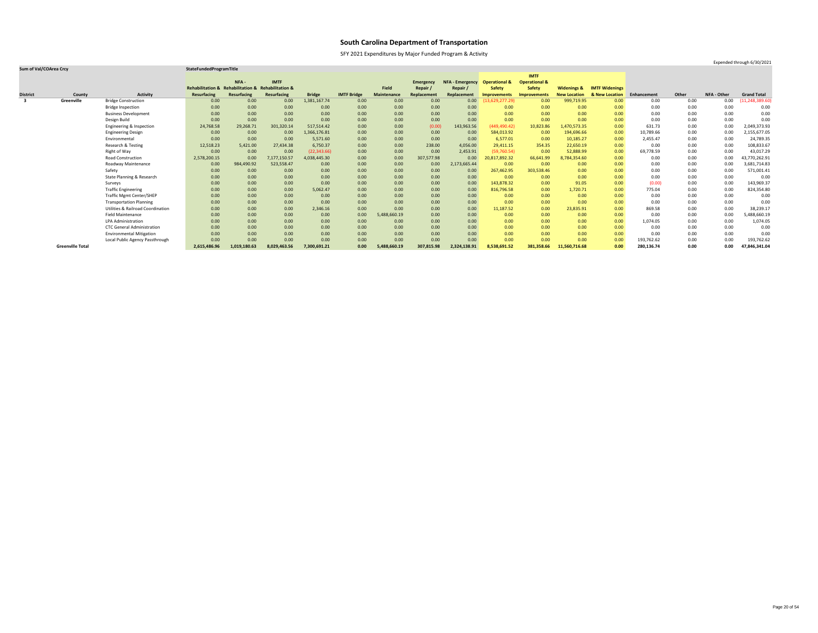SFY 2021 Expenditures by Major Funded Program & Activity

Expended through 6/30/2021

|                 |                         |                                              |                    |                                                    |              |               |                    |                    |                  |                        |                          | <b>IMTF</b>              |                        |                       |             |       |             |                    |
|-----------------|-------------------------|----------------------------------------------|--------------------|----------------------------------------------------|--------------|---------------|--------------------|--------------------|------------------|------------------------|--------------------------|--------------------------|------------------------|-----------------------|-------------|-------|-------------|--------------------|
|                 |                         |                                              |                    | NFA -                                              | <b>IMTF</b>  |               |                    |                    | <b>Emergency</b> | <b>NFA - Emergency</b> | <b>Operational &amp;</b> | <b>Operational &amp;</b> |                        |                       |             |       |             |                    |
|                 |                         |                                              |                    | Rehabilitation & Rehabilitation & Rehabilitation & |              |               |                    | <b>Field</b>       | Repair           | Repair                 | <b>Safety</b>            | <b>Safety</b>            | <b>Widenings &amp;</b> | <b>IMTF Widenings</b> |             |       |             |                    |
| <b>District</b> | County                  | <b>Activity</b>                              | <b>Resurfacing</b> | Resurfacing                                        | Resurfacing  | <b>Bridge</b> | <b>IMTF Bridge</b> | <b>Maintenance</b> | Replacement      | Replacement            | <b>Improvements</b>      | Improvements             | <b>New Location</b>    | & New Location        | Enhancement | Other | NFA - Other | <b>Grand Total</b> |
| -3              | Greenville              | <b>Bridge Construction</b>                   | 0.00               | 0.00                                               | 0.00         | 1,381,167.74  | 0.00               | 0.00               | 0.00             | 0.00                   | 13,629,277.29)           | 0.00                     | 999,719.95             | 0.00                  | 0.00        | 0.00  | 0.00        | (11, 248, 389.60)  |
|                 |                         | <b>Bridge Inspection</b>                     | 0.00               | 0.00                                               | 0.00         | 0.00          | 0.00               | 0.00               | 0.00             | 0.00                   | 0.00                     | 0.00                     | 0.00                   | 0.00                  | 0.00        | 0.00  | 0.00        | 0.00               |
|                 |                         | <b>Business Development</b>                  | 0.00               | 0.00                                               | 0.00         | 0.00          | 0.00               | 0.00               | 0.00             | 0.00                   | 0.00                     | 0.00                     | 0.00                   | 0.00                  | 0.00        | 0.00  | 0.00        | 0.00               |
|                 |                         | Design Build                                 | 0.00               | 0.00                                               | 0.00         | 0.00          | 0.00               | 0.00               | 0.00             | 0.00                   | 0.00                     | 0.00                     | 0.00                   | 0.00                  | 0.00        | 0.00  | 0.00        | 0.00               |
|                 |                         | Engineering & Inspection                     | 24,768.58          | 29,268.71                                          | 301,320.14   | 517,514.42    | 0.00               | 0.00               | (0.00)           | 143,963.56             | (449, 490.42)            | 10,823.86                | 1,470,573.35           | 0.00                  | 631.73      | 0.00  | 0.00        | 2,049,373.93       |
|                 |                         | <b>Engineering Design</b>                    | 0.00               | 0.00                                               | 0.00         | 1,366,176.81  | 0.00               | 0.00               | 0.00             | 0.00                   | 584,013.92               | 0.00                     | 194,696.66             | 0.00                  | 10,789.66   | 0.00  | 0.00        | 2,155,677.05       |
|                 |                         | Environmental                                | 0.00               | 0.00                                               | 0.00         | 5,571.60      | 0.00               | 0.00               | 0.00             | 0.00                   | 6,577.01                 | 0.00                     | 10,185.27              | 0.00                  | 2,455.47    | 0.00  | 0.00        | 24,789.35          |
|                 |                         | Research & Testing                           | 12,518.23          | 5,421.00                                           | 27,434.38    | 6,750.37      | 0.00               | 0.00               | 238.00           | 4,056.00               | 29,411.15                | 354.35                   | 22,650.19              | 0.00                  | 0.00        | 0.00  | 0.00        | 108,833.67         |
|                 |                         | Right of Way                                 | 0.00               | 0.00                                               | 0.00         | (22, 343.66)  | 0.00               | 0.00               | 0.00             | 2,453.91               | (59, 760.54)             | 0.00                     | 52,888.99              | 0.00                  | 69,778.59   | 0.00  | 0.00        | 43,017.29          |
|                 |                         | <b>Road Construction</b>                     | 2,578,200.15       | 0.00                                               | 7,177,150.57 | 4,038,445.30  | 0.00               | 0.00               | 307,577.98       | 0.00                   | 0,817,892.32             | 66,641.99                | 8,784,354.60           | 0.00                  | 0.00        | 0.00  | 0.00        | 43,770,262.91      |
|                 |                         | <b>Roadway Maintenance</b>                   | 0.00               | 984,490.92                                         | 523,558.47   | 0.00          | 0.00               | 0.00               | 0.00             | 2,173,665.44           | 0.00                     | 0.00                     | 0.00                   | 0.00                  | 0.00        | 0.00  | 0.00        | 3,681,714.83       |
|                 |                         | Safety                                       | 0.00               | 0.00                                               | 0.00         | 0.00          | 0.00               | 0.00               | 0.00             | 0.00                   | 267,462.95               | 303,538.46               | 0.00                   | 0.00                  | 0.00        | 0.00  | 0.00        | 571,001.41         |
|                 |                         | State Planning & Research                    | 0.00               | 0.00                                               | 0.00         | 0.00          | 0.00               | 0.00               | 0.00             | 0.00                   | 0.00                     | 0.00                     | 0.00                   | 0.00                  | 0.00        | 0.00  | 0.00        | 0.00               |
|                 |                         | Surveys                                      | 0.00               | 0.00                                               | 0.00         | 0.00          | 0.00               | 0.00               | 0.00             | 0.00                   | 143,878.32               | 0.00                     | 91.05                  | 0.00                  | (0.00)      | 0.00  | 0.00        | 143,969.37         |
|                 |                         | <b>Traffic Engineering</b>                   | 0.00               | 0.00                                               | 0.00         | 5,062.47      | 0.00               | 0.00               | 0.00             | 0.00                   | 816,796.58               | 0.00                     | 1,720.71               | 0.00                  | 775.04      | 0.00  | 0.00        | 824,354.80         |
|                 |                         | <b>Traffic Mgmt Center/SHEP</b>              | 0.00               | 0.00                                               | 0.00         | 0.00          | 0.00               | 0.00               | 0.00             | 0.00                   | 0.00                     | 0.00                     | 0.00                   | 0.00                  | 0.00        | 0.00  | 0.00        | 0.00               |
|                 |                         | <b>Transportation Planning</b>               | 0.00               | 0.00                                               | 0.00         | 0.00          | 0.00               | 0.00               | 0.00             | 0.00                   | 0.00                     | 0.00                     | 0.00                   | 0.00                  | 0.00        | 0.00  | 0.00        | 0.00               |
|                 |                         | <b>Utilities &amp; Railroad Coordination</b> | 0.00               | 0.00                                               | 0.00         | 2,346.16      | 0.00               | 0.00               | 0.00             | 0.00                   | 11,187.52                | 0.00                     | 23,835.91              | 0.00                  | 869.58      | 0.00  | 0.00        | 38,239.17          |
|                 |                         | <b>Field Maintenance</b>                     | 0.00               | 0.00                                               | 0.00         | 0.00          | 0.00               | 5,488,660.19       | 0.00             | 0.00                   | 0.00                     | 0.00                     | 0.00                   | 0.00                  | 0.00        | 0.00  | 0.00        | ,488,660.19        |
|                 |                         | <b>LPA Administration</b>                    | 0.00               | 0.00                                               | 0.00         | 0.00          | 0.00               | 0.00               | 0.00             | 0.00                   | 0.00                     | 0.00                     | 0.00                   | 0.00                  | 1,074.05    | 0.00  | 0.00        | 1,074.05           |
|                 |                         | <b>CTC General Administration</b>            | 0.00               | 0.00                                               | 0.00         | 0.00          | 0.00               | 0.00               | 0.00             | 0.00                   | 0.00                     | 0.00                     | 0.00                   | 0.00                  | 0.00        | 0.00  | 0.00        | 0.00               |
|                 |                         | <b>Environmental Mitigation</b>              | 0.00               | 0.00                                               | 0.00         | 0.00          | 0.00               | 0.00               | 0.00             | 0.00                   | 0.00                     | 0.00                     | 0.00                   | 0.00                  | 0.00        | 0.00  | 0.00        | 0.00               |
|                 |                         | Local Public Agency Passthrough              | 0.00               | 0.00                                               | 0.00         | 0.00          | 0.00               | 0.00               | 0.00             | 0.00                   | 0.00                     | 0.00                     | 0.00                   | 0.00                  | 193,762.62  | 0.00  | 0.00        | 193,762.62         |
|                 | <b>Greenville Total</b> |                                              | 2,615,486.96       | 1,019,180.63                                       | 8,029,463.56 | 7,300,691.21  | 0.00               | 5,488,660.19       | 307,815.98       | 2,324,138.91           | 8,538,691.52             | 381,358.66               | 11,560,716.68          | 0.00                  | 280,136.74  | 0.00  | 0.00        | 47,846,341.04      |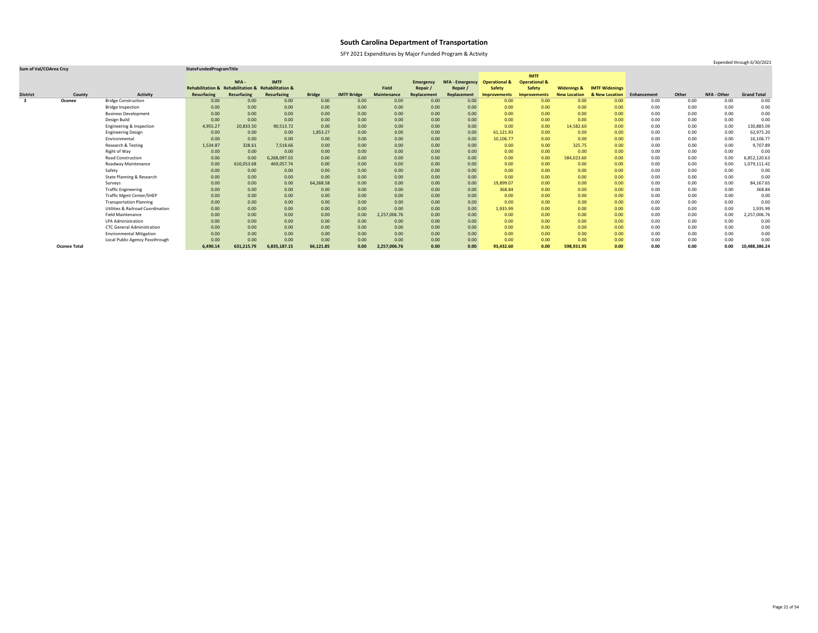SFY 2021 Expenditures by Major Funded Program & Activity

|                         |                     |                                              |                                                    |                   |              |               |                    |              |                  |                        |                          | <b>IMTF</b>              |                        |                       |             |       |                    |                    |
|-------------------------|---------------------|----------------------------------------------|----------------------------------------------------|-------------------|--------------|---------------|--------------------|--------------|------------------|------------------------|--------------------------|--------------------------|------------------------|-----------------------|-------------|-------|--------------------|--------------------|
|                         |                     |                                              |                                                    | NFA-              | <b>IMTF</b>  |               |                    |              | <b>Emergency</b> | <b>NFA - Emergency</b> | <b>Operational &amp;</b> | <b>Operational &amp;</b> |                        |                       |             |       |                    |                    |
|                         |                     |                                              | Rehabilitation & Rehabilitation & Rehabilitation & |                   |              |               |                    | <b>Field</b> | Repair           | Repair /               | <b>Safety</b>            | <b>Safety</b>            | <b>Widenings &amp;</b> | <b>IMTF Widenings</b> |             |       |                    |                    |
| <b>District</b>         | County              | <b>Activity</b>                              | <b>Resurfacing</b>                                 | Resurfacing       | Resurfacing  | <b>Bridge</b> | <b>IMTF Bridge</b> | Maintenance  | Replacement      | Replacement            | <b>Improvements</b>      | <b>Improvements</b>      | <b>New Location</b>    | & New Location        | Enhancement | Other | <b>NFA - Other</b> | <b>Grand Total</b> |
| $\overline{\mathbf{3}}$ | <b>Oconee</b>       | <b>Bridge Construction</b>                   | 0.00                                               | 0.00              | 0.00         | 0.00          | 0.00               | 0.00         | 0.00             | 0.00                   | 0.00                     | 0.00                     | 0.00                   | 0.00 <sub>1</sub>     | 0.00        | 0.00  | 0.00               | 0.00               |
|                         |                     | <b>Bridge Inspection</b>                     | 0.00                                               | 0.00              | 0.00         | 0.00          | 0.00               | 0.00         | 0.00             | 0.00                   | 0.00                     | 0.00                     | 0.00                   | 0.00                  | 0.00        | 0.00  | 0.00               | 0.00               |
|                         |                     | <b>Business Development</b>                  | 0.00                                               | 0.00              | 0.00         | 0.00          | 0.00               | 0.00         | 0.00             | 0.00                   | 0.00                     | 0.00                     | 0.00                   | 0.00                  | 0.00        | 0.00  | 0.00               | 0.00               |
|                         |                     | Design Build                                 | 0.00                                               | 0.00              | 0.00         | 0.00          | 0.00               | 0.00         | 0.00             | 0.00                   | 0.00                     | 0.00                     | 0.00                   | 0.00                  | 0.00        | 0.00  | 0.00               | 0.00               |
|                         |                     | Engineering & Inspection                     | 4,955.27                                           | 20,833.50         | 90,513.72    | 0.00          | 0.00               | 0.00         | 0.00             | 0.00                   | 0.00                     | 0.00                     | 14,582.60              | 0.00                  | 0.00        | 0.00  | 0.00               | 130,885.09         |
|                         |                     | <b>Engineering Design</b>                    | 0.00                                               | 0.00 <sub>1</sub> | 0.00         | 1,853.27      | 0.00               | 0.00         | 0.00             | 0.00                   | 61,121.93                | 0.00                     | 0.00                   | 0.00                  | 0.00        | 0.00  | 0.00               | 62,975.20          |
|                         |                     | Environmental                                | 0.00                                               | 0.00              | 0.00         | 0.00          | 0.00               | 0.00         | 0.00             | 0.00                   | 10,106.77                | 0.00                     | 0.00                   | 0.00                  | 0.00        | 0.00  | 0.00               | 10,106.77          |
|                         |                     | Research & Testing                           | 1,534.87                                           | 328.61            | 7,518.66     | 0.00          | 0.00               | 0.00         | 0.00             | 0.00                   | 0.00                     | 0.00                     | 325.75                 | 0.00                  | 0.00        | 0.00  | 0.00               | 9,707.89           |
|                         |                     | Right of Way                                 | 0.00                                               | 0.00              | 0.00         | 0.00          | 0.00               | 0.00         | 0.00             | 0.00                   | 0.00                     | 0.00                     | 0.00                   | 0.00                  | 0.00        | 0.00  | 0.00               | 0.00               |
|                         |                     | <b>Road Construction</b>                     | 0.00                                               | 0.00              | 6,268,097.03 | 0.00          | 0.00               | 0.00         | 0.00             | 0.00 <sub>1</sub>      | 0.00                     | 0.00                     | 584,023.60             | 0.00                  | 0.00        | 0.00  | 0.00               | 6,852,120.63       |
|                         |                     | <b>Roadway Maintenance</b>                   | 0.00                                               | 610,053.68        | 469,057.74   | 0.00          | 0.00               | 0.00         | 0.00             | 0.00                   | 0.00                     | 0.00                     | 0.00                   | 0.00                  | 0.00        | 0.00  | 0.00               | 1,079,111.42       |
|                         |                     | Safety                                       | 0.00                                               | 0.00 <sub>1</sub> | 0.00         | 0.00          | 0.00               | 0.00         | 0.00             | 0.00                   | 0.00                     | 0.00                     | 0.00                   | 0.00                  | 0.00        | 0.00  | 0.00               | 0.00               |
|                         |                     | State Planning & Research                    | 0.00                                               | 0.00              | 0.00         | 0.00          | 0.00               | 0.00         | 0.00             | 0.00                   | 0.00                     | 0.00                     | 0.00                   | 0.00                  | 0.00        | 0.00  | 0.00               | 0.00               |
|                         |                     | Surveys                                      | 0.00                                               | 0.00 <sub>1</sub> | 0.00         | 64,268.58     | 0.00               | 0.00         | 0.00             | 0.00                   | 19,899.07                | 0.00                     | 0.00                   | 0.00                  | 0.00        | 0.00  | 0.00               | 84,167.65          |
|                         |                     | <b>Traffic Engineering</b>                   | 0.00                                               | 0.00              | 0.00         | 0.00          | 0.00               | 0.00         | 0.00             | 0.00                   | 368.84                   | 0.00                     | 0.00                   | 0.00                  | 0.00        | 0.00  | 0.00               | 368.84             |
|                         |                     | <b>Traffic Mgmt Center/SHEP</b>              | 0.00                                               | 0.00              | 0.00         | 0.00          | 0.00               | 0.00         | 0.00             | 0.00                   | 0.00                     | 0.00                     | 0.00                   | 0.00                  | 0.00        | 0.00  | 0.00               | 0.00               |
|                         |                     | <b>Transportation Planning</b>               | 0.00                                               | 0.00              | 0.00         | 0.00          | 0.00               | 0.00         | 0.00             | 0.00                   | 0.00                     | 0.00                     | 0.00                   | 0.00                  | 0.00        | 0.00  | 0.00               | 0.00               |
|                         |                     | <b>Utilities &amp; Railroad Coordination</b> | 0.00                                               | 0.00              | 0.00         | 0.00          | 0.00               | 0.00         | 0.00             | 0.00                   | 1,935.99                 | 0.00                     | 0.00                   | 0.00                  | 0.00        | 0.00  | 0.00               | 1,935.99           |
|                         |                     | <b>Field Maintenance</b>                     | 0.00                                               | 0.00              | 0.00         | 0.00          | 0.00               | 2,257,006.76 | 0.00             | 0.00                   | 0.00                     | 0.00                     | 0.00                   | 0.00                  | 0.00        | 0.00  | 0.00               | 2,257,006.76       |
|                         |                     | <b>LPA Administration</b>                    | 0.00                                               | 0.00              | 0.00         | 0.00          | 0.00               | 0.00         | 0.00             | 0.00                   | 0.00                     | 0.00                     | 0.00                   | 0.00                  | 0.00        | 0.00  | 0.00               | 0.00               |
|                         |                     | <b>CTC General Administration</b>            | 0.00                                               | 0.00              | 0.00         | 0.00          | 0.00               | 0.00         | 0.00             | 0.00                   | 0.00                     | 0.00                     | 0.00                   | 0.00                  | 0.00        | 0.00  | 0.00               | 0.00               |
|                         |                     | <b>Environmental Mitigation</b>              | 0.00                                               | 0.00              | 0.00         | 0.00          | 0.00               | 0.00         | 0.00             | 0.00                   | 0.00                     | 0.00                     | 0.00                   | 0.00                  | 0.00        | 0.00  | 0.00               | 0.00               |
|                         |                     | Local Public Agency Passthrough              | 0.00                                               | 0.00              | 0.00         | 0.00          | 0.00               | 0.00         | 0.00             | 0.00                   | 0.00                     | 0.00                     | 0.00                   | 0.00                  | 0.00        | 0.00  | 0.00               | 0.00               |
|                         | <b>Oconee Total</b> |                                              | 6,490.14                                           | 631,215.79        | 6,835,187.15 | 66,121.85     | 0.00               | 2,257,006.76 | 0.00             | 0.00                   | 93,432.60                | 0.00                     | 598,931.95             | 0.00                  | 0.00        | 0.00  | 0.00               | 10,488,386.24      |

Expended through 6/30/2021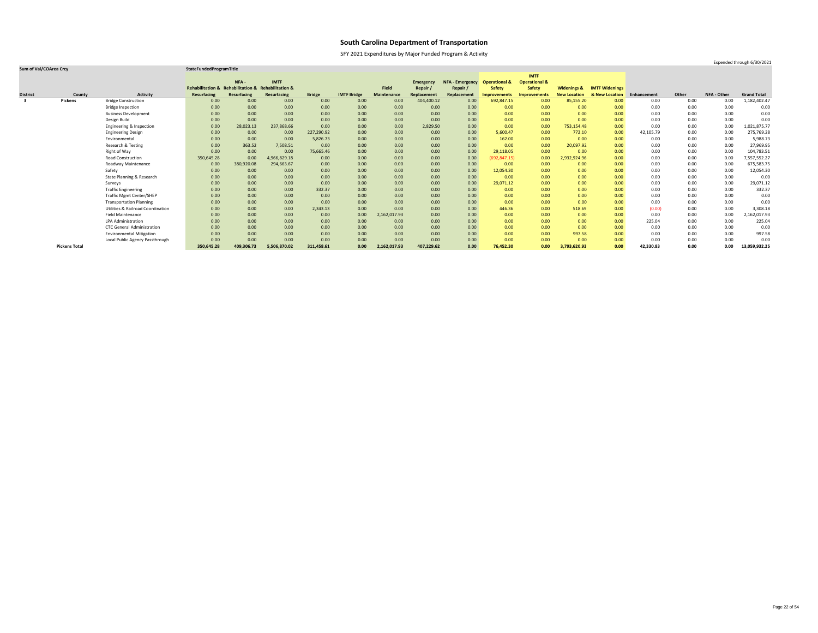SFY 2021 Expenditures by Major Funded Program & Activity

### **Sum of Val/COArea Crcy StateFundedProgramTitle**

|                         |                      |                                              |                                                    |                   |              |               |                    |              |                  |                        |                          | <b>IMTF</b>              |                        |                       |             |       |             |                    |
|-------------------------|----------------------|----------------------------------------------|----------------------------------------------------|-------------------|--------------|---------------|--------------------|--------------|------------------|------------------------|--------------------------|--------------------------|------------------------|-----------------------|-------------|-------|-------------|--------------------|
|                         |                      |                                              |                                                    | NFA-              | <b>IMTF</b>  |               |                    |              | <b>Emergency</b> | <b>NFA - Emergency</b> | <b>Operational &amp;</b> | <b>Operational &amp;</b> |                        |                       |             |       |             |                    |
|                         |                      |                                              | Rehabilitation & Rehabilitation & Rehabilitation & |                   |              |               |                    | <b>Field</b> | Repair           | Repair /               | <b>Safety</b>            | <b>Safety</b>            | <b>Widenings &amp;</b> | <b>IMTF Widenings</b> |             |       |             |                    |
| <b>District</b>         | County               | <b>Activity</b>                              | <b>Resurfacing</b>                                 | Resurfacing       | Resurfacing  | <b>Bridge</b> | <b>IMTF Bridge</b> | Maintenance  | Replacement      | Replacement            | <b>Improvements</b>      | <b>Improvements</b>      | <b>New Location</b>    | & New Location        | Enhancement | Other | NFA - Other | <b>Grand Total</b> |
| $\overline{\mathbf{3}}$ | <b>Pickens</b>       | <b>Bridge Construction</b>                   | 0.00                                               | 0.00              | 0.00         | 0.00          | 0.00               | 0.00         | 404,400.12       | 0.00                   | 692,847.15               | 0.00                     | 85,155.20              | 0.00                  | 0.00        | 0.00  | 0.00        | 1,182,402.47       |
|                         |                      | <b>Bridge Inspection</b>                     | 0.00                                               | 0.00              | 0.00         | 0.00          | 0.00               | 0.00         | 0.00             | 0.00                   | 0.00                     | 0.00                     | 0.00                   | 0.00                  | 0.00        | 0.00  | 0.00        | 0.00               |
|                         |                      | <b>Business Development</b>                  | 0.00                                               | 0.00              | 0.00         | 0.00          | 0.00               | 0.00         | 0.00             | 0.00                   | 0.00                     | 0.00                     | 0.00                   | 0.00                  | 0.00        | 0.00  | 0.00        | 0.00               |
|                         |                      | Design Build                                 | 0.00                                               | 0.00              | 0.00         | 0.00          | 0.00               | 0.00         | 0.00             | 0.00                   | 0.00                     | 0.00                     | 0.00                   | 0.00                  | 0.00        | 0.00  | 0.00        | 0.00               |
|                         |                      | Engineering & Inspection                     | 0.00                                               | 28,023.13         | 237,868.66   | 0.00          | 0.00               | 0.00         | 2,829.50         | 0.00                   | 0.00                     | 0.00                     | 753,154.48             | 0.00                  | 0.00        | 0.00  | 0.00        | 1,021,875.77       |
|                         |                      | <b>Engineering Design</b>                    | 0.00                                               | 0.00              | 0.00         | 227,290.92    | 0.00               | 0.00         | 0.00             | 0.00                   | 5,600.47                 | 0.00                     | 772.10                 | 0.00                  | 42,105.79   | 0.00  | 0.00        | 275,769.28         |
|                         |                      | Environmental                                | 0.00                                               | 0.00              | 0.00         | 5,826.73      | 0.00               | 0.00         | 0.00             | 0.00                   | 162.00                   | 0.00                     | 0.00                   | 0.00                  | 0.00        | 0.00  | 0.00        | 5,988.73           |
|                         |                      | Research & Testing                           | 0.00                                               | 363.52            | 7,508.51     | 0.00          | 0.00               | 0.00         | 0.00             | 0.00                   | 0.00                     | 0.00                     | 20,097.92              | 0.00                  | 0.00        | 0.00  | 0.00        | 27,969.95          |
|                         |                      | Right of Way                                 | 0.00                                               | 0.00              | 0.00         | 75,665.46     | 0.00               | 0.00         | 0.00             | 0.00                   | 29,118.05                | 0.00                     | 0.00                   | 0.00                  | 0.00        | 0.00  | 0.00        | 104,783.51         |
|                         |                      | <b>Road Construction</b>                     | 350,645.28                                         | 0.00              | 4,966,829.18 | 0.00          | 0.00               | 0.00         | 0.00             | 0.00                   | (692, 847.15)            | 0.00                     | 2,932,924.96           | 0.00                  | 0.00        | 0.00  | 0.00        | 7,557,552.27       |
|                         |                      | Roadway Maintenance                          | 0.00                                               | 380,920.08        | 294,663.67   | 0.00          | 0.00               | 0.00         | 0.00             | 0.00                   | 0.00                     | 0.00                     | 0.00                   | 0.00                  | 0.00        | 0.00  | 0.00        | 675,583.75         |
|                         |                      | Safety                                       | 0.00                                               | 0.00              | 0.00         | 0.00          | 0.00               | 0.00         | 0.00             | 0.00                   | 12,054.30                | 0.00                     | 0.00                   | 0.00                  | 0.00        | 0.00  | 0.00        | 12,054.30          |
|                         |                      | State Planning & Research                    | 0.00                                               | 0.00              | 0.00         | 0.00          | 0.00               | 0.00         | 0.00             | 0.00                   | 0.00                     | 0.00                     | 0.00                   | 0.00                  | 0.00        | 0.00  | 0.00        | 0.00               |
|                         |                      | Surveys                                      | 0.00                                               | 0.00 <sub>1</sub> | 0.00         | 0.00          | 0.00               | 0.00         | 0.00             | 0.00                   | 29,071.12                | 0.00                     | 0.00                   | 0.00                  | 0.00        | 0.00  | 0.00        | 29,071.12          |
|                         |                      | <b>Traffic Engineering</b>                   | 0.00                                               | 0.00              | 0.00         | 332.37        | 0.00               | 0.00         | 0.00             | 0.00                   | 0.00                     | 0.00                     | 0.00                   | 0.00                  | 0.00        | 0.00  | 0.00        | 332.37             |
|                         |                      | <b>Traffic Mgmt Center/SHEP</b>              | 0.00                                               | 0.00 <sub>1</sub> | 0.00         | 0.00          | 0.00               | 0.00         | 0.00             | 0.00                   | 0.00                     | 0.00                     | 0.00                   | 0.00                  | 0.00        | 0.00  | 0.00        | 0.00               |
|                         |                      | <b>Transportation Planning</b>               | 0.00                                               | 0.00 <sub>1</sub> | 0.00         | 0.00          | 0.00               | 0.00         | 0.00             | 0.00                   | 0.00                     | 0.00                     | 0.00                   | 0.00                  | 0.00        | 0.00  | 0.00        | 0.00               |
|                         |                      | <b>Utilities &amp; Railroad Coordination</b> | 0.00                                               | 0.00              | 0.00         | 2,343.13      | 0.00               | 0.00         | 0.00             | 0.00                   | 446.36                   | 0.00                     | 518.69                 | 0.00                  | (0.00)      | 0.00  | 0.00        | 3,308.18           |
|                         |                      | <b>Field Maintenance</b>                     | 0.00                                               | 0.00              | 0.00         | 0.00          | 0.00               | 2,162,017.93 | 0.00             | 0.00                   | 0.00                     | 0.00                     | 0.00                   | 0.00                  | 0.00        | 0.00  | 0.00        | 2,162,017.93       |
|                         |                      | LPA Administration                           | 0.00                                               | 0.00              | 0.00         | 0.00          | 0.00               | 0.00         | 0.00             | 0.00                   | 0.00                     | 0.00                     | 0.00                   | 0.00                  | 225.04      | 0.00  | 0.00        | 225.04             |
|                         |                      | <b>CTC General Administration</b>            | 0.00                                               | 0.00              | 0.00         | 0.00          | 0.00               | 0.00         | 0.00             | 0.00                   | 0.00                     | 0.00                     | 0.00                   | 0.00                  | 0.00        | 0.00  | 0.00        | 0.00               |
|                         |                      | <b>Environmental Mitigation</b>              | 0.00                                               | 0.00              | 0.00         | 0.00          | 0.00               | 0.00         | 0.00             | 0.00                   | 0.00                     | 0.00                     | 997.58                 | 0.00                  | 0.00        | 0.00  | 0.00        | 997.58             |
|                         |                      | Local Public Agency Passthrough              | 0.00                                               | 0.00              | 0.00         | 0.00          | 0.00               | 0.00         | 0.00             | 0.00                   | 0.00                     | 0.00                     | 0.00                   | 0.00                  | 0.00        | 0.00  | 0.00        | 0.00               |
|                         | <b>Pickens Total</b> |                                              | 350,645.28                                         | 409,306.73        | 5,506,870.02 | 311,458.61    | 0.00               | 2,162,017.93 | 407,229.62       | 0.00                   | 76,452.30                | 0.00                     | 3,793,620.93           | 0.00                  | 42,330.83   | 0.00  | 0.00        | 13,059,932.25      |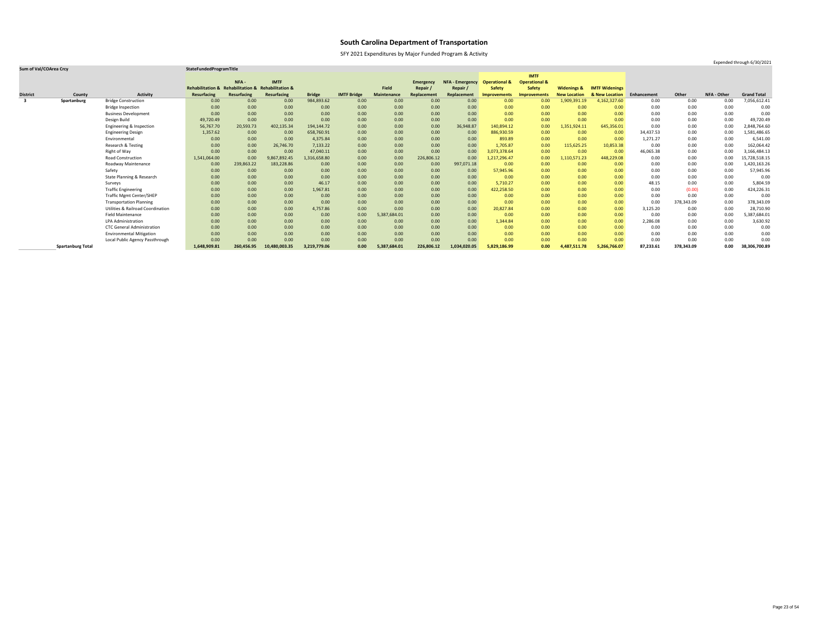SFY 2021 Expenditures by Major Funded Program & Activity

### **Sum of Val/COArea Crcy StateFundedProgramTitle**

|                 |                          |                                              |                                                    |             |               |               |                    |                    |                  |                        |                          | <b>IMTF</b>              |                        |                       |             |            |             |                    |
|-----------------|--------------------------|----------------------------------------------|----------------------------------------------------|-------------|---------------|---------------|--------------------|--------------------|------------------|------------------------|--------------------------|--------------------------|------------------------|-----------------------|-------------|------------|-------------|--------------------|
|                 |                          |                                              |                                                    | NFA-        | <b>IMTF</b>   |               |                    |                    | <b>Emergency</b> | <b>NFA - Emergency</b> | <b>Operational &amp;</b> | <b>Operational &amp;</b> |                        |                       |             |            |             |                    |
|                 |                          |                                              | Rehabilitation & Rehabilitation & Rehabilitation & |             |               |               |                    | <b>Field</b>       | Repair           | Repair,                | <b>Safety</b>            | <b>Safety</b>            | <b>Widenings &amp;</b> | <b>IMTF Widenings</b> |             |            |             |                    |
| <b>District</b> | County                   | <b>Activity</b>                              | <b>Resurfacing</b>                                 | Resurfacing | Resurfacing   | <b>Bridge</b> | <b>IMTF Bridge</b> | <b>Maintenance</b> | Replacement      | Replacement            | <b>Improvements</b>      | Improvements             | <b>New Location</b>    | & New Location        | Enhancement | Other      | NFA - Other | <b>Grand Total</b> |
| -3              | Spartanburg              | <b>Bridge Construction</b>                   | 0.00                                               | 0.00        | 0.00          | 984,893.62    | 0.00               | 0.00               | 0.00             | 0.00                   | 0.00                     | 0.00                     | 1,909,391.19           | 4,162,327.60          | 0.00        | 0.00       | 0.00        | 7,056,612.41       |
|                 |                          | <b>Bridge Inspection</b>                     | 0.00                                               | 0.00        | 0.00          | 0.00          | 0.00               | 0.00               | 0.00             | 0.00                   | 0.00                     | 0.00                     | 0.00                   | 0.00                  | 0.00        | 0.00       | 0.00        | 0.00               |
|                 |                          | <b>Business Development</b>                  | 0.00                                               | 0.00        | 0.00          | 0.00          | 0.00               | 0.00               | 0.00             | 0.00                   | 0.00                     | 0.00                     | 0.00                   | 0.00                  | 0.00        | 0.00       | 0.00        | 0.00               |
|                 |                          | Design Build                                 | 49,720.49                                          | 0.00        | 0.00          | 0.00          | 0.00               | 0.00               | 0.00             | 0.00                   | 0.00                     | 0.00                     | 0.00                   | 0.00                  | 0.00        | 0.00       | 0.00        | 49,720.49          |
|                 |                          | Engineering & Inspection                     | 56,767.70                                          | 20,593.73   | 402,135.34    | 194,144.72    | 0.00               | 0.00               | 0.00             | 36,948.87              | 140,894.12               | 0.00                     | 1,351,924.11           | 645,356.01            | 0.00        | 0.00       | 0.00        | 2,848,764.60       |
|                 |                          | <b>Engineering Design</b>                    | 1,357.62                                           | 0.00        | 0.00          | 658,760.91    | 0.00               | 0.00               | 0.00             | 0.00                   | 886,930.59               | 0.00                     | 0.00                   | 0.00                  | 34,437.53   | 0.00       | 0.00        | 1,581,486.65       |
|                 |                          | Environmental                                | 0.00                                               | 0.00        | 0.00          | 4,375.84      | 0.00               | 0.00               | 0.00             | 0.00                   | 893.89                   | 0.00                     | 0.00                   | 0.00                  | 1,271.27    | 0.00       | 0.00        | 6,541.00           |
|                 |                          | Research & Testing                           | 0.00                                               | 0.00        | 26,746.70     | 7,133.22      | 0.00               | 0.00               | 0.00             | 0.00                   | 1,705.87                 | 0.00                     | 115,625.25             | 10,853.38             | 0.00        | 0.00       | 0.00        | 162,064.42         |
|                 |                          | Right of Way                                 | 0.00                                               | 0.00        | 0.00          | 47,040.11     | 0.00               | 0.00               | 0.00             | 0.00                   | 3,073,378.64             | 0.00                     | 0.00                   | 0.00                  | 46,065.38   | 0.00       | 0.00        | 3,166,484.13       |
|                 |                          | <b>Road Construction</b>                     | 1,541,064.00                                       | 0.00        | 9,867,892.45  | 1,316,658.80  | 0.00               | 0.00               | 226,806.12       | 0.00                   | 1,217,296.47             | 0.00                     | 1,110,571.23           | 448,229.08            | 0.00        | 0.00       | 0.00        | 15,728,518.15      |
|                 |                          | Roadway Maintenance                          | 0.00                                               | 239,863.22  | 183,228.86    | 0.00          | 0.00               | 0.00               | 0.00             | 997,071.18             | 0.00                     | 0.00                     | 0.00                   | 0.00                  | 0.00        | 0.00       | 0.00        | 1,420,163.26       |
|                 |                          | Safety                                       | 0.00                                               | 0.00        | 0.00          | 0.00          | 0.00               | 0.00               | 0.00             | 0.00                   | 57,945.96                | 0.00                     | 0.00                   | 0.00                  | 0.00        | 0.00       | 0.00        | 57,945.96          |
|                 |                          | State Planning & Research                    | 0.00                                               | 0.00        | 0.00          | 0.00          | 0.00               | 0.00               | 0.00             | 0.00                   | 0.00                     | 0.00                     | 0.00                   | 0.00                  | 0.00        | 0.00       | 0.00        | 0.00               |
|                 |                          | Surveys                                      | 0.00                                               | 0.00        | 0.00          | 46.17         | 0.00               | 0.00               | 0.00             | 0.00                   | 5,710.27                 | 0.00                     | 0.00                   | 0.00                  | 48.15       | 0.00       | 0.00        | 5,804.59           |
|                 |                          | <b>Traffic Engineering</b>                   | 0.00                                               | 0.00        | 0.00          | 1,967.81      | 0.00               | 0.00               | 0.00             | 0.00                   | 422,258.50               | 0.00                     | 0.00                   | 0.00                  | 0.00        | (0.00)     | 0.00        | 424,226.31         |
|                 |                          | <b>Traffic Mgmt Center/SHEP</b>              | 0.00                                               | 0.00        | 0.00          | 0.00          | 0.00               | 0.00               | 0.00             | 0.00                   | 0.00                     | 0.00                     | 0.00                   | 0.00 <sub>1</sub>     | 0.00        | 0.00       | 0.00        | 0.00               |
|                 |                          | <b>Transportation Planning</b>               | 0.00                                               | 0.00        | 0.00          | 0.00          | 0.00               | 0.00               | 0.00             | 0.00                   | 0.00                     | 0.00                     | 0.00                   | 0.00                  | 0.00        | 378,343.09 | 0.00        | 378,343.09         |
|                 |                          | <b>Utilities &amp; Railroad Coordination</b> | 0.00                                               | 0.00        | 0.00          | 4,757.86      | 0.00               | 0.00               | 0.00             | 0.00                   | 20,827.84                | 0.00                     | 0.00                   | 0.00                  | 3,125.20    | 0.00       | 0.00        | 28,710.90          |
|                 |                          | <b>Field Maintenance</b>                     | 0.00                                               | 0.00        | 0.00          | 0.00          | 0.00               | 5,387,684.01       | 0.00             | 0.00                   | 0.00                     | 0.00                     | 0.00                   | 0.00                  | 0.00        | 0.00       | 0.00        | 5,387,684.01       |
|                 |                          | <b>LPA Administration</b>                    | 0.00                                               | 0.00        | 0.00          | 0.00          | 0.00               | 0.00               | 0.00             | 0.00                   | 1,344.84                 | 0.00                     | 0.00                   | 0.00                  | 2,286.08    | 0.00       | 0.00        | 3,630.92           |
|                 |                          | <b>CTC General Administration</b>            | 0.00                                               | 0.00        | 0.00          | 0.00          | 0.00               | 0.00               | 0.00             | 0.00                   | 0.00                     | 0.00                     | 0.00                   | 0.00                  | 0.00        | 0.00       | 0.00        | 0.00               |
|                 |                          | <b>Environmental Mitigation</b>              | 0.00                                               | 0.00        | 0.00          | 0.00          | 0.00               | 0.00               | 0.00             | 0.00                   | 0.00                     | 0.00                     | 0.00                   | 0.00 <sub>1</sub>     | 0.00        | 0.00       | 0.00        | 0.00               |
|                 |                          | Local Public Agency Passthrough              | 0.00                                               | 0.00        | 0.00          | 0.00          | 0.00               | 0.00               | 0.00             | 0.00                   | 0.00                     | 0.00                     | 0.00                   | 0.00 <sub>1</sub>     | 0.00        | 0.00       | 0.00        | 0.00               |
|                 | <b>Spartanburg Total</b> |                                              | 1,648,909.81                                       | 260,456.95  | 10,480,003.35 | 3,219,779.06  | 0.00               | 5,387,684.01       | 226,806.12       | 1,034,020.05           | 5,829,186.99             | 0.00                     | 4,487,511.78           | 5,266,766.07          | 87,233.61   | 378,343.09 | 0.00        | 38,306,700.89      |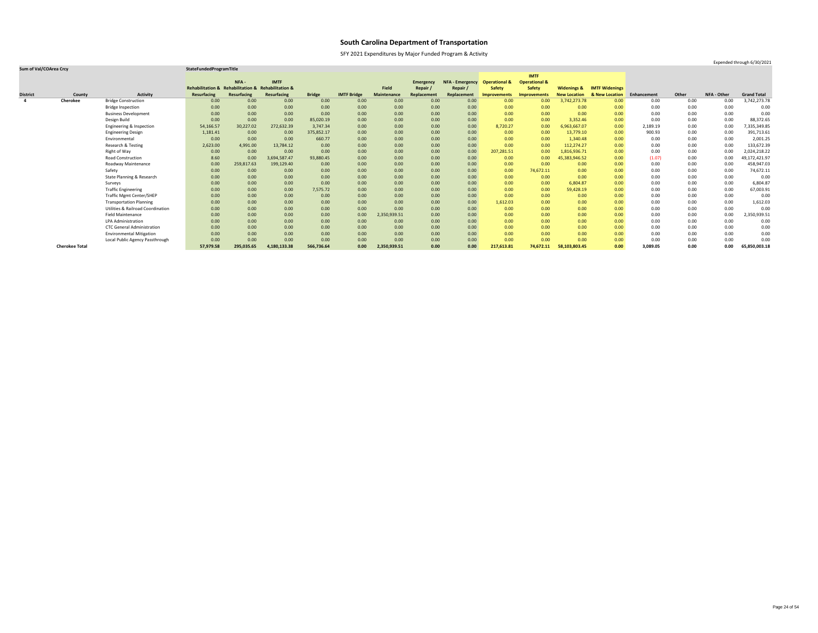SFY 2021 Expenditures by Major Funded Program & Activity

### **Sum of Val/COArea Crcy StateFundedProgramTitle**

|                 |                       |                                              |                                                    |             |              |               |                    |                    |                  |                        |                          | <b>IMTF</b>              |                        |                       |             |       |             |                    |
|-----------------|-----------------------|----------------------------------------------|----------------------------------------------------|-------------|--------------|---------------|--------------------|--------------------|------------------|------------------------|--------------------------|--------------------------|------------------------|-----------------------|-------------|-------|-------------|--------------------|
|                 |                       |                                              |                                                    | NFA-        | <b>IMTF</b>  |               |                    |                    | <b>Emergency</b> | <b>NFA - Emergency</b> | <b>Operational &amp;</b> | <b>Operational &amp;</b> |                        |                       |             |       |             |                    |
|                 |                       |                                              | Rehabilitation & Rehabilitation & Rehabilitation & |             |              |               |                    | Field              | Repair /         | Repair                 | <b>Safety</b>            | <b>Safety</b>            | <b>Widenings &amp;</b> | <b>IMTF Widenings</b> |             |       |             |                    |
| <b>District</b> | County                | <b>Activity</b>                              | <b>Resurfacing</b>                                 | Resurfacing | Resurfacing  | <b>Bridge</b> | <b>IMTF Bridge</b> | <b>Maintenance</b> | Replacement      | Replacement            | <b>Improvements</b>      | <b>Improvements</b>      | <b>New Location</b>    | & New Location        | Enhancement | Other | NFA - Other | <b>Grand Total</b> |
| 4               | <b>Cherokee</b>       | <b>Bridge Construction</b>                   | 0.00                                               | 0.00        | 0.00         | 0.00          | 0.00               | 0.00               | 0.00             | 0.00                   | 0.00                     | 0.00                     | 3,742,273.78           | 0.00                  | 0.00        | 0.00  | 0.00        | 3,742,273.78       |
|                 |                       | <b>Bridge Inspection</b>                     | 0.00                                               | 0.00        | 0.00         | 0.00          | 0.00               | 0.00               | 0.00             | 0.00                   | 0.00                     | 0.00                     | 0.00                   | 0.00                  | 0.00        | 0.00  | 0.00        | 0.00               |
|                 |                       | <b>Business Development</b>                  | 0.00                                               | 0.00        | 0.00         | 0.00          | 0.00               | 0.00               | 0.00             | 0.00                   | 0.00                     | 0.00                     | 0.00                   | 0.00 <sub>1</sub>     | 0.00        | 0.00  | 0.00        | 0.00               |
|                 |                       | Design Build                                 | 0.00                                               | 0.00        | 0.00         | 85,020.19     | 0.00               | 0.00               | 0.00             | 0.00                   | 0.00                     | 0.00                     | 3,352.46               | 0.00                  | 0.00        | 0.00  | 0.00        | 88,372.65          |
|                 |                       | Engineering & Inspection                     | 54,166.57                                          | 30,227.02   | 272,632.39   | 3,747.34      | 0.00               | 0.00               | 0.00             | 0.00                   | 8,720.27                 | 0.00                     | 6,963,667.07           | 0.00                  | 2,189.19    | 0.00  | 0.00        | 7,335,349.85       |
|                 |                       | <b>Engineering Design</b>                    | 1,181.41                                           | 0.00        | 0.00         | 375,852.17    | 0.00               | 0.00               | 0.00             | 0.00                   | 0.00                     | 0.00                     | 13,779.10              | 0.00                  | 900.93      | 0.00  | 0.00        | 391,713.61         |
|                 |                       | Environmental                                | 0.00                                               | 0.00        | 0.00         | 660.77        | 0.00               | 0.00               | 0.00             | 0.00                   | 0.00                     | 0.00                     | 1,340.48               | 0.00                  | 0.00        | 0.00  | 0.00        | 2,001.25           |
|                 |                       | Research & Testing                           | 2,623.00                                           | 4,991.00    | 13,784.12    | 0.00          | 0.00               | 0.00               | 0.00             | 0.00                   | 0.00                     | 0.00                     | 112,274.27             | 0.00 <sub>1</sub>     | 0.00        | 0.00  | 0.00        | 133,672.39         |
|                 |                       | Right of Way                                 | 0.00                                               | 0.00        | 0.00         | 0.00          | 0.00               | 0.00               | 0.00             | 0.00                   | 207,281.51               | 0.00                     | 1,816,936.71           | 0.00                  | 0.00        | 0.00  | 0.00        | 2,024,218.22       |
|                 |                       | <b>Road Construction</b>                     | 8.60                                               | 0.00        | 3,694,587.47 | 93,880.45     | 0.00               | 0.00               | 0.00             | 0.00                   | 0.00                     | 0.00                     | 45,383,946.52          | 0.00                  | (1.07)      | 0.00  | 0.00        | 49,172,421.97      |
|                 |                       | Roadway Maintenance                          | 0.00                                               | 259,817.63  | 199,129.40   | 0.00          | 0.00               | 0.00               | 0.00             | 0.00                   | 0.00                     | 0.00                     | 0.00                   | 0.00                  | 0.00        | 0.00  | 0.00        | 458,947.03         |
|                 |                       | Safety                                       | 0.00                                               | 0.00        | 0.00         | 0.00          | 0.00               | 0.00               | 0.00             | 0.00                   | 0.00                     | 74,672.11                | 0.00                   | 0.00 <sub>1</sub>     | 0.00        | 0.00  | 0.00        | 74,672.11          |
|                 |                       | State Planning & Research                    | 0.00                                               | 0.00        | 0.00         | 0.00          | 0.00               | 0.00               | 0.00             | 0.00                   | 0.00                     | 0.00                     | 0.00                   | 0.00                  | 0.00        | 0.00  | 0.00        | 0.00               |
|                 |                       | Surveys                                      | 0.00                                               | 0.00        | 0.00         | 0.00          | 0.00               | 0.00               | 0.00             | 0.00                   | 0.00                     | 0.00                     | 6,804.87               | 0.00                  | 0.00        | 0.00  | 0.00        | 6,804.87           |
|                 |                       | <b>Traffic Engineering</b>                   | 0.00                                               | 0.00        | 0.00         | 7,575.72      | 0.00               | 0.00               | 0.00             | 0.00                   | 0.00                     | 0.00                     | 59,428.19              | 0.00                  | 0.00        | 0.00  | 0.00        | 67,003.91          |
|                 |                       | <b>Traffic Mgmt Center/SHEP</b>              | 0.00                                               | 0.00        | 0.00         | 0.00          | 0.00               | 0.00               | 0.00             | 0.00                   | 0.00                     | 0.00                     | 0.00                   | 0.00 <sub>1</sub>     | 0.00        | 0.00  | 0.00        | 0.00               |
|                 |                       | <b>Transportation Planning</b>               | 0.00                                               | 0.00        | 0.00         | 0.00          | 0.00               | 0.00               | 0.00             | 0.00                   | 1,612.03                 | 0.00                     | 0.00                   | 0.00                  | 0.00        | 0.00  | 0.00        | 1,612.03           |
|                 |                       | <b>Utilities &amp; Railroad Coordination</b> | 0.00                                               | 0.00        | 0.00         | 0.00          | 0.00               | 0.00               | 0.00             | 0.00                   | 0.00                     | 0.00                     | 0.00                   | 0.00 <sub>1</sub>     | 0.00        | 0.00  | 0.00        | 0.00               |
|                 |                       | <b>Field Maintenance</b>                     | 0.00                                               | 0.00        | 0.00         | 0.00          | 0.00               | 2,350,939.51       | 0.00             | 0.00                   | 0.00                     | 0.00                     | 0.00                   | 0.00 <sub>1</sub>     | 0.00        | 0.00  | 0.00        | 2,350,939.51       |
|                 |                       | LPA Administration                           | 0.00                                               | 0.00        | 0.00         | 0.00          | 0.00               | 0.00               | 0.00             | 0.00                   | 0.00                     | 0.00                     | 0.00                   | 0.00                  | 0.00        | 0.00  | 0.00        | 0.00               |
|                 |                       | <b>CTC General Administration</b>            | 0.00                                               | 0.00        | 0.00         | 0.00          | 0.00               | 0.00               | 0.00             | 0.00                   | 0.00                     | 0.00                     | 0.00                   | 0.00                  | 0.00        | 0.00  | 0.00        | 0.00               |
|                 |                       | <b>Environmental Mitigation</b>              | 0.00                                               | 0.00        | 0.00         | 0.00          | 0.00               | 0.00               | 0.00             | 0.00                   | 0.00                     | 0.00                     | 0.00                   | 0.00                  | 0.00        | 0.00  | 0.00        | 0.00               |
|                 |                       | Local Public Agency Passthrough              | 0.00                                               | 0.00        | 0.00         | 0.00          | 0.00               | 0.00               | 0.00             | 0.00                   | 0.00                     | 0.00                     | 0.00                   | 0.00                  | 0.00        | 0.00  | 0.00        | 0.00               |
|                 | <b>Cherokee Total</b> |                                              | 57,979.58                                          | 295,035.65  | 4,180,133.38 | 566,736.64    | 0.00               | 2,350,939.51       | 0.00             | 0.00                   | 217,613.81               | 74,672.11                | 58,103,803.45          | 0.00                  | 3,089.05    | 0.00  | 0.00        | 65,850,003.18      |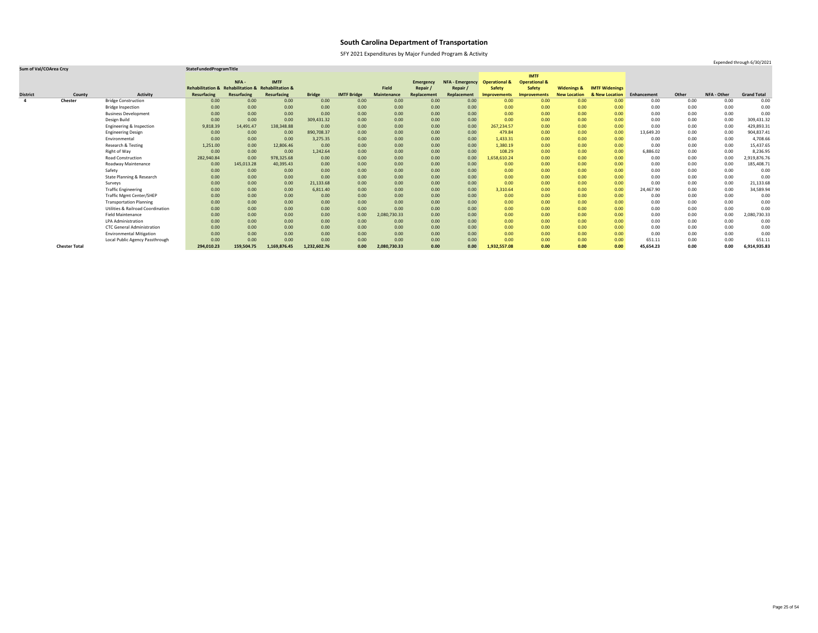SFY 2021 Expenditures by Major Funded Program & Activity

### **Sum of Val/COArea Crcy StateFundedProgramTitle**

|                 |                      |                                              |                                                    |             |              |               |                    |                    |                  |                        |                          | <b>IMTF</b>              |                        |                       |             |       |             |                    |
|-----------------|----------------------|----------------------------------------------|----------------------------------------------------|-------------|--------------|---------------|--------------------|--------------------|------------------|------------------------|--------------------------|--------------------------|------------------------|-----------------------|-------------|-------|-------------|--------------------|
|                 |                      |                                              |                                                    | NFA-        | <b>IMTF</b>  |               |                    |                    | <b>Emergency</b> | <b>NFA - Emergency</b> | <b>Operational &amp;</b> | <b>Operational &amp;</b> |                        |                       |             |       |             |                    |
|                 |                      |                                              | Rehabilitation & Rehabilitation & Rehabilitation & |             |              |               |                    | Field              | Repair /         | Repair /               | <b>Safety</b>            | <b>Safety</b>            | <b>Widenings &amp;</b> | <b>IMTF Widenings</b> |             |       |             |                    |
| <b>District</b> | County               | <b>Activity</b>                              | <b>Resurfacing</b>                                 | Resurfacing | Resurfacing  | <b>Bridge</b> | <b>IMTF Bridge</b> | <b>Maintenance</b> | Replacement      | Replacement            | <b>Improvements</b>      | <b>Improvements</b>      | <b>New Location</b>    | & New Location        | Enhancement | Other | NFA - Other | <b>Grand Total</b> |
| -4              | <b>Chester</b>       | <b>Bridge Construction</b>                   | 0.00                                               | 0.00        | 0.00         | 0.00          | 0.00               | 0.00               | 0.00             | 0.00                   | 0.00                     | 0.00                     | 0.00                   | 0.00                  | 0.00        | 0.00  | 0.00        | 0.00               |
|                 |                      | <b>Bridge Inspection</b>                     | 0.00                                               | 0.00        | 0.00         | 0.00          | 0.00               | 0.00               | 0.00             | 0.00                   | 0.00                     | 0.00                     | 0.00                   | 0.00                  | 0.00        | 0.00  | 0.00        | 0.00               |
|                 |                      | <b>Business Development</b>                  | 0.00                                               | 0.00        | 0.00         | 0.00          | 0.00               | 0.00               | 0.00             | 0.00                   | 0.00                     | 0.00                     | 0.00                   | 0.00 <sub>1</sub>     | 0.00        | 0.00  | 0.00        | 0.00               |
|                 |                      | Design Build                                 | 0.00                                               | 0.00        | 0.00         | 309,431.32    | 0.00               | 0.00               | 0.00             | 0.00                   | 0.00                     | 0.00                     | 0.00                   | 0.00                  | 0.00        | 0.00  | 0.00        | 309,431.32         |
|                 |                      | Engineering & Inspection                     | 9,818.39                                           | 14,491.47   | 138,348.88   | 0.00          | 0.00               | 0.00               | 0.00             | 0.00                   | 267,234.57               | 0.00                     | 0.00                   | 0.00                  | 0.00        | 0.00  | 0.00        | 429,893.31         |
|                 |                      | <b>Engineering Design</b>                    | 0.00                                               | 0.00        | 0.00         | 890,708.37    | 0.00               | 0.00               | 0.00             | 0.00                   | 479.84                   | 0.00                     | 0.00                   | 0.00                  | 13,649.20   | 0.00  | 0.00        | 904,837.41         |
|                 |                      | Environmental                                | 0.00                                               | 0.00        | 0.00         | 3,275.35      | 0.00               | 0.00               | 0.00             | 0.00                   | 1,433.31                 | 0.00                     | 0.00                   | 0.00 <sub>1</sub>     | 0.00        | 0.00  | 0.00        | 4,708.66           |
|                 |                      | Research & Testing                           | 1,251.00                                           | 0.00        | 12,806.46    | 0.00          | 0.00               | 0.00               | 0.00             | 0.00                   | 1,380.19                 | 0.00                     | 0.00                   | 0.00                  | 0.00        | 0.00  | 0.00        | 15,437.65          |
|                 |                      | Right of Way                                 | 0.00                                               | 0.00        | 0.00         | 1,242.64      | 0.00               | 0.00               | 0.00             | 0.00                   | 108.29                   | 0.00                     | 0.00                   | 0.00                  | 6,886.02    | 0.00  | 0.00        | 8,236.95           |
|                 |                      | <b>Road Construction</b>                     | 282,940.84                                         | 0.00        | 978,325.68   | 0.00          | 0.00               | 0.00               | 0.00             | 0.00                   | 1,658,610.24             | 0.00                     | 0.00                   | 0.00                  | 0.00        | 0.00  | 0.00        | 2,919,876.76       |
|                 |                      | Roadway Maintenance                          | 0.00 <sub>1</sub>                                  | 145,013.28  | 40,395.43    | 0.00          | 0.00               | 0.00               | 0.00             | 0.00                   | 0.00                     | 0.00                     | 0.00                   | 0.00                  | 0.00        | 0.00  | 0.00        | 185,408.71         |
|                 |                      | Safety                                       | 0.00                                               | 0.00        | 0.00         | 0.00          | 0.00               | 0.00               | 0.00             | 0.00                   | 0.00                     | 0.00                     | 0.00                   | 0.00 <sub>1</sub>     | 0.00        | 0.00  | 0.00        | 0.00               |
|                 |                      | State Planning & Research                    | 0.00                                               | 0.00        | 0.00         | 0.00          | 0.00               | 0.00               | 0.00             | 0.00                   | 0.00                     | 0.00                     | 0.00                   | 0.00                  | 0.00        | 0.00  | 0.00        | 0.00               |
|                 |                      | Surveys                                      | 0.00                                               | 0.00        | 0.00         | 21,133.68     | 0.00               | 0.00               | 0.00             | 0.00                   | 0.00                     | 0.00                     | 0.00                   | 0.00 <sub>1</sub>     | 0.00        | 0.00  | 0.00        | 21,133.68          |
|                 |                      | <b>Traffic Engineering</b>                   | 0.00                                               | 0.00        | 0.00         | 6,811.40      | 0.00               | 0.00               | 0.00             | 0.00                   | 3,310.64                 | 0.00                     | 0.00                   | 0.00                  | 24,467.90   | 0.00  | 0.00        | 34,589.94          |
|                 |                      | <b>Traffic Mgmt Center/SHEP</b>              | 0.00                                               | 0.00        | 0.00         | 0.00          | 0.00               | 0.00               | 0.00             | 0.00                   | 0.00                     | 0.00                     | 0.00                   | 0.00                  | 0.00        | 0.00  | 0.00        | 0.00               |
|                 |                      | <b>Transportation Planning</b>               | 0.00                                               | 0.00        | 0.00         | 0.00          | 0.00               | 0.00               | 0.00             | 0.00                   | 0.00                     | 0.00                     | 0.00                   | 0.00                  | 0.00        | 0.00  | 0.00        | 0.00               |
|                 |                      | <b>Utilities &amp; Railroad Coordination</b> | 0.00                                               | 0.00        | 0.00         | 0.00          | 0.00               | 0.00               | 0.00             | 0.00                   | 0.00                     | 0.00                     | 0.00                   | 0.00 <sub>1</sub>     | 0.00        | 0.00  | 0.00        | 0.00               |
|                 |                      | <b>Field Maintenance</b>                     | 0.00                                               | 0.00        | 0.00         | 0.00          | 0.00               | 2,080,730.33       | 0.00             | 0.00                   | 0.00                     | 0.00                     | 0.00                   | 0.00 <sub>1</sub>     | 0.00        | 0.00  | 0.00        | 2,080,730.33       |
|                 |                      | <b>LPA Administration</b>                    | 0.00                                               | 0.00        | 0.00         | 0.00          | 0.00               | 0.00               | 0.00             | 0.00                   | 0.00                     | 0.00                     | 0.00                   | 0.00                  | 0.00        | 0.00  | 0.00        | 0.00               |
|                 |                      | <b>CTC General Administration</b>            | 0.00                                               | 0.00        | 0.00         | 0.00          | 0.00               | 0.00               | 0.00             | 0.00                   | 0.00                     | 0.00                     | 0.00                   | 0.00                  | 0.00        | 0.00  | 0.00        | 0.00               |
|                 |                      | <b>Environmental Mitigation</b>              | 0.00                                               | 0.00        | 0.00         | 0.00          | 0.00               | 0.00               | 0.00             | 0.00                   | 0.00                     | 0.00                     | 0.00                   | 0.00                  | 0.00        | 0.00  | 0.00        | 0.00               |
|                 |                      | Local Public Agency Passthrough              | 0.00                                               | 0.00        | 0.00         | 0.00          | 0.00               | 0.00               | 0.00             | 0.00                   | 0.00                     | 0.00                     | 0.00                   | 0.00                  | 651.11      | 0.00  | 0.00        | 651.11             |
|                 | <b>Chester Total</b> |                                              | 294,010.23                                         | 159,504.75  | 1,169,876.45 | 1,232,602.76  | 0.00               | 2,080,730.33       | 0.00             | 0.00                   | 1,932,557.08             | 0.00                     | 0.00                   | 0.00                  | 45,654.23   | 0.00  | 0.00        | 6,914,935.83       |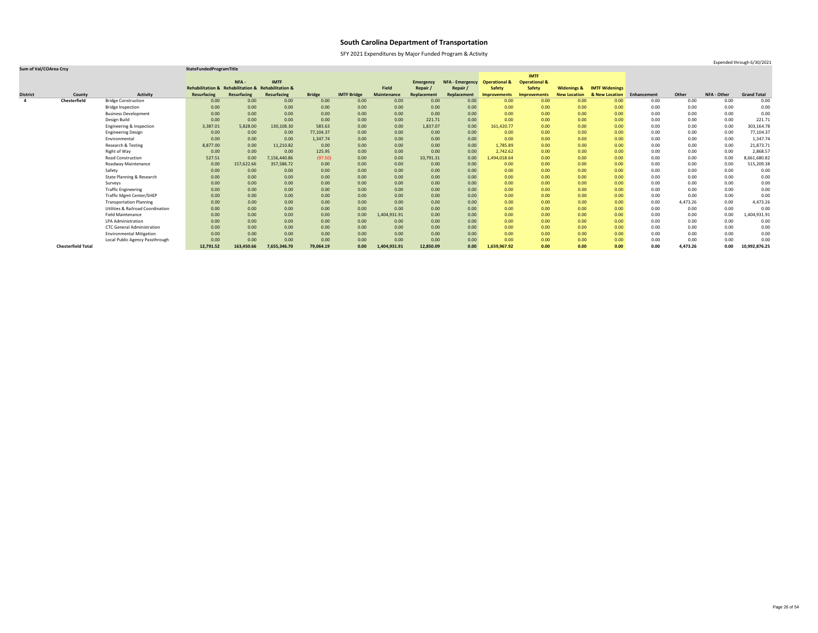SFY 2021 Expenditures by Major Funded Program & Activity

### **Sum of Val/COArea Crcy StateFundedProgramTitle**

|                         |                           |                                              |                                                    |             |              |               |                    |              |                  |                        |                          | <b>IMTF</b>              |                        |                       |             |          |             |                    |
|-------------------------|---------------------------|----------------------------------------------|----------------------------------------------------|-------------|--------------|---------------|--------------------|--------------|------------------|------------------------|--------------------------|--------------------------|------------------------|-----------------------|-------------|----------|-------------|--------------------|
|                         |                           |                                              |                                                    | NFA-        | <b>IMTF</b>  |               |                    |              | <b>Emergency</b> | <b>NFA - Emergency</b> | <b>Operational &amp;</b> | <b>Operational &amp;</b> |                        |                       |             |          |             |                    |
|                         |                           |                                              | Rehabilitation & Rehabilitation & Rehabilitation & |             |              |               |                    | <b>Field</b> | Repair           | Repair /               | <b>Safety</b>            | <b>Safety</b>            | <b>Widenings &amp;</b> | <b>IMTF Widenings</b> |             |          |             |                    |
| <b>District</b>         | County                    | <b>Activity</b>                              | <b>Resurfacing</b>                                 | Resurfacing | Resurfacing  | <b>Bridge</b> | <b>IMTF Bridge</b> | Maintenance  | Replacement      | Replacement            | <b>Improvements</b>      | <b>Improvements</b>      | <b>New Location</b>    | & New Location        | Enhancement | Other    | NFA - Other | <b>Grand Total</b> |
| $\overline{\mathbf{4}}$ | Chesterfield              | <b>Bridge Construction</b>                   | 0.00                                               | 0.00        | 0.00         | 0.00          | 0.00               | 0.00         | 0.00             | 0.00                   | 0.00                     | 0.00                     | 0.00                   | 0.00                  | 0.00        | 0.00     | 0.00        | 0.00               |
|                         |                           | <b>Bridge Inspection</b>                     | 0.00                                               | 0.00        | 0.00         | 0.00          | 0.00               | 0.00         | 0.00             | 0.00                   | 0.00                     | 0.00                     | 0.00                   | 0.00                  | 0.00        | 0.00     | 0.00        | 0.00               |
|                         |                           | <b>Business Development</b>                  | 0.00                                               | 0.00        | 0.00         | 0.00          | 0.00               | 0.00         | 0.00             | 0.00                   | 0.00                     | 0.00                     | 0.00                   | 0.00 <sub>1</sub>     | 0.00        | 0.00     | 0.00        | 0.00               |
|                         |                           | Design Build                                 | 0.00                                               | 0.00        | 0.00         | 0.00          | 0.00               | 0.00         | 221.71           | 0.00                   | 0.00                     | 0.00                     | 0.00                   | 0.00                  | 0.00        | 0.00     | 0.00        | 221.71             |
|                         |                           | Engineering & Inspection                     | 3,387.01                                           | 5,828.00    | 130,108.30   | 583.63        | 0.00               | 0.00         | 1,837.07         | 0.00                   | 161,420.77               | 0.00                     | 0.00                   | 0.00                  | 0.00        | 0.00     | 0.00        | 303,164.78         |
|                         |                           | <b>Engineering Design</b>                    | 0.00                                               | 0.00        | 0.00         | 77,104.37     | 0.00               | 0.00         | 0.00             | 0.00                   | 0.00                     | 0.00                     | 0.00                   | 0.00                  | 0.00        | 0.00     | 0.00        | 77,104.37          |
|                         |                           | Environmental                                | 0.00                                               | 0.00        | 0.00         | 1,347.74      | 0.00               | 0.00         | 0.00             | 0.00                   | 0.00                     | 0.00                     | 0.00                   | 0.00                  | 0.00        | 0.00     | 0.00        | 1,347.74           |
|                         |                           | Research & Testing                           | 8,877.00                                           | 0.00        | 11,210.82    | 0.00          | 0.00               | 0.00         | 0.00             | 0.00                   | 1,785.89                 | 0.00                     | 0.00                   | 0.00                  | 0.00        | 0.00     | 0.00        | 21,873.71          |
|                         |                           | Right of Way                                 | 0.00                                               | 0.00        | 0.00         | 125.95        | 0.00               | 0.00         | 0.00             | 0.00                   | 2,742.62                 | 0.00                     | 0.00                   | 0.00                  | 0.00        | 0.00     | 0.00        | 2,868.57           |
|                         |                           | <b>Road Construction</b>                     | 527.51                                             | 0.00        | 7,156,440.86 | (97.50)       | 0.00               | 0.00         | 10,791.31        | 0.00                   | 1,494,018.64             | 0.00                     | 0.00                   | 0.00                  | 0.00        | 0.00     | 0.00        | 8,661,680.82       |
|                         |                           | Roadway Maintenance                          | 0.00                                               | 157,622.66  | 357,586.72   | 0.00          | 0.00               | 0.00         | 0.00             | 0.00                   | 0.00                     | 0.00                     | 0.00                   | 0.00 <sub>1</sub>     | 0.00        | 0.00     | 0.00        | 515,209.38         |
|                         |                           | Safety                                       | 0.00                                               | 0.00        | 0.00         | 0.00          | 0.00               | 0.00         | 0.00             | 0.00                   | 0.00                     | 0.00                     | 0.00                   | 0.00 <sub>1</sub>     | 0.00        | 0.00     | 0.00        | 0.00               |
|                         |                           | State Planning & Research                    | 0.00                                               | 0.00        | 0.00         | 0.00          | 0.00               | 0.00         | 0.00             | 0.00                   | 0.00                     | 0.00                     | 0.00                   | 0.00                  | 0.00        | 0.00     | 0.00        | 0.00               |
|                         |                           | Surveys                                      | 0.00                                               | 0.00        | 0.00         | 0.00          | 0.00               | 0.00         | 0.00             | 0.00                   | 0.00                     | 0.00                     | 0.00                   | 0.00                  | 0.00        | 0.00     | 0.00        | 0.00               |
|                         |                           | <b>Traffic Engineering</b>                   | 0.00                                               | 0.00        | 0.00         | 0.00          | 0.00               | 0.00         | 0.00             | 0.00                   | 0.00                     | 0.00                     | 0.00                   | 0.00                  | 0.00        | 0.00     | 0.00        | 0.00               |
|                         |                           | <b>Traffic Mgmt Center/SHEP</b>              | 0.00                                               | 0.00        | 0.00         | 0.00          | 0.00               | 0.00         | 0.00             | 0.00                   | 0.00                     | 0.00                     | 0.00                   | 0.00                  | 0.00        | 0.00     | 0.00        | 0.00               |
|                         |                           | <b>Transportation Planning</b>               | 0.00                                               | 0.00        | 0.00         | 0.00          | 0.00               | 0.00         | 0.00             | 0.00                   | 0.00                     | 0.00                     | 0.00                   | 0.00                  | 0.00        | 4,473.26 | 0.00        | 4,473.26           |
|                         |                           | <b>Utilities &amp; Railroad Coordination</b> | 0.00                                               | 0.00        | 0.00         | 0.00          | 0.00               | 0.00         | 0.00             | 0.00                   | 0.00                     | 0.00                     | 0.00                   | 0.00 <sub>1</sub>     | 0.00        | 0.00     | 0.00        | 0.00               |
|                         |                           | <b>Field Maintenance</b>                     | 0.00                                               | 0.00        | 0.00         | 0.00          | 0.00               | L,404,931.91 | 0.00             | 0.00                   | 0.00                     | 0.00                     | 0.00                   | 0.00                  | 0.00        | 0.00     | 0.00        | 1,404,931.91       |
|                         |                           | LPA Administration                           | 0.00                                               | 0.00        | 0.00         | 0.00          | 0.00               | 0.00         | 0.00             | 0.00                   | 0.00                     | 0.00                     | 0.00                   | 0.00                  | 0.00        | 0.00     | 0.00        | 0.00               |
|                         |                           | <b>CTC General Administration</b>            | 0.00                                               | 0.00        | 0.00         | 0.00          | 0.00               | 0.00         | 0.00             | 0.00                   | 0.00                     | 0.00                     | 0.00                   | 0.00 <sub>1</sub>     | 0.00        | 0.00     | 0.00        | 0.00               |
|                         |                           | <b>Environmental Mitigation</b>              | 0.00                                               | 0.00        | 0.00         | 0.00          | 0.00               | 0.00         | 0.00             | 0.00                   | 0.00                     | 0.00                     | 0.00                   | 0.00                  | 0.00        | 0.00     | 0.00        | 0.00               |
|                         |                           | Local Public Agency Passthrough              | 0.00                                               | 0.00        | 0.00         | 0.00          | 0.00               | 0.00         | 0.00             | 0.00                   | 0.00                     | 0.00                     | 0.00                   | 0.00                  | 0.00        | 0.00     | 0.00        | 0.00               |
|                         | <b>Chesterfield Total</b> |                                              | 12,791.52                                          | 163,450.66  | 7,655,346.70 | 79,064.19     | 0.00               | 1,404,931.91 | 12,850.09        | 0.00                   | 1,659,967.92             | 0.00                     | 0.00                   | 0.00                  | 0.00        | 4,473.26 | 0.00        | 10,992,876.25      |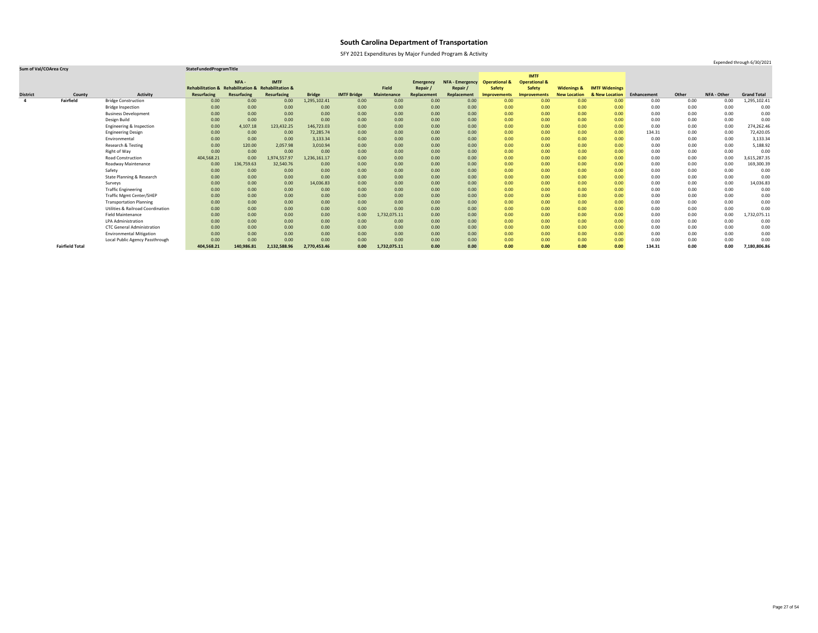SFY 2021 Expenditures by Major Funded Program & Activity

### **Sum of Val/COArea Crcy StateFundedProgramTitle**

|                         |                        |                                              |                                                    |             |              |               |                    |                    |                  |                        |                          | <b>IMTF</b>              |                        |                       |             |       |                    |                    |
|-------------------------|------------------------|----------------------------------------------|----------------------------------------------------|-------------|--------------|---------------|--------------------|--------------------|------------------|------------------------|--------------------------|--------------------------|------------------------|-----------------------|-------------|-------|--------------------|--------------------|
|                         |                        |                                              |                                                    | NFA-        | <b>IMTF</b>  |               |                    |                    | <b>Emergency</b> | <b>NFA - Emergency</b> | <b>Operational &amp;</b> | <b>Operational &amp;</b> |                        |                       |             |       |                    |                    |
|                         |                        |                                              | Rehabilitation & Rehabilitation & Rehabilitation & |             |              |               |                    | Field              | Repair           | Repair /               | <b>Safety</b>            | <b>Safety</b>            | <b>Widenings &amp;</b> | <b>IMTF Widenings</b> |             |       |                    |                    |
| <b>District</b>         | County                 | <b>Activity</b>                              | <b>Resurfacing</b>                                 | Resurfacing | Resurfacing  | <b>Bridge</b> | <b>IMTF Bridge</b> | <b>Maintenance</b> | Replacement      | Replacement            | <b>Improvements</b>      | <b>Improvements</b>      | <b>New Location</b>    | & New Location        | Enhancement | Other | <b>NFA - Other</b> | <b>Grand Total</b> |
| $\overline{\mathbf{4}}$ | <b>Fairfield</b>       | <b>Bridge Construction</b>                   | 0.00                                               | 0.00        | 0.00         | 1,295,102.41  | 0.00               | 0.00               | 0.00             | 0.00                   | 0.00 <sub>1</sub>        | 0.00                     | 0.00                   | 0.00                  | 0.00        | 0.00  | 0.00               | 1,295,102.41       |
|                         |                        | <b>Bridge Inspection</b>                     | 0.00                                               | 0.00        | 0.00         | 0.00          | 0.00               | 0.00               | 0.00             | 0.00                   | 0.00                     | 0.00                     | 0.00                   | 0.00                  | 0.00        | 0.00  | 0.00               | 0.00               |
|                         |                        | <b>Business Development</b>                  | 0.00                                               | 0.00        | 0.00         | 0.00          | 0.00               | 0.00               | 0.00             | 0.00                   | 0.00                     | 0.00                     | 0.00                   | 0.00                  | 0.00        | 0.00  | 0.00               | 0.00               |
|                         |                        | Design Build                                 | 0.00                                               | 0.00        | 0.00         | 0.00          | 0.00               | 0.00               | 0.00             | 0.00                   | 0.00                     | 0.00                     | 0.00                   | 0.00                  | 0.00        | 0.00  | 0.00               | 0.00               |
|                         |                        | Engineering & Inspection                     | 0.00                                               | 4,107.18    | 123,432.25   | 146,723.03    | 0.00               | 0.00               | 0.00             | 0.00                   | 0.00                     | 0.00                     | 0.00                   | 0.00                  | 0.00        | 0.00  | 0.00               | 274,262.46         |
|                         |                        | <b>Engineering Design</b>                    | 0.00                                               | 0.00        | 0.00         | 72,285.74     | 0.00               | 0.00               | 0.00             | 0.00                   | 0.00                     | 0.00                     | 0.00                   | 0.00                  | 134.31      | 0.00  | 0.00               | 72,420.05          |
|                         |                        | Environmental                                | 0.00                                               | 0.00        | 0.00         | 3,133.34      | 0.00               | 0.00               | 0.00             | 0.00                   | 0.00                     | 0.00                     | 0.00                   | 0.00                  | 0.00        | 0.00  | 0.00               | 3,133.34           |
|                         |                        | Research & Testing                           | 0.00                                               | 120.00      | 2,057.98     | 3,010.94      | 0.00               | 0.00               | 0.00             | 0.00                   | 0.00                     | 0.00                     | 0.00                   | 0.00                  | 0.00        | 0.00  | 0.00               | 5,188.92           |
|                         |                        | Right of Way                                 | 0.00                                               | 0.00        | 0.00         | 0.00          | 0.00               | 0.00               | 0.00             | 0.00                   | 0.00                     | 0.00                     | 0.00                   | 0.00 <sub>1</sub>     | 0.00        | 0.00  | 0.00               | 0.00               |
|                         |                        | <b>Road Construction</b>                     | 404,568.21                                         | 0.00        | 1,974,557.97 | 1,236,161.17  | 0.00               | 0.00               | 0.00             | 0.00                   | 0.00                     | 0.00                     | 0.00                   | 0.00                  | 0.00        | 0.00  | 0.00               | 3,615,287.35       |
|                         |                        | Roadway Maintenance                          | 0.00                                               | 136,759.63  | 32,540.76    | 0.00          | 0.00               | 0.00               | 0.00             | 0.00                   | 0.00                     | 0.00                     | 0.00                   | 0.00                  | 0.00        | 0.00  | 0.00               | 169,300.39         |
|                         |                        | Safety                                       | 0.00                                               | 0.00        | 0.00         | 0.00          | 0.00               | 0.00               | 0.00             | 0.00                   | 0.00                     | 0.00                     | 0.00                   | 0.00                  | 0.00        | 0.00  | 0.00               | 0.00               |
|                         |                        | State Planning & Research                    | 0.00                                               | 0.00        | 0.00         | 0.00          | 0.00               | 0.00               | 0.00             | 0.00                   | 0.00                     | 0.00                     | 0.00                   | 0.00                  | 0.00        | 0.00  | 0.00               | 0.00               |
|                         |                        | Surveys                                      | 0.00                                               | 0.00        | 0.00         | 14,036.83     | 0.00               | 0.00               | 0.00             | 0.00                   | 0.00                     | 0.00                     | 0.00                   | 0.00                  | 0.00        | 0.00  | 0.00               | 14,036.83          |
|                         |                        | <b>Traffic Engineering</b>                   | 0.00                                               | 0.00        | 0.00         | 0.00          | 0.00               | 0.00               | 0.00             | 0.00                   | 0.00                     | 0.00                     | 0.00                   | 0.00                  | 0.00        | 0.00  | 0.00               | 0.00               |
|                         |                        | <b>Traffic Mgmt Center/SHEP</b>              | 0.00                                               | 0.00        | 0.00         | 0.00          | 0.00               | 0.00               | 0.00             | 0.00                   | 0.00                     | 0.00                     | 0.00                   | 0.00                  | 0.00        | 0.00  | 0.00               | 0.00               |
|                         |                        | <b>Transportation Planning</b>               | 0.00                                               | 0.00        | 0.00         | 0.00          | 0.00               | 0.00               | 0.00             | 0.00                   | 0.00                     | 0.00                     | 0.00                   | 0.00                  | 0.00        | 0.00  | 0.00               | 0.00               |
|                         |                        | <b>Utilities &amp; Railroad Coordination</b> | 0.00                                               | 0.00        | 0.00         | 0.00          | 0.00               | 0.00               | 0.00             | 0.00                   | 0.00                     | 0.00                     | 0.00                   | 0.00                  | 0.00        | 0.00  | 0.00               | 0.00               |
|                         |                        | <b>Field Maintenance</b>                     | 0.00                                               | 0.00        | 0.00         | 0.00          | 0.00               | 1,732,075.11       | 0.00             | 0.00                   | 0.00                     | 0.00                     | 0.00                   | 0.00                  | 0.00        | 0.00  | 0.00               | 1,732,075.11       |
|                         |                        | <b>LPA Administration</b>                    | 0.00                                               | 0.00        | 0.00         | 0.00          | 0.00               | 0.00               | 0.00             | 0.00                   | 0.00                     | 0.00                     | 0.00                   | 0.00                  | 0.00        | 0.00  | 0.00               | 0.00               |
|                         |                        | <b>CTC General Administration</b>            | 0.00                                               | 0.00        | 0.00         | 0.00          | 0.00               | 0.00               | 0.00             | 0.00                   | 0.00                     | 0.00                     | 0.00                   | 0.00                  | 0.00        | 0.00  | 0.00               | 0.00               |
|                         |                        | <b>Environmental Mitigation</b>              | 0.00                                               | 0.00        | 0.00         | 0.00          | 0.00               | 0.00               | 0.00             | 0.00                   | 0.00                     | 0.00                     | 0.00                   | 0.00                  | 0.00        | 0.00  | 0.00               | 0.00               |
|                         |                        | Local Public Agency Passthrough              | 0.00                                               | 0.00        | 0.00         | 0.00          | 0.00               | 0.00               | 0.00             | 0.00                   | 0.00                     | 0.00                     | 0.00                   | 0.00                  | 0.00        | 0.00  | 0.00               | 0.00               |
|                         | <b>Fairfield Total</b> |                                              | 404,568.21                                         | 140,986.81  | 2,132,588.96 | 2,770,453.46  | 0.00               | 1,732,075.11       | 0.00             | 0.00                   | 0.00                     | 0.00                     | 0.00                   | 0.00                  | 134.31      | 0.00  | 0.00               | 7,180,806.86       |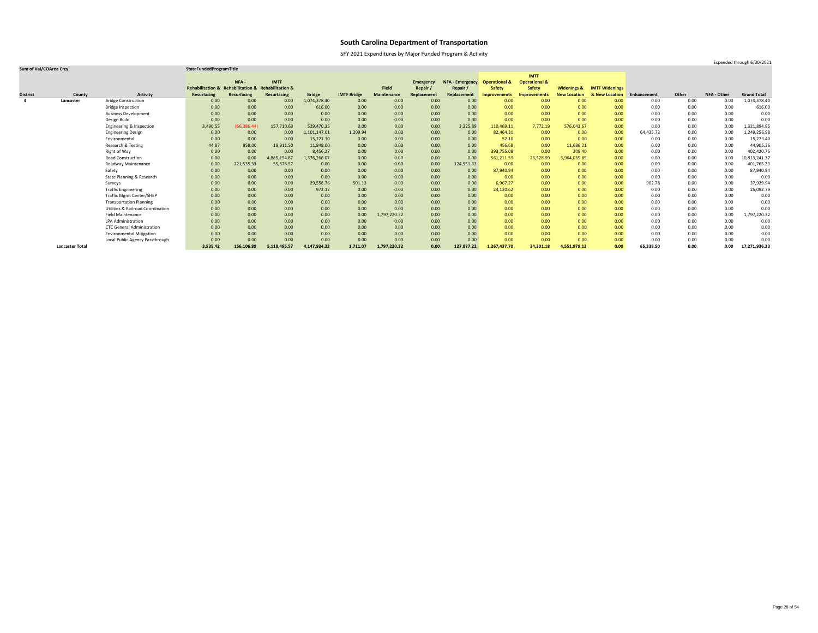SFY 2021 Expenditures by Major Funded Program & Activity

### **Sum of Val/COArea Crcy StateFundedProgramTitle**

|                 |                        |                                              |                                                    |              |              |               |                    |                    |                  |                        |                          | <b>IMTF</b>              |                        |                       |             |       |                    |                    |
|-----------------|------------------------|----------------------------------------------|----------------------------------------------------|--------------|--------------|---------------|--------------------|--------------------|------------------|------------------------|--------------------------|--------------------------|------------------------|-----------------------|-------------|-------|--------------------|--------------------|
|                 |                        |                                              |                                                    | NFA -        | <b>IMTF</b>  |               |                    |                    | <b>Emergency</b> | <b>NFA - Emergency</b> | <b>Operational &amp;</b> | <b>Operational &amp;</b> |                        |                       |             |       |                    |                    |
|                 |                        |                                              | Rehabilitation & Rehabilitation & Rehabilitation & |              |              |               |                    | <b>Field</b>       | Repair           | Repair                 | <b>Safety</b>            | <b>Safety</b>            | <b>Widenings &amp;</b> | <b>IMTF Widenings</b> |             |       |                    |                    |
| <b>District</b> | County                 | <b>Activity</b>                              | <b>Resurfacing</b>                                 | Resurfacing  | Resurfacing  | <b>Bridge</b> | <b>IMTF Bridge</b> | <b>Maintenance</b> | Replacement      | Replacement            | <b>Improvements</b>      | <b>Improvements</b>      | <b>New Location</b>    | & New Location        | Enhancement | Other | <b>NFA - Other</b> | <b>Grand Total</b> |
| $\overline{a}$  | Lancaster              | <b>Bridge Construction</b>                   | 0.00                                               | 0.00         | 0.00         | 1,074,378.40  | 0.00               | 0.00               | 0.00             | 0.00                   | 0.00 <sub>1</sub>        | 0.00                     | 0.00                   | 0.00                  | 0.00        | 0.00  | 0.00               | 1,074,378.40       |
|                 |                        | <b>Bridge Inspection</b>                     | 0.00                                               | 0.00         | 0.00         | 616.00        | 0.00               | 0.00               | 0.00             | 0.00                   | 0.00 <sub>1</sub>        | 0.00                     | 0.00                   | 0.00                  | 0.00        | 0.00  | 0.00               | 616.00             |
|                 |                        | <b>Business Development</b>                  | 0.00                                               | 0.00         | 0.00         | 0.00          | 0.00               | 0.00               | 0.00             | 0.00                   | 0.00 <sub>1</sub>        | 0.00                     | 0.00                   | 0.00                  | 0.00        | 0.00  | 0.00               | 0.00               |
|                 |                        | Design Build                                 | 0.00                                               | 0.00         | 0.00         | 0.00          | 0.00               | 0.00               | 0.00             | 0.00                   | 0.00                     | 0.00                     | 0.00                   | 0.00                  | 0.00        | 0.00  | 0.00               | 0.00               |
|                 |                        | Engineering & Inspection                     | 3,490.55                                           | (66, 386.44) | 157,710.63   | 529,470.35    | 0.00               | 0.00               | 0.00             | 3,325.89               | 110,469.11               | 7,772.19                 | 576,042.67             | 0.00                  | 0.00        | 0.00  | 0.00               | 1,321,894.95       |
|                 |                        | <b>Engineering Design</b>                    | 0.00                                               | 0.00         | 0.00         | 1,101,147.01  | 1,209.94           | 0.00               | 0.00             | 0.00                   | 82,464.31                | 0.00                     | 0.00                   | 0.00                  | 64,435.72   | 0.00  | 0.00               | 1,249,256.98       |
|                 |                        | Environmental                                | 0.00                                               | 0.00         | 0.00         | 15,221.30     | 0.00               | 0.00               | 0.00             | 0.00                   | 52.10                    | 0.00                     | 0.00                   | 0.00                  | 0.00        | 0.00  | 0.00               | 15,273.40          |
|                 |                        | Research & Testing                           | 44.87                                              | 958.00       | 19,911.50    | 11,848.00     | 0.00               | 0.00               | 0.00             | 0.00                   | 456.68                   | 0.00                     | 11,686.21              | 0.00                  | 0.00        | 0.00  | 0.00               | 44,905.26          |
|                 |                        | Right of Way                                 | 0.00                                               | 0.00         | 0.00         | 8,456.27      | 0.00               | 0.00               | 0.00             | 0.00                   | 393,755.08               | 0.00                     | 209.40                 | 0.00                  | 0.00        | 0.00  | 0.00               | 402,420.75         |
|                 |                        | <b>Road Construction</b>                     | 0.00                                               | 0.00         | 4,885,194.87 | 1,376,266.07  | 0.00               | 0.00               | 0.00             | 0.00                   | 561,211.59               | 26,528.99                | 3,964,039.85           | 0.00                  | 0.00        | 0.00  | 0.00               | 10,813,241.37      |
|                 |                        | Roadway Maintenance                          | 0.00                                               | 221,535.33   | 55,678.57    | 0.00          | 0.00               | 0.00               | 0.00             | 124,551.33             | 0.00                     | 0.00                     | 0.00                   | 0.00                  | 0.00        | 0.00  | 0.00               | 401,765.23         |
|                 |                        | Safety                                       | 0.00                                               | 0.00         | 0.00         | 0.00          | 0.00               | 0.00               | 0.00             | 0.00                   | 87,940.94                | 0.00                     | 0.00                   | 0.00                  | 0.00        | 0.00  | 0.00               | 87,940.94          |
|                 |                        | State Planning & Research                    | 0.00                                               | 0.00         | 0.00         | 0.00          | 0.00               | 0.00               | 0.00             | 0.00                   | 0.00 <sub>1</sub>        | 0.00                     | 0.00                   | 0.00                  | 0.00        | 0.00  | 0.00               | 0.00               |
|                 |                        | Surveys                                      | 0.00                                               | 0.00         | 0.00         | 29,558.76     | 501.13             | 0.00               | 0.00             | 0.00                   | 6,967.27                 | 0.00                     | 0.00                   | 0.00                  | 902.78      | 0.00  | 0.00               | 37,929.94          |
|                 |                        | <b>Traffic Engineering</b>                   | 0.00                                               | 0.00         | 0.00         | 972.17        | 0.00               | 0.00               | 0.00             | 0.00                   | 24,120.62                | 0.00                     | 0.00                   | 0.00                  | 0.00        | 0.00  | 0.00               | 25,092.79          |
|                 |                        | <b>Traffic Mgmt Center/SHEP</b>              | 0.00                                               | 0.00         | 0.00         | 0.00          | 0.00               | 0.00               | 0.00             | 0.00                   | 0.00                     | 0.00                     | 0.00                   | 0.00                  | 0.00        | 0.00  | 0.00               | 0.00               |
|                 |                        | <b>Transportation Planning</b>               | 0.00                                               | 0.00         | 0.00         | 0.00          | 0.00               | 0.00               | 0.00             | 0.00                   | 0.00                     | 0.00                     | 0.00                   | 0.00                  | 0.00        | 0.00  | 0.00               | 0.00               |
|                 |                        | <b>Utilities &amp; Railroad Coordination</b> | 0.00                                               | 0.00         | 0.00         | 0.00          | 0.00               | 0.00               | 0.00             | 0.00                   | 0.00 <sub>1</sub>        | 0.00                     | 0.00                   | 0.00                  | 0.00        | 0.00  | 0.00               | 0.00               |
|                 |                        | <b>Field Maintenance</b>                     | 0.00                                               | 0.00         | 0.00         | 0.00          | 0.00               | 1,797,220.32       | 0.00             | 0.00                   | 0.00 <sub>1</sub>        | 0.00                     | 0.00                   | 0.00                  | 0.00        | 0.00  | 0.00               | 1,797,220.32       |
|                 |                        | LPA Administration                           | 0.00                                               | 0.00         | 0.00         | 0.00          | 0.00               | 0.00               | 0.00             | 0.00                   | 0.00                     | 0.00                     | 0.00                   | 0.00                  | 0.00        | 0.00  | 0.00               | 0.00               |
|                 |                        | <b>CTC General Administration</b>            | 0.00                                               | 0.00         | 0.00         | 0.00          | 0.00               | 0.00               | 0.00             | 0.00                   | 0.00                     | 0.00                     | 0.00                   | 0.00                  | 0.00        | 0.00  | 0.00               | 0.00               |
|                 |                        | <b>Environmental Mitigation</b>              | 0.00                                               | 0.00         | 0.00         | 0.00          | 0.00               | 0.00               | 0.00             | 0.00                   | 0.00                     | 0.00                     | 0.00                   | 0.00                  | 0.00        | 0.00  | 0.00               | 0.00               |
|                 |                        | Local Public Agency Passthrough              | 0.00                                               | 0.00         | 0.00         | 0.00          | 0.00               | 0.00               | 0.00             | 0.00                   | 0.00                     | 0.00                     | 0.00                   | 0.00                  | 0.00        | 0.00  | 0.00               | 0.00               |
|                 | <b>Lancaster Total</b> |                                              | 3,535.42                                           | 156,106.89   | 5,118,495.57 | 4,147,934.33  | 1,711.07           | 1,797,220.32       | 0.00             | 127,877.22             | 1,267,437.70             | 34,301.18                | 4,551,978.13           | 0.00                  | 65,338.50   | 0.00  | 0.00               | 17,271,936.33      |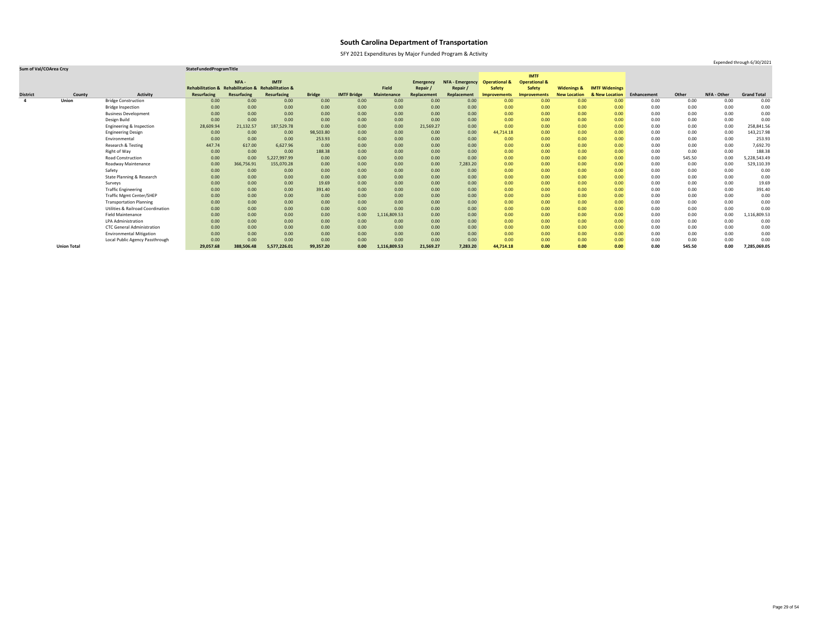SFY 2021 Expenditures by Major Funded Program & Activity

### **Sum of Val/COArea Crcy StateFundedProgramTitle**

|                 |                    |                                              |                                                    |                    |              |               |                    |                    |                  |                        |                          | <b>IMTF</b>              |                        |                       |             |        |                    |                    |
|-----------------|--------------------|----------------------------------------------|----------------------------------------------------|--------------------|--------------|---------------|--------------------|--------------------|------------------|------------------------|--------------------------|--------------------------|------------------------|-----------------------|-------------|--------|--------------------|--------------------|
|                 |                    |                                              |                                                    | NFA -              | <b>IMTF</b>  |               |                    |                    | <b>Emergency</b> | <b>NFA - Emergency</b> | <b>Operational &amp;</b> | <b>Operational &amp;</b> |                        |                       |             |        |                    |                    |
|                 |                    |                                              | Rehabilitation & Rehabilitation & Rehabilitation & |                    |              |               |                    | Field              | Repair           | Repair /               | <b>Safety</b>            | <b>Safety</b>            | <b>Widenings &amp;</b> | <b>IMTF Widenings</b> |             |        |                    |                    |
| <b>District</b> | County             | <b>Activity</b>                              | <b>Resurfacing</b>                                 | <b>Resurfacing</b> | Resurfacing  | <b>Bridge</b> | <b>IMTF Bridge</b> | <b>Maintenance</b> | Replacement      | Replacement            | <b>Improvements</b>      | <b>Improvements</b>      | <b>New Location</b>    | & New Location        | Enhancement | Other  | <b>NFA - Other</b> | <b>Grand Total</b> |
| $\overline{a}$  | <b>Union</b>       | <b>Bridge Construction</b>                   | 0.00                                               | 0.00               | 0.00         | 0.00          | 0.00               | 0.00               | 0.00             | 0.00                   | 0.00 <sub>1</sub>        | 0.00                     | 0.00                   | 0.00                  | 0.00        | 0.00   | 0.00               | 0.00               |
|                 |                    | <b>Bridge Inspection</b>                     | 0.00                                               | 0.00               | 0.00         | 0.00          | 0.00               | 0.00               | 0.00             | 0.00                   | 0.00                     | 0.00                     | 0.00                   | 0.00                  | 0.00        | 0.00   | 0.00               | 0.00               |
|                 |                    | <b>Business Development</b>                  | 0.00                                               | 0.00               | 0.00         | 0.00          | 0.00               | 0.00               | 0.00             | 0.00                   | 0.00                     | 0.00                     | 0.00                   | 0.00                  | 0.00        | 0.00   | 0.00               | 0.00               |
|                 |                    | Design Build                                 | 0.00                                               | 0.00               | 0.00         | 0.00          | 0.00               | 0.00               | 0.00             | 0.00                   | 0.00                     | 0.00                     | 0.00                   | 0.00                  | 0.00        | 0.00   | 0.00               | 0.00               |
|                 |                    | Engineering & Inspection                     | 28,609.94                                          | 21,132.57          | 187,529.78   | 0.00          | 0.00               | 0.00               | 21,569.27        | 0.00                   | 0.00                     | 0.00                     | 0.00                   | 0.00                  | 0.00        | 0.00   | 0.00               | 258,841.56         |
|                 |                    | <b>Engineering Design</b>                    | 0.00                                               | 0.00               | 0.00         | 98,503.80     | 0.00               | 0.00               | 0.00             | 0.00                   | 44,714.18                | 0.00                     | 0.00                   | 0.00 <sub>1</sub>     | 0.00        | 0.00   | 0.00               | 143,217.98         |
|                 |                    | Environmental                                | 0.00                                               | 0.00               | 0.00         | 253.93        | 0.00               | 0.00               | 0.00             | 0.00                   | 0.00                     | 0.00                     | 0.00                   | 0.00 <sub>1</sub>     | 0.00        | 0.00   | 0.00               | 253.93             |
|                 |                    | Research & Testing                           | 447.74                                             | 617.00             | 6,627.96     | 0.00          | 0.00               | 0.00               | 0.00             | 0.00                   | 0.00                     | 0.00                     | 0.00                   | 0.00                  | 0.00        | 0.00   | 0.00               | 7,692.70           |
|                 |                    | Right of Way                                 | 0.00                                               | 0.00               | 0.00         | 188.38        | 0.00               | 0.00               | 0.00             | 0.00                   | 0.00                     | 0.00                     | 0.00                   | 0.00 <sub>1</sub>     | 0.00        | 0.00   | 0.00               | 188.38             |
|                 |                    | <b>Road Construction</b>                     | 0.00                                               | 0.00               | 5,227,997.99 | 0.00          | 0.00               | 0.00               | 0.00             | 0.00                   | 0.00                     | 0.00                     | 0.00                   | 0.00                  | 0.00        | 545.50 | 0.00               | 5,228,543.49       |
|                 |                    | Roadway Maintenance                          | 0.00                                               | 366,756.91         | 155,070.28   | 0.00          | 0.00               | 0.00               | 0.00             | 7,283.20               | 0.00                     | 0.00                     | 0.00                   | 0.00                  | 0.00        | 0.00   | 0.00               | 529,110.39         |
|                 |                    | Safety                                       | 0.00                                               | 0.00               | 0.00         | 0.00          | 0.00               | 0.00               | 0.00             | 0.00                   | 0.00                     | 0.00                     | 0.00                   | 0.00                  | 0.00        | 0.00   | 0.00               | 0.00               |
|                 |                    | State Planning & Research                    | 0.00                                               | 0.00               | 0.00         | 0.00          | 0.00               | 0.00               | 0.00             | 0.00                   | 0.00                     | 0.00                     | 0.00                   | 0.00                  | 0.00        | 0.00   | 0.00               | 0.00               |
|                 |                    | Surveys                                      | 0.00                                               | 0.00               | 0.00         | 19.69         | 0.00               | 0.00               | 0.00             | 0.00                   | 0.00                     | 0.00                     | 0.00                   | 0.00 <sub>1</sub>     | 0.00        | 0.00   | 0.00               | 19.69              |
|                 |                    | <b>Traffic Engineering</b>                   | 0.00                                               | 0.00               | 0.00         | 391.40        | 0.00               | 0.00               | 0.00             | 0.00                   | 0.00                     | 0.00                     | 0.00                   | 0.00 <sub>1</sub>     | 0.00        | 0.00   | 0.00               | 391.40             |
|                 |                    | <b>Traffic Mgmt Center/SHEP</b>              | 0.00                                               | 0.00               | 0.00         | 0.00          | 0.00               | 0.00               | 0.00             | 0.00                   | 0.00                     | 0.00                     | 0.00                   | 0.00 <sub>1</sub>     | 0.00        | 0.00   | 0.00               | 0.00               |
|                 |                    | <b>Transportation Planning</b>               | 0.00                                               | 0.00               | 0.00         | 0.00          | 0.00               | 0.00               | 0.00             | 0.00                   | 0.00                     | 0.00                     | 0.00                   | 0.00                  | 0.00        | 0.00   | 0.00               | 0.00               |
|                 |                    | <b>Utilities &amp; Railroad Coordination</b> | 0.00                                               | 0.00               | 0.00         | 0.00          | 0.00               | 0.00               | 0.00             | 0.00                   | 0.00                     | 0.00                     | 0.00                   | 0.00                  | 0.00        | 0.00   | 0.00               | 0.00               |
|                 |                    | <b>Field Maintenance</b>                     | 0.00                                               | 0.00               | 0.00         | 0.00          | 0.00               | 1,116,809.53       | 0.00             | 0.00                   | 0.00                     | 0.00                     | 0.00                   | 0.00                  | 0.00        | 0.00   | 0.00               | 1,116,809.53       |
|                 |                    | <b>LPA Administration</b>                    | 0.00                                               | 0.00               | 0.00         | 0.00          | 0.00               | 0.00               | 0.00             | 0.00                   | 0.00                     | 0.00                     | 0.00                   | 0.00                  | 0.00        | 0.00   | 0.00               | 0.00               |
|                 |                    | <b>CTC General Administration</b>            | 0.00                                               | 0.00               | 0.00         | 0.00          | 0.00               | 0.00               | 0.00             | 0.00                   | 0.00                     | 0.00                     | 0.00                   | 0.00 <sub>1</sub>     | 0.00        | 0.00   | 0.00               | 0.00               |
|                 |                    | <b>Environmental Mitigation</b>              | 0.00                                               | 0.00               | 0.00         | 0.00          | 0.00               | 0.00               | 0.00             | 0.00                   | 0.00                     | 0.00                     | 0.00                   | 0.00 <sub>1</sub>     | 0.00        | 0.00   | 0.00               | 0.00               |
|                 |                    | Local Public Agency Passthrough              | 0.00                                               | 0.00               | 0.00         | 0.00          | 0.00               | 0.00               | 0.00             | 0.00                   | 0.00                     | 0.00                     | 0.00                   | 0.00                  | 0.00        | 0.00   | 0.00               | 0.00               |
|                 | <b>Union Total</b> |                                              | 29,057.68                                          | 388,506.48         | 5,577,226.01 | 99,357.20     | 0.00               | 1,116,809.53       | 21,569.27        | 7,283.20               | 44,714.18                | 0.00                     | 0.00                   | 0.00                  | 0.00        | 545.50 | 0.00               | 7,285,069.05       |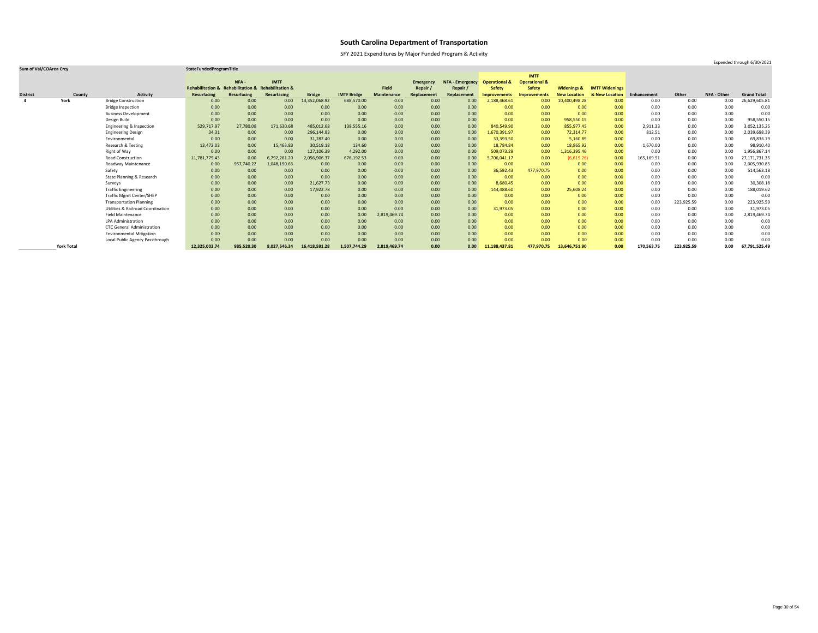SFY 2021 Expenditures by Major Funded Program & Activity

### **Sum of Val/COArea Crcy StateFundedProgramTitle**

|                         |                   |                                              |                                                    |             |              |               |                    |                    |                  |                        |                          | <b>IMTF</b>              |                        |                       |             |            |             |                    |
|-------------------------|-------------------|----------------------------------------------|----------------------------------------------------|-------------|--------------|---------------|--------------------|--------------------|------------------|------------------------|--------------------------|--------------------------|------------------------|-----------------------|-------------|------------|-------------|--------------------|
|                         |                   |                                              |                                                    | NFA-        | <b>IMTF</b>  |               |                    |                    | <b>Emergency</b> | <b>NFA - Emergency</b> | <b>Operational &amp;</b> | <b>Operational &amp;</b> |                        |                       |             |            |             |                    |
|                         |                   |                                              | Rehabilitation & Rehabilitation & Rehabilitation & |             |              |               |                    | <b>Field</b>       | Repair           | Repair /               | <b>Safety</b>            | <b>Safety</b>            | <b>Widenings &amp;</b> | <b>IMTF Widenings</b> |             |            |             |                    |
| <b>District</b>         | County            | <b>Activity</b>                              | <b>Resurfacing</b>                                 | Resurfacing | Resurfacing  | <b>Bridge</b> | <b>IMTF Bridge</b> | <b>Maintenance</b> | Replacement      | Replacement            | <b>Improvements</b>      | <b>Improvements</b>      | <b>New Location</b>    | & New Location        | Enhancement | Other      | NFA - Other | <b>Grand Total</b> |
| $\overline{\mathbf{4}}$ | York              | <b>Bridge Construction</b>                   | 0.00                                               | 0.00        | 0.00         | 13,352,068.92 | 688,570.00         | 0.00               | 0.00             | 0.00                   | 2,188,468.61             | 0.00                     | 10,400,498.28          | 0.00                  | 0.00        | 0.00       | 0.00        | 26,629,605.81      |
|                         |                   | <b>Bridge Inspection</b>                     | 0.00                                               | 0.00        | 0.00         | 0.00          | 0.00               | 0.00               | 0.00             | 0.00                   | 0.00                     | 0.00                     | 0.00                   | 0.00                  | 0.00        | 0.00       | 0.00        | 0.00               |
|                         |                   | <b>Business Development</b>                  | 0.00                                               | 0.00        | 0.00         | 0.00          | 0.00               | 0.00               | 0.00             | 0.00                   | 0.00                     | 0.00                     | 0.00                   | 0.00                  | 0.00        | 0.00       | 0.00        | 0.00               |
|                         |                   | Design Build                                 | 0.00                                               | 0.00        | 0.00         | 0.00          | 0.00               | 0.00               | 0.00             | 0.00                   | 0.00                     | 0.00                     | 958,550.15             | 0.00                  | 0.00        | 0.00       | 0.00        | 958,550.15         |
|                         |                   | Engineering & Inspection                     | 529,717.97                                         | 27,780.08   | 171,630.68   | 485,012.68    | 138,555.16         | 0.00               | 0.00             | 0.00                   | 840,549.90               | 0.00                     | 855,977.45             | 0.00                  | 2,911.33    | 0.00       | 0.00        | 3,052,135.25       |
|                         |                   | <b>Engineering Design</b>                    | 34.31                                              | 0.00        | 0.00         | 296,144.83    | 0.00               | 0.00               | 0.00             | 0.00                   | 1,670,391.97             | 0.00                     | 72,314.77              | 0.00                  | 812.51      | 0.00       | 0.00        | 2,039,698.39       |
|                         |                   | Environmental                                | 0.00                                               | 0.00        | 0.00         | 31,282.40     | 0.00               | 0.00               | 0.00             | 0.00                   | 33,393.50                | 0.00                     | 5,160.89               | 0.00                  | 0.00        | 0.00       | 0.00        | 69,836.79          |
|                         |                   | Research & Testing                           | 13,472.03                                          | 0.00        | 15,463.83    | 30,519.18     | 134.60             | 0.00               | 0.00             | 0.00                   | 18,784.84                | 0.00                     | 18,865.92              | 0.00                  | 1,670.00    | 0.00       | 0.00        | 98,910.40          |
|                         |                   | Right of Way                                 | 0.00                                               | 0.00        | 0.00         | 127,106.39    | 4,292.00           | 0.00               | 0.00             | 0.00                   | 509,073.29               | 0.00                     | 1,316,395.46           | 0.00                  | 0.00        | 0.00       | 0.00        | 1,956,867.14       |
|                         |                   | Road Construction                            | 11,781,779.43                                      | 0.00        | 6,792,261.20 | 2,056,906.37  | 676,192.53         | 0.00               | 0.00             | 0.00                   | 5,706,041.17             | 0.00                     | (6,619.26)             | 0.00                  | 165,169.91  | 0.00       | 0.00        | 27,171,731.35      |
|                         |                   | Roadway Maintenance                          | 0.00                                               | 957,740.22  | 1,048,190.63 | 0.00          | 0.00               | 0.00               | 0.00             | 0.00                   | 0.00                     | 0.00                     | 0.00                   | 0.00                  | 0.00        | 0.00       | 0.00        | 2,005,930.85       |
|                         |                   | Safety                                       | 0.00                                               | 0.00        | 0.00         | 0.00          | 0.00               | 0.00               | 0.00             | 0.00                   | 36,592.43                | 477,970.75               | 0.00                   | 0.00                  | 0.00        | 0.00       | 0.00        | 514,563.18         |
|                         |                   | State Planning & Research                    | 0.00                                               | 0.00        | 0.00         | 0.00          | 0.00               | 0.00               | 0.00             | 0.00                   | 0.00                     | 0.00                     | 0.00                   | 0.00                  | 0.00        | 0.00       | 0.00        | 0.00               |
|                         |                   | Surveys                                      | 0.00                                               | 0.00        | 0.00         | 21,627.73     | 0.00               | 0.00               | 0.00             | 0.00                   | 8,680.45                 | 0.00                     | 0.00                   | 0.00                  | 0.00        | 0.00       | 0.00        | 30,308.18          |
|                         |                   | <b>Traffic Engineering</b>                   | 0.00                                               | 0.00        | 0.00         | 17,922.78     | 0.00               | 0.00               | 0.00             | 0.00                   | 144,488.60               | 0.00                     | 25,608.24              | 0.00                  | 0.00        | 0.00       | 0.00        | 188,019.62         |
|                         |                   | <b>Traffic Mgmt Center/SHEP</b>              | 0.00                                               | 0.00        | 0.00         | 0.00          | 0.00               | 0.00               | 0.00             | 0.00                   | 0.00                     | 0.00                     | 0.00                   | 0.00                  | 0.00        | 0.00       | 0.00        | 0.00               |
|                         |                   | <b>Transportation Planning</b>               | 0.00                                               | 0.00        | 0.00         | 0.00          | 0.00               | 0.00               | 0.00             | 0.00                   | 0.00                     | 0.00                     | 0.00                   | 0.00                  | 0.00        | 223,925.59 | 0.00        | 223,925.59         |
|                         |                   | <b>Utilities &amp; Railroad Coordination</b> | 0.00                                               | 0.00        | 0.00         | 0.00          | 0.00               | 0.00               | 0.00             | 0.00                   | 31,973.05                | 0.00                     | 0.00                   | 0.00                  | 0.00        | 0.00       | 0.00        | 31,973.05          |
|                         |                   | <b>Field Maintenance</b>                     | 0.00                                               | 0.00        | 0.00         | 0.00          | 0.00               | 2,819,469.74       | 0.00             | 0.00                   | 0.00                     | 0.00                     | 0.00                   | 0.00                  | 0.00        | 0.00       | 0.00        | 2,819,469.74       |
|                         |                   | LPA Administration                           | 0.00                                               | 0.00        | 0.00         | 0.00          | 0.00               | 0.00               | 0.00             | 0.00                   | 0.00                     | 0.00                     | 0.00                   | 0.00                  | 0.00        | 0.00       | 0.00        | 0.00               |
|                         |                   | <b>CTC General Administration</b>            | 0.00                                               | 0.00        | 0.00         | 0.00          | 0.00               | 0.00               | 0.00             | 0.00                   | 0.00                     | 0.00                     | 0.00                   | 0.00                  | 0.00        | 0.00       | 0.00        | 0.00               |
|                         |                   | <b>Environmental Mitigation</b>              | 0.00                                               | 0.00        | 0.00         | 0.00          | 0.00               | 0.00               | 0.00             | 0.00                   | 0.00                     | 0.00                     | 0.00                   | 0.00                  | 0.00        | 0.00       | 0.00        | 0.00               |
|                         |                   | Local Public Agency Passthrough              | 0.00                                               | 0.00        | 0.00         | 0.00          | 0.00               | 0.00               | 0.00             | 0.00                   | 0.00                     | 0.00                     | 0.00                   | 0.00                  | 0.00        | 0.00       | 0.00        | 0.00               |
|                         | <b>York Total</b> |                                              | 12,325,003.74                                      | 985,520.30  | 8,027,546.34 | 16,418,591.28 | 1,507,744.29       | 2,819,469.74       | 0.00             | 0.00                   | 11,188,437.81            | 477,970.75               | 13,646,751.90          | 0.00                  | 170,563.75  | 223,925.59 | 0.00        | 67,791,525.49      |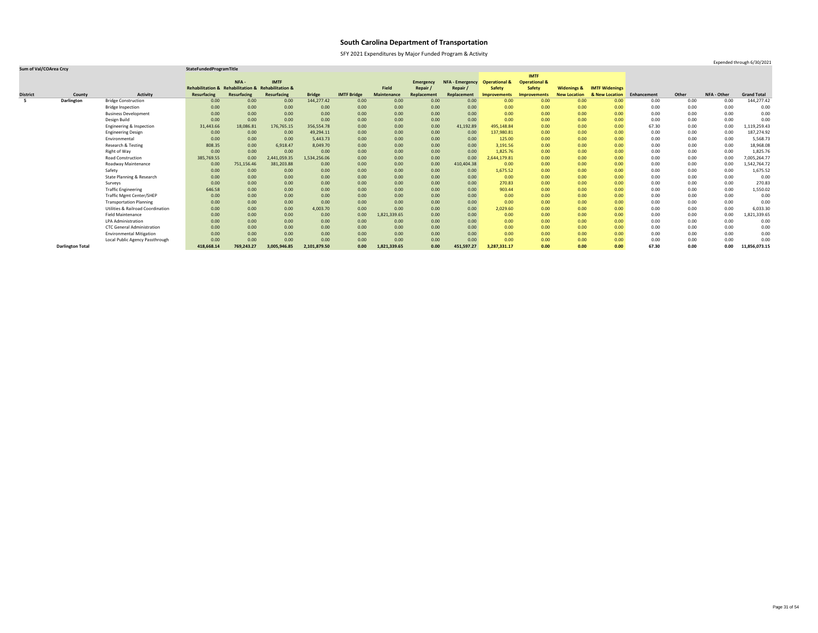SFY 2021 Expenditures by Major Funded Program & Activity

### **Sum of Val/COArea Crcy StateFundedProgramTitle**

|                 |                         |                                              |                                                    |             |                    |               |                    |                    |                  |                        |                          | <b>IMTF</b>              |                        |                       |             |       |                    |                    |
|-----------------|-------------------------|----------------------------------------------|----------------------------------------------------|-------------|--------------------|---------------|--------------------|--------------------|------------------|------------------------|--------------------------|--------------------------|------------------------|-----------------------|-------------|-------|--------------------|--------------------|
|                 |                         |                                              |                                                    | NFA-        | <b>IMTF</b>        |               |                    |                    | <b>Emergency</b> | <b>NFA - Emergency</b> | <b>Operational &amp;</b> | <b>Operational &amp;</b> |                        |                       |             |       |                    |                    |
|                 |                         |                                              | Rehabilitation & Rehabilitation & Rehabilitation & |             |                    |               |                    | <b>Field</b>       | Repair           | Repair /               | <b>Safety</b>            | <b>Safety</b>            | <b>Widenings &amp;</b> | <b>IMTF Widenings</b> |             |       |                    |                    |
| <b>District</b> | County                  | <b>Activity</b>                              | <b>Resurfacing</b>                                 | Resurfacing | <b>Resurfacing</b> | <b>Bridge</b> | <b>IMTF Bridge</b> | <b>Maintenance</b> | Replacement      | Replacement            | <b>Improvements</b>      | Improvements             | <b>New Location</b>    | & New Location        | Enhancement | Other | <b>NFA - Other</b> | <b>Grand Total</b> |
| 5               | Darlington              | <b>Bridge Construction</b>                   | 0.00                                               | 0.00        | 0.00               | 144,277.42    | 0.00               | 0.00               | 0.00             | 0.00                   | 0.00 <sub>1</sub>        | 0.00                     | 0.00                   | 0.00                  | 0.00        | 0.00  | 0.00               | 144,277.42         |
|                 |                         | <b>Bridge Inspection</b>                     | 0.00                                               | 0.00        | 0.00               | 0.00          | 0.00               | 0.00               | 0.00             | 0.00                   | 0.00                     | 0.00                     | 0.00                   | 0.00                  | 0.00        | 0.00  | 0.00               | 0.00               |
|                 |                         | <b>Business Development</b>                  | 0.00                                               | 0.00        | 0.00               | 0.00          | 0.00               | 0.00               | 0.00             | 0.00                   | 0.00                     | 0.00                     | 0.00                   | 0.00                  | 0.00        | 0.00  | 0.00               | 0.00               |
|                 |                         | Design Build                                 | 0.00                                               | 0.00        | 0.00               | 0.00          | 0.00               | 0.00               | 0.00             | 0.00                   | 0.00                     | 0.00                     | 0.00                   | 0.00                  | 0.00        | 0.00  | 0.00               | 0.00               |
|                 |                         | Engineering & Inspection                     | 31,443.66                                          | 18,086.81   | 176,765.15         | 356,554.78    | 0.00               | 0.00               | 0.00             | 41,192.89              | 495,148.84               | 0.00                     | 0.00                   | 0.00                  | 67.30       | 0.00  | 0.00               | 1,119,259.43       |
|                 |                         | <b>Engineering Design</b>                    | 0.00                                               | 0.00        | 0.00               | 49,294.11     | 0.00               | 0.00               | 0.00             | 0.00                   | 137,980.81               | 0.00                     | 0.00                   | 0.00                  | 0.00        | 0.00  | 0.00               | 187,274.92         |
|                 |                         | Environmental                                | 0.00                                               | 0.00        | 0.00               | 5,443.73      | 0.00               | 0.00               | 0.00             | 0.00                   | 125.00                   | 0.00                     | 0.00                   | 0.00                  | 0.00        | 0.00  | 0.00               | 5,568.73           |
|                 |                         | Research & Testing                           | 808.35                                             | 0.00        | 6,918.47           | 8,049.70      | 0.00               | 0.00               | 0.00             | 0.00                   | 3,191.56                 | 0.00                     | 0.00                   | 0.00                  | 0.00        | 0.00  | 0.00               | 18,968.08          |
|                 |                         | Right of Way                                 | 0.00                                               | 0.00        | 0.00               | 0.00          | 0.00               | 0.00               | 0.00             | 0.00                   | 1,825.76                 | 0.00                     | 0.00                   | 0.00                  | 0.00        | 0.00  | 0.00               | 1,825.76           |
|                 |                         | <b>Road Construction</b>                     | 385,769.55                                         | 0.00        | 2,441,059.35       | 1,534,256.06  | 0.00               | 0.00               | 0.00             | 0.00                   | 2,644,179.81             | 0.00                     | 0.00                   | 0.00                  | 0.00        | 0.00  | 0.00               | 7,005,264.77       |
|                 |                         | Roadway Maintenance                          | 0.00                                               | 751,156.46  | 381,203.88         | 0.00          | 0.00               | 0.00               | 0.00             | 410,404.38             | 0.00                     | 0.00                     | 0.00                   | 0.00                  | 0.00        | 0.00  | 0.00               | 1,542,764.72       |
|                 |                         | Safety                                       | 0.00                                               | 0.00        | 0.00               | 0.00          | 0.00               | 0.00               | 0.00             | 0.00                   | 1,675.52                 | 0.00                     | 0.00                   | 0.00                  | 0.00        | 0.00  | 0.00               | 1,675.52           |
|                 |                         | State Planning & Research                    | 0.00                                               | 0.00        | 0.00               | 0.00          | 0.00               | 0.00               | 0.00             | 0.00                   | 0.00                     | 0.00                     | 0.00                   | 0.00                  | 0.00        | 0.00  | 0.00               | 0.00               |
|                 |                         | Surveys                                      | 0.00                                               | 0.00        | 0.00               | 0.00          | 0.00               | 0.00               | 0.00             | 0.00                   | 270.83                   | 0.00                     | 0.00                   | 0.00                  | 0.00        | 0.00  | 0.00               | 270.83             |
|                 |                         | <b>Traffic Engineering</b>                   | 646.58                                             | 0.00        | 0.00               | 0.00          | 0.00               | 0.00               | 0.00             | 0.00                   | 903.44                   | 0.00                     | 0.00                   | 0.00                  | 0.00        | 0.00  | 0.00               | 1,550.02           |
|                 |                         | <b>Traffic Mgmt Center/SHEP</b>              | 0.00                                               | 0.00        | 0.00               | 0.00          | 0.00               | 0.00               | 0.00             | 0.00                   | 0.00                     | 0.00                     | 0.00                   | 0.00                  | 0.00        | 0.00  | 0.00               | 0.00               |
|                 |                         | <b>Transportation Planning</b>               | 0.00                                               | 0.00        | 0.00               | 0.00          | 0.00               | 0.00               | 0.00             | 0.00                   | 0.00                     | 0.00                     | 0.00                   | 0.00                  | 0.00        | 0.00  | 0.00               | 0.00               |
|                 |                         | <b>Utilities &amp; Railroad Coordination</b> | 0.00                                               | 0.00        | 0.00               | 4,003.70      | 0.00               | 0.00               | 0.00             | 0.00                   | 2,029.60                 | 0.00                     | 0.00                   | 0.00                  | 0.00        | 0.00  | 0.00               | 6,033.30           |
|                 |                         | <b>Field Maintenance</b>                     | 0.00                                               | 0.00        | 0.00               | 0.00          | 0.00               | 1,821,339.65       | 0.00             | 0.00                   | 0.00                     | 0.00                     | 0.00                   | 0.00                  | 0.00        | 0.00  | 0.00               | 1,821,339.65       |
|                 |                         | <b>LPA Administration</b>                    | 0.00                                               | 0.00        | 0.00               | 0.00          | 0.00               | 0.00               | 0.00             | 0.00                   | 0.00                     | 0.00                     | 0.00                   | 0.00                  | 0.00        | 0.00  | 0.00               | 0.00               |
|                 |                         | <b>CTC General Administration</b>            | 0.00                                               | 0.00        | 0.00               | 0.00          | 0.00               | 0.00               | 0.00             | 0.00                   | 0.00                     | 0.00                     | 0.00                   | 0.00                  | 0.00        | 0.00  | 0.00               | 0.00               |
|                 |                         | <b>Environmental Mitigation</b>              | 0.00                                               | 0.00        | 0.00               | 0.00          | 0.00               | 0.00               | 0.00             | 0.00                   | 0.00                     | 0.00                     | 0.00                   | 0.00                  | 0.00        | 0.00  | 0.00               | 0.00               |
|                 |                         | Local Public Agency Passthrough              | 0.00                                               | 0.00        | 0.00               | 0.00          | 0.00               | 0.00               | 0.00             | 0.00                   | 0.00                     | 0.00                     | 0.00                   | 0.00                  | 0.00        | 0.00  | 0.00               | 0.00               |
|                 | <b>Darlington Total</b> |                                              | 418,668.14                                         | 769,243.27  | 3,005,946.85       | 2,101,879.50  | 0.00               | 1,821,339.65       | 0.00             | 451,597.27             | 3,287,331.17             | 0.00                     | 0.00                   | 0.00                  | 67.30       | 0.00  | 0.00               | 11,856,073.15      |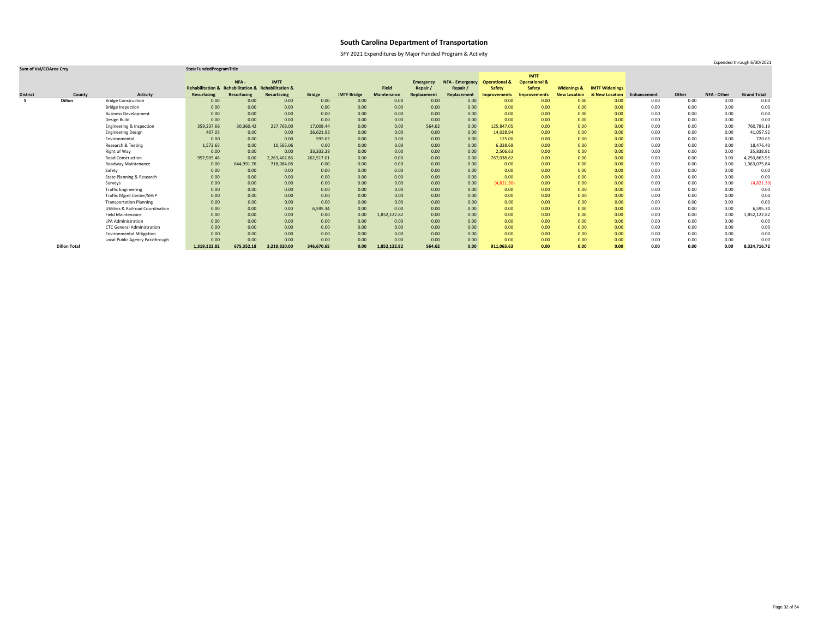SFY 2021 Expenditures by Major Funded Program & Activity

### **Sum of Val/COArea Crcy StateFundedProgramTitle**

|                 |                     |                                              |                                                    |             |                    |               |                    |                    |                  |                        |                          | <b>IMTF</b>              |                        |                       |             |       |             |                    |
|-----------------|---------------------|----------------------------------------------|----------------------------------------------------|-------------|--------------------|---------------|--------------------|--------------------|------------------|------------------------|--------------------------|--------------------------|------------------------|-----------------------|-------------|-------|-------------|--------------------|
|                 |                     |                                              |                                                    | NFA-        | <b>IMTF</b>        |               |                    |                    | <b>Emergency</b> | <b>NFA - Emergency</b> | <b>Operational &amp;</b> | <b>Operational &amp;</b> |                        |                       |             |       |             |                    |
|                 |                     |                                              | Rehabilitation & Rehabilitation & Rehabilitation & |             |                    |               |                    | <b>Field</b>       | Repair /         | Repair                 | <b>Safety</b>            | <b>Safety</b>            | <b>Widenings &amp;</b> | <b>IMTF Widenings</b> |             |       |             |                    |
| <b>District</b> | County              | <b>Activity</b>                              | <b>Resurfacing</b>                                 | Resurfacing | <b>Resurfacing</b> | <b>Bridge</b> | <b>IMTF Bridge</b> | <b>Maintenance</b> | Replacement      | Replacement            | <b>Improvements</b>      | <b>Improvements</b>      | <b>New Location</b>    | & New Location        | Enhancement | Other | NFA - Other | <b>Grand Total</b> |
|                 | <b>Dillon</b>       | <b>Bridge Construction</b>                   | 0.00                                               | 0.00        | 0.00               | 0.00          | 0.00               | 0.00               | 0.00             | 0.00                   | 0.00                     | 0.00                     | 0.00                   | 0.00                  | 0.00        | 0.00  | 0.00        | 0.00               |
|                 |                     | <b>Bridge Inspection</b>                     | 0.00                                               | 0.00        | 0.00               | 0.00          | 0.00               | 0.00               | 0.00             | 0.00                   | 0.00                     | 0.00                     | 0.00                   | 0.00                  | 0.00        | 0.00  | 0.00        | 0.00               |
|                 |                     | <b>Business Development</b>                  | 0.00                                               | 0.00        | 0.00               | 0.00          | 0.00               | 0.00               | 0.00             | 0.00                   | 0.00                     | 0.00                     | 0.00                   | 0.00                  | 0.00        | 0.00  | 0.00        | 0.00               |
|                 |                     | Design Build                                 | 0.00                                               | 0.00        | 0.00               | 0.00          | 0.00               | 0.00               | 0.00             | 0.00                   | 0.00                     | 0.00                     | 0.00                   | 0.00                  | 0.00        | 0.00  | 0.00        | 0.00               |
|                 |                     | Engineering & Inspection                     | 359,237.66                                         | 30,360.42   | 227,768.00         | 17,008.44     | 0.00               | 0.00               | 564.62           | 0.00                   | 125,847.05               | 0.00                     | 0.00                   | 0.00                  | 0.00        | 0.00  | 0.00        | 760,786.19         |
|                 |                     | <b>Engineering Design</b>                    | 407.05                                             | 0.00        | 0.00               | 26,621.93     | 0.00               | 0.00               | 0.00             | 0.00                   | 14,028.94                | 0.00                     | 0.00                   | 0.00                  | 0.00        | 0.00  | 0.00        | 41,057.92          |
|                 |                     | Environmental                                | 0.00                                               | 0.00        | 0.00               | 595.65        | 0.00               | 0.00               | 0.00             | 0.00                   | 125.00                   | 0.00                     | 0.00                   | 0.00                  | 0.00        | 0.00  | 0.00        | 720.65             |
|                 |                     | Research & Testing                           | 1,572.65                                           | 0.00        | 10,565.06          | 0.00          | 0.00               | 0.00               | 0.00             | 0.00                   | 6,338.69                 | 0.00                     | 0.00                   | 0.00                  | 0.00        | 0.00  | 0.00        | 18,476.40          |
|                 |                     | Right of Way                                 | 0.00                                               | 0.00        | 0.00               | 33,332.28     | 0.00               | 0.00               | 0.00             | 0.00                   | 2,506.63                 | 0.00                     | 0.00                   | 0.00                  | 0.00        | 0.00  | 0.00        | 35,838.91          |
|                 |                     | <b>Road Construction</b>                     | 957,905.46                                         | 0.00        | 2,263,402.86       | 262,517.01    | 0.00               | 0.00               | 0.00             | 0.00                   | 767,038.62               | 0.00                     | 0.00                   | 0.00                  | 0.00        | 0.00  | 0.00        | 4,250,863.95       |
|                 |                     | Roadway Maintenance                          | 0.00                                               | 644,991.76  | 718,084.08         | 0.00          | 0.00               | 0.00               | 0.00             | 0.00                   | 0.00                     | 0.00                     | 0.00                   | 0.00                  | 0.00        | 0.00  | 0.00        | 1,363,075.84       |
|                 |                     | Safety                                       | 0.00                                               | 0.00        | 0.00               | 0.00          | 0.00               | 0.00               | 0.00             | 0.00                   | 0.00                     | 0.00                     | 0.00                   | 0.00                  | 0.00        | 0.00  | 0.00        | 0.00               |
|                 |                     | State Planning & Research                    | 0.00                                               | 0.00        | 0.00               | 0.00          | 0.00               | 0.00               | 0.00             | 0.00                   | 0.00                     | 0.00                     | 0.00                   | 0.00                  | 0.00        | 0.00  | 0.00        | 0.00               |
|                 |                     | Surveys                                      | 0.00                                               | 0.00        | 0.00               | 0.00          | 0.00               | 0.00               | 0.00             | 0.00                   | (4,821.30)               | 0.00                     | 0.00                   | 0.00                  | 0.00        | 0.00  | 0.00        | (4,821.30)         |
|                 |                     | <b>Traffic Engineering</b>                   | 0.00                                               | 0.00        | 0.00               | 0.00          | 0.00               | 0.00               | 0.00             | 0.00                   | 0.00                     | 0.00                     | 0.00                   | 0.00                  | 0.00        | 0.00  | 0.00        | 0.00               |
|                 |                     | <b>Traffic Mgmt Center/SHEP</b>              | 0.00                                               | 0.00        | 0.00               | 0.00          | 0.00               | 0.00               | 0.00             | 0.00                   | 0.00                     | 0.00                     | 0.00                   | 0.00                  | 0.00        | 0.00  | 0.00        | 0.00               |
|                 |                     | <b>Transportation Planning</b>               | 0.00                                               | 0.00        | 0.00               | 0.00          | 0.00               | 0.00               | 0.00             | 0.00                   | 0.00                     | 0.00                     | 0.00                   | 0.00                  | 0.00        | 0.00  | 0.00        | 0.00               |
|                 |                     | <b>Utilities &amp; Railroad Coordination</b> | 0.00                                               | 0.00        | 0.00               | 6,595.34      | 0.00               | 0.00               | 0.00             | 0.00                   | 0.00                     | 0.00                     | 0.00                   | 0.00                  | 0.00        | 0.00  | 0.00        | 6,595.34           |
|                 |                     | <b>Field Maintenance</b>                     | 0.00                                               | 0.00        | 0.00               | 0.00          | 0.00               | 1,852,122.82       | 0.00             | 0.00                   | 0.00                     | 0.00                     | 0.00                   | 0.00                  | 0.00        | 0.00  | 0.00        | 1,852,122.82       |
|                 |                     | <b>LPA Administration</b>                    | 0.00                                               | 0.00        | 0.00               | 0.00          | 0.00               | 0.00               | 0.00             | 0.00                   | 0.00                     | 0.00                     | 0.00                   | 0.00                  | 0.00        | 0.00  | 0.00        | 0.00               |
|                 |                     | <b>CTC General Administration</b>            | 0.00                                               | 0.00        | 0.00               | 0.00          | 0.00               | 0.00               | 0.00             | 0.00                   | 0.00                     | 0.00                     | 0.00                   | 0.00                  | 0.00        | 0.00  | 0.00        | 0.00               |
|                 |                     | <b>Environmental Mitigation</b>              | 0.00                                               | 0.00        | 0.00               | 0.00          | 0.00               | 0.00               | 0.00             | 0.00                   | 0.00                     | 0.00                     | 0.00                   | 0.00                  | 0.00        | 0.00  | 0.00        | 0.00               |
|                 |                     | Local Public Agency Passthrough              | 0.00                                               | 0.00        | 0.00               | 0.00          | 0.00               | 0.00               | 0.00             | 0.00                   | 0.00                     | 0.00                     | 0.00                   | 0.00                  | 0.00        | 0.00  | 0.00        | 0.00               |
|                 | <b>Dillon Total</b> |                                              | 1,319,122.82                                       | 675,352.18  | 3,219,820.00       | 346,670.65    | 0.00               | 1,852,122.82       | 564.62           | 0.00                   | 911,063.63               | 0.00                     | 0.00                   | 0.00                  | 0.00        | 0.00  | 0.00        | 8,324,716.72       |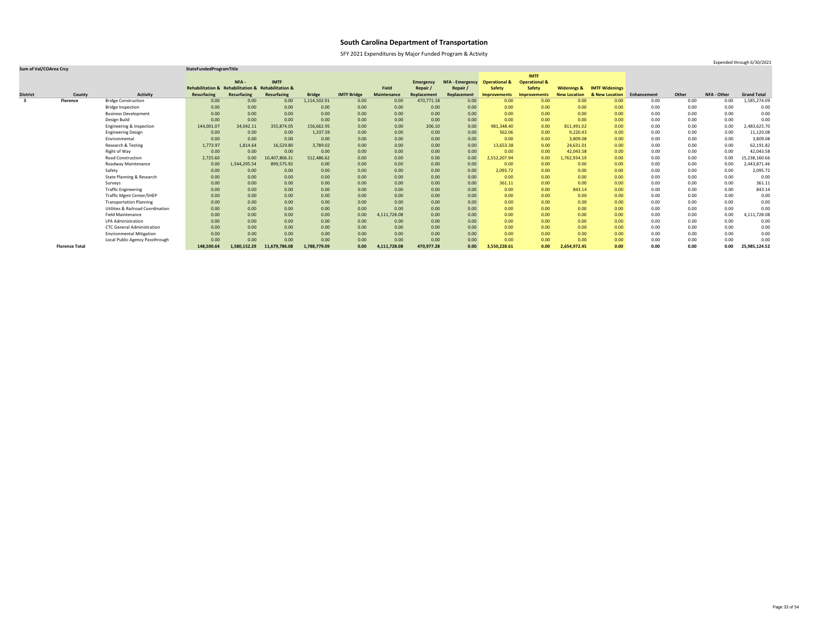SFY 2021 Expenditures by Major Funded Program & Activity

|                 |                       |                                              |                                                    |              |                    |               |                    |                    |                  |                        |                          | <b>IMTF</b>              |                        |                       |             |       |             |                    |
|-----------------|-----------------------|----------------------------------------------|----------------------------------------------------|--------------|--------------------|---------------|--------------------|--------------------|------------------|------------------------|--------------------------|--------------------------|------------------------|-----------------------|-------------|-------|-------------|--------------------|
|                 |                       |                                              |                                                    | NFA-         | <b>IMTF</b>        |               |                    |                    | <b>Emergency</b> | <b>NFA - Emergency</b> | <b>Operational &amp;</b> | <b>Operational &amp;</b> |                        |                       |             |       |             |                    |
|                 |                       |                                              | Rehabilitation & Rehabilitation & Rehabilitation & |              |                    |               |                    | <b>Field</b>       | Repair/          | Repair /               | <b>Safety</b>            | <b>Safety</b>            | <b>Widenings &amp;</b> | <b>IMTF Widenings</b> |             |       |             |                    |
| <b>District</b> | County                | <b>Activity</b>                              | <b>Resurfacing</b>                                 | Resurfacing  | <b>Resurfacing</b> | <b>Bridge</b> | <b>IMTF Bridge</b> | <b>Maintenance</b> | Replacement      | Replacement            | <b>Improvements</b>      | <b>Improvements</b>      | <b>New Location</b>    | & New Location        | Enhancement | Other | NFA - Other | <b>Grand Total</b> |
|                 | <b>Florence</b>       | <b>Bridge Construction</b>                   | 0.00                                               | 0.00         | 0.00               | 1,114,502.91  | 0.00               | 0.00               | 470,771.18       | 0.00                   | 0.00                     | 0.00                     | 0.00                   | 0.00                  | 0.00        | 0.00  | 0.00        | 1,585,274.09       |
|                 |                       | <b>Bridge Inspection</b>                     | 0.00                                               | 0.00         | 0.00               | 0.00          | 0.00               | 0.00               | 0.00             | 0.00                   | 0.00                     | 0.00                     | 0.00                   | 0.00                  | 0.00        | 0.00  | 0.00        | 0.00               |
|                 |                       | <b>Business Development</b>                  | 0.00                                               | 0.00         | 0.00               | 0.00          | 0.00               | 0.00               | 0.00             | 0.00                   | 0.00                     | 0.00                     | 0.00                   | 0.00                  | 0.00        | 0.00  | 0.00        | 0.00               |
|                 |                       | Design Build                                 | 0.00                                               | 0.00         | 0.00               | 0.00          | 0.00               | 0.00               | 0.00             | 0.00                   | 0.00                     | 0.00                     | 0.00                   | 0.00                  | 0.00        | 0.00  | 0.00        | 0.00               |
|                 |                       | Engineering & Inspection                     | 144,001.07                                         | 34,042.11    | 355,874.05         | 156,662.95    | 0.00               | 0.00               | 206.10           | 0.00                   | 981,348.40               | 0.00                     | 811,491.02             | 0.00                  | 0.00        | 0.00  | 0.00        | 2,483,625.70       |
|                 |                       | <b>Engineering Design</b>                    | 0.00                                               | 0.00         | 0.00               | 1,337.59      | 0.00               | 0.00               | 0.00             | 0.00                   | 562.06                   | 0.00                     | 9,220.43               | 0.00                  | 0.00        | 0.00  | 0.00        | 11,120.08          |
|                 |                       | Environmental                                | 0.00                                               | 0.00         | 0.00               | 0.00          | 0.00               | 0.00               | 0.00             | 0.00                   | 0.00                     | 0.00                     | 3,809.08               | 0.00                  | 0.00        | 0.00  | 0.00        | 3,809.08           |
|                 |                       | Research & Testing                           | 1,773.97                                           | 1,814.64     | 16,529.80          | 3,789.02      | 0.00               | 0.00               | 0.00             | 0.00                   | 13,653.38                | 0.00                     | 24,631.01              | 0.00                  | 0.00        | 0.00  | 0.00        | 62,191.82          |
|                 |                       | Right of Way                                 | 0.00                                               | 0.00         | 0.00               | 0.00          | 0.00               | 0.00               | 0.00             | 0.00                   | 0.00                     | 0.00                     | 42,043.58              | 0.00                  | 0.00        | 0.00  | 0.00        | 42,043.58          |
|                 |                       | Road Construction                            | 2,725.60                                           | 0.00         | 10,407,806.31      | 512,486.62    | 0.00               | 0.00               | 0.00             | 0.00                   | 2,552,207.94             | 0.00                     | 1,762,934.19           | 0.00                  | 0.00        | 0.00  | 0.00        | 15,238,160.66      |
|                 |                       | Roadway Maintenance                          | 0.00                                               | 1,544,295.54 | 899,575.92         | 0.00          | 0.00               | 0.00               | 0.00             | 0.00                   | 0.00                     | 0.00                     | 0.00                   | 0.00                  | 0.00        | 0.00  | 0.00        | 2,443,871.46       |
|                 |                       | Safety                                       | 0.00                                               | 0.00         | 0.00               | 0.00          | 0.00               | 0.00               | 0.00             | 0.00                   | 2,095.72                 | 0.00                     | 0.00                   | 0.00                  | 0.00        | 0.00  | 0.00        | 2,095.72           |
|                 |                       | State Planning & Research                    | 0.00                                               | 0.00         | 0.00               | 0.00          | 0.00               | 0.00               | 0.00             | 0.00                   | 0.00                     | 0.00                     | 0.00                   | 0.00                  | 0.00        | 0.00  | 0.00        | 0.00               |
|                 |                       | Surveys                                      | 0.00                                               | 0.00         | 0.00               | 0.00          | 0.00               | 0.00               | 0.00             | 0.00                   | 361.11                   | 0.00                     | 0.00                   | 0.00                  | 0.00        | 0.00  | 0.00        | 361.11             |
|                 |                       | <b>Traffic Engineering</b>                   | 0.00                                               | 0.00         | 0.00               | 0.00          | 0.00               | 0.00               | 0.00             | 0.00                   | 0.00                     | 0.00                     | 843.14                 | 0.00                  | 0.00        | 0.00  | 0.00        | 843.14             |
|                 |                       | <b>Traffic Mgmt Center/SHEP</b>              | 0.00                                               | 0.00         | 0.00               | 0.00          | 0.00               | 0.00               | 0.00             | 0.00                   | 0.00                     | 0.00                     | 0.00                   | 0.00                  | 0.00        | 0.00  | 0.00        | 0.00               |
|                 |                       | <b>Transportation Planning</b>               | 0.00                                               | 0.00         | 0.00               | 0.00          | 0.00               | 0.00               | 0.00             | 0.00                   | 0.00                     | 0.00                     | 0.00                   | 0.00                  | 0.00        | 0.00  | 0.00        | 0.00               |
|                 |                       | <b>Utilities &amp; Railroad Coordination</b> | 0.00                                               | 0.00         | 0.00               | 0.00          | 0.00               | 0.00               | 0.00             | 0.00                   | 0.00                     | 0.00                     | 0.00                   | 0.00                  | 0.00        | 0.00  | 0.00        | 0.00               |
|                 |                       | <b>Field Maintenance</b>                     | 0.00                                               | 0.00         | 0.00               | 0.00          | 0.00               | 4,111,728.08       | 0.00             | 0.00                   | 0.00                     | 0.00                     | 0.00                   | 0.00                  | 0.00        | 0.00  | 0.00        | 4,111,728.08       |
|                 |                       | <b>LPA Administration</b>                    | 0.00                                               | 0.00         | 0.00               | 0.00          | 0.00               | 0.00               | 0.00             | 0.00                   | 0.00                     | 0.00                     | 0.00                   | 0.00                  | 0.00        | 0.00  | 0.00        | 0.00               |
|                 |                       | <b>CTC General Administration</b>            | 0.00                                               | 0.00         | 0.00               | 0.00          | 0.00               | 0.00               | 0.00             | 0.00                   | 0.00                     | 0.00                     | 0.00                   | 0.00                  | 0.00        | 0.00  | 0.00        | 0.00               |
|                 |                       | <b>Environmental Mitigation</b>              | 0.00                                               | 0.00         | 0.00               | 0.00          | 0.00               | 0.00               | 0.00             | 0.00                   | 0.00                     | 0.00                     | 0.00                   | 0.00                  | 0.00        | 0.00  | 0.00        | 0.00               |
|                 |                       | Local Public Agency Passthrough              | 0.00                                               | 0.00         | 0.00               | 0.00          | 0.00               | 0.00               | 0.00             | 0.00                   | 0.00                     | 0.00                     | 0.00                   | 0.00                  | 0.00        | 0.00  | 0.00        | 0.00               |
|                 | <b>Florence Total</b> |                                              | 148,500.64                                         | 1,580,152.29 | 11,679,786.08      | 1,788,779.09  | 0.00               | 4,111,728.08       | 470,977.28       | 0.00                   | 3,550,228.61             | 0.00                     | 2,654,972.45           | 0.00                  | 0.00        | 0.00  | 0.00        | 25,985,124.52      |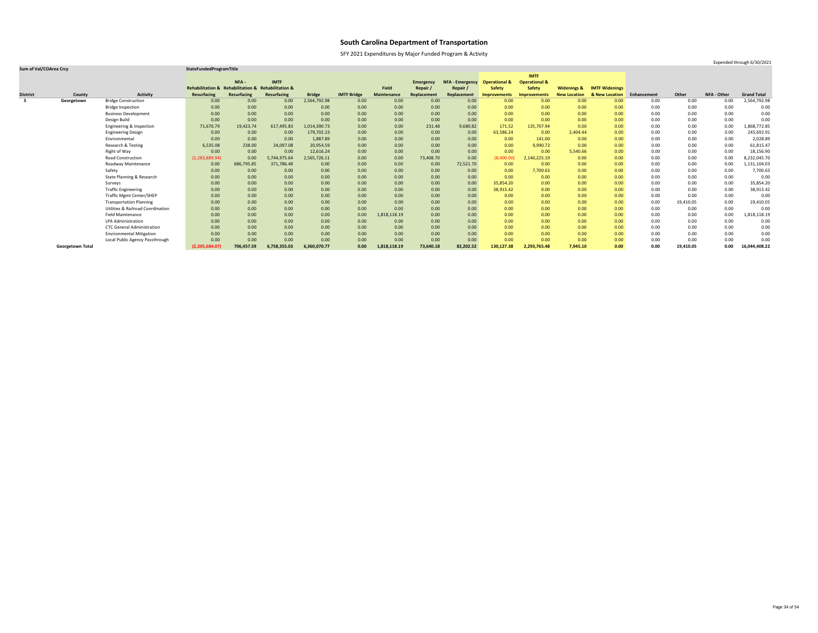SFY 2021 Expenditures by Major Funded Program & Activity

### **Sum of Val/COArea Crcy StateFundedProgramTitle**

|                 |                         |                                              |                                                    |             |              |               |                    |                    |                  |                        |                          | <b>IMTF</b>              |                        |                       |             |           |                    |                    |
|-----------------|-------------------------|----------------------------------------------|----------------------------------------------------|-------------|--------------|---------------|--------------------|--------------------|------------------|------------------------|--------------------------|--------------------------|------------------------|-----------------------|-------------|-----------|--------------------|--------------------|
|                 |                         |                                              |                                                    | NFA-        | <b>IMTF</b>  |               |                    |                    | <b>Emergency</b> | <b>NFA - Emergency</b> | <b>Operational &amp;</b> | <b>Operational &amp;</b> |                        |                       |             |           |                    |                    |
|                 |                         |                                              | Rehabilitation & Rehabilitation & Rehabilitation & |             |              |               |                    | <b>Field</b>       | Repair /         | Repair /               | <b>Safety</b>            | <b>Safety</b>            | <b>Widenings &amp;</b> | <b>IMTF Widenings</b> |             |           |                    |                    |
| <b>District</b> | County                  | <b>Activity</b>                              | <b>Resurfacing</b>                                 | Resurfacing | Resurfacing  | <b>Bridge</b> | <b>IMTF Bridge</b> | <b>Maintenance</b> | Replacement      | Replacement            | <b>Improvements</b>      | Improvements             | <b>New Location</b>    | & New Location        | Enhancement | Other     | <b>NFA - Other</b> | <b>Grand Total</b> |
| -5              | Georgetown              | <b>Bridge Construction</b>                   | 0.00                                               | 0.00        | 0.00         | 2,564,792.98  | 0.00               | 0.00               | 0.00             | 0.00                   | 0.00 <sub>1</sub>        | 0.00                     | 0.00                   | 0.00                  | 0.00        | 0.00      | 0.00               | 2,564,792.98       |
|                 |                         | <b>Bridge Inspection</b>                     | 0.00                                               | 0.00        | 0.00         | 0.00          | 0.00               | 0.00               | 0.00             | 0.00                   | 0.00                     | 0.00                     | 0.00                   | 0.00                  | 0.00        | 0.00      | 0.00               | 0.00               |
|                 |                         | <b>Business Development</b>                  | 0.00                                               | 0.00        | 0.00         | 0.00          | 0.00               | 0.00               | 0.00             | 0.00                   | 0.00                     | 0.00                     | 0.00                   | 0.00                  | 0.00        | 0.00      | 0.00               | 0.00               |
|                 |                         | Design Build                                 | 0.00                                               | 0.00        | 0.00         | 0.00          | 0.00               | 0.00               | 0.00             | 0.00                   | 0.00                     | 0.00                     | 0.00                   | 0.00                  | 0.00        | 0.00      | 0.00               | 0.00               |
|                 |                         | Engineering & Inspection                     | 71,670.79                                          | 19,423.74   | 617,495.83   | 1,014,390.73  | 0.00               | 0.00               | 231.48           | 9,680.82               | 171.52                   | 135,707.94               | 0.00                   | 0.00                  | 0.00        | 0.00      | 0.00               | 1,868,772.85       |
|                 |                         | <b>Engineering Design</b>                    | 0.00                                               | 0.00        | 0.00         | 179,702.23    | 0.00               | 0.00               | 0.00             | 0.00                   | 63,586.24                | 0.00                     | 2,404.44               | 0.00                  | 0.00        | 0.00      | 0.00               | 245,692.91         |
|                 |                         | Environmental                                | 0.00                                               | 0.00        | 0.00         | 1,887.89      | 0.00               | 0.00               | 0.00             | 0.00                   | 0.00                     | 141.00                   | 0.00                   | 0.00                  | 0.00        | 0.00      | 0.00               | 2,028.89           |
|                 |                         | Research & Testing                           | 6,535.08                                           | 238.00      | 24,097.08    | 20,954.59     | 0.00               | 0.00               | 0.00             | 0.00                   | 0.00                     | 9,990.72                 | 0.00                   | 0.00                  | 0.00        | 0.00      | 0.00               | 61,815.47          |
|                 |                         | Right of Way                                 | 0.00                                               | 0.00        | 0.00         | 12,616.24     | 0.00               | 0.00               | 0.00             | 0.00                   | 0.00                     | 0.00                     | 5,540.66               | 0.00                  | 0.00        | 0.00      | 0.00               | 18,156.90          |
|                 |                         | <b>Road Construction</b>                     | (2, 283, 889.94)                                   | 0.00        | 5,744,975.64 | 2,565,726.11  | 0.00               | 0.00               | 73,408.70        | 0.00                   | (8,400.00)               | 2,140,225.19             | 0.00                   | 0.00                  | 0.00        | 0.00      | 0.00               | 8,232,045.70       |
|                 |                         | Roadway Maintenance                          | 0.00                                               | 686,795.85  | 371,786.48   | 0.00          | 0.00               | 0.00               | 0.00             | 72,521.70              | 0.00                     | 0.00                     | 0.00                   | 0.00                  | 0.00        | 0.00      | 0.00               | 1,131,104.03       |
|                 |                         | Safety                                       | 0.00                                               | 0.00        | 0.00         | 0.00          | 0.00               | 0.00               | 0.00             | 0.00                   | 0.00                     | 7,700.63                 | 0.00                   | 0.00                  | 0.00        | 0.00      | 0.00               | 7,700.63           |
|                 |                         | State Planning & Research                    | 0.00                                               | 0.00        | 0.00         | 0.00          | 0.00               | 0.00               | 0.00             | 0.00                   | 0.00                     | 0.00                     | 0.00                   | 0.00                  | 0.00        | 0.00      | 0.00               | 0.00               |
|                 |                         | Surveys                                      | 0.00                                               | 0.00        | 0.00         | 0.00          | 0.00               | 0.00               | 0.00             | 0.00                   | 35,854.20                | 0.00                     | 0.00                   | 0.00                  | 0.00        | 0.00      | 0.00               | 35,854.20          |
|                 |                         | <b>Traffic Engineering</b>                   | 0.00                                               | 0.00        | 0.00         | 0.00          | 0.00               | 0.00               | 0.00             | 0.00                   | 38,915.42                | 0.00                     | 0.00                   | 0.00                  | 0.00        | 0.00      | 0.00               | 38,915.42          |
|                 |                         | <b>Traffic Mgmt Center/SHEP</b>              | 0.00                                               | 0.00        | 0.00         | 0.00          | 0.00               | 0.00               | 0.00             | 0.00                   | 0.00                     | 0.00                     | 0.00                   | 0.00                  | 0.00        | 0.00      | 0.00               | 0.00               |
|                 |                         | <b>Transportation Planning</b>               | 0.00                                               | 0.00        | 0.00         | 0.00          | 0.00               | 0.00               | 0.00             | 0.00                   | 0.00                     | 0.00                     | 0.00                   | 0.00                  | 0.00        | 19,410.05 | 0.00               | 19,410.05          |
|                 |                         | <b>Utilities &amp; Railroad Coordination</b> | 0.00                                               | 0.00        | 0.00         | 0.00          | 0.00               | 0.00               | 0.00             | 0.00                   | 0.00                     | 0.00                     | 0.00                   | 0.00                  | 0.00        | 0.00      | 0.00               | 0.00               |
|                 |                         | <b>Field Maintenance</b>                     | 0.00                                               | 0.00        | 0.00         | 0.00          | 0.00               | 1,818,118.19       | 0.00             | 0.00                   | 0.00                     | 0.00                     | 0.00                   | 0.00                  | 0.00        | 0.00      | 0.00               | 1,818,118.19       |
|                 |                         | <b>LPA Administration</b>                    | 0.00                                               | 0.00        | 0.00         | 0.00          | 0.00               | 0.00               | 0.00             | 0.00                   | 0.00                     | 0.00                     | 0.00                   | 0.00                  | 0.00        | 0.00      | 0.00               | 0.00               |
|                 |                         | <b>CTC General Administration</b>            | 0.00                                               | 0.00        | 0.00         | 0.00          | 0.00               | 0.00               | 0.00             | 0.00                   | 0.00                     | 0.00                     | 0.00                   | 0.00                  | 0.00        | 0.00      | 0.00               | 0.00               |
|                 |                         | <b>Environmental Mitigation</b>              | 0.00                                               | 0.00        | 0.00         | 0.00          | 0.00               | 0.00               | 0.00             | 0.00                   | 0.00                     | 0.00                     | 0.00                   | 0.00                  | 0.00        | 0.00      | 0.00               | 0.00               |
|                 |                         | Local Public Agency Passthrough              | 0.00                                               | 0.00        | 0.00         | 0.00          | 0.00               | 0.00               | 0.00             | 0.00                   | 0.00                     | 0.00                     | 0.00                   | 0.00                  | 0.00        | 0.00      | 0.00               | 0.00               |
|                 | <b>Georgetown Total</b> |                                              | (2,205,684.07)                                     | 706,457.59  | 6,758,355.03 | 6,360,070.77  | 0.00               | 1,818,118.19       | 73,640.18        | 82,202.52              | 130,127.38               | 2,293,765.48             | 7,945.10               | 0.00                  | 0.00        | 19,410.05 | 0.00               | 16,044,408.22      |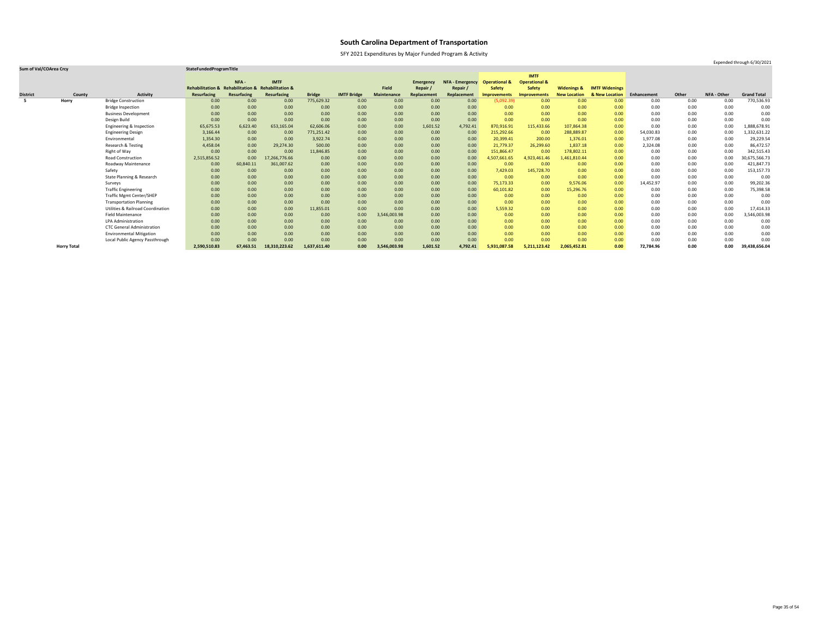SFY 2021 Expenditures by Major Funded Program & Activity

Expended through 6/30/2021

|                 |                    |                                              |                    |                                                    |                    |               |                    |                    |                  |                        |                          | <b>IMTF</b>              |                        |                       |             |          |                    |                    |
|-----------------|--------------------|----------------------------------------------|--------------------|----------------------------------------------------|--------------------|---------------|--------------------|--------------------|------------------|------------------------|--------------------------|--------------------------|------------------------|-----------------------|-------------|----------|--------------------|--------------------|
|                 |                    |                                              |                    | NFA-                                               | <b>IMTF</b>        |               |                    |                    | <b>Emergency</b> | <b>NFA - Emergency</b> | <b>Operational &amp;</b> | <b>Operational &amp;</b> |                        |                       |             |          |                    |                    |
|                 |                    |                                              |                    | Rehabilitation & Rehabilitation & Rehabilitation & |                    |               |                    | Field              | Repair /         | Repair /               | <b>Safety</b>            | <b>Safety</b>            | <b>Widenings &amp;</b> | <b>IMTF Widenings</b> |             |          |                    |                    |
| <b>District</b> | County             | <b>Activity</b>                              | <b>Resurfacing</b> | Resurfacing                                        | <b>Resurfacing</b> | <b>Bridge</b> | <b>IMTF Bridge</b> | <b>Maintenance</b> | Replacement      | Replacement            | <b>Improvements</b>      | <b>Improvements</b>      | <b>New Location</b>    | & New Location        | Enhancement | Other    | <b>NFA - Other</b> | <b>Grand Total</b> |
| 5               | <b>Horry</b>       | <b>Bridge Construction</b>                   | 0.00               | 0.00                                               | 0.00               | 775,629.32    | 0.00               | 0.00               | 0.00             | 0.00                   | (5,092.39)               | 0.00                     | 0.00                   | 0.00                  | 0.00        | $0.00\,$ | 0.00               | 770,536.93         |
|                 |                    | <b>Bridge Inspection</b>                     | 0.00               | 0.00                                               | 0.00               | 0.00          | 0.00               | 0.00               | 0.00             | 0.00                   | 0.00                     | 0.00                     | 0.00                   | 0.00                  | 0.00        | 0.00     | 0.00               | 0.00               |
|                 |                    | <b>Business Development</b>                  | 0.00               | 0.00                                               | 0.00               | 0.00          | 0.00               | 0.00               | 0.00             | 0.00                   | 0.00                     | 0.00                     | 0.00                   | 0.00                  | 0.00        | 0.00     | 0.00               | 0.00               |
|                 |                    | Design Build                                 | 0.00               | 0.00                                               | 0.00               | 0.00          | 0.00               | 0.00               | 0.00             | 0.00                   | 0.00                     | 0.00                     | 0.00                   | 0.00                  | 0.00        | 0.00     | 0.00               | 0.00               |
|                 |                    | Engineering & Inspection                     | 65,675.53          | 6,623.40                                           | 653,165.04         | 62,606.06     | 0.00               | 0.00               | 1,601.52         | 4,792.41               | 870,916.91               | 115,433.66               | 107,864.38             | 0.00                  | 0.00        | 0.00     | 0.00               | 1,888,678.91       |
|                 |                    | <b>Engineering Design</b>                    | 3,166.44           | 0.00                                               | 0.00               | 771,251.42    | 0.00               | 0.00               | 0.00             | 0.00                   | 215,292.66               | 0.00                     | 288,889.87             | 0.00                  | 54,030.83   | 0.00     | 0.00               | 1,332,631.22       |
|                 |                    | Environmental                                | 1,354.30           | 0.00                                               | 0.00               | 3,922.74      | 0.00               | 0.00               | 0.00             | 0.00                   | 20,399.41                | 200.00                   | 1,376.01               | 0.00                  | 1,977.08    | 0.00     | 0.00               | 29,229.54          |
|                 |                    | Research & Testing                           | 4,458.04           | 0.00                                               | 29,274.30          | 500.00        | 0.00               | 0.00               | 0.00             | 0.00                   | 21,779.37                | 26,299.60                | 1,837.18               | 0.00                  | 2,324.08    | 0.00     | 0.00               | 86,472.57          |
|                 |                    | Right of Way                                 | 0.00               | 0.00                                               | 0.00               | 11,846.85     | 0.00               | 0.00               | 0.00             | 0.00                   | 151,866.47               | 0.00                     | 178,802.11             | 0.00                  | 0.00        | 0.00     | 0.00               | 342,515.43         |
|                 |                    | <b>Road Construction</b>                     | 2,515,856.52       | 0.00                                               | 17,266,776.66      | 0.00          | 0.00               | 0.00               | 0.00             | 0.00                   | 4,507,661.65             | 4,923,461.46             | 1,461,810.44           | 0.00                  | 0.00        | 0.00     | 0.00               | 30,675,566.73      |
|                 |                    | Roadway Maintenance                          | 0.00               | 60,840.11                                          | 361,007.62         | 0.00          | 0.00               | 0.00               | 0.00             | 0.00                   | 0.00                     | 0.00                     | 0.00                   | 0.00                  | 0.00        | 0.00     | 0.00               | 421,847.73         |
|                 |                    | Safety                                       | 0.00               | 0.00                                               | 0.00               | 0.00          | 0.00               | 0.00               | 0.00             | 0.00                   | 7,429.03                 | 145,728.70               | 0.00                   | 0.00                  | 0.00        | 0.00     | 0.00               | 153,157.73         |
|                 |                    | State Planning & Research                    | 0.00               | 0.00                                               | 0.00               | 0.00          | 0.00               | 0.00               | 0.00             | 0.00                   | 0.00                     | 0.00                     | 0.00                   | 0.00                  | 0.00        | 0.00     | 0.00               | 0.00               |
|                 |                    | Surveys                                      | 0.00               | 0.00                                               | 0.00               | 0.00          | 0.00               | 0.00               | 0.00             | 0.00                   | 75,173.33                | 0.00                     | 9,576.06               | 0.00                  | 14,452.97   | 0.00     | 0.00               | 99,202.36          |
|                 |                    | <b>Traffic Engineering</b>                   | 0.00               | 0.00                                               | 0.00               | 0.00          | 0.00               | 0.00               | 0.00             | 0.00                   | 60,101.82                | 0.00                     | 15,296.76              | 0.00                  | 0.00        | 0.00     | 0.00               | 75,398.58          |
|                 |                    | <b>Traffic Mgmt Center/SHEP</b>              | 0.00               | 0.00                                               | 0.00               | 0.00          | 0.00               | 0.00               | 0.00             | 0.00                   | 0.00                     | 0.00                     | 0.00                   | 0.00                  | 0.00        | 0.00     | 0.00               | 0.00               |
|                 |                    | <b>Transportation Planning</b>               | 0.00               | 0.00                                               | 0.00               | 0.00          | 0.00               | 0.00               | 0.00             | 0.00                   | 0.00                     | 0.00                     | 0.00                   | 0.00                  | 0.00        | 0.00     | 0.00               | 0.00               |
|                 |                    | <b>Utilities &amp; Railroad Coordination</b> | 0.00               | 0.00                                               | 0.00               | 11,855.01     | 0.00               | 0.00               | 0.00             | 0.00                   | 5,559.32                 | 0.00                     | 0.00                   | 0.00                  | 0.00        | 0.00     | 0.00               | 17,414.33          |
|                 |                    | <b>Field Maintenance</b>                     | 0.00               | 0.00                                               | 0.00               | 0.00          | 0.00               | 3,546,003.98       | 0.00             | 0.00                   | 0.00                     | 0.00                     | 0.00                   | 0.00                  | 0.00        | 0.00     | 0.00               | 3,546,003.98       |
|                 |                    | <b>LPA Administration</b>                    | 0.00               | 0.00                                               | 0.00               | 0.00          | 0.00               | 0.00               | 0.00             | 0.00                   | 0.00                     | 0.00                     | 0.00                   | 0.00                  | 0.00        | 0.00     | 0.00               | 0.00               |
|                 |                    | <b>CTC General Administration</b>            | 0.00               | 0.00                                               | 0.00               | 0.00          | 0.00               | 0.00               | 0.00             | 0.00                   | 0.00                     | 0.00                     | 0.00                   | 0.00                  | 0.00        | 0.00     | 0.00               | 0.00               |
|                 |                    | <b>Environmental Mitigation</b>              | 0.00               | 0.00                                               | 0.00               | 0.00          | 0.00               | 0.00               | 0.00             | 0.00                   | 0.00                     | 0.00                     | 0.00                   | 0.00                  | 0.00        | 0.00     | 0.00               | 0.00               |
|                 |                    | Local Public Agency Passthrough              | 0.00               | 0.00                                               | 0.00               | 0.00          | 0.00               | 0.00               | 0.00             | 0.00                   | 0.00                     | 0.00                     | 0.00                   | 0.00                  | 0.00        | 0.00     | 0.00               | 0.00               |
|                 | <b>Horry Total</b> |                                              | 2,590,510.83       | 67,463.51                                          | 18,310,223.62      | 1,637,611.40  | 0.00               | 3,546,003.98       | 1,601.52         | 4,792.41               | 5,931,087.58             | 5,211,123.42             | 2,065,452.81           | 0.00                  | 72,784.96   | 0.00     | 0.00               | 39,438,656.04      |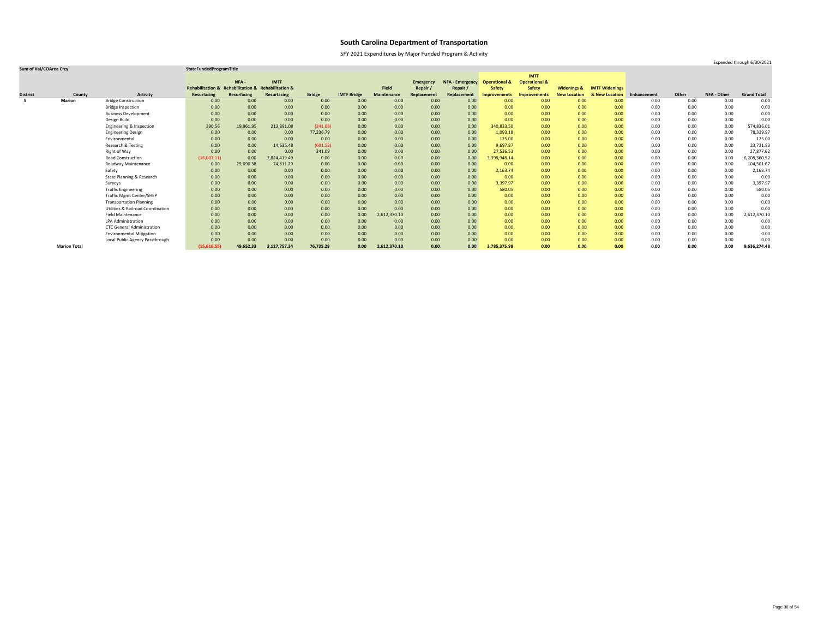SFY 2021 Expenditures by Major Funded Program & Activity

### **Sum of Val/COArea Crcy StateFundedProgramTitle**

|                 |                     |                                              |                                                    |             |                    |               |                    |                    |                  |                        |                          | <b>IMTF</b>              |                        |                       |             |       |             |                    |
|-----------------|---------------------|----------------------------------------------|----------------------------------------------------|-------------|--------------------|---------------|--------------------|--------------------|------------------|------------------------|--------------------------|--------------------------|------------------------|-----------------------|-------------|-------|-------------|--------------------|
|                 |                     |                                              |                                                    | NFA-        | <b>IMTF</b>        |               |                    |                    | <b>Emergency</b> | <b>NFA - Emergency</b> | <b>Operational &amp;</b> | <b>Operational &amp;</b> |                        |                       |             |       |             |                    |
|                 |                     |                                              | Rehabilitation & Rehabilitation & Rehabilitation & |             |                    |               |                    | <b>Field</b>       | Repair           | Repair                 | <b>Safety</b>            | <b>Safety</b>            | <b>Widenings &amp;</b> | <b>IMTF Widenings</b> |             |       |             |                    |
| <b>District</b> | County              | <b>Activity</b>                              | <b>Resurfacing</b>                                 | Resurfacing | <b>Resurfacing</b> | <b>Bridge</b> | <b>IMTF Bridge</b> | <b>Maintenance</b> | Replacement      | Replacement            | <b>Improvements</b>      | Improvements             | <b>New Location</b>    | & New Location        | Enhancement | Other | NFA - Other | <b>Grand Total</b> |
|                 | <b>Marion</b>       | <b>Bridge Construction</b>                   | 0.00                                               | 0.00        | 0.00               | 0.00          | 0.00               | 0.00               | 0.00             | 0.00                   | 0.00                     | 0.00                     | 0.00                   | 0.00                  | 0.00        | 0.00  | 0.00        | 0.00               |
|                 |                     | <b>Bridge Inspection</b>                     | 0.00                                               | 0.00        | 0.00               | 0.00          | 0.00               | 0.00               | 0.00             | 0.00                   | 0.00                     | 0.00                     | 0.00                   | 0.00                  | 0.00        | 0.00  | 0.00        | 0.00               |
|                 |                     | <b>Business Development</b>                  | 0.00                                               | 0.00        | 0.00               | 0.00          | 0.00               | 0.00               | 0.00             | 0.00                   | 0.00                     | 0.00                     | 0.00                   | 0.00 <sub>1</sub>     | 0.00        | 0.00  | 0.00        | 0.00               |
|                 |                     | Design Build                                 | 0.00                                               | 0.00        | 0.00               | 0.00          | 0.00               | 0.00               | 0.00             | 0.00                   | 0.00                     | 0.00                     | 0.00                   | 0.00                  | 0.00        | 0.00  | 0.00        | 0.00               |
|                 |                     | Engineering & Inspection                     | 390.56                                             | 19,961.95   | 213,891.08         | (241.08)      | 0.00               | 0.00               | 0.00             | 0.00                   | 340,833.50               | 0.00                     | 0.00                   | 0.00                  | 0.00        | 0.00  | 0.00        | 574,836.01         |
|                 |                     | <b>Engineering Design</b>                    | 0.00                                               | 0.00        | 0.00               | 77,236.79     | 0.00               | 0.00               | 0.00             | 0.00                   | 1,093.18                 | 0.00                     | 0.00                   | 0.00 <sub>1</sub>     | 0.00        | 0.00  | 0.00        | 78,329.97          |
|                 |                     | Environmental                                | 0.00                                               | 0.00        | 0.00               | 0.00          | 0.00               | 0.00               | 0.00             | 0.00                   | 125.00                   | 0.00                     | 0.00                   | 0.00                  | 0.00        | 0.00  | 0.00        | 125.00             |
|                 |                     | Research & Testing                           | 0.00                                               | 0.00        | 14,635.48          | (601.52)      | 0.00               | 0.00               | 0.00             | 0.00                   | 9,697.87                 | 0.00                     | 0.00                   | 0.00                  | 0.00        | 0.00  | 0.00        | 23,731.83          |
|                 |                     | Right of Way                                 | 0.00                                               | 0.00        | 0.00               | 341.09        | 0.00               | 0.00               | 0.00             | 0.00                   | 27,536.53                | 0.00                     | 0.00                   | 0.00                  | 0.00        | 0.00  | 0.00        | 27,877.62          |
|                 |                     | <b>Road Construction</b>                     | (16,007.11)                                        | 0.00        | 2,824,419.49       | 0.00          | 0.00               | 0.00               | 0.00             | 0.00                   | 3,399,948.14             | 0.00                     | 0.00                   | 0.00                  | 0.00        | 0.00  | 0.00        | 6,208,360.52       |
|                 |                     | <b>Roadway Maintenance</b>                   | 0.00                                               | 29,690.38   | 74,811.29          | 0.00          | 0.00               | 0.00               | 0.00             | 0.00                   | 0.00                     | 0.00                     | 0.00                   | 0.00                  | 0.00        | 0.00  | 0.00        | 104,501.67         |
|                 |                     | Safety                                       | 0.00                                               | 0.00        | 0.00               | 0.00          | 0.00               | 0.00               | 0.00             | 0.00                   | 2,163.74                 | 0.00                     | 0.00                   | 0.00 <sub>1</sub>     | 0.00        | 0.00  | 0.00        | 2,163.74           |
|                 |                     | State Planning & Research                    | 0.00                                               | 0.00        | 0.00               | 0.00          | 0.00               | 0.00               | 0.00             | 0.00                   | 0.00                     | 0.00                     | 0.00                   | 0.00                  | 0.00        | 0.00  | 0.00        | 0.00               |
|                 |                     | Surveys                                      | 0.00                                               | 0.00        | 0.00               | 0.00          | 0.00               | 0.00               | 0.00             | 0.00                   | 3,397.97                 | 0.00                     | 0.00                   | 0.00                  | 0.00        | 0.00  | 0.00        | 3,397.97           |
|                 |                     | <b>Traffic Engineering</b>                   | 0.00                                               | 0.00        | 0.00               | 0.00          | 0.00               | 0.00               | 0.00             | 0.00                   | 580.05                   | 0.00                     | 0.00                   | 0.00 <sub>1</sub>     | 0.00        | 0.00  | 0.00        | 580.05             |
|                 |                     | <b>Traffic Mgmt Center/SHEP</b>              | 0.00                                               | 0.00        | 0.00               | 0.00          | 0.00               | 0.00               | 0.00             | 0.00                   | 0.00                     | 0.00                     | 0.00                   | 0.00                  | 0.00        | 0.00  | 0.00        | 0.00               |
|                 |                     | <b>Transportation Planning</b>               | 0.00                                               | 0.00        | 0.00               | 0.00          | 0.00               | 0.00               | 0.00             | 0.00                   | 0.00                     | 0.00                     | 0.00                   | 0.00                  | 0.00        | 0.00  | 0.00        | 0.00               |
|                 |                     | <b>Utilities &amp; Railroad Coordination</b> | 0.00                                               | 0.00        | 0.00               | 0.00          | 0.00               | 0.00               | 0.00             | 0.00                   | 0.00                     | 0.00                     | 0.00                   | 0.00 <sub>1</sub>     | 0.00        | 0.00  | 0.00        | 0.00               |
|                 |                     | <b>Field Maintenance</b>                     | 0.00                                               | 0.00        | 0.00               | 0.00          | 0.00               | 2,612,370.10       | 0.00             | 0.00                   | 0.00                     | 0.00                     | 0.00                   | 0.00                  | 0.00        | 0.00  | 0.00        | 2,612,370.10       |
|                 |                     | <b>LPA Administration</b>                    | 0.00                                               | 0.00        | 0.00               | 0.00          | 0.00               | 0.00               | 0.00             | 0.00                   | 0.00                     | 0.00                     | 0.00                   | 0.00 <sub>1</sub>     | 0.00        | 0.00  | 0.00        | 0.00               |
|                 |                     | <b>CTC General Administration</b>            | 0.00                                               | 0.00        | 0.00               | 0.00          | 0.00               | 0.00               | 0.00             | 0.00                   | 0.00                     | 0.00                     | 0.00                   | 0.00 <sub>1</sub>     | 0.00        | 0.00  | 0.00        | 0.00               |
|                 |                     | <b>Environmental Mitigation</b>              | 0.00                                               | 0.00        | 0.00               | 0.00          | 0.00               | 0.00               | 0.00             | 0.00                   | 0.00                     | 0.00                     | 0.00                   | 0.00                  | 0.00        | 0.00  | 0.00        | 0.00               |
|                 |                     | Local Public Agency Passthrough              | 0.00                                               | 0.00        | 0.00               | 0.00          | 0.00               | 0.00               | 0.00             | 0.00                   | 0.00                     | 0.00                     | 0.00                   | 0.00                  | 0.00        | 0.00  | 0.00        | 0.00               |
|                 | <b>Marion Total</b> |                                              | (15,616.55)                                        | 49,652.33   | 3,127,757.34       | 76,735.28     | 0.00               | 2,612,370.10       | 0.00             | 0.00                   | 3,785,375.98             | 0.00                     | 0.00                   | 0.00                  | 0.00        | 0.00  | 0.00        | 9,636,274.48       |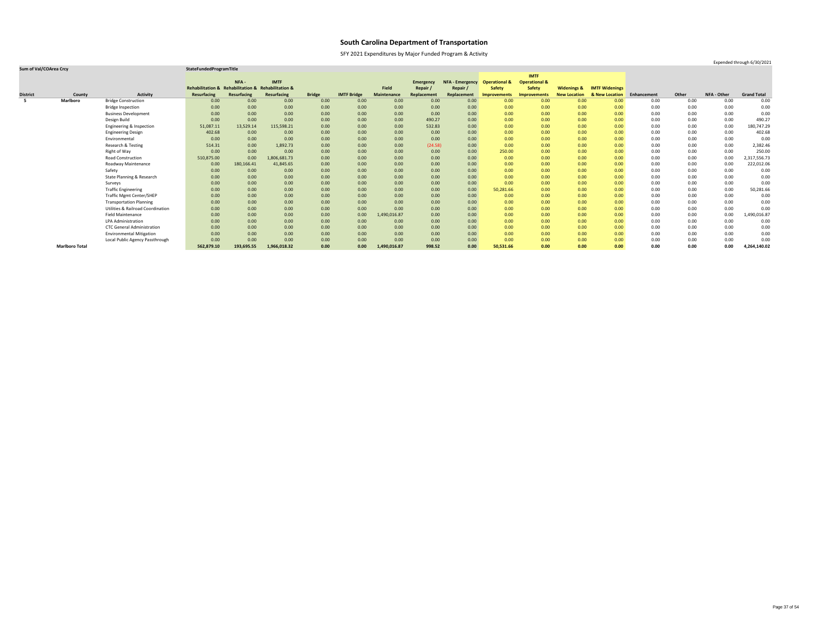SFY 2021 Expenditures by Major Funded Program & Activity

### **Sum of Val/COArea Crcy StateFundedProgramTitle**

|                 |                       |                                              |                                                    |             |              |               |                    |                    |                  |                        |                          | <b>IMTF</b>              |                        |                       |             |       |                    |                    |
|-----------------|-----------------------|----------------------------------------------|----------------------------------------------------|-------------|--------------|---------------|--------------------|--------------------|------------------|------------------------|--------------------------|--------------------------|------------------------|-----------------------|-------------|-------|--------------------|--------------------|
|                 |                       |                                              |                                                    | NFA-        | <b>IMTF</b>  |               |                    |                    | <b>Emergency</b> | <b>NFA - Emergency</b> | <b>Operational &amp;</b> | <b>Operational &amp;</b> |                        |                       |             |       |                    |                    |
|                 |                       |                                              | Rehabilitation & Rehabilitation & Rehabilitation & |             |              |               |                    | <b>Field</b>       | Repair           | Repair /               | <b>Safety</b>            | <b>Safety</b>            | <b>Widenings &amp;</b> | <b>IMTF Widenings</b> |             |       |                    |                    |
| <b>District</b> | County                | <b>Activity</b>                              | <b>Resurfacing</b>                                 | Resurfacing | Resurfacing  | <b>Bridge</b> | <b>IMTF Bridge</b> | <b>Maintenance</b> | Replacement      | Replacement            | <b>Improvements</b>      | <b>Improvements</b>      | <b>New Location</b>    | & New Location        | Enhancement | Other | <b>NFA - Other</b> | <b>Grand Total</b> |
|                 | <b>Marlboro</b>       | <b>Bridge Construction</b>                   | 0.00                                               | 0.00        | 0.00         | 0.00          | 0.00               | 0.00               | 0.00             | 0.00 <sub>1</sub>      | 0.00                     | 0.00                     | 0.00                   | 0.00 <sub>1</sub>     | 0.00        | 0.00  | 0.00               | 0.00               |
|                 |                       | <b>Bridge Inspection</b>                     | 0.00                                               | 0.00        | 0.00         | 0.00          | 0.00               | 0.00               | 0.00             | 0.00                   | 0.00                     | 0.00                     | 0.00                   | 0.00                  | 0.00        | 0.00  | 0.00               | 0.00               |
|                 |                       | <b>Business Development</b>                  | 0.00                                               | 0.00        | 0.00         | 0.00          | 0.00               | 0.00               | 0.00             | 0.00                   | 0.00                     | 0.00                     | 0.00                   | 0.00                  | 0.00        | 0.00  | 0.00               | 0.00               |
|                 |                       | Design Build                                 | 0.00                                               | 0.00        | 0.00         | 0.00          | 0.00               | 0.00               | 490.27           | 0.00                   | 0.00                     | 0.00                     | 0.00                   | 0.00                  | 0.00        | 0.00  | 0.00               | 490.27             |
|                 |                       | Engineering & Inspection                     | 51,087.11                                          | 13,529.14   | 115,598.21   | 0.00          | 0.00               | 0.00               | 532.83           | 0.00                   | 0.00                     | 0.00                     | 0.00                   | 0.00                  | 0.00        | 0.00  | 0.00               | 180,747.29         |
|                 |                       | <b>Engineering Design</b>                    | 402.68                                             | 0.00        | 0.00         | 0.00          | 0.00               | 0.00               | 0.00             | 0.00                   | 0.00                     | 0.00                     | 0.00                   | 0.00                  | 0.00        | 0.00  | 0.00               | 402.68             |
|                 |                       | Environmental                                | 0.00                                               | 0.00        | 0.00         | 0.00          | 0.00               | 0.00               | 0.00             | 0.00                   | 0.00                     | 0.00                     | 0.00                   | 0.00                  | 0.00        | 0.00  | 0.00               | 0.00               |
|                 |                       | Research & Testing                           | 514.31                                             | 0.00        | 1,892.73     | 0.00          | 0.00               | 0.00               | (24.58)          | 0.00                   | 0.00                     | 0.00                     | 0.00                   | 0.00                  | 0.00        | 0.00  | 0.00               | 2,382.46           |
|                 |                       | Right of Way                                 | 0.00                                               | 0.00        | 0.00         | 0.00          | 0.00               | 0.00               | 0.00             | 0.00                   | 250.00                   | 0.00                     | 0.00                   | 0.00                  | 0.00        | 0.00  | 0.00               | 250.00             |
|                 |                       | <b>Road Construction</b>                     | 510,875.00                                         | 0.00        | 1,806,681.73 | 0.00          | 0.00               | 0.00               | 0.00             | 0.00                   | 0.00                     | 0.00                     | 0.00                   | 0.00                  | 0.00        | 0.00  | 0.00               | 2,317,556.73       |
|                 |                       | <b>Roadway Maintenance</b>                   | 0.00                                               | 180,166.41  | 41,845.65    | 0.00          | 0.00               | 0.00               | 0.00             | 0.00                   | 0.00                     | 0.00                     | 0.00                   | 0.00                  | 0.00        | 0.00  | 0.00               | 222,012.06         |
|                 |                       | Safety                                       | 0.00                                               | 0.00        | 0.00         | 0.00          | 0.00               | 0.00               | 0.00             | 0.00                   | 0.00                     | 0.00                     | 0.00                   | 0.00                  | 0.00        | 0.00  | 0.00               | 0.00               |
|                 |                       | State Planning & Research                    | 0.00                                               | 0.00        | 0.00         | 0.00          | 0.00               | 0.00               | 0.00             | 0.00                   | 0.00                     | 0.00                     | 0.00                   | 0.00                  | 0.00        | 0.00  | 0.00               | 0.00               |
|                 |                       | Surveys                                      | 0.00                                               | 0.00        | 0.00         | 0.00          | 0.00               | 0.00               | 0.00             | 0.00                   | 0.00                     | 0.00                     | 0.00                   | 0.00                  | 0.00        | 0.00  | 0.00               | 0.00               |
|                 |                       | <b>Traffic Engineering</b>                   | 0.00                                               | 0.00        | 0.00         | 0.00          | 0.00               | 0.00               | 0.00             | 0.00                   | 50,281.66                | 0.00                     | 0.00                   | 0.00                  | 0.00        | 0.00  | 0.00               | 50,281.66          |
|                 |                       | <b>Traffic Mgmt Center/SHEP</b>              | 0.00                                               | 0.00        | 0.00         | 0.00          | 0.00               | 0.00               | 0.00             | 0.00                   | 0.00                     | 0.00                     | 0.00                   | 0.00                  | 0.00        | 0.00  | 0.00               | 0.00               |
|                 |                       | <b>Transportation Planning</b>               | 0.00                                               | 0.00        | 0.00         | 0.00          | 0.00               | 0.00               | 0.00             | 0.00                   | 0.00                     | 0.00                     | 0.00                   | 0.00                  | 0.00        | 0.00  | 0.00               | 0.00               |
|                 |                       | <b>Utilities &amp; Railroad Coordination</b> | 0.00                                               | 0.00        | 0.00         | 0.00          | 0.00               | 0.00               | 0.00             | 0.00                   | 0.00                     | 0.00                     | 0.00                   | 0.00                  | 0.00        | 0.00  | 0.00               | 0.00               |
|                 |                       | <b>Field Maintenance</b>                     | 0.00                                               | 0.00        | 0.00         | 0.00          | 0.00               | 1,490,016.87       | 0.00             | 0.00                   | 0.00                     | 0.00                     | 0.00                   | 0.00                  | 0.00        | 0.00  | 0.00               | 1,490,016.87       |
|                 |                       | <b>LPA Administration</b>                    | 0.00                                               | 0.00        | 0.00         | 0.00          | 0.00               | 0.00               | 0.00             | 0.00                   | 0.00                     | 0.00                     | 0.00                   | 0.00                  | 0.00        | 0.00  | 0.00               | 0.00               |
|                 |                       | <b>CTC General Administration</b>            | 0.00                                               | 0.00        | 0.00         | 0.00          | 0.00               | 0.00               | 0.00             | 0.00                   | 0.00                     | 0.00                     | 0.00                   | 0.00                  | 0.00        | 0.00  | 0.00               | 0.00               |
|                 |                       | <b>Environmental Mitigation</b>              | 0.00                                               | 0.00        | 0.00         | 0.00          | 0.00               | 0.00               | 0.00             | 0.00                   | 0.00                     | 0.00                     | 0.00                   | 0.00                  | 0.00        | 0.00  | 0.00               | 0.00               |
|                 |                       | Local Public Agency Passthrough              | 0.00                                               | 0.00        | 0.00         | 0.00          | 0.00               | 0.00               | 0.00             | 0.00                   | 0.00                     | 0.00                     | 0.00                   | 0.00                  | 0.00        | 0.00  | 0.00               | 0.00               |
|                 | <b>Marlboro Total</b> |                                              | 562,879.10                                         | 193,695.55  | 1,966,018.32 | 0.00          | 0.00               | 1,490,016.87       | 998.52           | 0.00                   | 50,531.66                | 0.00                     | 0.00                   | 0.00                  | 0.00        | 0.00  | 0.00               | 4,264,140.02       |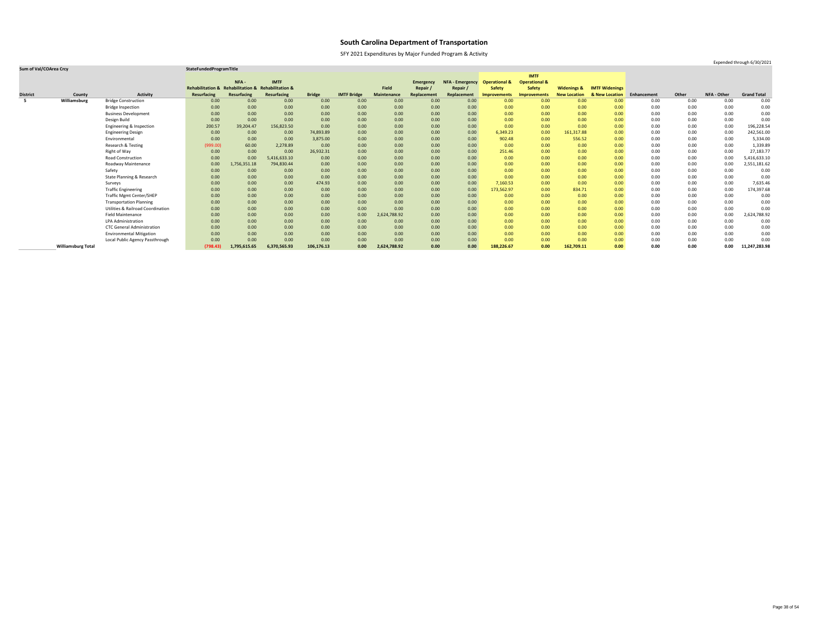SFY 2021 Expenditures by Major Funded Program & Activity

### **Sum of Val/COArea Crcy StateFundedProgramTitle**

|                 |                           |                                              |                                                    |                    |                    |               |                    |                    |                  |                        |                          | <b>IMTF</b>              |                        |                       |             |       |             |                    |
|-----------------|---------------------------|----------------------------------------------|----------------------------------------------------|--------------------|--------------------|---------------|--------------------|--------------------|------------------|------------------------|--------------------------|--------------------------|------------------------|-----------------------|-------------|-------|-------------|--------------------|
|                 |                           |                                              |                                                    | NFA-               | <b>IMTF</b>        |               |                    |                    | <b>Emergency</b> | <b>NFA - Emergency</b> | <b>Operational &amp;</b> | <b>Operational &amp;</b> |                        |                       |             |       |             |                    |
|                 |                           |                                              | Rehabilitation & Rehabilitation & Rehabilitation & |                    |                    |               |                    | <b>Field</b>       | Repair           | Repair /               | <b>Safety</b>            | <b>Safety</b>            | <b>Widenings &amp;</b> | <b>IMTF Widenings</b> |             |       |             |                    |
| <b>District</b> | County                    | <b>Activity</b>                              | <b>Resurfacing</b>                                 | <b>Resurfacing</b> | <b>Resurfacing</b> | <b>Bridge</b> | <b>IMTF Bridge</b> | <b>Maintenance</b> | Replacement      | Replacement            | <b>Improvements</b>      | <b>Improvements</b>      | <b>New Location</b>    | & New Location        | Enhancement | Other | NFA - Other | <b>Grand Total</b> |
| - 5             | Williamsburg              | <b>Bridge Construction</b>                   | 0.00                                               | 0.00               | 0.00               | 0.00          | 0.00               | 0.00               | 0.00             | 0.00                   | 0.00                     | 0.00                     | 0.00                   | 0.00 <sub>1</sub>     | 0.00        | 0.00  | 0.00        | 0.00               |
|                 |                           | <b>Bridge Inspection</b>                     | 0.00                                               | 0.00               | 0.00               | 0.00          | 0.00               | 0.00               | 0.00             | 0.00 <sub>1</sub>      | 0.00                     | 0.00                     | 0.00                   | 0.00                  | 0.00        | 0.00  | 0.00        | 0.00               |
|                 |                           | <b>Business Development</b>                  | 0.00                                               | 0.00               | 0.00               | 0.00          | 0.00               | 0.00               | 0.00             | 0.00                   | 0.00                     | 0.00                     | 0.00                   | 0.00                  | 0.00        | 0.00  | 0.00        | 0.00               |
|                 |                           | Design Build                                 | 0.00                                               | 0.00               | 0.00               | 0.00          | 0.00               | 0.00               | 0.00             | 0.00 <sub>1</sub>      | 0.00                     | 0.00                     | 0.00                   | 0.00                  | 0.00        | 0.00  | 0.00        | 0.00               |
|                 |                           | Engineering & Inspection                     | 200.57                                             | 39,204.47          | 156,823.50         | 0.00          | 0.00               | 0.00               | 0.00             | 0.00                   | 0.00                     | 0.00                     | 0.00                   | 0.00                  | 0.00        | 0.00  | 0.00        | 196,228.54         |
|                 |                           | <b>Engineering Design</b>                    | 0.00                                               | 0.00               | 0.00               | 74,893.89     | 0.00               | 0.00               | 0.00             | 0.00                   | 6,349.23                 | 0.00                     | 161,317.88             | 0.00                  | 0.00        | 0.00  | 0.00        | 242,561.00         |
|                 |                           | Environmental                                | 0.00                                               | 0.00               | 0.00               | 3,875.00      | 0.00               | 0.00               | 0.00             | 0.00                   | 902.48                   | 0.00                     | 556.52                 | 0.00                  | 0.00        | 0.00  | 0.00        | 5,334.00           |
|                 |                           | Research & Testing                           | (999.00)                                           | 60.00              | 2,278.89           | 0.00          | 0.00               | 0.00               | 0.00             | 0.00                   | 0.00                     | 0.00                     | 0.00                   | 0.00                  | 0.00        | 0.00  | 0.00        | 1,339.89           |
|                 |                           | Right of Way                                 | 0.00                                               | 0.00               | 0.00               | 26,932.31     | 0.00               | 0.00               | 0.00             | 0.00                   | 251.46                   | 0.00                     | 0.00                   | 0.00                  | 0.00        | 0.00  | 0.00        | 27,183.77          |
|                 |                           | <b>Road Construction</b>                     | 0.00                                               | 0.00               | 5,416,633.10       | 0.00          | 0.00               | 0.00               | 0.00             | 0.00                   | 0.00                     | 0.00                     | 0.00                   | 0.00                  | 0.00        | 0.00  | 0.00        | 5,416,633.10       |
|                 |                           | Roadway Maintenance                          | 0.00                                               | 1,756,351.18       | 794,830.44         | 0.00          | 0.00               | 0.00               | 0.00             | 0.00                   | 0.00                     | 0.00                     | 0.00                   | 0.00                  | 0.00        | 0.00  | 0.00        | 2,551,181.62       |
|                 |                           | Safety                                       | 0.00                                               | 0.00               | 0.00               | 0.00          | 0.00               | 0.00               | 0.00             | 0.00                   | 0.00                     | 0.00                     | 0.00                   | 0.00                  | 0.00        | 0.00  | 0.00        | 0.00               |
|                 |                           | State Planning & Research                    | 0.00                                               | 0.00               | 0.00               | 0.00          | 0.00               | 0.00               | 0.00             | 0.00                   | 0.00                     | 0.00                     | 0.00                   | 0.00                  | 0.00        | 0.00  | 0.00        | 0.00               |
|                 |                           | Surveys                                      | 0.00                                               | 0.00               | 0.00               | 474.93        | 0.00               | 0.00               | 0.00             | 0.00                   | 7,160.53                 | 0.00                     | 0.00                   | 0.00                  | 0.00        | 0.00  | 0.00        | 7,635.46           |
|                 |                           | <b>Traffic Engineering</b>                   | 0.00                                               | 0.00               | 0.00               | 0.00          | 0.00               | 0.00               | 0.00             | 0.00                   | 173,562.97               | 0.00                     | 834.71                 | 0.00                  | 0.00        | 0.00  | 0.00        | 174,397.68         |
|                 |                           | <b>Traffic Mgmt Center/SHEP</b>              | 0.00                                               | 0.00               | 0.00               | 0.00          | 0.00               | 0.00               | 0.00             | 0.00                   | 0.00                     | 0.00                     | 0.00                   | 0.00                  | 0.00        | 0.00  | 0.00        | 0.00               |
|                 |                           | <b>Transportation Planning</b>               | 0.00                                               | 0.00               | 0.00               | 0.00          | 0.00               | 0.00               | 0.00             | 0.00                   | 0.00                     | 0.00                     | 0.00                   | 0.00                  | 0.00        | 0.00  | 0.00        | 0.00               |
|                 |                           | <b>Utilities &amp; Railroad Coordination</b> | 0.00                                               | 0.00               | 0.00               | 0.00          | 0.00               | 0.00               | 0.00             | 0.00                   | 0.00                     | 0.00                     | 0.00                   | 0.00                  | 0.00        | 0.00  | 0.00        | 0.00               |
|                 |                           | <b>Field Maintenance</b>                     | 0.00                                               | 0.00               | 0.00               | 0.00          | 0.00               | 2,624,788.92       | 0.00             | 0.00                   | 0.00                     | 0.00                     | 0.00                   | 0.00                  | 0.00        | 0.00  | 0.00        | 2,624,788.92       |
|                 |                           | <b>LPA Administration</b>                    | 0.00                                               | 0.00               | 0.00               | 0.00          | 0.00               | 0.00               | 0.00             | 0.00                   | 0.00                     | 0.00                     | 0.00                   | 0.00                  | 0.00        | 0.00  | 0.00        | 0.00               |
|                 |                           | <b>CTC General Administration</b>            | 0.00                                               | 0.00               | 0.00               | 0.00          | 0.00               | 0.00               | 0.00             | 0.00                   | 0.00                     | 0.00                     | 0.00                   | 0.00                  | 0.00        | 0.00  | 0.00        | 0.00               |
|                 |                           | <b>Environmental Mitigation</b>              | 0.00                                               | 0.00               | 0.00               | 0.00          | 0.00               | 0.00               | 0.00             | 0.00                   | 0.00                     | 0.00                     | 0.00                   | 0.00                  | 0.00        | 0.00  | 0.00        | 0.00               |
|                 |                           | Local Public Agency Passthrough              | 0.00                                               | 0.00               | 0.00               | 0.00          | 0.00               | 0.00               | 0.00             | 0.00                   | 0.00                     | 0.00                     | 0.00                   | 0.00                  | 0.00        | 0.00  | 0.00        | 0.00               |
|                 | <b>Williamsburg Total</b> |                                              | (798.43)                                           | 1,795,615.65       | 6,370,565.93       | 106,176.13    | 0.00               | 2,624,788.92       | 0.00             | 0.00                   | 188,226.67               | 0.00                     | 162,709.11             | 0.00                  | 0.00        | 0.00  | 0.00        | 11,247,283.98      |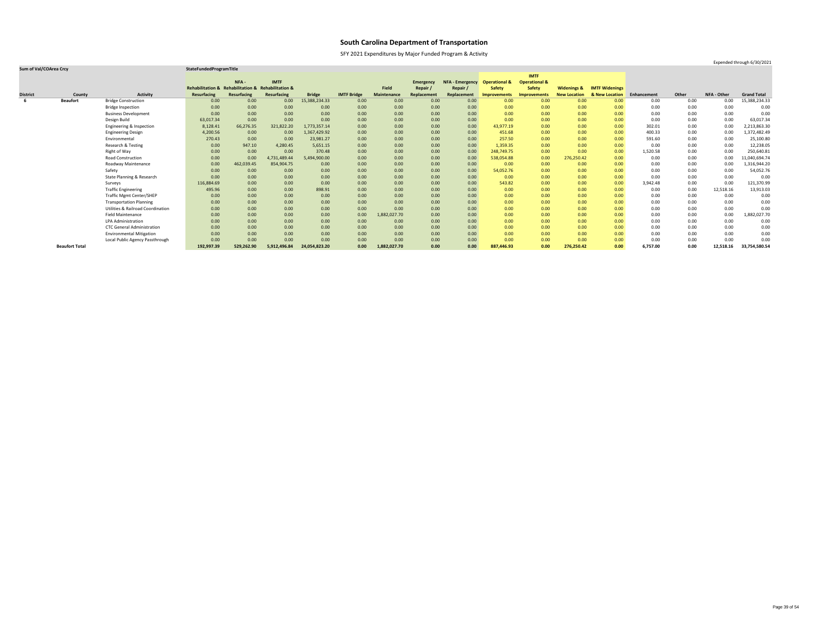SFY 2021 Expenditures by Major Funded Program & Activity

### **Sum of Val/COArea Crcy StateFundedProgramTitle**

|                 |                       |                                              |                             |                                   |              |               |                    |                    |                  |                        |                          | <b>IMTF</b>              |                        |                       |             |       |             |                    |
|-----------------|-----------------------|----------------------------------------------|-----------------------------|-----------------------------------|--------------|---------------|--------------------|--------------------|------------------|------------------------|--------------------------|--------------------------|------------------------|-----------------------|-------------|-------|-------------|--------------------|
|                 |                       |                                              |                             | NFA -                             | <b>IMTF</b>  |               |                    |                    | <b>Emergency</b> | <b>NFA - Emergency</b> | <b>Operational &amp;</b> | <b>Operational &amp;</b> |                        |                       |             |       |             |                    |
|                 |                       |                                              | <b>Rehabilitation &amp;</b> | Rehabilitation & Rehabilitation & |              |               |                    | <b>Field</b>       | Repair           | Repair /               | <b>Safety</b>            | <b>Safety</b>            | <b>Widenings &amp;</b> | <b>IMTF Widenings</b> |             |       |             |                    |
| <b>District</b> | County                | <b>Activity</b>                              | <b>Resurfacing</b>          | Resurfacing                       | Resurfacing  | <b>Bridge</b> | <b>IMTF Bridge</b> | <b>Maintenance</b> | Replacement      | Replacement            | Improvements             | <b>Improvements</b>      | <b>New Location</b>    | & New Location        | Enhancement | Other | NFA - Other | <b>Grand Total</b> |
| -6              | <b>Beaufort</b>       | <b>Bridge Construction</b>                   | 0.00                        | 0.00                              | 0.00         | 15,388,234.33 | 0.00               | 0.00               | 0.00             | 0.00                   | 0.00                     | 0.00                     | 0.00                   | 0.00 <sub>1</sub>     | 0.00        | 0.00  | 0.00        | 15,388,234.33      |
|                 |                       | <b>Bridge Inspection</b>                     | 0.00                        | 0.00                              | 0.00         | 0.00          | 0.00               | 0.00               | 0.00             | 0.00                   | 0.00                     | 0.00                     | 0.00                   | 0.00 <sub>1</sub>     | 0.00        | 0.00  | 0.00        | 0.00               |
|                 |                       | <b>Business Development</b>                  | 0.00                        | 0.00                              | 0.00         | 0.00          | 0.00               | 0.00               | 0.00             | 0.00                   | 0.00                     | 0.00                     | 0.00                   | 0.00 <sub>1</sub>     | 0.00        | 0.00  | 0.00        | 0.00               |
|                 |                       | Design Build                                 | 63,017.34                   | 0.00                              | 0.00         | 0.00          | 0.00               | 0.00               | 0.00             | 0.00                   | 0.00                     | 0.00                     | 0.00                   | 0.00                  | 0.00        | 0.00  | 0.00        | 63,017.34          |
|                 |                       | Engineering & Inspection                     | 8,128.41                    | 66,276.35                         | 321,822.20   | 1,773,357.14  | 0.00               | 0.00               | 0.00             | 0.00                   | 43,977.19                | 0.00                     | 0.00                   | 0.00                  | 302.01      | 0.00  | 0.00        | 2,213,863.30       |
|                 |                       | <b>Engineering Design</b>                    | 4,200.56                    | 0.00                              | 0.00         | 1,367,429.92  | 0.00               | 0.00               | 0.00             | 0.00                   | 451.68                   | 0.00                     | 0.00                   | 0.00                  | 400.33      | 0.00  | 0.00        | 1,372,482.49       |
|                 |                       | Environmental                                | 270.43                      | 0.00                              | 0.00         | 23,981.27     | 0.00               | 0.00               | 0.00             | 0.00                   | 257.50                   | 0.00                     | 0.00                   | 0.00 <sub>1</sub>     | 591.60      | 0.00  | 0.00        | 25,100.80          |
|                 |                       | <b>Research &amp; Testing</b>                | 0.00                        | 947.10                            | 4,280.45     | 5,651.15      | 0.00               | 0.00               | 0.00             | 0.00                   | 1,359.35                 | 0.00                     | 0.00                   | 0.00                  | 0.00        | 0.00  | 0.00        | 12,238.05          |
|                 |                       | Right of Way                                 | 0.00                        | 0.00                              | 0.00         | 370.48        | 0.00               | 0.00               | 0.00             | 0.00                   | 248,749.75               | 0.00                     | 0.00                   | 0.00                  | 1,520.58    | 0.00  | 0.00        | 250,640.81         |
|                 |                       | <b>Road Construction</b>                     | 0.00                        | 0.00                              | 4,731,489.44 | 5,494,900.00  | 0.00               | 0.00               | 0.00             | 0.00                   | 538,054.88               | 0.00                     | 276,250.42             | 0.00                  | 0.00        | 0.00  | 0.00        | L,040,694.74       |
|                 |                       | Roadway Maintenance                          | 0.00                        | 462,039.45                        | 854,904.75   | 0.00          | 0.00               | 0.00               | 0.00             | 0.00                   | 0.00                     | 0.00                     | 0.00                   | 0.00                  | 0.00        | 0.00  | 0.00        | 1,316,944.20       |
|                 |                       | Safety                                       | 0.00                        | 0.00                              | 0.00         | 0.00          | 0.00               | 0.00               | 0.00             | 0.00                   | 54,052.76                | 0.00                     | 0.00                   | 0.00 <sub>1</sub>     | 0.00        | 0.00  | 0.00        | 54,052.76          |
|                 |                       | State Planning & Research                    | 0.00                        | 0.00                              | 0.00         | 0.00          | 0.00               | 0.00               | 0.00             | 0.00                   | 0.00                     | 0.00                     | 0.00                   | 0.00                  | 0.00        | 0.00  | 0.00        | 0.00               |
|                 |                       | Surveys                                      | 116,884.69                  | 0.00                              | 0.00         | 0.00          | 0.00               | 0.00               | 0.00             | 0.00                   | 543.82                   | 0.00                     | 0.00                   | 0.00                  | 3,942.48    | 0.00  | 0.00        | 121,370.99         |
|                 |                       | <b>Traffic Engineering</b>                   | 495.96                      | 0.00                              | 0.00         | 898.91        | 0.00               | 0.00               | 0.00             | 0.00                   | 0.00                     | 0.00                     | 0.00                   | 0.00 <sub>1</sub>     | 0.00        | 0.00  | 12,518.16   | 13,913.03          |
|                 |                       | <b>Traffic Mgmt Center/SHEP</b>              | 0.00                        | 0.00                              | 0.00         | 0.00          | 0.00               | 0.00               | 0.00             | 0.00                   | 0.00                     | 0.00                     | 0.00                   | 0.00 <sub>1</sub>     | 0.00        | 0.00  | 0.00        | 0.00               |
|                 |                       | <b>Transportation Planning</b>               | 0.00                        | 0.00                              | 0.00         | 0.00          | 0.00               | 0.00               | 0.00             | 0.00                   | 0.00                     | 0.00                     | 0.00                   | 0.00 <sub>1</sub>     | 0.00        | 0.00  | 0.00        | 0.00               |
|                 |                       | <b>Utilities &amp; Railroad Coordination</b> | 0.00                        | 0.00                              | 0.00         | 0.00          | 0.00               | 0.00               | 0.00             | 0.00                   | 0.00                     | 0.00                     | 0.00                   | 0.00 <sub>1</sub>     | 0.00        | 0.00  | 0.00        | 0.00               |
|                 |                       | <b>Field Maintenance</b>                     | 0.00                        | 0.00                              | 0.00         | 0.00          | 0.00               | 1,882,027.70       | 0.00             | 0.00                   | 0.00                     | 0.00                     | 0.00                   | 0.00 <sub>1</sub>     | 0.00        | 0.00  | 0.00        | 1,882,027.70       |
|                 |                       | <b>LPA Administration</b>                    | 0.00                        | 0.00                              | 0.00         | 0.00          | 0.00               | 0.00               | 0.00             | 0.00                   | 0.00                     | 0.00                     | 0.00                   | 0.00                  | 0.00        | 0.00  | 0.00        | 0.00               |
|                 |                       | <b>CTC General Administration</b>            | 0.00                        | 0.00                              | 0.00         | 0.00          | 0.00               | 0.00               | 0.00             | 0.00                   | 0.00                     | 0.00                     | 0.00                   | 0.00 <sub>1</sub>     | 0.00        | 0.00  | 0.00        | 0.00               |
|                 |                       | <b>Environmental Mitigation</b>              | 0.00                        | 0.00                              | 0.00         | 0.00          | 0.00               | 0.00               | 0.00             | 0.00                   | 0.00                     | 0.00                     | 0.00                   | 0.00                  | 0.00        | 0.00  | 0.00        | 0.00               |
|                 |                       | Local Public Agency Passthrough              | 0.00                        | 0.00                              | 0.00         | 0.00          | 0.00               | 0.00               | 0.00             | 0.00                   | 0.00                     | 0.00                     | 0.00                   | 0.00                  | 0.00        | 0.00  | 0.00        | 0.00               |
|                 | <b>Beaufort Total</b> |                                              | 192,997.39                  | 529,262.90                        | 5,912,496.84 | 24,054,823.20 | 0.00               | 1,882,027.70       | 0.00             | 0.00                   | 887,446.93               | 0.00                     | 276,250.42             | 0.00                  | 6,757.00    | 0.00  | 12,518.16   | 33,754,580.54      |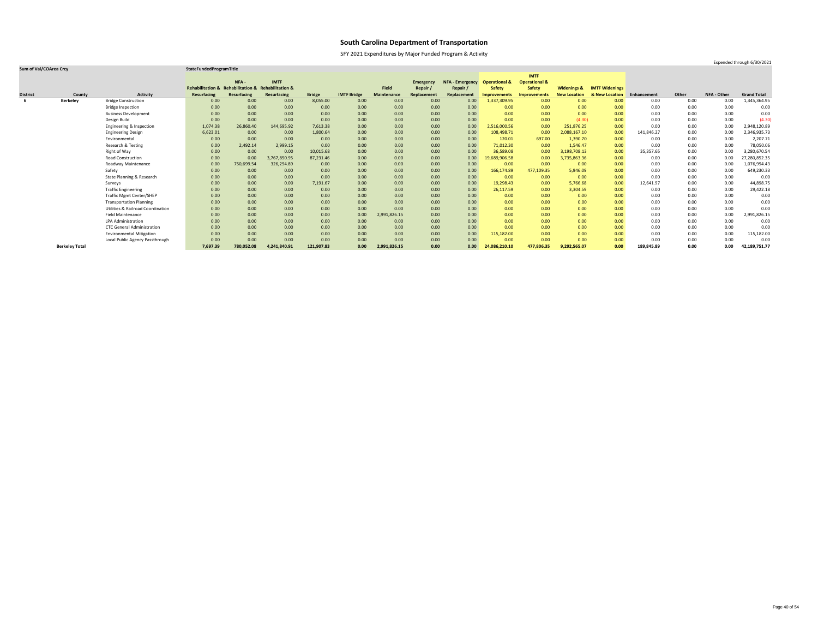SFY 2021 Expenditures by Major Funded Program & Activity

### **Sum of Val/COArea Crcy StateFundedProgramTitle**

|                 |                       |                                              |                                                    |             |              |               |                    |                    |                  |                        |                          | <b>IMTF</b>              |                        |                       |             |       |             |                    |
|-----------------|-----------------------|----------------------------------------------|----------------------------------------------------|-------------|--------------|---------------|--------------------|--------------------|------------------|------------------------|--------------------------|--------------------------|------------------------|-----------------------|-------------|-------|-------------|--------------------|
|                 |                       |                                              |                                                    | NFA-        | <b>IMTF</b>  |               |                    |                    | <b>Emergency</b> | <b>NFA - Emergency</b> | <b>Operational &amp;</b> | <b>Operational &amp;</b> |                        |                       |             |       |             |                    |
|                 |                       |                                              | Rehabilitation & Rehabilitation & Rehabilitation & |             |              |               |                    | <b>Field</b>       | Repair           | Repair                 | <b>Safety</b>            | <b>Safety</b>            | <b>Widenings &amp;</b> | <b>IMTF Widenings</b> |             |       |             |                    |
| <b>District</b> | County                | <b>Activity</b>                              | <b>Resurfacing</b>                                 | Resurfacing | Resurfacing  | <b>Bridge</b> | <b>IMTF Bridge</b> | <b>Maintenance</b> | Replacement      | Replacement            | <b>Improvements</b>      | <b>Improvements</b>      | <b>New Location</b>    | & New Location        | Enhancement | Other | NFA - Other | <b>Grand Total</b> |
|                 | <b>Berkeley</b>       | <b>Bridge Construction</b>                   | 0.00                                               | 0.00        | 0.00         | 8,055.00      | 0.00               | 0.00               | 0.00             | 0.00                   | 1,337,309.95             | 0.00                     | 0.00                   | 0.00                  | 0.00        | 0.00  | 0.00        | 1,345,364.95       |
|                 |                       | <b>Bridge Inspection</b>                     | 0.00                                               | 0.00        | 0.00         | 0.00          | 0.00               | 0.00               | 0.00             | 0.00                   | 0.00                     | 0.00                     | 0.00                   | 0.00                  | 0.00        | 0.00  | 0.00        | 0.00               |
|                 |                       | <b>Business Development</b>                  | 0.00                                               | 0.00        | 0.00         | 0.00          | 0.00               | 0.00               | 0.00             | 0.00                   | 0.00                     | 0.00                     | 0.00                   | 0.00                  | 0.00        | 0.00  | 0.00        | 0.00               |
|                 |                       | Design Build                                 | 0.00                                               | 0.00        | 0.00         | 0.00          | 0.00               | 0.00               | 0.00             | 0.00                   | 0.00                     | 0.00                     | (4.30)                 | 0.00                  | 0.00        | 0.00  | 0.00        | (4.30)             |
|                 |                       | Engineering & Inspection                     | 1,074.38                                           | 26,860.40   | 144,695.92   | 7,613.38      | 0.00               | 0.00               | 0.00             | 0.00                   | 2,516,000.56             | 0.00                     | 251,876.25             | 0.00                  | 0.00        | 0.00  | 0.00        | 2,948,120.89       |
|                 |                       | <b>Engineering Design</b>                    | 6,623.01                                           | 0.00        | 0.00         | 1,800.64      | 0.00               | 0.00               | 0.00             | 0.00                   | 108,498.71               | 0.00                     | 2,088,167.10           | 0.00                  | 141,846.27  | 0.00  | 0.00        | 2,346,935.73       |
|                 |                       | Environmental                                | 0.00                                               | 0.00        | 0.00         | 0.00          | 0.00               | 0.00               | 0.00             | 0.00                   | 120.01                   | 697.00                   | 1,390.70               | 0.00                  | 0.00        | 0.00  | 0.00        | 2,207.71           |
|                 |                       | Research & Testing                           | 0.00                                               | 2,492.14    | 2,999.15     | 0.00          | 0.00               | 0.00               | 0.00             | 0.00                   | 71,012.30                | 0.00                     | 1,546.47               | 0.00                  | 0.00        | 0.00  | 0.00        | 78,050.06          |
|                 |                       | Right of Way                                 | 0.00                                               | 0.00        | 0.00         | 10,015.68     | 0.00               | 0.00               | 0.00             | 0.00                   | 36,589.08                | 0.00                     | 3,198,708.13           | 0.00                  | 35,357.65   | 0.00  | 0.00        | 3,280,670.54       |
|                 |                       | <b>Road Construction</b>                     | 0.00                                               | 0.00        | 3,767,850.95 | 87,231.46     | 0.00               | 0.00               | 0.00             | 0.00                   | 9,689,906.58             | 0.00                     | 3,735,863.36           | 0.00                  | 0.00        | 0.00  | 0.00        | 27,280,852.35      |
|                 |                       | Roadway Maintenance                          | 0.00                                               | 750,699.54  | 326,294.89   | 0.00          | 0.00               | 0.00               | 0.00             | 0.00                   | 0.00                     | 0.00                     | 0.00                   | 0.00                  | 0.00        | 0.00  | 0.00        | 1,076,994.43       |
|                 |                       | Safety                                       | 0.00                                               | 0.00        | 0.00         | 0.00          | 0.00               | 0.00               | 0.00             | 0.00                   | 166,174.89               | 477,109.35               | 5,946.09               | 0.00                  | 0.00        | 0.00  | 0.00        | 649,230.33         |
|                 |                       | State Planning & Research                    | 0.00                                               | 0.00        | 0.00         | 0.00          | 0.00               | 0.00               | 0.00             | 0.00                   | 0.00                     | 0.00                     | 0.00                   | 0.00                  | 0.00        | 0.00  | 0.00        | 0.00               |
|                 |                       | Surveys                                      | 0.00                                               | 0.00        | 0.00         | 7,191.67      | 0.00               | 0.00               | 0.00             | 0.00                   | 19,298.43                | 0.00                     | 5,766.68               | 0.00                  | 12,641.97   | 0.00  | 0.00        | 44,898.75          |
|                 |                       | <b>Traffic Engineering</b>                   | 0.00                                               | 0.00        | 0.00         | 0.00          | 0.00               | 0.00               | 0.00             | 0.00                   | 26,117.59                | 0.00                     | 3,304.59               | 0.00                  | 0.00        | 0.00  | 0.00        | 29,422.18          |
|                 |                       | <b>Traffic Mgmt Center/SHEP</b>              | 0.00                                               | 0.00        | 0.00         | 0.00          | 0.00               | 0.00               | 0.00             | 0.00                   | 0.00                     | 0.00                     | 0.00                   | 0.00                  | 0.00        | 0.00  | 0.00        | 0.00               |
|                 |                       | <b>Transportation Planning</b>               | 0.00                                               | 0.00        | 0.00         | 0.00          | 0.00               | 0.00               | 0.00             | 0.00                   | 0.00                     | 0.00                     | 0.00                   | 0.00                  | 0.00        | 0.00  | 0.00        | 0.00               |
|                 |                       | <b>Utilities &amp; Railroad Coordination</b> | 0.00                                               | 0.00        | 0.00         | 0.00          | 0.00               | 0.00               | 0.00             | 0.00                   | 0.00                     | 0.00                     | 0.00                   | 0.00                  | 0.00        | 0.00  | 0.00        | 0.00               |
|                 |                       | <b>Field Maintenance</b>                     | 0.00                                               | 0.00        | 0.00         | 0.00          | 0.00               | 2,991,826.15       | 0.00             | 0.00                   | 0.00                     | 0.00                     | 0.00                   | 0.00                  | 0.00        | 0.00  | 0.00        | 2,991,826.15       |
|                 |                       | LPA Administration                           | 0.00                                               | 0.00        | 0.00         | 0.00          | 0.00               | 0.00               | 0.00             | 0.00                   | 0.00                     | 0.00                     | 0.00                   | 0.00                  | 0.00        | 0.00  | 0.00        | 0.00               |
|                 |                       | <b>CTC General Administration</b>            | 0.00                                               | 0.00        | 0.00         | 0.00          | 0.00               | 0.00               | 0.00             | 0.00                   | 0.00                     | 0.00                     | 0.00                   | 0.00                  | 0.00        | 0.00  | 0.00        | 0.00               |
|                 |                       | <b>Environmental Mitigation</b>              | 0.00                                               | 0.00        | 0.00         | 0.00          | 0.00               | 0.00               | 0.00             | 0.00                   | 115,182.00               | 0.00                     | 0.00                   | 0.00                  | 0.00        | 0.00  | 0.00        | 115,182.00         |
|                 |                       | Local Public Agency Passthrough              | 0.00                                               | 0.00        | 0.00         | 0.00          | 0.00               | 0.00               | 0.00             | 0.00                   | 0.00                     | 0.00                     | 0.00                   | 0.00                  | 0.00        | 0.00  | 0.00        | 0.00               |
|                 | <b>Berkeley Total</b> |                                              | 7,697.39                                           | 780,052.08  | 4,241,840.91 | 121,907.83    | 0.00               | 2,991,826.15       | 0.00             | 0.00                   | 24,086,210.10            | 477,806.35               | 9,292,565.07           | 0.00                  | 189,845.89  | 0.00  | 0.00        | 42,189,751.77      |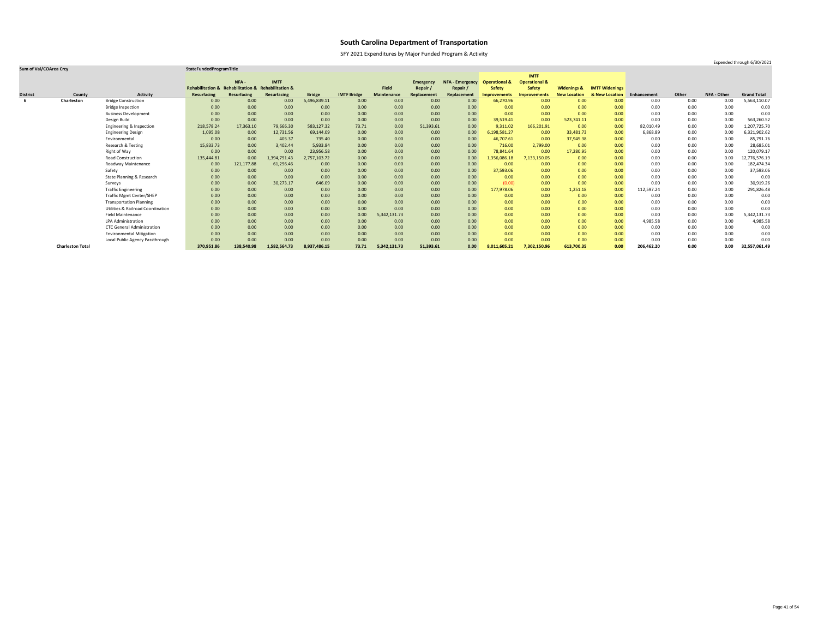SFY 2021 Expenditures by Major Funded Program & Activity

### **Sum of Val/COArea Crcy StateFundedProgramTitle**

|                 |                         |                                              |                                                    |             |              |               |                    |                    |                  |                        |                          | <b>IMTF</b>              |                        |                       |             |       |             |                    |
|-----------------|-------------------------|----------------------------------------------|----------------------------------------------------|-------------|--------------|---------------|--------------------|--------------------|------------------|------------------------|--------------------------|--------------------------|------------------------|-----------------------|-------------|-------|-------------|--------------------|
|                 |                         |                                              |                                                    | NFA-        | <b>IMTF</b>  |               |                    |                    | <b>Emergency</b> | <b>NFA - Emergency</b> | <b>Operational &amp;</b> | <b>Operational &amp;</b> |                        |                       |             |       |             |                    |
|                 |                         |                                              | Rehabilitation & Rehabilitation & Rehabilitation & |             |              |               |                    | <b>Field</b>       | Repair           | Repair /               | <b>Safety</b>            | <b>Safety</b>            | <b>Widenings &amp;</b> | <b>IMTF Widenings</b> |             |       |             |                    |
| <b>District</b> | County                  | <b>Activity</b>                              | <b>Resurfacing</b>                                 | Resurfacing | Resurfacing  | <b>Bridge</b> | <b>IMTF Bridge</b> | <b>Maintenance</b> | Replacement      | Replacement            | <b>Improvements</b>      | <b>Improvements</b>      | <b>New Location</b>    | & New Location        | Enhancement | Other | NFA - Other | <b>Grand Total</b> |
|                 | Charleston              | <b>Bridge Construction</b>                   | 0.00                                               | 0.00        | 0.00         | 5,496,839.11  | 0.00               | 0.00               | 0.00             | 0.00                   | 66,270.96                | 0.00                     | 0.00                   | 0.00                  | 0.00        | 0.00  | 0.00        | 5,563,110.07       |
|                 |                         | <b>Bridge Inspection</b>                     | 0.00                                               | 0.00        | 0.00         | 0.00          | 0.00               | 0.00               | 0.00             | 0.00                   | 0.00 <sub>1</sub>        | 0.00                     | 0.00                   | 0.00                  | 0.00        | 0.00  | 0.00        | 0.00               |
|                 |                         | <b>Business Development</b>                  | 0.00                                               | 0.00        | 0.00         | 0.00          | 0.00               | 0.00               | 0.00             | 0.00                   | 0.00                     | 0.00                     | 0.00                   | 0.00                  | 0.00        | 0.00  | 0.00        | 0.00               |
|                 |                         | Design Build                                 | 0.00                                               | 0.00        | 0.00         | 0.00          | 0.00               | 0.00               | 0.00             | 0.00                   | 39,519.41                | 0.00                     | 523,741.11             | 0.00                  | 0.00        | 0.00  | 0.00        | 563,260.52         |
|                 |                         | Engineering & Inspection                     | 218,578.24                                         | 17,363.10   | 79,666.30    | 583,127.32    | 73.71              | 0.00               | 51,393.61        | 0.00                   | 9,311.02                 | 166,201.91               | 0.00                   | 0.00                  | 82,010.49   | 0.00  | 0.00        | 1,207,725.70       |
|                 |                         | <b>Engineering Design</b>                    | 1,095.08                                           | 0.00        | 12,731.56    | 69,144.09     | 0.00               | 0.00               | 0.00             | 0.00                   | 6,198,581.27             | 0.00                     | 33,481.73              | 0.00                  | 6,868.89    | 0.00  | 0.00        | 6,321,902.62       |
|                 |                         | Environmental                                | 0.00                                               | 0.00        | 403.37       | 735.40        | 0.00               | 0.00               | 0.00             | 0.00                   | 46,707.61                | 0.00                     | 37,945.38              | 0.00                  | 0.00        | 0.00  | 0.00        | 85,791.76          |
|                 |                         | Research & Testing                           | 15,833.73                                          | 0.00        | 3,402.44     | 5,933.84      | 0.00               | 0.00               | 0.00             | 0.00                   | 716.00                   | 2,799.00                 | 0.00                   | 0.00                  | 0.00        | 0.00  | 0.00        | 28,685.01          |
|                 |                         | Right of Way                                 | 0.00                                               | 0.00        | 0.00         | 23,956.58     | 0.00               | 0.00               | 0.00             | 0.00                   | 78,841.64                | 0.00                     | 17,280.95              | 0.00                  | 0.00        | 0.00  | 0.00        | 120,079.17         |
|                 |                         | <b>Road Construction</b>                     | 135,444.81                                         | 0.00        | 1,394,791.43 | 2,757,103.72  | 0.00               | 0.00               | 0.00             | 0.00                   | ,356,086.18              | 7,133,150.05             | 0.00                   | 0.00                  | 0.00        | 0.00  | 0.00        | 12,776,576.19      |
|                 |                         | Roadway Maintenance                          | 0.00                                               | 121,177.88  | 61,296.46    | 0.00          | 0.00               | 0.00               | 0.00             | 0.00                   | 0.00                     | 0.00                     | 0.00                   | 0.00                  | 0.00        | 0.00  | 0.00        | 182,474.34         |
|                 |                         | Safety                                       | 0.00                                               | 0.00        | 0.00         | 0.00          | 0.00               | 0.00               | 0.00             | 0.00                   | 37,593.06                | 0.00                     | 0.00                   | 0.00                  | 0.00        | 0.00  | 0.00        | 37,593.06          |
|                 |                         | State Planning & Research                    | 0.00                                               | 0.00        | 0.00         | 0.00          | 0.00               | 0.00               | 0.00             | 0.00                   | 0.00                     | 0.00                     | 0.00                   | 0.00                  | 0.00        | 0.00  | 0.00        | 0.00               |
|                 |                         | Surveys                                      | 0.00                                               | 0.00        | 30,273.17    | 646.09        | 0.00               | 0.00               | 0.00             | 0.00                   | (0.00)                   | 0.00                     | 0.00                   | 0.00                  | 0.00        | 0.00  | 0.00        | 30,919.26          |
|                 |                         | <b>Traffic Engineering</b>                   | 0.00                                               | 0.00        | 0.00         | 0.00          | 0.00               | 0.00               | 0.00             | 0.00                   | 177,978.06               | 0.00                     | 1,251.18               | 0.00                  | 112,597.24  | 0.00  | 0.00        | 291,826.48         |
|                 |                         | <b>Traffic Mgmt Center/SHEP</b>              | 0.00                                               | 0.00        | 0.00         | 0.00          | 0.00               | 0.00               | 0.00             | 0.00                   | 0.00                     | 0.00                     | 0.00                   | 0.00                  | 0.00        | 0.00  | 0.00        | 0.00               |
|                 |                         | <b>Transportation Planning</b>               | 0.00                                               | 0.00        | 0.00         | 0.00          | 0.00               | 0.00               | 0.00             | 0.00                   | 0.00                     | 0.00                     | 0.00                   | 0.00                  | 0.00        | 0.00  | 0.00        | 0.00               |
|                 |                         | <b>Utilities &amp; Railroad Coordination</b> | 0.00                                               | 0.00        | 0.00         | 0.00          | 0.00               | 0.00               | 0.00             | 0.00                   | 0.00                     | 0.00                     | 0.00                   | 0.00                  | 0.00        | 0.00  | 0.00        | 0.00               |
|                 |                         | <b>Field Maintenance</b>                     | 0.00                                               | 0.00        | 0.00         | 0.00          | 0.00               | 5,342,131.73       | 0.00             | 0.00                   | 0.00                     | 0.00                     | 0.00                   | 0.00                  | 0.00        | 0.00  | 0.00        | 5,342,131.73       |
|                 |                         | LPA Administration                           | 0.00                                               | 0.00        | 0.00         | 0.00          | 0.00               | 0.00               | 0.00             | 0.00                   | 0.00                     | 0.00                     | 0.00                   | 0.00                  | 4,985.58    | 0.00  | 0.00        | 4,985.58           |
|                 |                         | <b>CTC General Administration</b>            | 0.00                                               | 0.00        | 0.00         | 0.00          | 0.00               | 0.00               | 0.00             | 0.00                   | 0.00                     | 0.00                     | 0.00                   | 0.00                  | 0.00        | 0.00  | 0.00        | 0.00               |
|                 |                         | <b>Environmental Mitigation</b>              | 0.00                                               | 0.00        | 0.00         | 0.00          | 0.00               | 0.00               | 0.00             | 0.00                   | 0.00                     | 0.00                     | 0.00                   | 0.00                  | 0.00        | 0.00  | 0.00        | 0.00               |
|                 |                         | Local Public Agency Passthrough              | 0.00                                               | 0.00        | 0.00         | 0.00          | 0.00               | 0.00               | 0.00             | 0.00                   | 0.00                     | 0.00                     | 0.00                   | 0.00                  | 0.00        | 0.00  | 0.00        | 0.00               |
|                 | <b>Charleston Total</b> |                                              | 370,951.86                                         | 138,540.98  | 1,582,564.73 | 8,937,486.15  | 73.71              | 5,342,131.73       | 51,393.61        | 0.00                   | 8,011,605.21             | 7,302,150.96             | 613,700.35             | 0.00                  | 206,462.20  | 0.00  | 0.00        | 32,557,061.49      |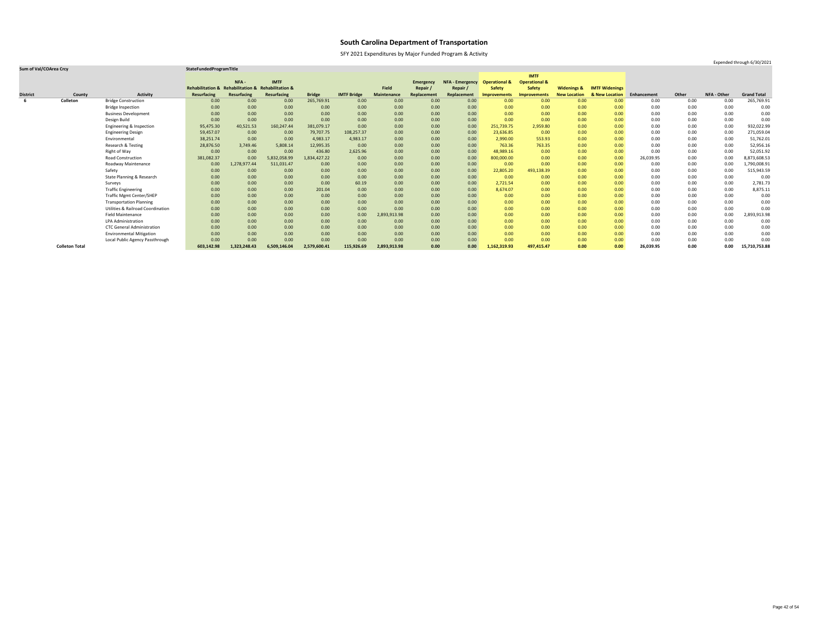SFY 2021 Expenditures by Major Funded Program & Activity

### **Sum of Val/COArea Crcy StateFundedProgramTitle**

|                 |                       |                                              |                                                    |              |              |               |                    |              |                  |                        |                          | <b>IMTF</b>              |                        |                       |             |          |             |                    |
|-----------------|-----------------------|----------------------------------------------|----------------------------------------------------|--------------|--------------|---------------|--------------------|--------------|------------------|------------------------|--------------------------|--------------------------|------------------------|-----------------------|-------------|----------|-------------|--------------------|
|                 |                       |                                              |                                                    | NFA -        | <b>IMTF</b>  |               |                    |              | <b>Emergency</b> | <b>NFA - Emergency</b> | <b>Operational &amp;</b> | <b>Operational &amp;</b> |                        |                       |             |          |             |                    |
|                 |                       |                                              | Rehabilitation & Rehabilitation & Rehabilitation & |              |              |               |                    | <b>Field</b> | Repair           | Repair /               | <b>Safety</b>            | <b>Safety</b>            | <b>Widenings &amp;</b> | <b>IMTF Widenings</b> |             |          |             |                    |
| <b>District</b> | County                | <b>Activity</b>                              | <b>Resurfacing</b>                                 | Resurfacing  | Resurfacing  | <b>Bridge</b> | <b>IMTF Bridge</b> | Maintenance  | Replacement      | Replacement            | <b>Improvements</b>      | <b>Improvements</b>      | <b>New Location</b>    | & New Location        | Enhancement | Other    | NFA - Other | <b>Grand Total</b> |
| -6              | Colleton              | <b>Bridge Construction</b>                   | 0.00                                               | 0.00         | 0.00         | 265,769.91    | 0.00               | 0.00         | 0.00             | 0.00                   | 0.00 <sub>1</sub>        | 0.00                     | 0.00                   | 0.00                  | 0.00        | 0.00     | 0.00        | 265,769.91         |
|                 |                       | <b>Bridge Inspection</b>                     | 0.00                                               | 0.00         | 0.00         | 0.00          | 0.00               | 0.00         | 0.00             | 0.00                   | 0.00                     | 0.00                     | 0.00                   | 0.00                  | 0.00        | 0.00     | 0.00        | 0.00               |
|                 |                       | <b>Business Development</b>                  | 0.00                                               | 0.00         | 0.00         | 0.00          | 0.00               | 0.00         | 0.00             | 0.00                   | 0.00                     | 0.00                     | 0.00                   | 0.00                  | 0.00        | 0.00     | 0.00        | 0.00               |
|                 |                       | Design Build                                 | 0.00                                               | 0.00         | 0.00         | 0.00          | 0.00               | 0.00         | 0.00             | 0.00                   | 0.00                     | 0.00                     | 0.00                   | 0.00                  | 0.00        | 0.00     | 0.00        | 0.00               |
|                 |                       | Engineering & Inspection                     | 95,475.30                                          | 40,521.53    | 160,247.44   | 381,079.17    | 0.00               | 0.00         | 0.00             | 0.00                   | 251,739.75               | 2,959.80                 | 0.00                   | 0.00                  | 0.00        | 0.00     | 0.00        | 932,022.99         |
|                 |                       | <b>Engineering Design</b>                    | 59,457.07                                          | 0.00         | 0.00         | 79,707.75     | 108,257.37         | 0.00         | 0.00             | 0.00                   | 23,636.85                | 0.00                     | 0.00                   | 0.00                  | 0.00        | 0.00     | 0.00        | 271,059.04         |
|                 |                       | Environmental                                | 38,251.74                                          | 0.00         | 0.00         | 4,983.17      | 4,983.17           | 0.00         | 0.00             | 0.00                   | 2,990.00                 | 553.93                   | 0.00                   | 0.00                  | 0.00        | 0.00     | 0.00        | 51,762.01          |
|                 |                       | <b>Research &amp; Testing</b>                | 28,876.50                                          | 3,749.46     | 5,808.14     | 12,995.35     | 0.00               | 0.00         | 0.00             | 0.00                   | 763.36                   | 763.35                   | 0.00                   | 0.00                  | 0.00        | 0.00     | 0.00        | 52,956.16          |
|                 |                       | Right of Way                                 | 0.00                                               | 0.00         | 0.00         | 436.80        | 2,625.96           | 0.00         | 0.00             | 0.00                   | 48,989.16                | 0.00                     | 0.00                   | 0.00                  | 0.00        | 0.00     | 0.00        | 52,051.92          |
|                 |                       | <b>Road Construction</b>                     | 381,082.37                                         | 0.00         | 5,832,058.99 | 1,834,427.22  | 0.00               | 0.00         | 0.00             | 0.00                   | 800,000.00               | 0.00                     | 0.00                   | 0.00                  | 26,039.95   | 0.00     | 0.00        | 8,873,608.53       |
|                 |                       | <b>Roadway Maintenance</b>                   | 0.00                                               | 1,278,977.44 | 511,031.47   | 0.00          | 0.00               | 0.00         | 0.00             | 0.00                   | 0.00                     | 0.00                     | 0.00                   | 0.00                  | 0.00        | $0.00\,$ | 0.00        | 1,790,008.91       |
|                 |                       | Safety                                       | 0.00                                               | 0.00         | 0.00         | 0.00          | 0.00               | 0.00         | 0.00             | 0.00                   | 22,805.20                | 493,138.39               | 0.00                   | 0.00                  | 0.00        | 0.00     | 0.00        | 515,943.59         |
|                 |                       | State Planning & Research                    | 0.00                                               | 0.00         | 0.00         | 0.00          | 0.00               | 0.00         | 0.00             | 0.00                   | 0.00                     | 0.00                     | 0.00                   | 0.00                  | 0.00        | 0.00     | 0.00        | 0.00               |
|                 |                       | Surveys                                      | 0.00                                               | 0.00         | 0.00         | 0.00          | 60.19              | 0.00         | 0.00             | 0.00                   | 2,721.54                 | 0.00                     | 0.00                   | 0.00                  | 0.00        | $0.00\,$ | 0.00        | 2,781.73           |
|                 |                       | <b>Traffic Engineering</b>                   | 0.00                                               | 0.00         | 0.00         | 201.04        | 0.00               | 0.00         | 0.00             | 0.00                   | 8,674.07                 | 0.00                     | 0.00                   | 0.00                  | 0.00        | 0.00     | 0.00        | 8,875.11           |
|                 |                       | <b>Traffic Mgmt Center/SHEP</b>              | 0.00                                               | 0.00         | 0.00         | 0.00          | 0.00               | 0.00         | 0.00             | 0.00                   | 0.00                     | 0.00                     | 0.00                   | 0.00                  | 0.00        | 0.00     | 0.00        | 0.00               |
|                 |                       | <b>Transportation Planning</b>               | 0.00                                               | 0.00         | 0.00         | 0.00          | 0.00               | 0.00         | 0.00             | 0.00                   | 0.00                     | 0.00                     | 0.00                   | 0.00                  | 0.00        | 0.00     | 0.00        | 0.00               |
|                 |                       | <b>Utilities &amp; Railroad Coordination</b> | 0.00                                               | 0.00         | 0.00         | 0.00          | 0.00               | 0.00         | 0.00             | 0.00                   | 0.00                     | 0.00                     | 0.00                   | 0.00                  | 0.00        | 0.00     | 0.00        | 0.00               |
|                 |                       | <b>Field Maintenance</b>                     | 0.00                                               | 0.00         | 0.00         | 0.00          | 0.00               | 2,893,913.98 | 0.00             | 0.00                   | 0.00                     | 0.00                     | 0.00                   | 0.00                  | 0.00        | 0.00     | 0.00        | 2,893,913.98       |
|                 |                       | <b>LPA Administration</b>                    | 0.00                                               | 0.00         | 0.00         | 0.00          | 0.00               | 0.00         | 0.00             | 0.00                   | 0.00                     | 0.00                     | 0.00                   | 0.00                  | 0.00        | 0.00     | 0.00        | 0.00               |
|                 |                       | <b>CTC General Administration</b>            | 0.00                                               | 0.00         | 0.00         | 0.00          | 0.00               | 0.00         | 0.00             | 0.00                   | 0.00                     | 0.00                     | 0.00                   | 0.00                  | 0.00        | 0.00     | 0.00        | 0.00               |
|                 |                       | <b>Environmental Mitigation</b>              | 0.00                                               | 0.00         | 0.00         | 0.00          | 0.00               | 0.00         | 0.00             | 0.00                   | 0.00                     | 0.00                     | 0.00                   | 0.00                  | 0.00        | 0.00     | 0.00        | 0.00               |
|                 |                       | Local Public Agency Passthrough              | 0.00                                               | 0.00         | 0.00         | 0.00          | 0.00               | 0.00         | 0.00             | 0.00                   | 0.00                     | 0.00                     | 0.00                   | 0.00                  | 0.00        | 0.00     | 0.00        | 0.00               |
|                 | <b>Colleton Total</b> |                                              | 603,142.98                                         | 1,323,248.43 | 6,509,146.04 | 2,579,600.41  | 115,926.69         | 2,893,913.98 | 0.00             | 0.00                   | 1,162,319.93             | 497,415.47               | 0.00                   | 0.00                  | 26,039.95   | 0.00     | 0.00        | 15,710,753.88      |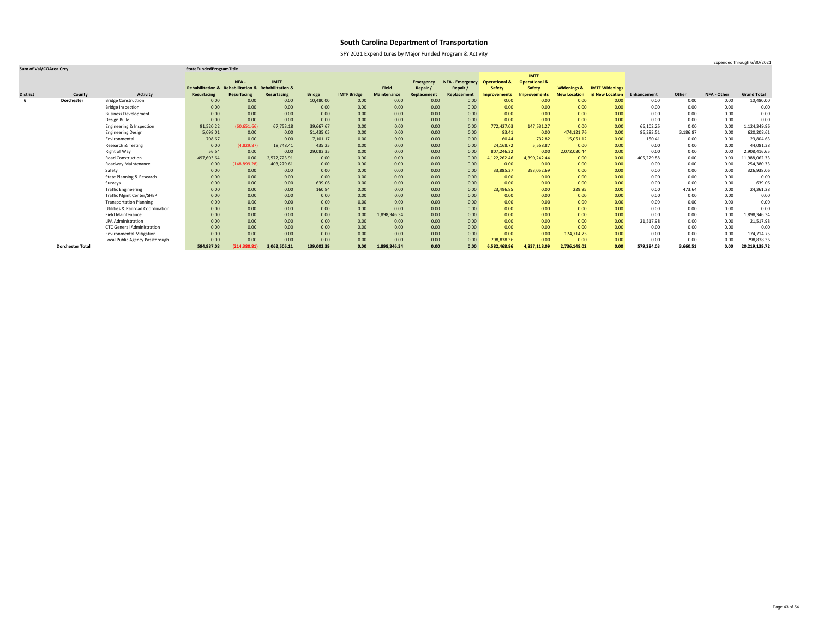SFY 2021 Expenditures by Major Funded Program & Activity

### **Sum of Val/COArea Crcy StateFundedProgramTitle**

|                 |                         |                                              |                                                    |               |                    |               |                    |                    |                  |                        |                          | <b>IMTF</b>              |                        |                       |             |          |                    |                    |
|-----------------|-------------------------|----------------------------------------------|----------------------------------------------------|---------------|--------------------|---------------|--------------------|--------------------|------------------|------------------------|--------------------------|--------------------------|------------------------|-----------------------|-------------|----------|--------------------|--------------------|
|                 |                         |                                              |                                                    | NFA-          | <b>IMTF</b>        |               |                    |                    | <b>Emergency</b> | <b>NFA - Emergency</b> | <b>Operational &amp;</b> | <b>Operational &amp;</b> |                        |                       |             |          |                    |                    |
|                 |                         |                                              | Rehabilitation & Rehabilitation & Rehabilitation & |               |                    |               |                    | <b>Field</b>       | Repair           | Repair /               | <b>Safety</b>            | <b>Safety</b>            | <b>Widenings &amp;</b> | <b>IMTF Widenings</b> |             |          |                    |                    |
| <b>District</b> | County                  | <b>Activity</b>                              | <b>Resurfacing</b>                                 | Resurfacing   | <b>Resurfacing</b> | <b>Bridge</b> | <b>IMTF Bridge</b> | <b>Maintenance</b> | Replacement      | Replacement            | Improvements             | <b>Improvements</b>      | <b>New Location</b>    | & New Location        | Enhancement | Other    | <b>NFA - Other</b> | <b>Grand Total</b> |
|                 | <b>Dorchester</b>       | <b>Bridge Construction</b>                   | 0.00                                               | 0.00          | 0.00               | 10,480.00     | 0.00               | 0.00               | 0.00             | 0.00                   | 0.00                     | 0.00                     | 0.00                   | 0.00                  | 0.00        | 0.00     | 0.00               | 10,480.00          |
|                 |                         | <b>Bridge Inspection</b>                     | 0.00                                               | 0.00          | 0.00               | 0.00          | 0.00               | 0.00               | 0.00             | 0.00                   | 0.00                     | 0.00                     | 0.00                   | 0.00                  | 0.00        | 0.00     | 0.00               | 0.00               |
|                 |                         | <b>Business Development</b>                  | 0.00                                               | 0.00          | 0.00               | 0.00          | 0.00               | 0.00               | 0.00             | 0.00                   | 0.00                     | 0.00                     | 0.00                   | 0.00                  | 0.00        | 0.00     | 0.00               | 0.00               |
|                 |                         | Design Build                                 | 0.00                                               | 0.00          | 0.00               | 0.00          | 0.00               | 0.00               | 0.00             | 0.00                   | 0.00                     | 0.00                     | 0.00                   | 0.00                  | 0.00        | 0.00     | 0.00               | 0.00               |
|                 |                         | Engineering & Inspection                     | 91,520.22                                          | (60, 651.66)  | 67,753.18          | 39,667.67     | 0.00               | 0.00               | 0.00             | 0.00                   | 772,427.03               | 147,531.27               | 0.00                   | 0.00                  | 66,102.25   | 0.00     | 0.00               | 1,124,349.96       |
|                 |                         | <b>Engineering Design</b>                    | 5,098.01                                           | 0.00          | 0.00               | 51,435.05     | 0.00               | 0.00               | 0.00             | 0.00                   | 83.41                    | 0.00                     | 474,121.76             | 0.00                  | 86,283.51   | 3,186.87 | 0.00               | 620,208.61         |
|                 |                         | Environmental                                | 708.67                                             | 0.00          | 0.00               | 7,101.17      | 0.00               | 0.00               | 0.00             | 0.00                   | 60.44                    | 732.82                   | 15,051.12              | 0.00                  | 150.41      | 0.00     | 0.00               | 23,804.63          |
|                 |                         | Research & Testing                           | 0.00                                               | (4,829.87)    | 18,748.41          | 435.25        | 0.00               | 0.00               | 0.00             | 0.00                   | 24,168.72                | 5,558.87                 | 0.00                   | 0.00                  | 0.00        | $0.00\,$ | 0.00               | 44,081.38          |
|                 |                         | Right of Way                                 | 56.54                                              | 0.00          | 0.00               | 29,083.35     | 0.00               | 0.00               | 0.00             | 0.00                   | 807,246.32               | 0.00                     | 2,072,030.44           | 0.00                  | 0.00        | 0.00     | 0.00               | 2,908,416.65       |
|                 |                         | <b>Road Construction</b>                     | 497,603.64                                         | 0.00          | 2,572,723.91       | 0.00          | 0.00               | 0.00               | 0.00             | 0.00                   | 4,122,262.46             | 4,390,242.44             | 0.00                   | 0.00                  | 405,229.88  | 0.00     | 0.00               | 1,988,062.33       |
|                 |                         | Roadway Maintenance                          | 0.00                                               | (148, 899.28) | 403,279.61         | 0.00          | 0.00               | 0.00               | 0.00             | 0.00                   | 0.00                     | 0.00                     | 0.00                   | 0.00                  | 0.00        | 0.00     | 0.00               | 254,380.33         |
|                 |                         | Safety                                       | 0.00                                               | 0.00          | 0.00               | 0.00          | 0.00               | 0.00               | 0.00             | 0.00                   | 33,885.37                | 293,052.69               | 0.00                   | 0.00                  | 0.00        | 0.00     | 0.00               | 326,938.06         |
|                 |                         | State Planning & Research                    | 0.00                                               | 0.00          | 0.00               | 0.00          | 0.00               | 0.00               | 0.00             | 0.00                   | 0.00                     | 0.00                     | 0.00                   | 0.00                  | 0.00        | 0.00     | 0.00               | 0.00               |
|                 |                         | Surveys                                      | 0.00                                               | 0.00          | 0.00               | 639.06        | 0.00               | 0.00               | 0.00             | 0.00                   | 0.00                     | 0.00                     | 0.00                   | 0.00                  | 0.00        | 0.00     | 0.00               | 639.06             |
|                 |                         | <b>Traffic Engineering</b>                   | 0.00                                               | 0.00          | 0.00               | 160.84        | 0.00               | 0.00               | 0.00             | 0.00                   | 23,496.85                | 0.00                     | 229.95                 | 0.00                  | 0.00        | 473.64   | 0.00               | 24,361.28          |
|                 |                         | <b>Traffic Mgmt Center/SHEP</b>              | 0.00                                               | 0.00          | 0.00               | 0.00          | 0.00               | 0.00               | 0.00             | 0.00                   | 0.00                     | 0.00                     | 0.00                   | 0.00                  | 0.00        | 0.00     | 0.00               | 0.00               |
|                 |                         | <b>Transportation Planning</b>               | 0.00                                               | 0.00          | 0.00               | 0.00          | 0.00               | 0.00               | 0.00             | 0.00                   | 0.00                     | 0.00                     | 0.00                   | 0.00                  | 0.00        | 0.00     | 0.00               | 0.00               |
|                 |                         | <b>Utilities &amp; Railroad Coordination</b> | 0.00                                               | 0.00          | 0.00               | 0.00          | 0.00               | 0.00               | 0.00             | 0.00                   | 0.00                     | 0.00                     | 0.00                   | 0.00                  | 0.00        | 0.00     | 0.00               | 0.00               |
|                 |                         | <b>Field Maintenance</b>                     | 0.00                                               | 0.00          | 0.00               | 0.00          | 0.00               | 1,898,346.34       | 0.00             | 0.00                   | 0.00                     | 0.00                     | 0.00                   | 0.00                  | 0.00        | 0.00     | 0.00               | 1,898,346.34       |
|                 |                         | <b>LPA Administration</b>                    | 0.00                                               | 0.00          | 0.00               | 0.00          | 0.00               | 0.00               | 0.00             | 0.00                   | 0.00                     | 0.00                     | 0.00                   | 0.00                  | 21,517.98   | 0.00     | 0.00               | 21,517.98          |
|                 |                         | <b>CTC General Administration</b>            | 0.00                                               | 0.00          | 0.00               | 0.00          | 0.00               | 0.00               | 0.00             | 0.00                   | 0.00                     | 0.00                     | 0.00                   | 0.00                  | 0.00        | 0.00     | 0.00               | 0.00               |
|                 |                         | <b>Environmental Mitigation</b>              | 0.00                                               | 0.00          | 0.00               | 0.00          | 0.00               | 0.00               | 0.00             | 0.00                   | 0.00                     | 0.00                     | 174,714.75             | 0.00                  | 0.00        | 0.00     | 0.00               | 174,714.75         |
|                 |                         | Local Public Agency Passthrough              | 0.00                                               | 0.00          | 0.00               | 0.00          | 0.00               | 0.00               | 0.00             | 0.00                   | 798,838.36               | 0.00                     | 0.00                   | 0.00                  | 0.00        | 0.00     | 0.00               | 798,838.36         |
|                 | <b>Dorchester Total</b> |                                              | 594,987.08                                         | (214, 380.81) | 3,062,505.11       | 139,002.39    | 0.00               | 1,898,346.34       | 0.00             | 0.00                   | 6,582,468.96             | 4,837,118.09             | 2,736,148.02           | 0.00                  | 579,284.03  | 3,660.51 | 0.00               | 20,219,139.72      |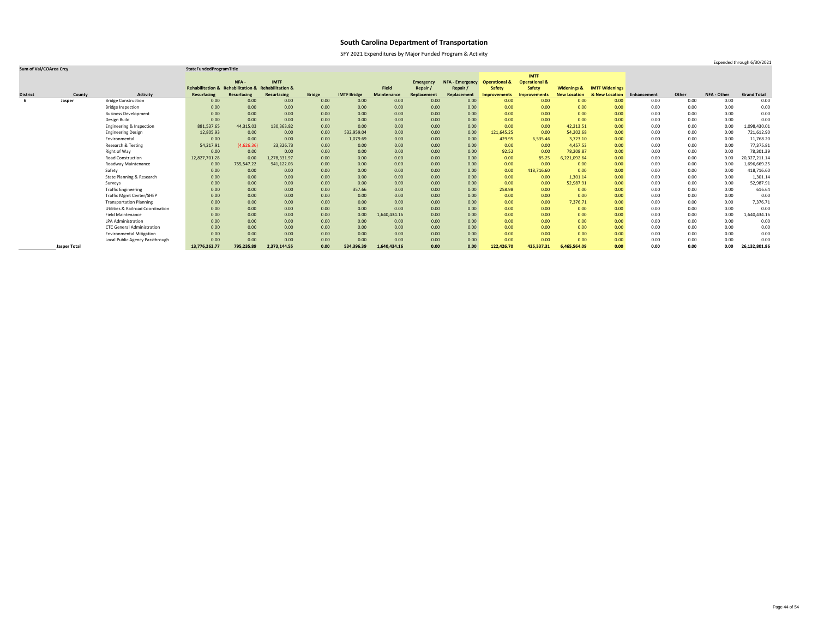SFY 2021 Expenditures by Major Funded Program & Activity

### **Sum of Val/COArea Crcy StateFundedProgramTitle**

|                 |                     |                                              |                                                    |             |              |               |                    |                    |                  |                        |                          | <b>IMTF</b>              |                        |                       |             |       |             |                    |
|-----------------|---------------------|----------------------------------------------|----------------------------------------------------|-------------|--------------|---------------|--------------------|--------------------|------------------|------------------------|--------------------------|--------------------------|------------------------|-----------------------|-------------|-------|-------------|--------------------|
|                 |                     |                                              |                                                    | NFA-        | <b>IMTF</b>  |               |                    |                    | <b>Emergency</b> | <b>NFA - Emergency</b> | <b>Operational &amp;</b> | <b>Operational &amp;</b> |                        |                       |             |       |             |                    |
|                 |                     |                                              | Rehabilitation & Rehabilitation & Rehabilitation & |             |              |               |                    | <b>Field</b>       | Repair /         | Repair                 | <b>Safety</b>            | <b>Safety</b>            | <b>Widenings &amp;</b> | <b>IMTF Widenings</b> |             |       |             |                    |
| <b>District</b> | County              | <b>Activity</b>                              | <b>Resurfacing</b>                                 | Resurfacing | Resurfacing  | <b>Bridge</b> | <b>IMTF Bridge</b> | <b>Maintenance</b> | Replacement      | Replacement            | Improvements             | <b>Improvements</b>      | <b>New Location</b>    | & New Location        | Enhancement | Other | NFA - Other | <b>Grand Total</b> |
|                 | Jasper              | <b>Bridge Construction</b>                   | 0.00                                               | 0.00        | 0.00         | 0.00          | 0.00               | 0.00               | 0.00             | 0.00                   | 0.00                     | 0.00                     | 0.00                   | 0.00 <sub>1</sub>     | 0.00        | 0.00  | 0.00        | 0.00               |
|                 |                     | <b>Bridge Inspection</b>                     | 0.00                                               | 0.00        | 0.00         | 0.00          | 0.00               | 0.00               | 0.00             | 0.00                   | 0.00                     | 0.00                     | 0.00                   | 0.00 <sub>1</sub>     | 0.00        | 0.00  | 0.00        | 0.00               |
|                 |                     | <b>Business Development</b>                  | 0.00                                               | 0.00        | 0.00         | 0.00          | 0.00               | 0.00               | 0.00             | 0.00                   | 0.00                     | 0.00                     | 0.00                   | 0.00                  | 0.00        | 0.00  | 0.00        | 0.00               |
|                 |                     | Design Build                                 | 0.00                                               | 0.00        | 0.00         | 0.00          | 0.00               | 0.00               | 0.00             | 0.00                   | 0.00                     | 0.00                     | 0.00                   | 0.00                  | 0.00        | 0.00  | 0.00        | 0.00               |
|                 |                     | Engineering & Inspection                     | 881,537.65                                         | 44,315.03   | 130,363.82   | 0.00          | 0.00               | 0.00               | 0.00             | 0.00                   | 0.00                     | 0.00                     | 42,213.51              | 0.00                  | 0.00        | 0.00  | 0.00        | 1,098,430.01       |
|                 |                     | <b>Engineering Design</b>                    | 12,805.93                                          | 0.00        | 0.00         | 0.00          | 532,959.04         | 0.00               | 0.00             | 0.00                   | 121,645.25               | 0.00                     | 54,202.68              | 0.00                  | 0.00        | 0.00  | 0.00        | 721,612.90         |
|                 |                     | Environmental                                | 0.00                                               | 0.00        | 0.00         | 0.00          | 1,079.69           | 0.00               | 0.00             | 0.00                   | 429.95                   | 6,535.46                 | 3,723.10               | 0.00                  | 0.00        | 0.00  | 0.00        | 11,768.20          |
|                 |                     | Research & Testing                           | 54,217.91                                          | (4,626.36)  | 23,326.73    | 0.00          | 0.00               | 0.00               | 0.00             | 0.00                   | 0.00                     | 0.00                     | 4,457.53               | 0.00                  | 0.00        | 0.00  | 0.00        | 77,375.81          |
|                 |                     | Right of Way                                 | 0.00                                               | 0.00        | 0.00         | 0.00          | 0.00               | 0.00               | 0.00             | 0.00                   | 92.52                    | 0.00                     | 78,208.87              | 0.00                  | 0.00        | 0.00  | 0.00        | 78,301.39          |
|                 |                     | Road Construction                            | 12,827,701.28                                      | 0.00        | 1,278,331.97 | 0.00          | 0.00               | 0.00               | 0.00             | 0.00                   | 0.00                     | 85.25                    | 6,221,092.64           | 0.00                  | 0.00        | 0.00  | 0.00        | 20,327,211.14      |
|                 |                     | Roadway Maintenance                          | 0.00                                               | 755,547.22  | 941,122.03   | 0.00          | 0.00               | 0.00               | 0.00             | 0.00                   | 0.00                     | 0.00                     | 0.00                   | 0.00                  | 0.00        | 0.00  | 0.00        | 1,696,669.25       |
|                 |                     | Safety                                       | 0.00                                               | 0.00        | 0.00         | 0.00          | 0.00               | 0.00               | 0.00             | 0.00                   | 0.00                     | 418,716.60               | 0.00                   | 0.00                  | 0.00        | 0.00  | 0.00        | 418,716.60         |
|                 |                     | State Planning & Research                    | 0.00                                               | 0.00        | 0.00         | 0.00          | 0.00               | 0.00               | 0.00             | 0.00                   | 0.00                     | 0.00                     | 1,301.14               | 0.00                  | 0.00        | 0.00  | 0.00        | 1,301.14           |
|                 |                     | Surveys                                      | 0.00                                               | 0.00        | 0.00         | 0.00          | 0.00               | 0.00               | 0.00             | 0.00                   | 0.00                     | 0.00                     | 52,987.91              | 0.00                  | 0.00        | 0.00  | 0.00        | 52,987.91          |
|                 |                     | <b>Traffic Engineering</b>                   | 0.00                                               | 0.00        | 0.00         | 0.00          | 357.66             | 0.00               | 0.00             | 0.00                   | 258.98                   | 0.00                     | 0.00                   | 0.00                  | 0.00        | 0.00  | 0.00        | 616.64             |
|                 |                     | <b>Traffic Mgmt Center/SHEP</b>              | 0.00                                               | 0.00        | 0.00         | 0.00          | 0.00               | 0.00               | 0.00             | 0.00                   | 0.00                     | 0.00                     | 0.00                   | 0.00                  | 0.00        | 0.00  | 0.00        | 0.00               |
|                 |                     | <b>Transportation Planning</b>               | 0.00                                               | 0.00        | 0.00         | 0.00          | 0.00               | 0.00               | 0.00             | 0.00                   | 0.00                     | 0.00                     | 7,376.71               | 0.00                  | 0.00        | 0.00  | 0.00        | 7,376.71           |
|                 |                     | <b>Utilities &amp; Railroad Coordination</b> | 0.00                                               | 0.00        | 0.00         | 0.00          | 0.00               | 0.00               | 0.00             | 0.00                   | 0.00                     | 0.00                     | 0.00                   | 0.00                  | 0.00        | 0.00  | 0.00        | 0.00               |
|                 |                     | <b>Field Maintenance</b>                     | 0.00                                               | 0.00        | 0.00         | 0.00          | 0.00               | 1,640,434.16       | 0.00             | 0.00                   | 0.00                     | 0.00                     | 0.00                   | 0.00                  | 0.00        | 0.00  | 0.00        | 1,640,434.16       |
|                 |                     | <b>LPA Administration</b>                    | 0.00                                               | 0.00        | 0.00         | 0.00          | 0.00               | 0.00               | 0.00             | 0.00                   | 0.00                     | 0.00                     | 0.00                   | 0.00                  | 0.00        | 0.00  | 0.00        | 0.00               |
|                 |                     | <b>CTC General Administration</b>            | 0.00                                               | 0.00        | 0.00         | 0.00          | 0.00               | 0.00               | 0.00             | 0.00                   | 0.00                     | 0.00                     | 0.00                   | 0.00                  | 0.00        | 0.00  | 0.00        | 0.00               |
|                 |                     | <b>Environmental Mitigation</b>              | 0.00                                               | 0.00        | 0.00         | 0.00          | 0.00               | 0.00               | 0.00             | 0.00                   | 0.00                     | 0.00                     | 0.00                   | 0.00                  | 0.00        | 0.00  | 0.00        | 0.00               |
|                 |                     | Local Public Agency Passthrough              | 0.00                                               | 0.00        | 0.00         | 0.00          | 0.00               | 0.00               | 0.00             | 0.00                   | 0.00                     | 0.00                     | 0.00                   | 0.00                  | 0.00        | 0.00  | 0.00        | 0.00               |
|                 | <b>Jasper Total</b> |                                              | 13,776,262.77                                      | 795,235.89  | 2,373,144.55 | 0.00          | 534,396.39         | 1,640,434.16       | 0.00             | 0.00                   | 122,426.70               | 425,337.31               | 6,465,564.09           | 0.00                  | 0.00        | 0.00  | 0.00        | 26,132,801.86      |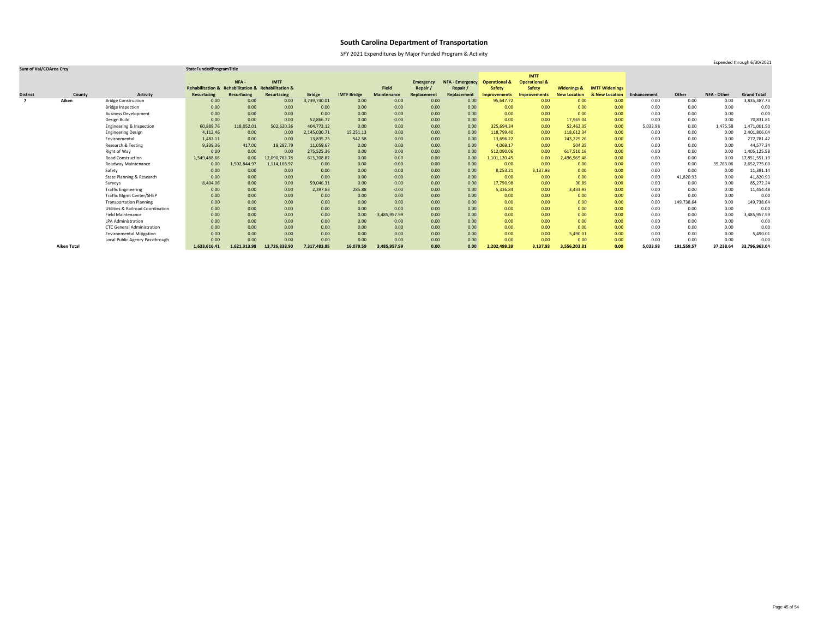SFY 2021 Expenditures by Major Funded Program & Activity

### **Sum of Val/COArea Crcy StateFundedProgramTitle**

|                         |                    |                                              |                    |                                                    |               |               |                    |                    |                  |                        |                          | <b>IMTF</b>              |                        |                       |             |            |             |                    |
|-------------------------|--------------------|----------------------------------------------|--------------------|----------------------------------------------------|---------------|---------------|--------------------|--------------------|------------------|------------------------|--------------------------|--------------------------|------------------------|-----------------------|-------------|------------|-------------|--------------------|
|                         |                    |                                              |                    | NFA -                                              | <b>IMTF</b>   |               |                    |                    | <b>Emergency</b> | <b>NFA - Emergency</b> | <b>Operational &amp;</b> | <b>Operational &amp;</b> |                        |                       |             |            |             |                    |
|                         |                    |                                              |                    | Rehabilitation & Rehabilitation & Rehabilitation & |               |               |                    | <b>Field</b>       | Repair           | Repair /               | <b>Safety</b>            | <b>Safety</b>            | <b>Widenings &amp;</b> | <b>IMTF Widenings</b> |             |            |             |                    |
| <b>District</b>         | County             | <b>Activity</b>                              | <b>Resurfacing</b> | Resurfacing                                        | Resurfacing   | <b>Bridge</b> | <b>IMTF Bridge</b> | <b>Maintenance</b> | Replacement      | Replacement            | <b>Improvements</b>      | <b>Improvements</b>      | <b>New Location</b>    | & New Location        | Enhancement | Other      | NFA - Other | <b>Grand Total</b> |
| $\overline{\mathbf{z}}$ | Aiken              | <b>Bridge Construction</b>                   | 0.00               | 0.00                                               | 0.00          | 3,739,740.01  | 0.00               | 0.00               | 0.00             | 0.00                   | 95,647.72                | 0.00                     | 0.00                   | 0.00 <sub>1</sub>     | 0.00        | 0.00       | 0.00        | 3,835,387.73       |
|                         |                    | <b>Bridge Inspection</b>                     | 0.00               | 0.00                                               | 0.00          | 0.00          | 0.00               | 0.00               | 0.00             | 0.00                   | 0.00                     | 0.00                     | 0.00                   | 0.00                  | 0.00        | 0.00       | 0.00        | 0.00               |
|                         |                    | <b>Business Development</b>                  | 0.00               | 0.00                                               | 0.00          | 0.00          | 0.00               | 0.00               | 0.00             | 0.00                   | 0.00                     | 0.00                     | 0.00                   | 0.00                  | 0.00        | 0.00       | 0.00        | 0.00               |
|                         |                    | Design Build                                 | 0.00               | 0.00                                               | 0.00          | 52,866.77     | 0.00               | 0.00               | 0.00             | 0.00                   | 0.00                     | 0.00                     | 17,965.04              | 0.00                  | 0.00        | 0.00       | 0.00        | 70,831.81          |
|                         |                    | Engineering & Inspection                     | 60,889.76          | 118,052.01                                         | 502,620.36    | 404,773.12    | 0.00               | 0.00               | 0.00             | 0.00                   | 325,694.34               | 0.00                     | 52,462.35              | 0.00                  | 5,033.98    | 0.00       | 1,475.58    | 1,471,001.50       |
|                         |                    | <b>Engineering Design</b>                    | 4,112.46           | 0.00                                               | 0.00          | 2,145,030.71  | 15,251.13          | 0.00               | 0.00             | 0.00                   | 118,799.40               | 0.00                     | 118,612.34             | 0.00                  | 0.00        | 0.00       | 0.00        | 2,401,806.04       |
|                         |                    | Environmental                                | 1,482.11           | 0.00                                               | 0.00          | 13,835.25     | 542.58             | 0.00               | 0.00             | 0.00                   | 13,696.22                | 0.00                     | 243,225.26             | 0.00                  | 0.00        | 0.00       | 0.00        | 272,781.42         |
|                         |                    | <b>Research &amp; Testing</b>                | 9,239.36           | 417.00                                             | 19,287.79     | 11,059.67     | 0.00               | 0.00               | 0.00             | 0.00                   | 4,069.17                 | 0.00                     | 504.35                 | 0.00                  | 0.00        | 0.00       | 0.00        | 44,577.34          |
|                         |                    | Right of Way                                 | 0.00               | 0.00                                               | 0.00          | 275,525.36    | 0.00               | 0.00               | 0.00             | 0.00                   | 512,090.06               | 0.00                     | 617,510.16             | 0.00                  | 0.00        | 0.00       | 0.00        | 1,405,125.58       |
|                         |                    | <b>Road Construction</b>                     | 1,549,488.66       | 0.00 <sub>1</sub>                                  | 2,090,763.78  | 613,208.82    | 0.00               | 0.00               | 0.00             | 0.00 <sub>1</sub>      | 1,101,120.45             | 0.00                     | 2,496,969.48           | 0.00 <sub>1</sub>     | 0.00        | 0.00       | 0.00        | 17,851,551.19      |
|                         |                    | Roadway Maintenance                          | 0.00               | 1,502,844.97                                       | 1,114,166.97  | 0.00          | 0.00               | 0.00               | 0.00             | 0.00                   | 0.00                     | 0.00                     | 0.00                   | 0.00                  | 0.00        | 0.00       | 35,763.06   | 2,652,775.00       |
|                         |                    | Safety                                       | 0.00               | 0.00                                               | 0.00          | 0.00          | 0.00               | 0.00               | 0.00             | 0.00                   | 8,253.21                 | 3,137.93                 | 0.00                   | 0.00 <sub>1</sub>     | 0.00        | 0.00       | 0.00        | 11,391.14          |
|                         |                    | <b>State Planning &amp; Research</b>         | 0.00               | 0.00                                               | 0.00          | 0.00          | 0.00               | 0.00               | 0.00             | 0.00                   | 0.00                     | 0.00                     | 0.00                   | 0.00                  | 0.00        | 41,820.93  | 0.00        | 41,820.93          |
|                         |                    | Surveys                                      | 8,404.06           | 0.00                                               | 0.00          | 59,046.31     | 0.00               | 0.00               | 0.00             | 0.00                   | 17,790.98                | 0.00                     | 30.89                  | 0.00                  | 0.00        | 0.00       | 0.00        | 85,272.24          |
|                         |                    | <b>Traffic Engineering</b>                   | 0.00               | 0.00                                               | 0.00          | 2,397.83      | 285.88             | 0.00               | 0.00             | 0.00                   | 5,336.84                 | 0.00                     | 3,433.93               | 0.00 <sub>1</sub>     | 0.00        | 0.00       | 0.00        | 11,454.48          |
|                         |                    | <b>Traffic Mgmt Center/SHEP</b>              | 0.00               | 0.00                                               | 0.00          | 0.00          | 0.00               | 0.00               | 0.00             | 0.00                   | 0.00                     | 0.00                     | 0.00                   | 0.00                  | 0.00        | 0.00       | 0.00        | 0.00               |
|                         |                    | <b>Transportation Planning</b>               | 0.00               | 0.00                                               | 0.00          | 0.00          | 0.00               | 0.00               | 0.00             | 0.00                   | 0.00                     | 0.00                     | 0.00                   | 0.00                  | 0.00        | 149,738.64 | 0.00        | 149,738.64         |
|                         |                    | <b>Utilities &amp; Railroad Coordination</b> | 0.00               | 0.00                                               | 0.00          | 0.00          | 0.00               | 0.00               | 0.00             | 0.00                   | 0.00                     | 0.00                     | 0.00                   | 0.00 <sub>1</sub>     | 0.00        | 0.00       | 0.00        | 0.00               |
|                         |                    | <b>Field Maintenance</b>                     | 0.00               | 0.00                                               | 0.00          | 0.00          | 0.00               | 3,485,957.99       | 0.00             | 0.00                   | 0.00                     | 0.00                     | 0.00                   | 0.00 <sub>1</sub>     | 0.00        | 0.00       | 0.00        | 3,485,957.99       |
|                         |                    | <b>LPA Administration</b>                    | 0.00               | 0.00                                               | 0.00          | 0.00          | 0.00               | 0.00               | 0.00             | 0.00                   | 0.00                     | 0.00                     | 0.00                   | 0.00                  | 0.00        | 0.00       | 0.00        | 0.00               |
|                         |                    | <b>CTC General Administration</b>            | 0.00               | 0.00                                               | 0.00          | 0.00          | 0.00               | 0.00               | 0.00             | 0.00                   | 0.00                     | 0.00                     | 0.00                   | 0.00                  | 0.00        | 0.00       | 0.00        | 0.00               |
|                         |                    | <b>Environmental Mitigation</b>              | 0.00               | 0.00                                               | 0.00          | 0.00          | 0.00               | 0.00               | 0.00             | 0.00                   | 0.00                     | 0.00                     | 5,490.01               | 0.00                  | 0.00        | 0.00       | 0.00        | 5,490.01           |
|                         |                    | Local Public Agency Passthrough              | 0.00               | 0.00                                               | 0.00          | 0.00          | 0.00               | 0.00               | 0.00             | 0.00                   | 0.00                     | 0.00                     | 0.00                   | 0.00                  | 0.00        | 0.00       | 0.00        | 0.00               |
|                         | <b>Aiken Total</b> |                                              | 1,633,616.41       | 1,621,313.98                                       | 13,726,838.90 | 7,317,483.85  | 16,079.59          | 3,485,957.99       | 0.00             | 0.00                   | 2,202,498.39             | 3,137.93                 | 3,556,203.81           | 0.00                  | 5,033.98    | 191,559.57 | 37,238.64   | 33,796,963.04      |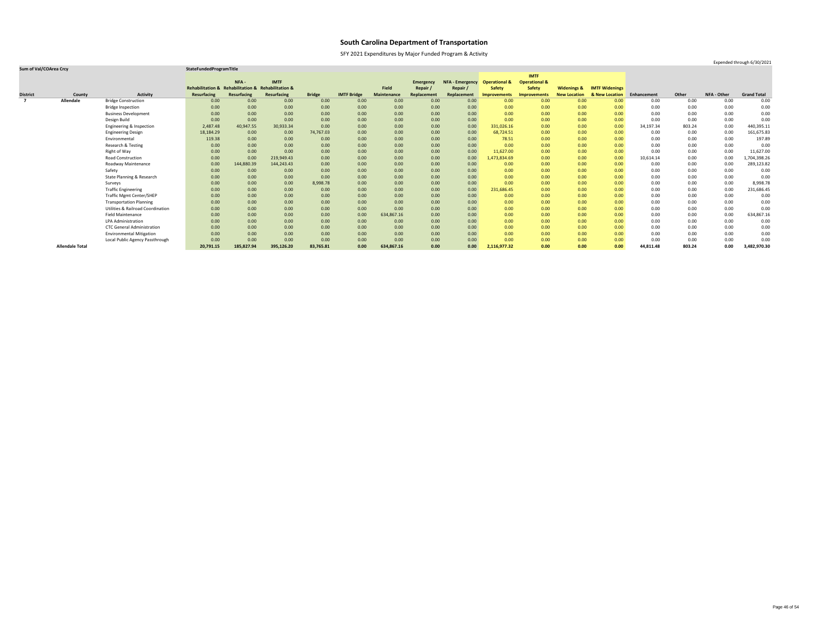SFY 2021 Expenditures by Major Funded Program & Activity

Expended through 6/30/2021

|                 |                        |                                              |                             |                                   |             |               |                    |                    |                  |                        |                          | <b>IMTF</b>              |                        |                       |             |          |             |                    |
|-----------------|------------------------|----------------------------------------------|-----------------------------|-----------------------------------|-------------|---------------|--------------------|--------------------|------------------|------------------------|--------------------------|--------------------------|------------------------|-----------------------|-------------|----------|-------------|--------------------|
|                 |                        |                                              |                             | NFA -                             | <b>IMTF</b> |               |                    |                    | <b>Emergency</b> | <b>NFA - Emergency</b> | <b>Operational &amp;</b> | <b>Operational &amp;</b> |                        |                       |             |          |             |                    |
|                 |                        |                                              | <b>Rehabilitation &amp;</b> | Rehabilitation & Rehabilitation & |             |               |                    | <b>Field</b>       | Repair           | Repair                 | <b>Safety</b>            | <b>Safety</b>            | <b>Widenings &amp;</b> | <b>IMTF Widenings</b> |             |          |             |                    |
| <b>District</b> | County                 | <b>Activity</b>                              | <b>Resurfacing</b>          | Resurfacing                       | Resurfacing | <b>Bridge</b> | <b>IMTF Bridge</b> | <b>Maintenance</b> | Replacement      | Replacement            | Improvements             | <b>Improvements</b>      | <b>New Location</b>    | & New Location        | Enhancement | Other    | NFA - Other | <b>Grand Total</b> |
| $\overline{7}$  | <b>Allendale</b>       | <b>Bridge Construction</b>                   | 0.00                        | 0.00                              | 0.00        | 0.00          | 0.00               | 0.00               | 0.00             | 0.00                   | 0.00                     | 0.00                     | 0.00                   | 0.00                  | 0.00        | 0.00     | 0.00        | 0.00               |
|                 |                        | <b>Bridge Inspection</b>                     | 0.00                        | 0.00                              | 0.00        | 0.00          | 0.00               | 0.00               | 0.00             | 0.00                   | 0.00                     | 0.00                     | 0.00                   | 0.00                  | 0.00        | $0.00\,$ | 0.00        | 0.00               |
|                 |                        | <b>Business Development</b>                  | 0.00                        | 0.00                              | 0.00        | 0.00          | 0.00               | 0.00               | 0.00             | 0.00                   | 0.00                     | 0.00                     | 0.00                   | 0.00                  | 0.00        | 0.00     | 0.00        | 0.00               |
|                 |                        | Design Build                                 | 0.00                        | 0.00                              | 0.00        | 0.00          | 0.00               | 0.00               | 0.00             | 0.00                   | 0.00                     | 0.00                     | 0.00                   | 0.00                  | 0.00        | 0.00     | 0.00        | 0.00               |
|                 |                        | Engineering & Inspection                     | 2,487.48                    | 40,947.55                         | 30,933.34   | 0.00          | 0.00               | 0.00               | 0.00             | 0.00                   | 331,026.16               | 0.00                     | 0.00                   | 0.00                  | 34,197.34   | 803.24   | 0.00        | 440,395.11         |
|                 |                        | <b>Engineering Design</b>                    | 18,184.29                   | 0.00                              | 0.00        | 74,767.03     | 0.00               | 0.00               | 0.00             | 0.00                   | 68,724.51                | 0.00                     | 0.00                   | 0.00                  | 0.00        | 0.00     | 0.00        | 161,675.83         |
|                 |                        | Environmental                                | 119.38                      | 0.00                              | 0.00        | 0.00          | 0.00               | 0.00               | 0.00             | 0.00                   | 78.51                    | 0.00                     | 0.00                   | 0.00                  | 0.00        | 0.00     | 0.00        | 197.89             |
|                 |                        | Research & Testing                           | 0.00                        | 0.00                              | 0.00        | 0.00          | 0.00               | 0.00               | 0.00             | 0.00                   | 0.00                     | 0.00                     | 0.00                   | 0.00                  | 0.00        | 0.00     | 0.00        | 0.00               |
|                 |                        | Right of Way                                 | 0.00                        | 0.00                              | 0.00        | 0.00          | 0.00               | 0.00               | 0.00             | 0.00                   | 11,627.00                | 0.00                     | 0.00                   | 0.00 <sub>1</sub>     | 0.00        | 0.00     | 0.00        | 11,627.00          |
|                 |                        | <b>Road Construction</b>                     | 0.00                        | 0.00                              | 219,949.43  | 0.00          | 0.00               | 0.00               | 0.00             | 0.00                   | 1,473,834.69             | 0.00                     | 0.00                   | 0.00                  | 10,614.14   | 0.00     | 0.00        | 1,704,398.26       |
|                 |                        | Roadway Maintenance                          | 0.00                        | 144,880.39                        | 144,243.43  | 0.00          | 0.00               | 0.00               | 0.00             | 0.00                   | 0.00                     | 0.00                     | 0.00                   | 0.00                  | 0.00        | 0.00     | 0.00        | 289,123.82         |
|                 |                        | Safety                                       | 0.00                        | 0.00                              | 0.00        | 0.00          | 0.00               | 0.00               | 0.00             | 0.00                   | 0.00                     | 0.00                     | 0.00                   | 0.00                  | 0.00        | 0.00     | 0.00        | 0.00               |
|                 |                        | State Planning & Research                    | 0.00                        | 0.00                              | 0.00        | 0.00          | 0.00               | 0.00               | 0.00             | 0.00                   | 0.00                     | 0.00                     | 0.00                   | 0.00                  | 0.00        | $0.00\,$ | 0.00        | 0.00               |
|                 |                        | Surveys                                      | 0.00                        | 0.00                              | 0.00        | 8,998.78      | 0.00               | 0.00               | 0.00             | 0.00                   | 0.00                     | 0.00                     | 0.00                   | 0.00                  | 0.00        | 0.00     | 0.00        | 8,998.78           |
|                 |                        | <b>Traffic Engineering</b>                   | 0.00                        | 0.00                              | 0.00        | 0.00          | 0.00               | 0.00               | 0.00             | 0.00                   | 231,686.45               | 0.00                     | 0.00                   | 0.00 <sub>1</sub>     | 0.00        | 0.00     | 0.00        | 231,686.45         |
|                 |                        | <b>Traffic Mgmt Center/SHEP</b>              | 0.00                        | 0.00                              | 0.00        | 0.00          | 0.00               | 0.00               | 0.00             | 0.00                   | 0.00                     | 0.00                     | 0.00                   | 0.00                  | 0.00        | 0.00     | 0.00        | 0.00               |
|                 |                        | <b>Transportation Planning</b>               | 0.00                        | 0.00                              | 0.00        | 0.00          | 0.00               | 0.00               | 0.00             | 0.00                   | 0.00                     | 0.00                     | 0.00                   | 0.00                  | 0.00        | 0.00     | 0.00        | 0.00               |
|                 |                        | <b>Utilities &amp; Railroad Coordination</b> | 0.00                        | 0.00                              | 0.00        | 0.00          | 0.00               | 0.00               | 0.00             | 0.00                   | 0.00                     | 0.00                     | 0.00                   | 0.00                  | 0.00        | 0.00     | 0.00        | 0.00               |
|                 |                        | <b>Field Maintenance</b>                     | 0.00                        | 0.00                              | 0.00        | 0.00          | 0.00               | 634,867.16         | 0.00             | 0.00                   | 0.00                     | 0.00                     | 0.00                   | 0.00                  | 0.00        | 0.00     | 0.00        | 634,867.16         |
|                 |                        | <b>LPA Administration</b>                    | 0.00                        | 0.00                              | 0.00        | 0.00          | 0.00               | 0.00               | 0.00             | 0.00                   | 0.00                     | 0.00                     | 0.00                   | 0.00                  | 0.00        | 0.00     | 0.00        | 0.00               |
|                 |                        | <b>CTC General Administration</b>            | 0.00                        | 0.00                              | 0.00        | 0.00          | 0.00               | 0.00               | 0.00             | 0.00                   | 0.00                     | 0.00                     | 0.00                   | 0.00 <sub>1</sub>     | 0.00        | 0.00     | 0.00        | 0.00               |
|                 |                        | <b>Environmental Mitigation</b>              | 0.00                        | 0.00                              | 0.00        | 0.00          | 0.00               | 0.00               | 0.00             | 0.00                   | 0.00                     | 0.00                     | 0.00                   | 0.00                  | 0.00        | 0.00     | 0.00        | 0.00               |
|                 |                        | Local Public Agency Passthrough              | 0.00                        | 0.00                              | 0.00        | 0.00          | 0.00               | 0.00               | 0.00             | 0.00                   | 0.00                     | 0.00                     | 0.00                   | 0.00                  | 0.00        | 0.00     | 0.00        | 0.00               |
|                 | <b>Allendale Total</b> |                                              | 20,791.15                   | 185,827.94                        | 395,126.20  | 83,765.81     | 0.00               | 634,867.16         | 0.00             | 0.00                   | 2,116,977.32             | 0.00                     | 0.00                   | 0.00                  | 44,811.48   | 803.24   | 0.00        | 3,482,970.30       |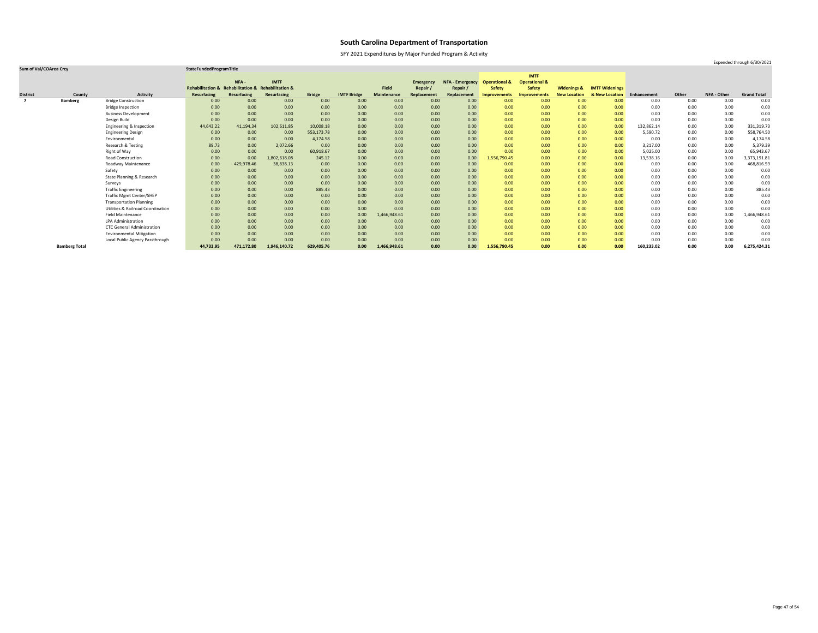SFY 2021 Expenditures by Major Funded Program & Activity

### **Sum of Val/COArea Crcy StateFundedProgramTitle**

|                 |                      |                                              |                             |                                   |              |               |                    |                    |                  |                   |                          | <b>IMTF</b>              |                        |                       |             |       |                    |                    |
|-----------------|----------------------|----------------------------------------------|-----------------------------|-----------------------------------|--------------|---------------|--------------------|--------------------|------------------|-------------------|--------------------------|--------------------------|------------------------|-----------------------|-------------|-------|--------------------|--------------------|
|                 |                      |                                              |                             | NFA -                             | <b>IMTF</b>  |               |                    |                    | <b>Emergency</b> | NFA - Emergency   | <b>Operational &amp;</b> | <b>Operational &amp;</b> |                        |                       |             |       |                    |                    |
|                 |                      |                                              | <b>Rehabilitation &amp;</b> | Rehabilitation & Rehabilitation & |              |               |                    | <b>Field</b>       | Repair           | Repair /          | <b>Safety</b>            | <b>Safety</b>            | <b>Widenings &amp;</b> | <b>IMTF Widenings</b> |             |       |                    |                    |
| <b>District</b> | County               | <b>Activity</b>                              | <b>Resurfacing</b>          | Resurfacing                       | Resurfacing  | <b>Bridge</b> | <b>IMTF Bridge</b> | <b>Maintenance</b> | Replacement      | Replacement       | <b>Improvements</b>      | <b>Improvements</b>      | <b>New Location</b>    | & New Location        | Enhancement | Other | <b>NFA - Other</b> | <b>Grand Total</b> |
| $\overline{7}$  | <b>Bamberg</b>       | <b>Bridge Construction</b>                   | 0.00                        | 0.00                              | 0.00         | 0.00          | 0.00               | 0.00               | 0.00             | 0.00              | 0.00                     | 0.00                     | 0.00                   | 0.00 <sub>1</sub>     | 0.00        | 0.00  | 0.00               | 0.00               |
|                 |                      | <b>Bridge Inspection</b>                     | 0.00                        | 0.00                              | 0.00         | 0.00          | 0.00               | 0.00               | 0.00             | 0.00              | 0.00                     | 0.00                     | 0.00                   | 0.00 <sub>1</sub>     | 0.00        | 0.00  | 0.00               | 0.00               |
|                 |                      | <b>Business Development</b>                  | 0.00                        | 0.00                              | 0.00         | 0.00          | 0.00               | 0.00               | 0.00             | 0.00              | 0.00                     | 0.00                     | 0.00                   | 0.00                  | 0.00        | 0.00  | 0.00               | 0.00               |
|                 |                      | Design Build                                 | 0.00                        | 0.00                              | 0.00         | 0.00          | 0.00               | 0.00               | 0.00             | 0.00              | 0.00                     | 0.00                     | 0.00                   | 0.00                  | 0.00        | 0.00  | 0.00               | 0.00               |
|                 |                      | Engineering & Inspection                     | 44,643.22                   | 41,194.34                         | 102,611.85   | 10,008.18     | 0.00               | 0.00               | 0.00             | 0.00              | 0.00                     | 0.00                     | 0.00                   | 0.00                  | 132,862.14  | 0.00  | 0.00               | 331,319.73         |
|                 |                      | <b>Engineering Design</b>                    | 0.00                        | 0.00                              | 0.00         | 553,173.78    | 0.00               | 0.00               | 0.00             | 0.00              | 0.00                     | 0.00                     | 0.00                   | 0.00                  | 5,590.72    | 0.00  | 0.00               | 558,764.50         |
|                 |                      | Environmental                                | 0.00                        | 0.00                              | 0.00         | 4,174.58      | 0.00               | 0.00               | 0.00             | 0.00              | 0.00                     | 0.00                     | 0.00                   | 0.00                  | 0.00        | 0.00  | 0.00               | 4,174.58           |
|                 |                      | Research & Testing                           | 89.73                       | 0.00                              | 2,072.66     | 0.00          | 0.00               | 0.00               | 0.00             | 0.00              | 0.00                     | 0.00                     | 0.00                   | 0.00                  | 3,217.00    | 0.00  | 0.00               | 5,379.39           |
|                 |                      | Right of Way                                 | 0.00                        | 0.00                              | 0.00         | 60,918.67     | 0.00               | 0.00               | 0.00             | 0.00              | 0.00                     | 0.00                     | 0.00                   | 0.00                  | 5,025.00    | 0.00  | 0.00               | 65,943.67          |
|                 |                      | <b>Road Construction</b>                     | 0.00                        | 0.00                              | 1,802,618.08 | 245.12        | 0.00               | 0.00               | 0.00             | 0.00              | 1,556,790.45             | 0.00                     | 0.00                   | 0.00                  | 13,538.16   | 0.00  | 0.00               | 3,373,191.81       |
|                 |                      | <b>Roadway Maintenance</b>                   | 0.00                        | 429,978.46                        | 38,838.13    | 0.00          | 0.00               | 0.00               | 0.00             | 0.00              | 0.00                     | 0.00                     | 0.00                   | 0.00                  | 0.00        | 0.00  | 0.00               | 468,816.59         |
|                 |                      | Safety                                       | 0.00                        | 0.00                              | 0.00         | 0.00          | 0.00               | 0.00               | 0.00             | 0.00              | 0.00                     | 0.00                     | 0.00                   | 0.00                  | 0.00        | 0.00  | 0.00               | 0.00               |
|                 |                      | <b>State Planning &amp; Research</b>         | 0.00                        | 0.00                              | 0.00         | 0.00          | 0.00               | 0.00               | 0.00             | 0.00 <sub>1</sub> | 0.00                     | 0.00                     | 0.00                   | 0.00                  | 0.00        | 0.00  | 0.00               | 0.00               |
|                 |                      | Surveys                                      | 0.00                        | 0.00                              | 0.00         | 0.00          | 0.00               | 0.00               | 0.00             | 0.00              | 0.00                     | 0.00                     | 0.00                   | 0.00                  | 0.00        | 0.00  | 0.00               | 0.00               |
|                 |                      | <b>Traffic Engineering</b>                   | 0.00                        | 0.00                              | 0.00         | 885.43        | 0.00               | 0.00               | 0.00             | 0.00              | 0.00                     | 0.00                     | 0.00                   | 0.00                  | 0.00        | 0.00  | 0.00               | 885.43             |
|                 |                      | <b>Traffic Mgmt Center/SHEP</b>              | 0.00                        | 0.00                              | 0.00         | 0.00          | 0.00               | 0.00               | 0.00             | 0.00              | 0.00                     | 0.00                     | 0.00                   | 0.00                  | 0.00        | 0.00  | 0.00               | 0.00               |
|                 |                      | <b>Transportation Planning</b>               | 0.00                        | 0.00                              | 0.00         | 0.00          | 0.00               | 0.00               | 0.00             | 0.00              | 0.00                     | 0.00                     | 0.00                   | 0.00                  | 0.00        | 0.00  | 0.00               | 0.00               |
|                 |                      | <b>Utilities &amp; Railroad Coordination</b> | 0.00                        | 0.00                              | 0.00         | 0.00          | 0.00               | 0.00               | 0.00             | 0.00              | 0.00                     | 0.00                     | 0.00                   | 0.00                  | 0.00        | 0.00  | 0.00               | 0.00               |
|                 |                      | <b>Field Maintenance</b>                     | 0.00                        | 0.00                              | 0.00         | 0.00          | 0.00               | 1,466,948.61       | 0.00             | 0.00              | 0.00                     | 0.00                     | 0.00                   | 0.00                  | 0.00        | 0.00  | 0.00               | L,466,948.61       |
|                 |                      | <b>LPA Administration</b>                    | 0.00                        | 0.00                              | 0.00         | 0.00          | 0.00               | 0.00               | 0.00             | 0.00              | 0.00                     | 0.00                     | 0.00                   | 0.00                  | 0.00        | 0.00  | 0.00               | 0.00               |
|                 |                      | <b>CTC General Administration</b>            | 0.00                        | 0.00                              | 0.00         | 0.00          | 0.00               | 0.00               | 0.00             | 0.00              | 0.00                     | 0.00                     | 0.00                   | 0.00                  | 0.00        | 0.00  | 0.00               | 0.00               |
|                 |                      | <b>Environmental Mitigation</b>              | 0.00                        | 0.00                              | 0.00         | 0.00          | 0.00               | 0.00               | 0.00             | 0.00              | 0.00                     | 0.00                     | 0.00                   | 0.00                  | 0.00        | 0.00  | 0.00               | 0.00               |
|                 |                      | Local Public Agency Passthrough              | 0.00                        | 0.00                              | 0.00         | 0.00          | 0.00               | 0.00               | 0.00             | 0.00              | 0.00                     | 0.00                     | 0.00                   | 0.00                  | 0.00        | 0.00  | 0.00               | 0.00               |
|                 | <b>Bamberg Total</b> |                                              | 44,732.95                   | 471,172.80                        | 1,946,140.72 | 629,405.76    | 0.00               | 1,466,948.61       | 0.00             | 0.00              | 1,556,790.45             | 0.00                     | 0.00                   | 0.00                  | 160,233.02  | 0.00  | 0.00               | 6,275,424.31       |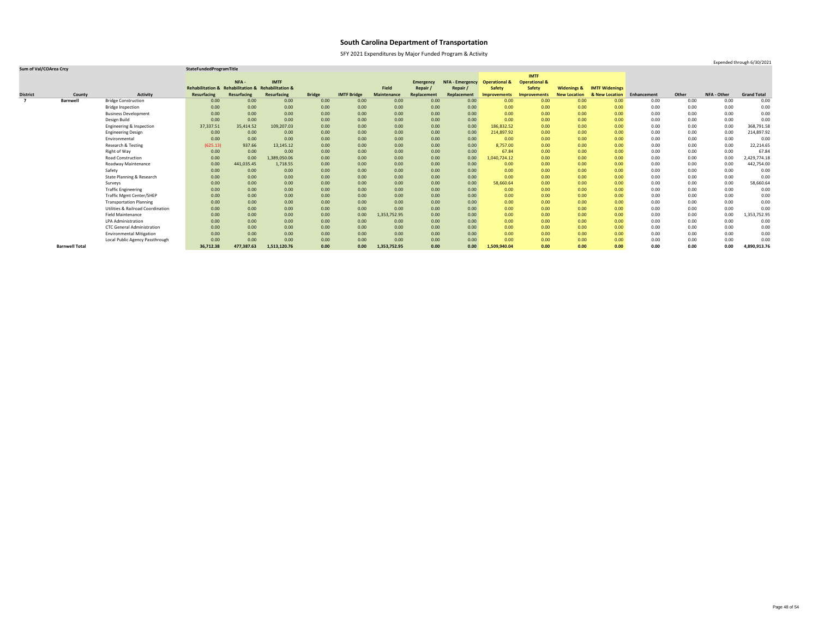SFY 2021 Expenditures by Major Funded Program & Activity

### **Sum of Val/COArea Crcy StateFundedProgramTitle**

|                 |                       |                                              |                             |                                   |              |               |                    |                    |                  |                        |                          | <b>IMTF</b>              |                        |                       |             |       |                    |                    |
|-----------------|-----------------------|----------------------------------------------|-----------------------------|-----------------------------------|--------------|---------------|--------------------|--------------------|------------------|------------------------|--------------------------|--------------------------|------------------------|-----------------------|-------------|-------|--------------------|--------------------|
|                 |                       |                                              |                             | NFA -                             | <b>IMTF</b>  |               |                    |                    | <b>Emergency</b> | <b>NFA - Emergency</b> | <b>Operational &amp;</b> | <b>Operational &amp;</b> |                        |                       |             |       |                    |                    |
|                 |                       |                                              | <b>Rehabilitation &amp;</b> | Rehabilitation & Rehabilitation & |              |               |                    | <b>Field</b>       | Repair           | Repair /               | <b>Safety</b>            | <b>Safety</b>            | <b>Widenings &amp;</b> | <b>IMTF Widenings</b> |             |       |                    |                    |
| <b>District</b> | County                | <b>Activity</b>                              | <b>Resurfacing</b>          | <b>Resurfacing</b>                | Resurfacing  | <b>Bridge</b> | <b>IMTF Bridge</b> | <b>Maintenance</b> | Replacement      | Replacement            | Improvements             | <b>Improvements</b>      | <b>New Location</b>    | & New Location        | Enhancement | Other | <b>NFA - Other</b> | <b>Grand Total</b> |
|                 | <b>Barnwell</b>       | <b>Bridge Construction</b>                   | 0.00                        | 0.00                              | 0.00         | 0.00          | 0.00               | 0.00               | 0.00             | 0.00 <sub>1</sub>      | 0.00                     | 0.00                     | 0.00                   | 0.00 <sub>1</sub>     | 0.00        | 0.00  | 0.00               | 0.00               |
|                 |                       | <b>Bridge Inspection</b>                     | 0.00                        | 0.00                              | 0.00         | 0.00          | 0.00               | 0.00               | 0.00             | 0.00                   | 0.00                     | 0.00                     | 0.00                   | 0.00 <sub>1</sub>     | 0.00        | 0.00  | 0.00               | 0.00               |
|                 |                       | <b>Business Development</b>                  | 0.00                        | 0.00                              | 0.00         | 0.00          | 0.00               | 0.00               | 0.00             | 0.00                   | 0.00                     | 0.00                     | 0.00                   | 0.00 <sub>1</sub>     | 0.00        | 0.00  | 0.00               | 0.00               |
|                 |                       | Design Build                                 | 0.00                        | 0.00                              | 0.00         | 0.00          | 0.00               | 0.00               | 0.00             | 0.00                   | 0.00                     | 0.00                     | 0.00                   | 0.00                  | 0.00        | 0.00  | 0.00               | 0.00               |
|                 |                       | Engineering & Inspection                     | 37,337.51                   | 35,414.52                         | 109,207.03   | 0.00          | 0.00               | 0.00               | 0.00             | 0.00                   | 186,832.52               | 0.00                     | 0.00                   | 0.00                  | 0.00        | 0.00  | 0.00               | 368,791.58         |
|                 |                       | <b>Engineering Design</b>                    | 0.00                        | 0.00                              | 0.00         | 0.00          | 0.00               | 0.00               | 0.00             | 0.00                   | 214,897.92               | 0.00                     | 0.00                   | 0.00                  | 0.00        | 0.00  | 0.00               | 214,897.92         |
|                 |                       | Environmental                                | 0.00                        | 0.00                              | 0.00         | 0.00          | 0.00               | 0.00               | 0.00             | 0.00                   | 0.00                     | 0.00                     | 0.00                   | 0.00                  | 0.00        | 0.00  | 0.00               | 0.00               |
|                 |                       | Research & Testing                           | (625.13)                    | 937.66                            | 13,145.12    | 0.00          | 0.00               | 0.00               | 0.00             | 0.00                   | 8,757.00                 | 0.00                     | 0.00                   | 0.00                  | 0.00        | 0.00  | 0.00               | 22,214.65          |
|                 |                       | Right of Way                                 | 0.00                        | 0.00                              | 0.00         | 0.00          | 0.00               | 0.00               | 0.00             | 0.00                   | 67.84                    | 0.00                     | 0.00                   | 0.00                  | 0.00        | 0.00  | 0.00               | 67.84              |
|                 |                       | <b>Road Construction</b>                     | 0.00                        | 0.00                              | 1,389,050.06 | 0.00          | 0.00               | 0.00               | 0.00             | 0.00                   | 1,040,724.12             | 0.00                     | 0.00                   | 0.00                  | 0.00        | 0.00  | 0.00               | 2,429,774.18       |
|                 |                       | <b>Roadway Maintenance</b>                   | 0.00                        | 441,035.45                        | 1,718.55     | 0.00          | 0.00               | 0.00               | 0.00             | 0.00                   | 0.00                     | 0.00                     | 0.00                   | 0.00                  | 0.00        | 0.00  | 0.00               | 442,754.00         |
|                 |                       | Safety                                       | 0.00                        | 0.00                              | 0.00         | 0.00          | 0.00               | 0.00               | 0.00             | 0.00                   | 0.00                     | 0.00                     | 0.00                   | 0.00                  | 0.00        | 0.00  | 0.00               | 0.00               |
|                 |                       | <b>State Planning &amp; Research</b>         | 0.00                        | 0.00                              | 0.00         | 0.00          | 0.00               | 0.00               | 0.00             | 0.00                   | 0.00                     | 0.00                     | 0.00                   | 0.00                  | 0.00        | 0.00  | 0.00               | 0.00               |
|                 |                       | Surveys                                      | 0.00                        | 0.00                              | 0.00         | 0.00          | 0.00               | 0.00               | 0.00             | 0.00                   | 58,660.64                | 0.00                     | 0.00                   | 0.00                  | 0.00        | 0.00  | 0.00               | 58,660.64          |
|                 |                       | <b>Traffic Engineering</b>                   | 0.00                        | 0.00                              | 0.00         | 0.00          | 0.00               | 0.00               | 0.00             | 0.00                   | 0.00                     | 0.00                     | 0.00                   | 0.00                  | 0.00        | 0.00  | 0.00               | 0.00               |
|                 |                       | <b>Traffic Mgmt Center/SHEP</b>              | 0.00                        | 0.00                              | 0.00         | 0.00          | 0.00               | 0.00               | 0.00             | 0.00                   | 0.00                     | 0.00                     | 0.00                   | 0.00                  | 0.00        | 0.00  | 0.00               | 0.00               |
|                 |                       | <b>Transportation Planning</b>               | 0.00                        | 0.00                              | 0.00         | 0.00          | 0.00               | 0.00               | 0.00             | 0.00                   | 0.00                     | 0.00                     | 0.00                   | 0.00                  | 0.00        | 0.00  | 0.00               | 0.00               |
|                 |                       | <b>Utilities &amp; Railroad Coordination</b> | 0.00                        | 0.00                              | 0.00         | 0.00          | 0.00               | 0.00               | 0.00             | 0.00                   | 0.00                     | 0.00                     | 0.00                   | 0.00                  | 0.00        | 0.00  | 0.00               | 0.00               |
|                 |                       | <b>Field Maintenance</b>                     | 0.00                        | 0.00                              | 0.00         | 0.00          | 0.00               | 1,353,752.95       | 0.00             | 0.00                   | 0.00                     | 0.00                     | 0.00                   | 0.00                  | 0.00        | 0.00  | 0.00               | 1,353,752.95       |
|                 |                       | <b>LPA Administration</b>                    | 0.00                        | 0.00                              | 0.00         | 0.00          | 0.00               | 0.00               | 0.00             | 0.00                   | 0.00                     | 0.00                     | 0.00                   | 0.00                  | 0.00        | 0.00  | 0.00               | 0.00               |
|                 |                       | <b>CTC General Administration</b>            | 0.00                        | 0.00                              | 0.00         | 0.00          | 0.00               | 0.00               | 0.00             | 0.00                   | 0.00                     | 0.00                     | 0.00                   | 0.00                  | 0.00        | 0.00  | 0.00               | 0.00               |
|                 |                       | <b>Environmental Mitigation</b>              | 0.00                        | 0.00                              | 0.00         | 0.00          | 0.00               | 0.00               | 0.00             | 0.00                   | 0.00                     | 0.00                     | 0.00                   | 0.00                  | 0.00        | 0.00  | 0.00               | 0.00               |
|                 |                       | Local Public Agency Passthrough              | 0.00                        | 0.00                              | 0.00         | 0.00          | 0.00               | 0.00               | 0.00             | 0.00                   | 0.00                     | 0.00                     | 0.00                   | 0.00                  | 0.00        | 0.00  | 0.00               | 0.00               |
|                 | <b>Barnwell Total</b> |                                              | 36,712.38                   | 477,387.63                        | 1,513,120.76 | 0.00          | 0.00               | 1,353,752.95       | 0.00             | 0.00                   | 1,509,940.04             | 0.00                     | 0.00                   | 0.00                  | 0.00        | 0.00  | 0.00               | 4,890,913.76       |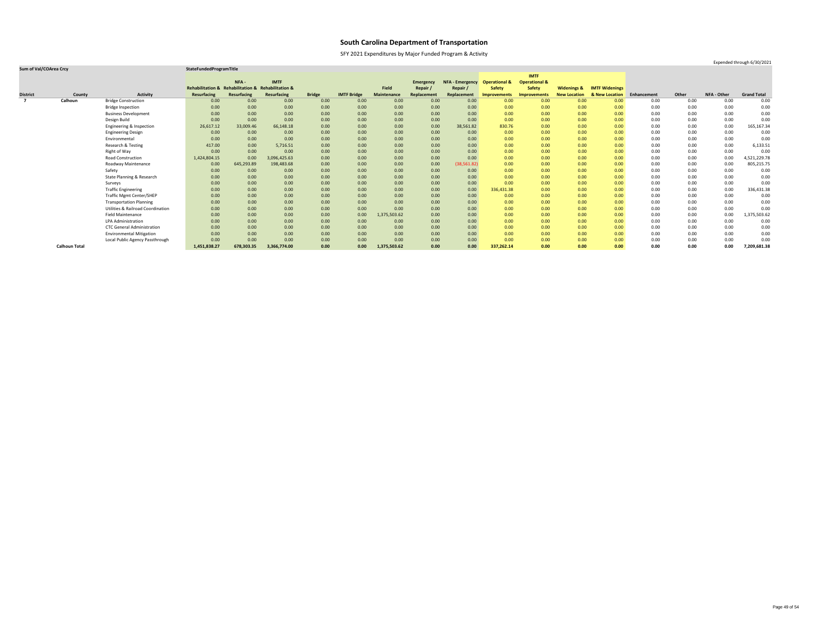SFY 2021 Expenditures by Major Funded Program & Activity

### **Sum of Val/COArea Crcy StateFundedProgramTitle**

|                 |                      |                                              |                                                    |                   |              |               |                    |                    |                  |                        |                          | <b>IMTF</b>              |                        |                       |             |       |                    |                    |
|-----------------|----------------------|----------------------------------------------|----------------------------------------------------|-------------------|--------------|---------------|--------------------|--------------------|------------------|------------------------|--------------------------|--------------------------|------------------------|-----------------------|-------------|-------|--------------------|--------------------|
|                 |                      |                                              |                                                    | NFA -             | <b>IMTF</b>  |               |                    |                    | <b>Emergency</b> | <b>NFA - Emergency</b> | <b>Operational &amp;</b> | <b>Operational &amp;</b> |                        |                       |             |       |                    |                    |
|                 |                      |                                              | Rehabilitation & Rehabilitation & Rehabilitation & |                   |              |               |                    | <b>Field</b>       | Repair           | Repair /               | <b>Safety</b>            | <b>Safety</b>            | <b>Widenings &amp;</b> | <b>IMTF Widenings</b> |             |       |                    |                    |
| <b>District</b> | County               | <b>Activity</b>                              | <b>Resurfacing</b>                                 | Resurfacing       | Resurfacing  | <b>Bridge</b> | <b>IMTF Bridge</b> | <b>Maintenance</b> | Replacement      | Replacement            | <b>Improvements</b>      | <b>Improvements</b>      | <b>New Location</b>    | & New Location        | Enhancement | Other | <b>NFA - Other</b> | <b>Grand Total</b> |
| $\overline{7}$  | Calhoun              | <b>Bridge Construction</b>                   | 0.00                                               | 0.00              | 0.00         | 0.00          | 0.00               | 0.00               | 0.00             | 0.00                   | 0.00                     | 0.00                     | 0.00                   | 0.00                  | 0.00        | 0.00  | 0.00               | 0.00               |
|                 |                      | <b>Bridge Inspection</b>                     | 0.00                                               | 0.00              | 0.00         | 0.00          | 0.00               | 0.00               | 0.00             | 0.00                   | 0.00                     | 0.00                     | 0.00                   | 0.00                  | 0.00        | 0.00  | 0.00               | 0.00               |
|                 |                      | <b>Business Development</b>                  | 0.00                                               | 0.00              | 0.00         | 0.00          | 0.00               | 0.00               | 0.00             | 0.00                   | 0.00                     | 0.00                     | 0.00                   | 0.00                  | 0.00        | 0.00  | 0.00               | 0.00               |
|                 |                      | Design Build                                 | 0.00                                               | 0.00              | 0.00         | 0.00          | 0.00               | 0.00               | 0.00             | 0.00                   | 0.00                     | 0.00                     | 0.00                   | 0.00                  | 0.00        | 0.00  | 0.00               | 0.00               |
|                 |                      | Engineering & Inspection                     | 26,617.12                                          | 33,009.46         | 66,148.18    | 0.00          | 0.00               | 0.00               | 0.00             | 38,561.82              | 830.76                   | 0.00                     | 0.00                   | 0.00                  | 0.00        | 0.00  | 0.00               | 165,167.34         |
|                 |                      | <b>Engineering Design</b>                    | 0.00                                               | 0.00              | 0.00         | 0.00          | 0.00               | 0.00               | 0.00             | 0.00                   | 0.00                     | 0.00                     | 0.00                   | 0.00                  | 0.00        | 0.00  | 0.00               | 0.00               |
|                 |                      | Environmental                                | 0.00                                               | 0.00 <sub>1</sub> | 0.00         | 0.00          | 0.00               | 0.00               | 0.00             | 0.00                   | 0.00                     | 0.00                     | 0.00                   | 0.00                  | 0.00        | 0.00  | 0.00               | 0.00               |
|                 |                      | Research & Testing                           | 417.00                                             | 0.00              | 5,716.51     | 0.00          | 0.00               | 0.00               | 0.00             | 0.00                   | 0.00                     | 0.00                     | 0.00                   | 0.00                  | 0.00        | 0.00  | 0.00               | 6,133.51           |
|                 |                      | Right of Way                                 | 0.00                                               | 0.00              | 0.00         | 0.00          | 0.00               | 0.00               | 0.00             | 0.00                   | 0.00                     | 0.00                     | 0.00                   | 0.00                  | 0.00        | 0.00  | 0.00               | 0.00               |
|                 |                      | <b>Road Construction</b>                     | 1,424,804.15                                       | 0.00              | 3,096,425.63 | 0.00          | 0.00               | 0.00               | 0.00             | 0.00                   | 0.00                     | 0.00                     | 0.00                   | 0.00                  | 0.00        | 0.00  | 0.00               | 4,521,229.78       |
|                 |                      | Roadway Maintenance                          | 0.00                                               | 645,293.89        | 198,483.68   | 0.00          | 0.00               | 0.00               | 0.00             | (38, 561.82)           | 0.00                     | 0.00                     | 0.00                   | 0.00                  | 0.00        | 0.00  | 0.00               | 805,215.75         |
|                 |                      | Safety                                       | 0.00                                               | 0.00              | 0.00         | 0.00          | 0.00               | 0.00               | 0.00             | 0.00                   | 0.00                     | 0.00                     | 0.00                   | 0.00                  | 0.00        | 0.00  | 0.00               | 0.00               |
|                 |                      | State Planning & Research                    | 0.00                                               | 0.00              | 0.00         | 0.00          | 0.00               | 0.00               | 0.00             | 0.00                   | 0.00                     | 0.00                     | 0.00                   | 0.00                  | 0.00        | 0.00  | 0.00               | 0.00               |
|                 |                      | Surveys                                      | 0.00                                               | 0.00              | 0.00         | 0.00          | 0.00               | 0.00               | 0.00             | 0.00                   | 0.00                     | 0.00                     | 0.00                   | 0.00                  | 0.00        | 0.00  | 0.00               | 0.00               |
|                 |                      | <b>Traffic Engineering</b>                   | 0.00                                               | 0.00              | 0.00         | 0.00          | 0.00               | 0.00               | 0.00             | 0.00                   | 336,431.38               | 0.00                     | 0.00                   | 0.00                  | 0.00        | 0.00  | 0.00               | 336,431.38         |
|                 |                      | <b>Traffic Mgmt Center/SHEP</b>              | 0.00                                               | 0.00              | 0.00         | 0.00          | 0.00               | 0.00               | 0.00             | 0.00                   | 0.00                     | 0.00                     | 0.00                   | 0.00                  | 0.00        | 0.00  | 0.00               | 0.00               |
|                 |                      | <b>Transportation Planning</b>               | 0.00                                               | 0.00              | 0.00         | 0.00          | 0.00               | 0.00               | 0.00             | 0.00                   | 0.00                     | 0.00                     | 0.00                   | 0.00                  | 0.00        | 0.00  | 0.00               | 0.00               |
|                 |                      | <b>Utilities &amp; Railroad Coordination</b> | 0.00                                               | 0.00 <sub>1</sub> | 0.00         | 0.00          | 0.00               | 0.00               | 0.00             | 0.00                   | 0.00                     | 0.00                     | 0.00                   | 0.00                  | 0.00        | 0.00  | 0.00               | 0.00               |
|                 |                      | <b>Field Maintenance</b>                     | 0.00                                               | 0.00              | 0.00         | 0.00          | 0.00               | 1,375,503.62       | 0.00             | 0.00                   | 0.00                     | 0.00                     | 0.00                   | 0.00                  | 0.00        | 0.00  | 0.00               | 1,375,503.62       |
|                 |                      | <b>LPA Administration</b>                    | 0.00                                               | 0.00 <sub>1</sub> | 0.00         | 0.00          | 0.00               | 0.00               | 0.00             | 0.00                   | 0.00                     | 0.00                     | 0.00                   | 0.00                  | 0.00        | 0.00  | 0.00               | 0.00               |
|                 |                      | <b>CTC General Administration</b>            | 0.00                                               | 0.00              | 0.00         | 0.00          | 0.00               | 0.00               | 0.00             | 0.00                   | 0.00                     | 0.00                     | 0.00                   | 0.00                  | 0.00        | 0.00  | 0.00               | 0.00               |
|                 |                      | <b>Environmental Mitigation</b>              | 0.00                                               | 0.00              | 0.00         | 0.00          | 0.00               | 0.00               | 0.00             | 0.00                   | 0.00                     | 0.00                     | 0.00                   | 0.00                  | 0.00        | 0.00  | 0.00               | 0.00               |
|                 |                      | Local Public Agency Passthrough              | 0.00                                               | 0.00              | 0.00         | 0.00          | 0.00               | 0.00               | 0.00             | 0.00                   | 0.00                     | 0.00                     | 0.00                   | 0.00                  | 0.00        | 0.00  | 0.00               | 0.00               |
|                 | <b>Calhoun Total</b> |                                              | 1,451,838.27                                       | 678,303.35        | 3,366,774.00 | 0.00          | 0.00               | 1,375,503.62       | 0.00             | 0.00                   | 337,262.14               | 0.00                     | 0.00                   | 0.00                  | 0.00        | 0.00  | 0.00               | 7,209,681.38       |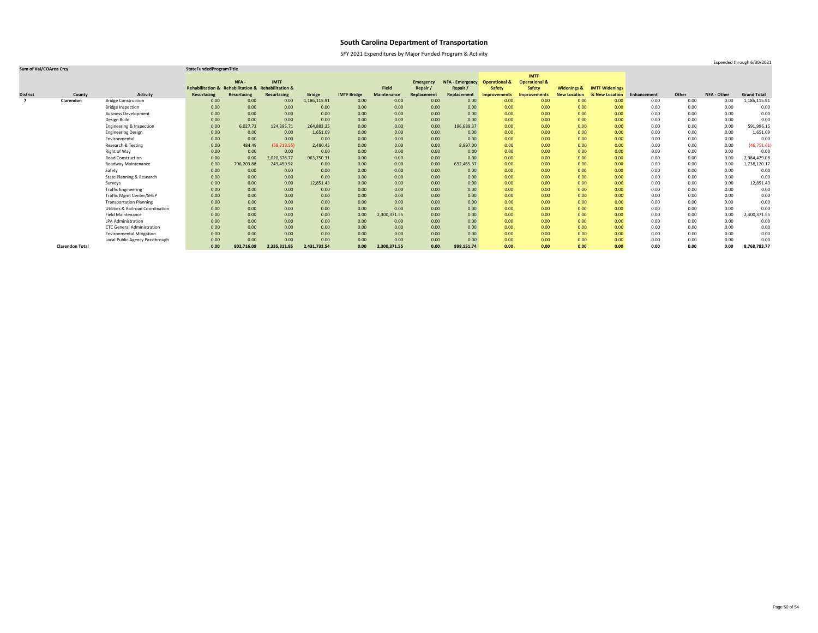SFY 2021 Expenditures by Major Funded Program & Activity

|                 |                        |                                              |                                                    |                    |                    |               |                    |                    |                  |                        |                          | <b>IMTF</b>              |                        |                       |             |       |                    |                    |
|-----------------|------------------------|----------------------------------------------|----------------------------------------------------|--------------------|--------------------|---------------|--------------------|--------------------|------------------|------------------------|--------------------------|--------------------------|------------------------|-----------------------|-------------|-------|--------------------|--------------------|
|                 |                        |                                              |                                                    | NFA-               | <b>IMTF</b>        |               |                    |                    | <b>Emergency</b> | <b>NFA - Emergency</b> | <b>Operational &amp;</b> | <b>Operational &amp;</b> |                        |                       |             |       |                    |                    |
|                 |                        |                                              | Rehabilitation & Rehabilitation & Rehabilitation & |                    |                    |               |                    | <b>Field</b>       | Repair           | Repair                 | <b>Safety</b>            | <b>Safety</b>            | <b>Widenings &amp;</b> | <b>IMTF Widenings</b> |             |       |                    |                    |
| <b>District</b> | County                 | <b>Activity</b>                              | <b>Resurfacing</b>                                 | <b>Resurfacing</b> | <b>Resurfacing</b> | <b>Bridge</b> | <b>IMTF Bridge</b> | <b>Maintenance</b> | Replacement      | Replacement            | <b>Improvements</b>      | <b>Improvements</b>      | <b>New Location</b>    | & New Location        | Enhancement | Other | <b>NFA - Other</b> | <b>Grand Total</b> |
| $\overline{ }$  | Clarendon              | <b>Bridge Construction</b>                   | 0.00                                               | 0.00               | 0.00               | 1,186,115.91  | 0.00               | 0.00               | 0.00             | 0.00                   | 0.00                     | 0.00                     | 0.00                   | 0.00                  | 0.00        | 0.00  | 0.00               | 1,186,115.91       |
|                 |                        | <b>Bridge Inspection</b>                     | 0.00                                               | 0.00               | 0.00               | 0.00          | 0.00               | 0.00               | 0.00             | 0.00                   | 0.00                     | 0.00                     | 0.00                   | 0.00                  | 0.00        | 0.00  | 0.00               | 0.00               |
|                 |                        | <b>Business Development</b>                  | 0.00                                               | 0.00               | 0.00               | 0.00          | 0.00               | 0.00               | 0.00             | 0.00                   | 0.00                     | 0.00                     | 0.00                   | 0.00                  | 0.00        | 0.00  | 0.00               | 0.00               |
|                 |                        | Design Build                                 | 0.00                                               | 0.00               | 0.00               | 0.00          | 0.00               | 0.00               | 0.00             | 0.00                   | 0.00                     | 0.00                     | 0.00                   | 0.00                  | 0.00        | 0.00  | 0.00               | 0.00               |
|                 |                        | Engineering & Inspection                     | 0.00                                               | 6,027.72           | 124,395.71         | 264,883.35    | 0.00               | 0.00               | 0.00             | 196,689.37             | 0.00                     | 0.00                     | 0.00                   | 0.00                  | 0.00        | 0.00  | 0.00               | 591,996.15         |
|                 |                        | <b>Engineering Design</b>                    | 0.00                                               | 0.00               | 0.00               | 1,651.09      | 0.00               | 0.00               | 0.00             | 0.00                   | 0.00                     | 0.00                     | 0.00                   | 0.00                  | 0.00        | 0.00  | 0.00               | 1,651.09           |
|                 |                        | Environmental                                | 0.00                                               | 0.00               | 0.00               | 0.00          | 0.00               | 0.00               | 0.00             | 0.00                   | 0.00                     | 0.00                     | 0.00                   | 0.00                  | 0.00        | 0.00  | 0.00               | 0.00               |
|                 |                        | Research & Testing                           | 0.00                                               | 484.49             | (58, 713.55)       | 2,480.45      | 0.00               | 0.00               | 0.00             | 8,997.00               | 0.00                     | 0.00                     | 0.00                   | 0.00                  | 0.00        | 0.00  | 0.00               | (46, 751.61)       |
|                 |                        | Right of Way                                 | 0.00                                               | 0.00               | 0.00               | 0.00          | 0.00               | 0.00               | 0.00             | 0.00                   | 0.00                     | 0.00                     | 0.00                   | 0.00                  | 0.00        | 0.00  | 0.00               | 0.00               |
|                 |                        | Road Construction                            | 0.00                                               | 0.00               | 2,020,678.77       | 963,750.31    | 0.00               | 0.00               | 0.00             | 0.00                   | 0.00                     | 0.00                     | 0.00                   | 0.00                  | 0.00        | 0.00  | 0.00               | 2,984,429.08       |
|                 |                        | Roadway Maintenance                          | 0.00                                               | 796,203.88         | 249,450.92         | 0.00          | 0.00               | 0.00               | 0.00             | 692,465.37             | 0.00                     | 0.00                     | 0.00                   | 0.00                  | 0.00        | 0.00  | 0.00               | 1,738,120.17       |
|                 |                        | Safety                                       | 0.00                                               | 0.00               | 0.00               | 0.00          | 0.00               | 0.00               | 0.00             | 0.00                   | 0.00                     | 0.00                     | 0.00                   | 0.00                  | 0.00        | 0.00  | 0.00               | 0.00               |
|                 |                        | State Planning & Research                    | 0.00                                               | 0.00               | 0.00               | 0.00          | 0.00               | 0.00               | 0.00             | 0.00                   | 0.00                     | 0.00                     | 0.00                   | 0.00                  | 0.00        | 0.00  | 0.00               | 0.00               |
|                 |                        | Surveys                                      | 0.00                                               | 0.00               | 0.00               | 12,851.43     | 0.00               | 0.00               | 0.00             | 0.00                   | 0.00                     | 0.00                     | 0.00                   | 0.00                  | 0.00        | 0.00  | 0.00               | 12,851.43          |
|                 |                        | <b>Traffic Engineering</b>                   | 0.00                                               | 0.00               | 0.00               | 0.00          | 0.00               | 0.00               | 0.00             | 0.00                   | 0.00                     | 0.00                     | 0.00                   | 0.00                  | 0.00        | 0.00  | 0.00               | 0.00               |
|                 |                        | <b>Traffic Mgmt Center/SHEP</b>              | 0.00                                               | 0.00               | 0.00               | 0.00          | 0.00               | 0.00               | 0.00             | 0.00                   | 0.00                     | 0.00                     | 0.00                   | 0.00                  | 0.00        | 0.00  | 0.00               | 0.00               |
|                 |                        | <b>Transportation Planning</b>               | 0.00                                               | 0.00               | 0.00               | 0.00          | 0.00               | 0.00               | 0.00             | 0.00                   | 0.00                     | 0.00                     | 0.00                   | 0.00                  | 0.00        | 0.00  | 0.00               | 0.00               |
|                 |                        | <b>Utilities &amp; Railroad Coordination</b> | 0.00                                               | 0.00               | 0.00               | 0.00          | 0.00               | 0.00               | 0.00             | 0.00                   | 0.00                     | 0.00                     | 0.00                   | 0.00                  | 0.00        | 0.00  | 0.00               | 0.00               |
|                 |                        | <b>Field Maintenance</b>                     | 0.00                                               | 0.00               | 0.00               | 0.00          | 0.00               | 2,300,371.55       | 0.00             | 0.00                   | 0.00                     | 0.00                     | 0.00                   | 0.00                  | 0.00        | 0.00  | 0.00               | 2,300,371.55       |
|                 |                        | <b>LPA Administration</b>                    | 0.00                                               | 0.00               | 0.00               | 0.00          | 0.00               | 0.00               | 0.00             | 0.00                   | 0.00                     | 0.00                     | 0.00                   | 0.00                  | 0.00        | 0.00  | 0.00               | 0.00               |
|                 |                        | <b>CTC General Administration</b>            | 0.00                                               | 0.00               | 0.00               | 0.00          | 0.00               | 0.00               | 0.00             | 0.00                   | 0.00                     | 0.00                     | 0.00                   | 0.00                  | 0.00        | 0.00  | 0.00               | 0.00               |
|                 |                        | <b>Environmental Mitigation</b>              | 0.00                                               | 0.00               | 0.00               | 0.00          | 0.00               | 0.00               | 0.00             | 0.00                   | 0.00                     | 0.00                     | 0.00                   | 0.00                  | 0.00        | 0.00  | 0.00               | 0.00               |
|                 |                        | Local Public Agency Passthrough              | 0.00                                               | 0.00               | 0.00               | 0.00          | 0.00               | 0.00               | 0.00             | 0.00                   | 0.00                     | 0.00                     | 0.00                   | 0.00                  | 0.00        | 0.00  | 0.00               | 0.00               |
|                 | <b>Clarendon Total</b> |                                              | 0.00                                               | 802,716.09         | 2,335,811.85       | 2,431,732.54  | 0.00               | 2,300,371.55       | 0.00             | 898,151.74             | 0.00                     | 0.00                     | 0.00                   | 0.00                  | 0.00        | 0.00  | 0.00               | 8,768,783.77       |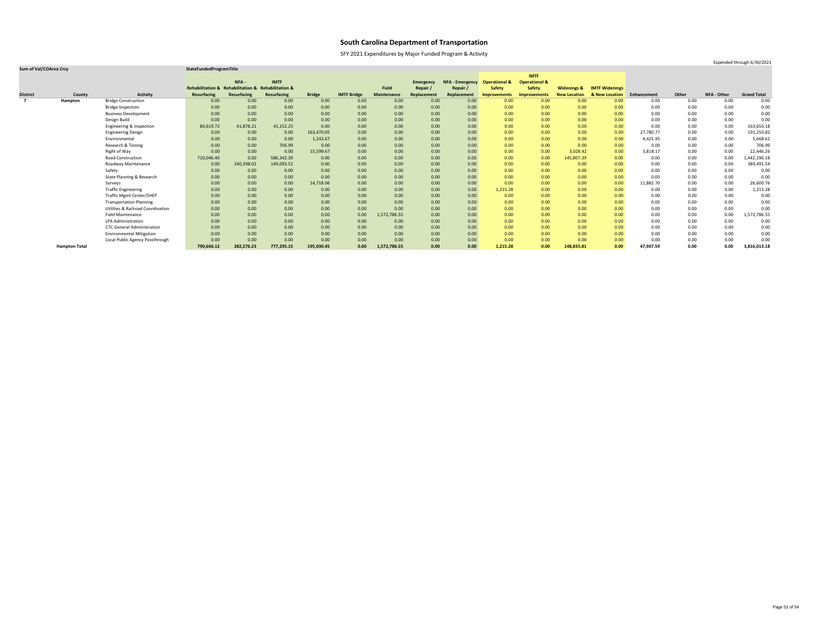SFY 2021 Expenditures by Major Funded Program & Activity

Expended through 6/30/2021

|                 |                      |                                              |                                                    |                   |             |               |                    |                    |                  |                        |                          | <b>IMTF</b>              |                        |                       |             |       |             |                    |
|-----------------|----------------------|----------------------------------------------|----------------------------------------------------|-------------------|-------------|---------------|--------------------|--------------------|------------------|------------------------|--------------------------|--------------------------|------------------------|-----------------------|-------------|-------|-------------|--------------------|
|                 |                      |                                              |                                                    | NFA -             | <b>IMTF</b> |               |                    |                    | <b>Emergency</b> | <b>NFA - Emergency</b> | <b>Operational &amp;</b> | <b>Operational &amp;</b> |                        |                       |             |       |             |                    |
|                 |                      |                                              | Rehabilitation & Rehabilitation & Rehabilitation & |                   |             |               |                    | Field              | Repair /         | Repair /               | <b>Safety</b>            | <b>Safety</b>            | <b>Widenings &amp;</b> | <b>IMTF Widenings</b> |             |       |             |                    |
| <b>District</b> | County               | <b>Activity</b>                              | <b>Resurfacing</b>                                 | Resurfacing       | Resurfacing | <b>Bridge</b> | <b>IMTF Bridge</b> | <b>Maintenance</b> | Replacement      | Replacement            | Improvements             | <b>Improvements</b>      | <b>New Location</b>    | & New Location        | Enhancement | Other | NFA - Other | <b>Grand Total</b> |
| $\overline{z}$  | Hampton              | <b>Bridge Construction</b>                   | 0.00                                               | 0.00              | 0.00        | 0.00          | 0.00               | 0.00               | 0.00             | 0.00                   | 0.00                     | 0.00                     | 0.00                   | 0.00                  | 0.00        | 0.00  | 0.00        | 0.00               |
|                 |                      | <b>Bridge Inspection</b>                     | 0.00                                               | 0.00              | 0.00        | 0.00          | 0.00               | 0.00               | 0.00             | 0.00                   | 0.00                     | 0.00                     | 0.00                   | 0.00                  | 0.00        | 0.00  | 0.00        | 0.00               |
|                 |                      | <b>Business Development</b>                  | 0.00                                               | 0.00              | 0.00        | 0.00          | 0.00               | 0.00               | 0.00             | 0.00                   | 0.00                     | 0.00                     | 0.00                   | 0.00                  | 0.00        | 0.00  | 0.00        | 0.00               |
|                 |                      | Design Build                                 | 0.00                                               | 0.00              | 0.00        | 0.00          | 0.00               | 0.00               | 0.00             | 0.00                   | 0.00                     | 0.00                     | 0.00                   | 0.00                  | 0.00        | 0.00  | 0.00        | 0.00               |
|                 |                      | Engineering & Inspection                     | 80,619.72                                          | 41,878.21         | 41,152.25   | 0.00          | 0.00               | 0.00               | 0.00             | 0.00                   | 0.00                     | 0.00                     | 0.00                   | 0.00                  | 0.00        | 0.00  | 0.00        | 163,650.18         |
|                 |                      | <b>Engineering Design</b>                    | 0.00                                               | 0.00              | 0.00        | 163,470.05    | 0.00               | 0.00               | 0.00             | 0.00                   | 0.00                     | 0.00                     | 0.00                   | 0.00                  | 27,780.77   | 0.00  | 0.00        | 191,250.82         |
|                 |                      | Environmental                                | 0.00                                               | 0.00              | 0.00        | 1,242.67      | 0.00               | 0.00               | 0.00             | 0.00                   | 0.00                     | 0.00                     | 0.00                   | 0.00                  | 4,425.95    | 0.00  | 0.00        | 5,668.62           |
|                 |                      | Research & Testing                           | 0.00                                               | 0.00 <sub>1</sub> | 706.99      | 0.00          | 0.00               | 0.00               | 0.00             | 0.00                   | 0.00                     | 0.00                     | 0.00                   | 0.00                  | 0.00        | 0.00  | 0.00        | 706.99             |
|                 |                      | Right of Way                                 | 0.00                                               | 0.00 <sub>1</sub> | 0.00        | 15,599.67     | 0.00               | 0.00               | 0.00             | 0.00                   | 0.00                     | 0.00                     | 3,028.42               | 0.00                  | 3,818.17    | 0.00  | 0.00        | 22,446.26          |
|                 |                      | <b>Road Construction</b>                     | 710,046.40                                         | 0.00              | 586,342.39  | 0.00          | 0.00               | 0.00               | 0.00             | 0.00                   | 0.00                     | 0.00                     | 145,807.39             | 0.00                  | 0.00        | 0.00  | 0.00        | L,442,196.18       |
|                 |                      | Roadway Maintenance                          | 0.00                                               | 240,398.02        | 149,093.52  | 0.00          | 0.00               | 0.00               | 0.00             | 0.00                   | 0.00                     | 0.00                     | 0.00                   | 0.00                  | 0.00        | 0.00  | 0.00        | 389,491.54         |
|                 |                      | Safety                                       | 0.00                                               | 0.00              | 0.00        | 0.00          | 0.00               | 0.00               | 0.00             | 0.00                   | 0.00                     | 0.00                     | 0.00                   | 0.00                  | 0.00        | 0.00  | 0.00        | 0.00               |
|                 |                      | <b>State Planning &amp; Research</b>         | 0.00                                               | 0.00              | 0.00        | 0.00          | 0.00               | 0.00               | 0.00             | 0.00                   | 0.00                     | 0.00                     | 0.00                   | 0.00                  | 0.00        | 0.00  | 0.00        | 0.00               |
|                 |                      | Surveys                                      | 0.00                                               | 0.00              | 0.00        | 14,718.06     | 0.00               | 0.00               | 0.00             | 0.00                   | 0.00                     | 0.00                     | 0.00                   | 0.00                  | 11,882.70   | 0.00  | 0.00        | 26,600.76          |
|                 |                      | <b>Traffic Engineering</b>                   | 0.00                                               | 0.00              | 0.00        | 0.00          | 0.00               | 0.00               | 0.00             | 0.00                   | 1,215.28                 | 0.00                     | 0.00                   | 0.00                  | 0.00        | 0.00  | 0.00        | 1,215.28           |
|                 |                      | <b>Traffic Mgmt Center/SHEP</b>              | 0.00                                               | 0.00              | 0.00        | 0.00          | 0.00               | 0.00               | 0.00             | 0.00                   | 0.00                     | 0.00                     | 0.00                   | 0.00                  | 0.00        | 0.00  | 0.00        | 0.00               |
|                 |                      | <b>Transportation Planning</b>               | 0.00                                               | 0.00 <sub>1</sub> | 0.00        | 0.00          | 0.00               | 0.00               | 0.00             | 0.00                   | 0.00                     | 0.00                     | 0.00                   | 0.00                  | 0.00        | 0.00  | 0.00        | 0.00               |
|                 |                      | <b>Utilities &amp; Railroad Coordination</b> | 0.00                                               | 0.00              | 0.00        | 0.00          | 0.00               | 0.00               | 0.00             | 0.00                   | 0.00                     | 0.00                     | 0.00                   | 0.00                  | 0.00        | 0.00  | 0.00        | 0.00               |
|                 |                      | <b>Field Maintenance</b>                     | 0.00                                               | 0.00              | 0.00        | 0.00          | 0.00               | 1,572,786.55       | 0.00             | 0.00                   | 0.00                     | 0.00                     | 0.00                   | 0.00                  | 0.00        | 0.00  | 0.00        | 1,572,786.55       |
|                 |                      | LPA Administration                           | 0.00                                               | 0.00              | 0.00        | 0.00          | 0.00               | 0.00               | 0.00             | 0.00                   | 0.00                     | 0.00                     | 0.00                   | 0.00                  | 0.00        | 0.00  | 0.00        | 0.00               |
|                 |                      | <b>CTC General Administration</b>            | 0.00                                               | 0.00              | 0.00        | 0.00          | 0.00               | 0.00               | 0.00             | 0.00                   | 0.00                     | 0.00                     | 0.00                   | 0.00                  | 0.00        | 0.00  | 0.00        | 0.00               |
|                 |                      | <b>Environmental Mitigation</b>              | 0.00                                               | 0.00              | 0.00        | 0.00          | 0.00               | 0.00               | 0.00             | 0.00                   | 0.00                     | 0.00                     | 0.00                   | 0.00                  | 0.00        | 0.00  | 0.00        | 0.00               |
|                 |                      | Local Public Agency Passthrough              | 0.00                                               | 0.00              | 0.00        | 0.00          | 0.00               | 0.00               | 0.00             | 0.00                   | 0.00                     | 0.00                     | 0.00                   | 0.00                  | 0.00        | 0.00  | 0.00        | 0.00               |
|                 | <b>Hampton Total</b> |                                              | 790,666.12                                         | 282,276.23        | 777,295.15  | 195,030.45    | 0.00               | 1,572,786.55       | 0.00             | 0.00                   | 1,215.28                 | 0.00                     | 148,835.81             | 0.00                  | 47,907.59   | 0.00  | 0.00        | 3,816,013.18       |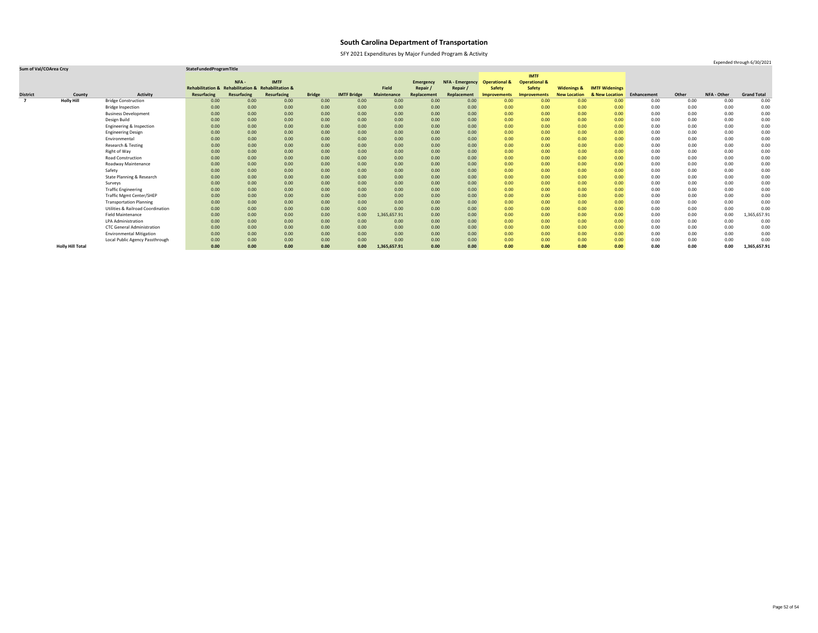SFY 2021 Expenditures by Major Funded Program & Activity

### **Sum of Val/COArea Crcy StateFundedProgramTitle**

|                         |                         |                                              |                                                    |             |                    |               |                    |                    |                  |                        |                          | <b>IMTF</b>              |                        |                       |             |       |                    |                    |
|-------------------------|-------------------------|----------------------------------------------|----------------------------------------------------|-------------|--------------------|---------------|--------------------|--------------------|------------------|------------------------|--------------------------|--------------------------|------------------------|-----------------------|-------------|-------|--------------------|--------------------|
|                         |                         |                                              |                                                    | NFA-        | <b>IMTF</b>        |               |                    |                    | <b>Emergency</b> | <b>NFA - Emergency</b> | <b>Operational &amp;</b> | <b>Operational &amp;</b> |                        |                       |             |       |                    |                    |
|                         |                         |                                              | Rehabilitation & Rehabilitation & Rehabilitation & |             |                    |               |                    | <b>Field</b>       | Repair /         | Repair                 | <b>Safety</b>            | <b>Safety</b>            | <b>Widenings &amp;</b> | <b>IMTF Widenings</b> |             |       |                    |                    |
| <b>District</b>         | County                  | <b>Activity</b>                              | <b>Resurfacing</b>                                 | Resurfacing | <b>Resurfacing</b> | <b>Bridge</b> | <b>IMTF Bridge</b> | <b>Maintenance</b> | Replacement      | Replacement            | <b>Improvements</b>      | <b>Improvements</b>      | <b>New Location</b>    | & New Location        | Enhancement | Other | <b>NFA - Other</b> | <b>Grand Total</b> |
| $\overline{\mathbf{z}}$ | <b>Holly Hill</b>       | <b>Bridge Construction</b>                   | 0.00                                               | 0.00        | 0.00               | 0.00          | 0.00               | 0.00               | 0.00             | 0.00                   | 0.00                     | 0.00                     | 0.00                   | 0.00                  | 0.00        | 0.00  | 0.00               | 0.00               |
|                         |                         | <b>Bridge Inspection</b>                     | 0.00                                               | 0.00        | 0.00               | 0.00          | 0.00               | 0.00               | 0.00             | 0.00                   | 0.00                     | 0.00                     | 0.00                   | 0.00                  | 0.00        | 0.00  | 0.00               | 0.00               |
|                         |                         | <b>Business Development</b>                  | 0.00                                               | 0.00        | 0.00               | 0.00          | 0.00               | 0.00               | 0.00             | 0.00                   | 0.00                     | 0.00                     | 0.00                   | 0.00                  | 0.00        | 0.00  | 0.00               | 0.00               |
|                         |                         | Design Build                                 | 0.00                                               | 0.00        | 0.00               | 0.00          | 0.00               | 0.00               | 0.00             | 0.00                   | 0.00                     | 0.00                     | 0.00                   | 0.00                  | 0.00        | 0.00  | 0.00               | 0.00               |
|                         |                         | Engineering & Inspection                     | 0.00                                               | 0.00        | 0.00               | 0.00          | 0.00               | 0.00               | 0.00             | 0.00                   | 0.00                     | 0.00                     | 0.00                   | 0.00                  | 0.00        | 0.00  | 0.00               | 0.00               |
|                         |                         | <b>Engineering Design</b>                    | 0.00                                               | 0.00        | 0.00               | 0.00          | 0.00               | 0.00               | 0.00             | 0.00                   | 0.00                     | 0.00                     | 0.00                   | 0.00                  | 0.00        | 0.00  | 0.00               | 0.00               |
|                         |                         | Environmental                                | 0.00                                               | 0.00        | 0.00               | 0.00          | 0.00               | 0.00               | 0.00             | 0.00                   | 0.00                     | 0.00                     | 0.00                   | 0.00                  | 0.00        | 0.00  | 0.00               | 0.00               |
|                         |                         | Research & Testing                           | 0.00                                               | 0.00        | 0.00               | 0.00          | 0.00               | 0.00               | 0.00             | 0.00                   | 0.00                     | 0.00                     | 0.00                   | 0.00                  | 0.00        | 0.00  | 0.00               | 0.00               |
|                         |                         | Right of Way                                 | 0.00                                               | 0.00        | 0.00               | 0.00          | 0.00               | 0.00               | 0.00             | 0.00                   | 0.00                     | 0.00                     | 0.00                   | 0.00                  | 0.00        | 0.00  | 0.00               | 0.00               |
|                         |                         | <b>Road Construction</b>                     | 0.00                                               | 0.00        | 0.00               | 0.00          | 0.00               | 0.00               | 0.00             | 0.00                   | 0.00                     | 0.00                     | 0.00                   | 0.00                  | 0.00        | 0.00  | 0.00               | 0.00               |
|                         |                         | <b>Roadway Maintenance</b>                   | 0.00                                               | 0.00        | 0.00               | 0.00          | 0.00               | 0.00               | 0.00             | 0.00                   | 0.00                     | 0.00                     | 0.00                   | 0.00                  | 0.00        | 0.00  | 0.00               | 0.00               |
|                         |                         | Safety                                       | 0.00                                               | 0.00        | 0.00               | 0.00          | 0.00               | 0.00               | 0.00             | 0.00                   | 0.00                     | 0.00                     | 0.00                   | 0.00                  | 0.00        | 0.00  | 0.00               | 0.00               |
|                         |                         | State Planning & Research                    | 0.00                                               | 0.00        | 0.00               | 0.00          | 0.00               | 0.00               | 0.00             | 0.00                   | 0.00                     | 0.00                     | 0.00                   | 0.00                  | 0.00        | 0.00  | 0.00               | 0.00               |
|                         |                         | Surveys                                      | 0.00                                               | 0.00        | 0.00               | 0.00          | 0.00               | 0.00               | 0.00             | 0.00                   | 0.00                     | 0.00                     | 0.00                   | 0.00                  | 0.00        | 0.00  | 0.00               | 0.00               |
|                         |                         | <b>Traffic Engineering</b>                   | 0.00                                               | 0.00        | 0.00               | 0.00          | 0.00               | 0.00               | 0.00             | 0.00                   | 0.00                     | 0.00                     | 0.00                   | 0.00                  | 0.00        | 0.00  | 0.00               | 0.00               |
|                         |                         | <b>Traffic Mgmt Center/SHEP</b>              | 0.00                                               | 0.00        | 0.00               | 0.00          | 0.00               | 0.00               | 0.00             | 0.00                   | 0.00                     | 0.00                     | 0.00                   | 0.00                  | 0.00        | 0.00  | 0.00               | 0.00               |
|                         |                         | <b>Transportation Planning</b>               | 0.00                                               | 0.00        | 0.00               | 0.00          | 0.00               | 0.00               | 0.00             | 0.00                   | 0.00                     | 0.00                     | 0.00                   | 0.00                  | 0.00        | 0.00  | 0.00               | 0.00               |
|                         |                         | <b>Utilities &amp; Railroad Coordination</b> | 0.00                                               | 0.00        | 0.00               | 0.00          | 0.00               | 0.00               | 0.00             | 0.00                   | 0.00                     | 0.00                     | 0.00                   | 0.00                  | 0.00        | 0.00  | 0.00               | 0.00               |
|                         |                         | <b>Field Maintenance</b>                     | 0.00                                               | 0.00        | 0.00               | 0.00          | 0.00               | 1,365,657.91       | 0.00             | 0.00                   | 0.00                     | 0.00                     | 0.00                   | 0.00                  | 0.00        | 0.00  | 0.00               | 1,365,657.91       |
|                         |                         | <b>LPA Administration</b>                    | 0.00                                               | 0.00        | 0.00               | 0.00          | 0.00               | 0.00               | 0.00             | 0.00                   | 0.00                     | 0.00                     | 0.00                   | 0.00                  | 0.00        | 0.00  | 0.00               | 0.00               |
|                         |                         | <b>CTC General Administration</b>            | 0.00                                               | 0.00        | 0.00               | 0.00          | 0.00               | 0.00               | 0.00             | 0.00                   | 0.00                     | 0.00                     | 0.00                   | 0.00                  | 0.00        | 0.00  | 0.00               | 0.00               |
|                         |                         | <b>Environmental Mitigation</b>              | 0.00                                               | 0.00        | 0.00               | 0.00          | 0.00               | 0.00               | 0.00             | 0.00                   | 0.00                     | 0.00                     | 0.00                   | 0.00                  | 0.00        | 0.00  | 0.00               | 0.00               |
|                         |                         | Local Public Agency Passthrough              | 0.00                                               | 0.00        | 0.00               | 0.00          | 0.00               | 0.00               | 0.00             | 0.00                   | 0.00                     | 0.00                     | 0.00                   | 0.00                  | 0.00        | 0.00  | 0.00               | 0.00               |
|                         | <b>Holly Hill Total</b> |                                              | 0.00                                               | 0.00        | 0.00               | 0.00          | 0.00               | 1,365,657.91       | 0.00             | 0.00                   | 0.00                     | 0.00                     | 0.00                   | 0.00                  | 0.00        | 0.00  | 0.00               | 1,365,657.91       |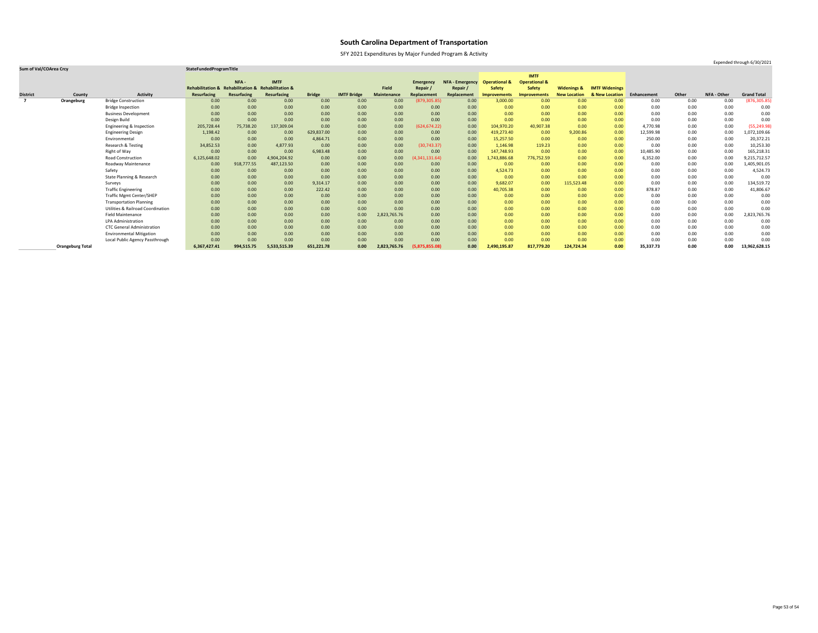SFY 2021 Expenditures by Major Funded Program & Activity

### **Sum of Val/COArea Crcy StateFundedProgramTitle**

|                 |                         |                                              |                                                    |             |              |               |                    |                    |                  |                        |                          | <b>IMTF</b>              |                        |                       |             |       |                    |                    |
|-----------------|-------------------------|----------------------------------------------|----------------------------------------------------|-------------|--------------|---------------|--------------------|--------------------|------------------|------------------------|--------------------------|--------------------------|------------------------|-----------------------|-------------|-------|--------------------|--------------------|
|                 |                         |                                              |                                                    | NFA-        | <b>IMTF</b>  |               |                    |                    | <b>Emergency</b> | <b>NFA - Emergency</b> | <b>Operational &amp;</b> | <b>Operational &amp;</b> |                        |                       |             |       |                    |                    |
|                 |                         |                                              | Rehabilitation & Rehabilitation & Rehabilitation & |             |              |               |                    | <b>Field</b>       | Repair /         | Repair                 | Safety                   | <b>Safety</b>            | <b>Widenings &amp;</b> | <b>IMTF Widenings</b> |             |       |                    |                    |
| <b>District</b> | County                  | <b>Activity</b>                              | <b>Resurfacing</b>                                 | Resurfacing | Resurfacing  | <b>Bridge</b> | <b>IMTF Bridge</b> | <b>Maintenance</b> | Replacement      | Replacement            | <b>Improvements</b>      | Improvements             | <b>New Location</b>    | & New Location        | Enhancement | Other | <b>NFA - Other</b> | <b>Grand Total</b> |
|                 | Orangeburg              | <b>Bridge Construction</b>                   | 0.00                                               | 0.00        | 0.00         | 0.00          | 0.00               | 0.00               | (879, 305.85)    | 0.00                   | 3,000.00                 | 0.00                     | 0.00                   | 0.00                  | 0.00        | 0.00  | 0.00               | (876, 305.85)      |
|                 |                         | <b>Bridge Inspection</b>                     | 0.00                                               | 0.00        | 0.00         | 0.00          | 0.00               | 0.00               | 0.00             | 0.00                   | 0.00                     | 0.00                     | 0.00                   | 0.00                  | 0.00        | 0.00  | 0.00               | 0.00               |
|                 |                         | <b>Business Development</b>                  | 0.00                                               | 0.00        | 0.00         | 0.00          | 0.00               | 0.00               | 0.00             | 0.00                   | 0.00                     | 0.00                     | 0.00                   | 0.00                  | 0.00        | 0.00  | 0.00               | 0.00               |
|                 |                         | Design Build                                 | 0.00                                               | 0.00        | 0.00         | 0.00          | 0.00               | 0.00               | 0.00             | 0.00                   | 0.00                     | 0.00                     | 0.00                   | 0.00                  | 0.00        | 0.00  | 0.00               | 0.00               |
|                 |                         | Engineering & Inspection                     | 205,728.44                                         | 75,738.20   | 137,309.04   | 0.00          | 0.00               | 0.00               | (624, 674.22)    | 0.00                   | 104,970.20               | 40,907.38                | 0.00                   | 0.00                  | 4,770.98    | 0.00  | 0.00               | (55, 249.98)       |
|                 |                         | <b>Engineering Design</b>                    | 1,198.42                                           | 0.00        | 0.00         | 629,837.00    | 0.00               | 0.00               | 0.00             | 0.00                   | 419,273.40               | 0.00                     | 9,200.86               | 0.00                  | 12,599.98   | 0.00  | 0.00               | 1,072,109.66       |
|                 |                         | Environmental                                | 0.00                                               | 0.00        | 0.00         | 4,864.71      | 0.00               | 0.00               | 0.00             | 0.00                   | 15,257.50                | 0.00                     | 0.00                   | 0.00                  | 250.00      | 0.00  | 0.00               | 20,372.21          |
|                 |                         | Research & Testing                           | 34,852.53                                          | 0.00        | 4,877.93     | 0.00          | 0.00               | 0.00               | (30, 743.37)     | 0.00                   | 1,146.98                 | 119.23                   | 0.00                   | 0.00                  | 0.00        | 0.00  | 0.00               | 10,253.30          |
|                 |                         | Right of Way                                 | 0.00                                               | 0.00        | 0.00         | 6,983.48      | 0.00               | 0.00               | 0.00             | 0.00                   | 147,748.93               | 0.00                     | 0.00                   | 0.00                  | 10,485.90   | 0.00  | 0.00               | 165,218.31         |
|                 |                         | Road Construction                            | 6,125,648.02                                       | 0.00        | 4,904,204.92 | 0.00          | 0.00               | 0.00               | (4, 341, 131.64) | 0.00                   | 1,743,886.68             | 776,752.59               | 0.00                   | 0.00                  | 6,352.00    | 0.00  | 0.00               | 9,215,712.57       |
|                 |                         | Roadway Maintenance                          | 0.00                                               | 918,777.55  | 487,123.50   | 0.00          | 0.00               | 0.00               | 0.00             | 0.00                   | 0.00                     | 0.00                     | 0.00                   | 0.00                  | 0.00        | 0.00  | 0.00               | 1,405,901.05       |
|                 |                         | Safety                                       | 0.00                                               | 0.00        | 0.00         | 0.00          | 0.00               | 0.00               | 0.00             | 0.00                   | 4,524.73                 | 0.00                     | 0.00                   | 0.00                  | 0.00        | 0.00  | 0.00               | 4,524.73           |
|                 |                         | <b>State Planning &amp; Research</b>         | 0.00                                               | 0.00        | 0.00         | 0.00          | 0.00               | 0.00               | 0.00             | 0.00                   | 0.00                     | 0.00                     | 0.00                   | 0.00                  | 0.00        | 0.00  | 0.00               | 0.00               |
|                 |                         | Surveys                                      | 0.00                                               | 0.00        | 0.00         | 9,314.17      | 0.00               | 0.00               | 0.00             | 0.00                   | 9,682.07                 | 0.00                     | 115,523.48             | 0.00                  | 0.00        | 0.00  | 0.00               | 134,519.72         |
|                 |                         | <b>Traffic Engineering</b>                   | 0.00                                               | 0.00        | 0.00         | 222.42        | 0.00               | 0.00               | 0.00             | 0.00                   | 40,705.38                | 0.00                     | 0.00                   | 0.00                  | 878.87      | 0.00  | 0.00               | 41,806.67          |
|                 |                         | <b>Traffic Mgmt Center/SHEP</b>              | 0.00                                               | 0.00        | 0.00         | 0.00          | 0.00               | 0.00               | 0.00             | 0.00                   | 0.00                     | 0.00                     | 0.00                   | 0.00                  | 0.00        | 0.00  | 0.00               | 0.00               |
|                 |                         | <b>Transportation Planning</b>               | 0.00                                               | 0.00        | 0.00         | 0.00          | 0.00               | 0.00               | 0.00             | 0.00                   | 0.00                     | 0.00                     | 0.00                   | 0.00                  | 0.00        | 0.00  | 0.00               | 0.00               |
|                 |                         | <b>Utilities &amp; Railroad Coordination</b> | 0.00                                               | 0.00        | 0.00         | 0.00          | 0.00               | 0.00               | 0.00             | 0.00                   | 0.00                     | 0.00                     | 0.00                   | 0.00                  | 0.00        | 0.00  | 0.00               | 0.00               |
|                 |                         | <b>Field Maintenance</b>                     | 0.00                                               | 0.00        | 0.00         | 0.00          | 0.00               | 2,823,765.76       | 0.00             | 0.00                   | 0.00                     | 0.00                     | 0.00                   | 0.00                  | 0.00        | 0.00  | 0.00               | 2,823,765.76       |
|                 |                         | <b>LPA Administration</b>                    | 0.00                                               | 0.00        | 0.00         | 0.00          | 0.00               | 0.00               | 0.00             | 0.00                   | 0.00                     | 0.00                     | 0.00                   | 0.00                  | 0.00        | 0.00  | 0.00               | 0.00               |
|                 |                         | <b>CTC General Administration</b>            | 0.00                                               | 0.00        | 0.00         | 0.00          | 0.00               | 0.00               | 0.00             | 0.00                   | 0.00                     | 0.00                     | 0.00                   | 0.00                  | 0.00        | 0.00  | 0.00               | 0.00               |
|                 |                         | <b>Environmental Mitigation</b>              | 0.00                                               | 0.00        | 0.00         | 0.00          | 0.00               | 0.00               | 0.00             | 0.00                   | 0.00                     | 0.00                     | 0.00                   | 0.00                  | 0.00        | 0.00  | 0.00               | 0.00               |
|                 |                         | Local Public Agency Passthrough              | 0.00                                               | 0.00        | 0.00         | 0.00          | 0.00               | 0.00               | 0.00             | 0.00                   | 0.00                     | 0.00                     | 0.00                   | 0.00                  | 0.00        | 0.00  | 0.00               | 0.00               |
|                 | <b>Orangeburg Total</b> |                                              | 6,367,427.41                                       | 994,515.75  | 5,533,515.39 | 651,221.78    | 0.00               | 2,823,765.76       | (5,875,855.08)   | 0.00                   | 2,490,195.87             | 817,779.20               | 124,724.34             | 0.00                  | 35,337.73   | 0.00  | 0.00               | 13,962,628.15      |